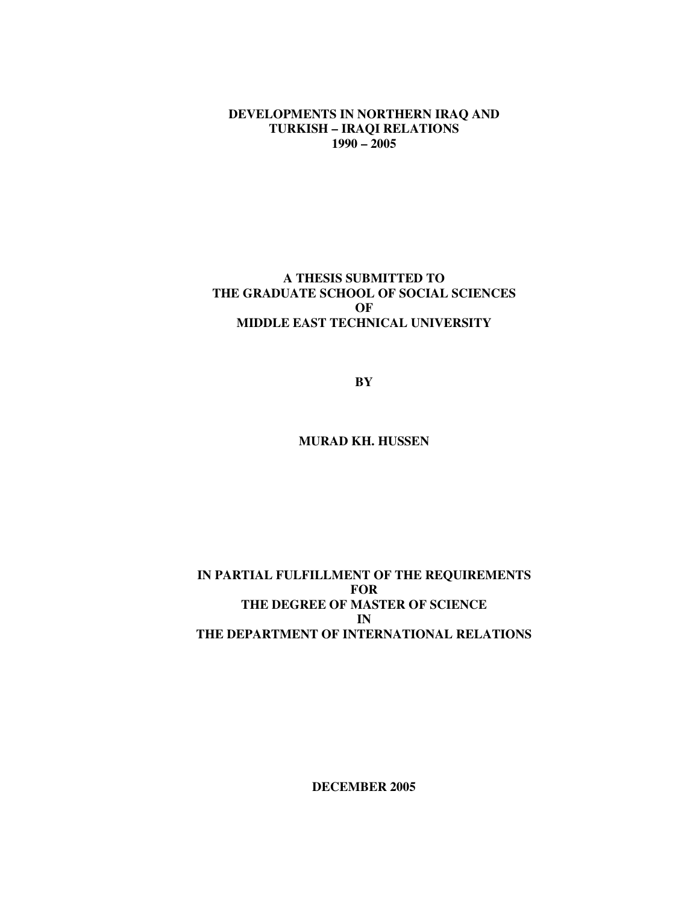**DEVELOPMENTS IN NORTHERN IRAQ AND TURKISH – IRAQI RELATIONS 1990 – 2005**

## **A THESIS SUBMITTED TO THE GRADUATE SCHOOL OF SOCIAL SCIENCES OF MIDDLE EAST TECHNICAL UNIVERSITY**

**BY**

## **MURAD KH. HUSSEN**

## **IN PARTIAL FULFILLMENT OF THE REQUIREMENTS FOR THE DEGREE OF MASTER OF SCIENCE IN THE DEPARTMENT OF INTERNATIONAL RELATIONS**

**DECEMBER 2005**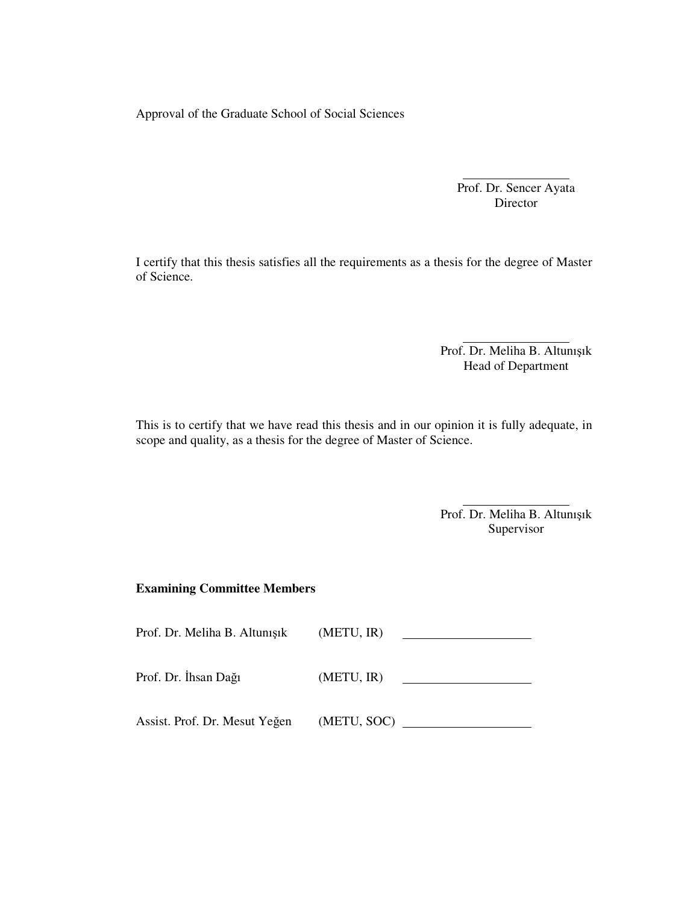Approval of the Graduate School of Social Sciences

Prof. Dr. Sencer Ayata Director

I certify that this thesis satisfies all the requirements as a thesis for the degree of Master of Science.

> Prof. Dr. Meliha B. Altunışık Head of Department

This is to certify that we have read this thesis and in our opinion it is fully adequate, in scope and quality, as a thesis for the degree of Master of Science.

> Prof. Dr. Meliha B. Altunışık Supervisor

## **Examining Committee Members**

| Prof. Dr. Meliha B. Altunışık | (METU, IR)  |
|-------------------------------|-------------|
| Prof. Dr. İhsan Dağı          | (METU, IR)  |
| Assist. Prof. Dr. Mesut Yeğen | (METU, SOC) |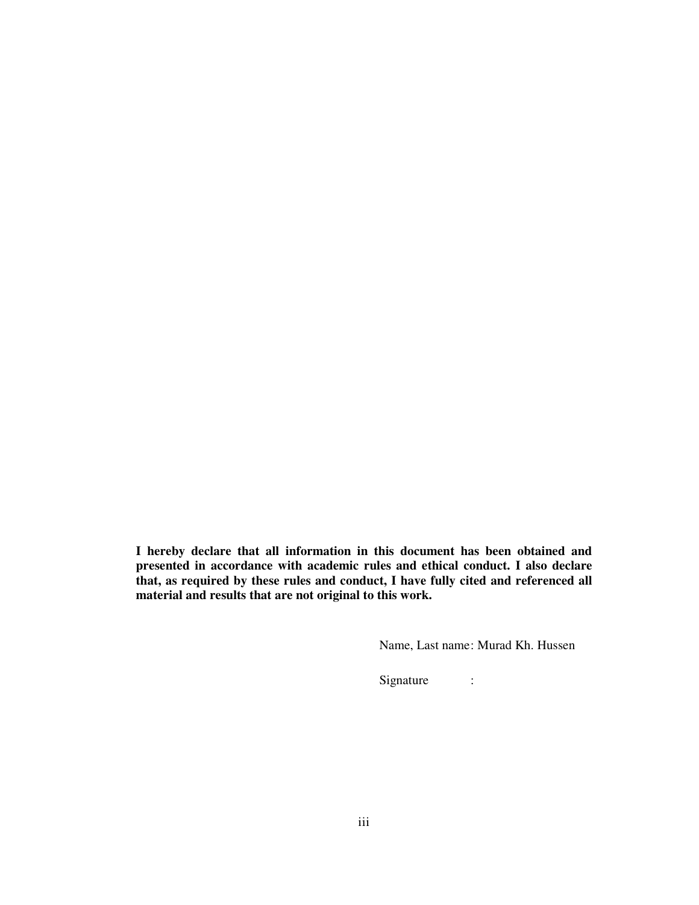**I hereby declare that all information in this document has been obtained and presented in accordance with academic rules and ethical conduct. I also declare that, as required by these rules and conduct, I have fully cited and referenced all material and results that are not original to this work.**

Name, Last name: Murad Kh. Hussen

Signature :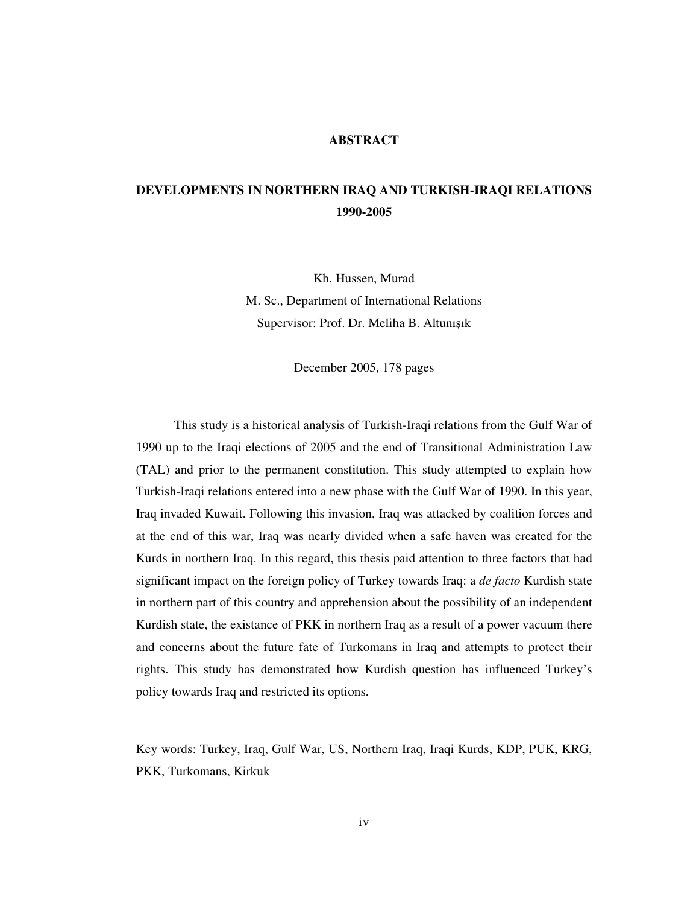### **ABSTRACT**

# **DEVELOPMENTS IN NORTHERN IRAQ AND TURKISH-IRAQI RELATIONS 1990-2005**

Kh. Hussen, Murad

M. Sc., Department of International Relations Supervisor: Prof. Dr. Meliha B. Altunışık

December 2005, 178 pages

This study is a historical analysis of Turkish-Iraqi relations from the Gulf War of 1990 up to the Iraqi elections of 2005 and the end of Transitional Administration Law (TAL) and prior to the permanent constitution. This study attempted to explain how Turkish-Iraqi relations entered into a new phase with the Gulf War of 1990. In this year, Iraq invaded Kuwait. Following this invasion, Iraq was attacked by coalition forces and at the end of this war, Iraq was nearly divided when a safe haven was created for the Kurds in northern Iraq. In this regard, this thesis paid attention to three factors that had significant impact on the foreign policy of Turkey towards Iraq: a *de facto* Kurdish state in northern part of this country and apprehension about the possibility of an independent Kurdish state, the existance of PKK in northern Iraq as a result of a power vacuum there and concerns about the future fate of Turkomans in Iraq and attempts to protect their rights. This study has demonstrated how Kurdish question has influenced Turkey's policy towards Iraq and restricted its options.

Key words: Turkey, Iraq, Gulf War, US, Northern Iraq, Iraqi Kurds, KDP, PUK, KRG, PKK, Turkomans, Kirkuk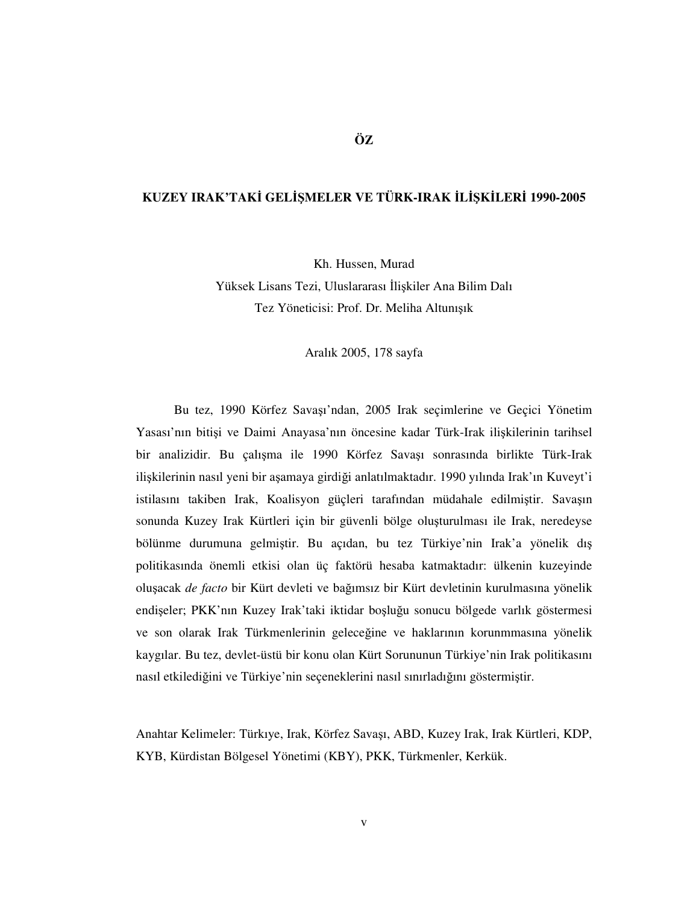## **KUZEY IRAK'TAK GEL**-**MELER VE TÜRK-IRAK L**-**KLER 1990-2005**

Kh. Hussen, Murad

Yüksek Lisans Tezi, Uluslararası İlişkiler Ana Bilim Dalı Tez Yöneticisi: Prof. Dr. Meliha Altunışık

Aralık 2005, 178 sayfa

Bu tez, 1990 Körfez Savaı'ndan, 2005 Irak seçimlerine ve Geçici Yönetim Yasası'nın bitişi ve Daimi Anayasa'nın öncesine kadar Türk-Irak ilişkilerinin tarihsel bir analizidir. Bu çalışma ile 1990 Körfez Savaşı sonrasında birlikte Türk-Irak ilişkilerinin nasıl yeni bir aşamaya girdiği anlatılmaktadır. 1990 yılında Irak'ın Kuveyt'i istilasını takiben Irak, Koalisyon güçleri tarafından müdahale edilmiştir. Savaşın sonunda Kuzey Irak Kürtleri için bir güvenli bölge oluşturulması ile Irak, neredeyse bölünme durumuna gelmiştir. Bu açıdan, bu tez Türkiye'nin Irak'a yönelik dış politikasında önemli etkisi olan üç faktörü hesaba katmaktadır: ülkenin kuzeyinde oluacak *de facto* bir Kürt devleti ve baımsız bir Kürt devletinin kurulmasına yönelik endişeler; PKK'nın Kuzey Irak'taki iktidar boşluğu sonucu bölgede varlık göstermesi ve son olarak Irak Türkmenlerinin geleceğine ve haklarının korunmmasına yönelik kaygılar. Bu tez, devlet-üstü bir konu olan Kürt Sorununun Türkiye'nin Irak politikasını nasıl etkilediğini ve Türkiye'nin seçeneklerini nasıl sınırladığını göstermiştir.

Anahtar Kelimeler: Türkıye, Irak, Körfez Savaşı, ABD, Kuzey Irak, Irak Kürtleri, KDP, KYB, Kürdistan Bölgesel Yönetimi (KBY), PKK, Türkmenler, Kerkük.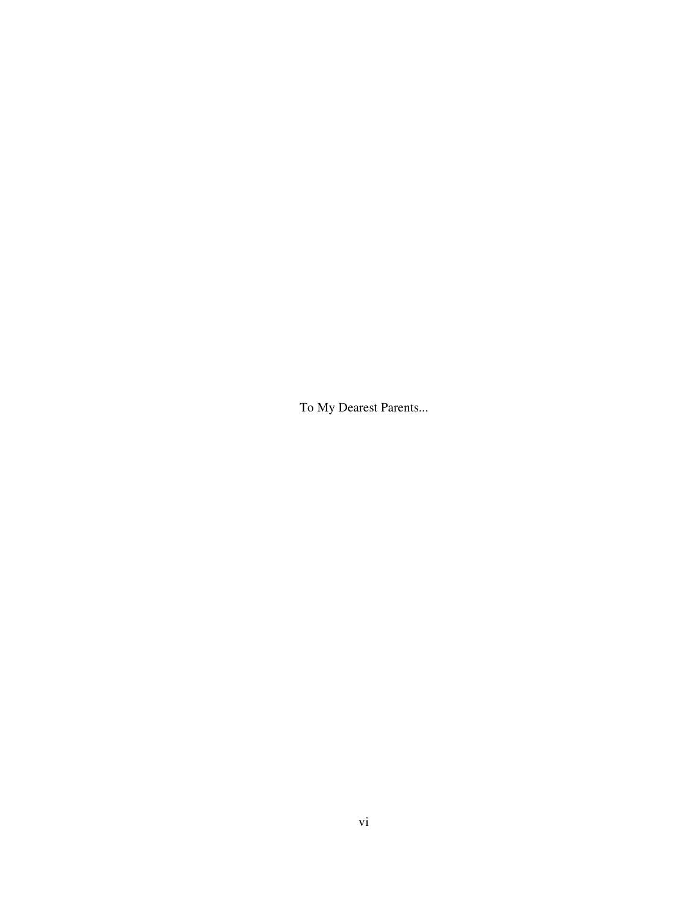To My Dearest Parents...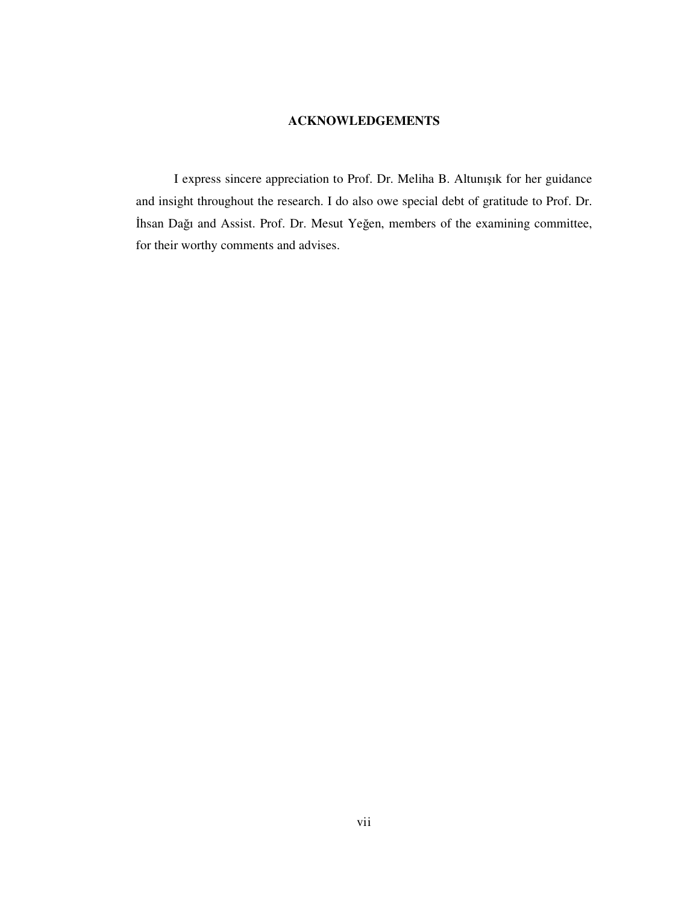## **ACKNOWLEDGEMENTS**

I express sincere appreciation to Prof. Dr. Meliha B. Altunışık for her guidance and insight throughout the research. I do also owe special debt of gratitude to Prof. Dr. Ihsan Dağı and Assist. Prof. Dr. Mesut Yeğen, members of the examining committee, for their worthy comments and advises.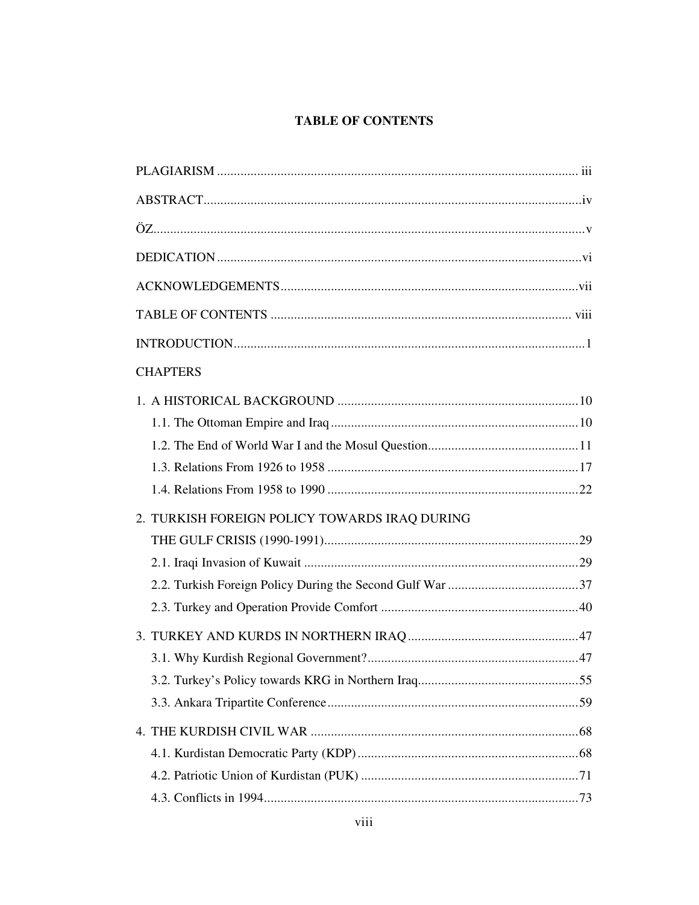# **TABLE OF CONTENTS**

| <b>CHAPTERS</b>                               |  |
|-----------------------------------------------|--|
|                                               |  |
|                                               |  |
|                                               |  |
|                                               |  |
|                                               |  |
| 2. TURKISH FOREIGN POLICY TOWARDS IRAQ DURING |  |
|                                               |  |
|                                               |  |
|                                               |  |
|                                               |  |
|                                               |  |
|                                               |  |
|                                               |  |
|                                               |  |
|                                               |  |
|                                               |  |
|                                               |  |
|                                               |  |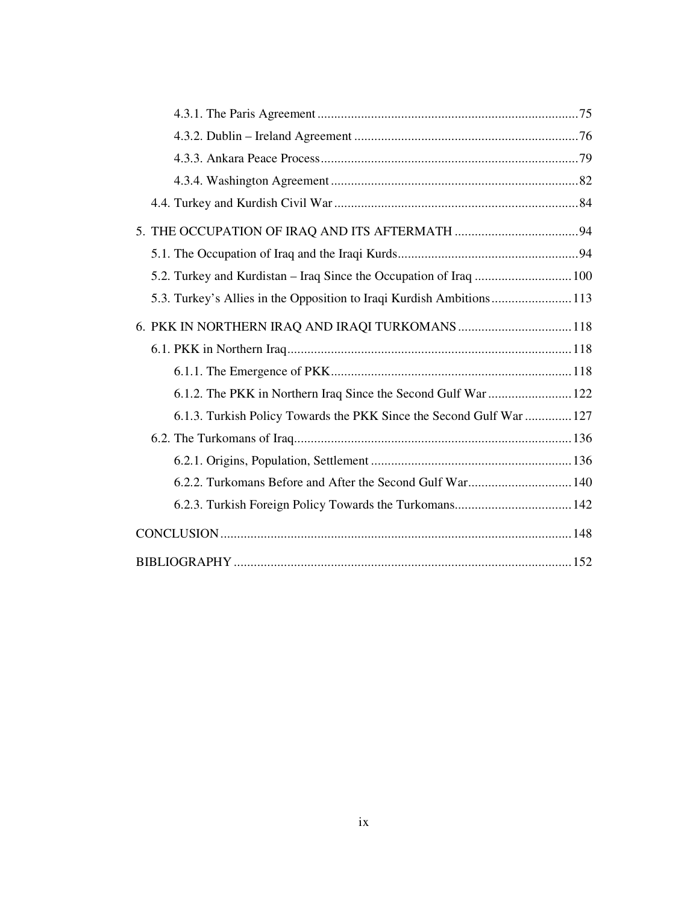| 5.2. Turkey and Kurdistan – Iraq Since the Occupation of Iraq  100    |  |
|-----------------------------------------------------------------------|--|
| 5.3. Turkey's Allies in the Opposition to Iraqi Kurdish Ambitions 113 |  |
| 6. PKK IN NORTHERN IRAQ AND IRAQI TURKOMANS118                        |  |
|                                                                       |  |
|                                                                       |  |
| 6.1.2. The PKK in Northern Iraq Since the Second Gulf War  122        |  |
| 6.1.3. Turkish Policy Towards the PKK Since the Second Gulf War  127  |  |
|                                                                       |  |
|                                                                       |  |
|                                                                       |  |
| 6.2.3. Turkish Foreign Policy Towards the Turkomans 142               |  |
|                                                                       |  |
|                                                                       |  |
|                                                                       |  |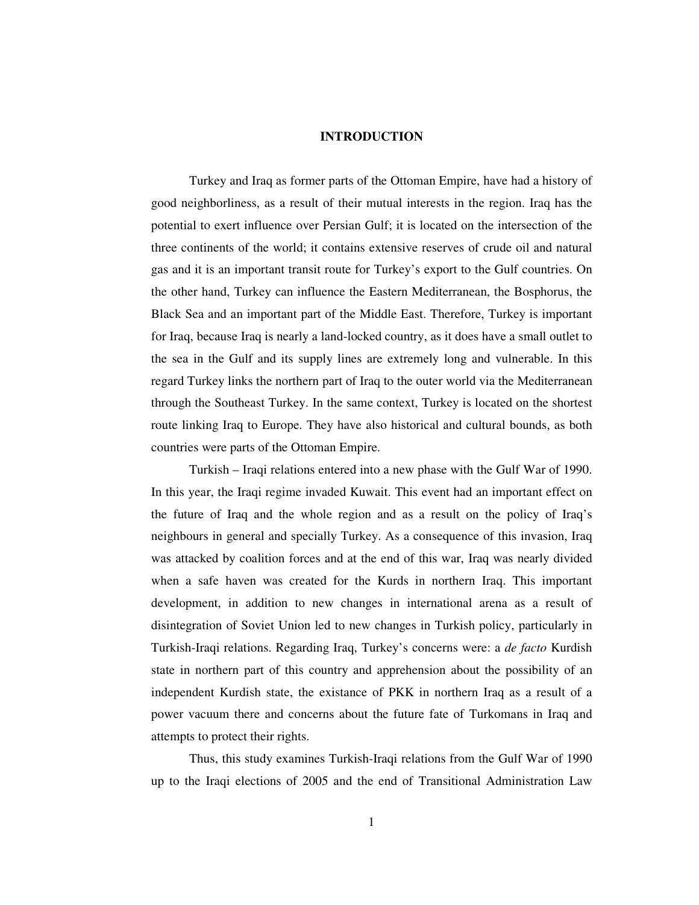### **INTRODUCTION**

Turkey and Iraq as former parts of the Ottoman Empire, have had a history of good neighborliness, as a result of their mutual interests in the region. Iraq has the potential to exert influence over Persian Gulf; it is located on the intersection of the three continents of the world; it contains extensive reserves of crude oil and natural gas and it is an important transit route for Turkey's export to the Gulf countries. On the other hand, Turkey can influence the Eastern Mediterranean, the Bosphorus, the Black Sea and an important part of the Middle East. Therefore, Turkey is important for Iraq, because Iraq is nearly a land-locked country, as it does have a small outlet to the sea in the Gulf and its supply lines are extremely long and vulnerable. In this regard Turkey links the northern part of Iraq to the outer world via the Mediterranean through the Southeast Turkey. In the same context, Turkey is located on the shortest route linking Iraq to Europe. They have also historical and cultural bounds, as both countries were parts of the Ottoman Empire.

Turkish – Iraqi relations entered into a new phase with the Gulf War of 1990. In this year, the Iraqi regime invaded Kuwait. This event had an important effect on the future of Iraq and the whole region and as a result on the policy of Iraq's neighbours in general and specially Turkey. As a consequence of this invasion, Iraq was attacked by coalition forces and at the end of this war, Iraq was nearly divided when a safe haven was created for the Kurds in northern Iraq. This important development, in addition to new changes in international arena as a result of disintegration of Soviet Union led to new changes in Turkish policy, particularly in Turkish-Iraqi relations. Regarding Iraq, Turkey's concerns were: a *de facto* Kurdish state in northern part of this country and apprehension about the possibility of an independent Kurdish state, the existance of PKK in northern Iraq as a result of a power vacuum there and concerns about the future fate of Turkomans in Iraq and attempts to protect their rights.

Thus, this study examines Turkish-Iraqi relations from the Gulf War of 1990 up to the Iraqi elections of 2005 and the end of Transitional Administration Law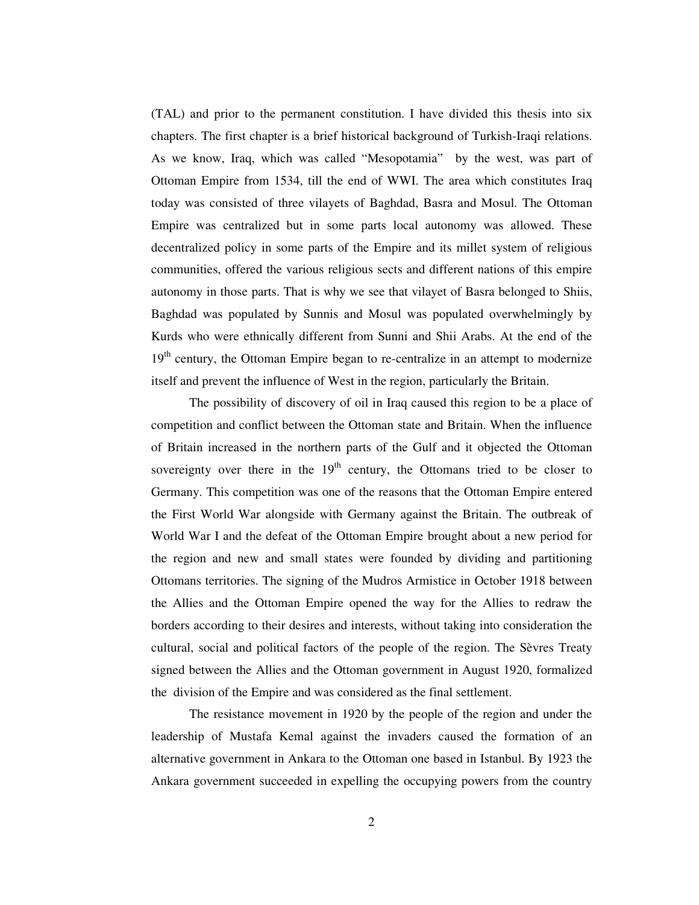(TAL) and prior to the permanent constitution. I have divided this thesis into six chapters. The first chapter is a brief historical background of Turkish-Iraqi relations. As we know, Iraq, which was called "Mesopotamia" by the west, was part of Ottoman Empire from 1534, till the end of WWI. The area which constitutes Iraq today was consisted of three vilayets of Baghdad, Basra and Mosul. The Ottoman Empire was centralized but in some parts local autonomy was allowed. These decentralized policy in some parts of the Empire and its millet system of religious communities, offered the various religious sects and different nations of this empire autonomy in those parts. That is why we see that vilayet of Basra belonged to Shiis, Baghdad was populated by Sunnis and Mosul was populated overwhelmingly by Kurds who were ethnically different from Sunni and Shii Arabs. At the end of the 19<sup>th</sup> century, the Ottoman Empire began to re-centralize in an attempt to modernize itself and prevent the influence of West in the region, particularly the Britain.

The possibility of discovery of oil in Iraq caused this region to be a place of competition and conflict between the Ottoman state and Britain. When the influence of Britain increased in the northern parts of the Gulf and it objected the Ottoman sovereignty over there in the  $19<sup>th</sup>$  century, the Ottomans tried to be closer to Germany. This competition was one of the reasons that the Ottoman Empire entered the First World War alongside with Germany against the Britain. The outbreak of World War I and the defeat of the Ottoman Empire brought about a new period for the region and new and small states were founded by dividing and partitioning Ottomans territories. The signing of the Mudros Armistice in October 1918 between the Allies and the Ottoman Empire opened the way for the Allies to redraw the borders according to their desires and interests, without taking into consideration the cultural, social and political factors of the people of the region. The Sèvres Treaty signed between the Allies and the Ottoman government in August 1920, formalized the division of the Empire and was considered as the final settlement.

The resistance movement in 1920 by the people of the region and under the leadership of Mustafa Kemal against the invaders caused the formation of an alternative government in Ankara to the Ottoman one based in Istanbul. By 1923 the Ankara government succeeded in expelling the occupying powers from the country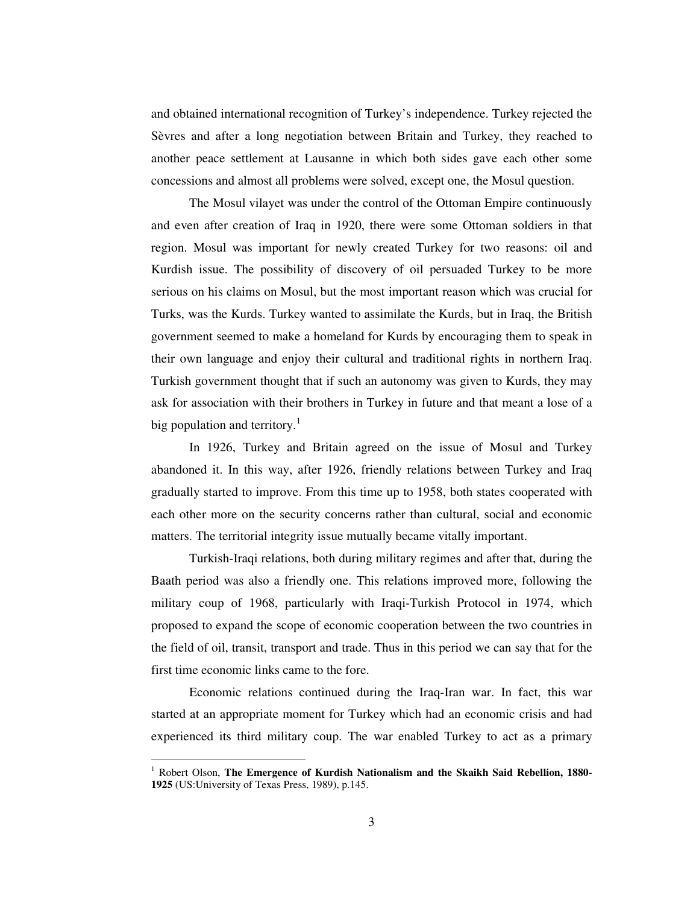and obtained international recognition of Turkey's independence. Turkey rejected the Sèvres and after a long negotiation between Britain and Turkey, they reached to another peace settlement at Lausanne in which both sides gave each other some concessions and almost all problems were solved, except one, the Mosul question.

The Mosul vilayet was under the control of the Ottoman Empire continuously and even after creation of Iraq in 1920, there were some Ottoman soldiers in that region. Mosul was important for newly created Turkey for two reasons: oil and Kurdish issue. The possibility of discovery of oil persuaded Turkey to be more serious on his claims on Mosul, but the most important reason which was crucial for Turks, was the Kurds. Turkey wanted to assimilate the Kurds, but in Iraq, the British government seemed to make a homeland for Kurds by encouraging them to speak in their own language and enjoy their cultural and traditional rights in northern Iraq. Turkish government thought that if such an autonomy was given to Kurds, they may ask for association with their brothers in Turkey in future and that meant a lose of a big population and territory.<sup>1</sup>

In 1926, Turkey and Britain agreed on the issue of Mosul and Turkey abandoned it. In this way, after 1926, friendly relations between Turkey and Iraq gradually started to improve. From this time up to 1958, both states cooperated with each other more on the security concerns rather than cultural, social and economic matters. The territorial integrity issue mutually became vitally important.

Turkish-Iraqi relations, both during military regimes and after that, during the Baath period was also a friendly one. This relations improved more, following the military coup of 1968, particularly with Iraqi-Turkish Protocol in 1974, which proposed to expand the scope of economic cooperation between the two countries in the field of oil, transit, transport and trade. Thus in this period we can say that for the first time economic links came to the fore.

Economic relations continued during the Iraq-Iran war. In fact, this war started at an appropriate moment for Turkey which had an economic crisis and had experienced its third military coup. The war enabled Turkey to act as a primary

<sup>1</sup> Robert Olson, **The Emergence of Kurdish Nationalism and the Skaikh Said Rebellion, 1880- 1925** (US:University of Texas Press, 1989), p.145.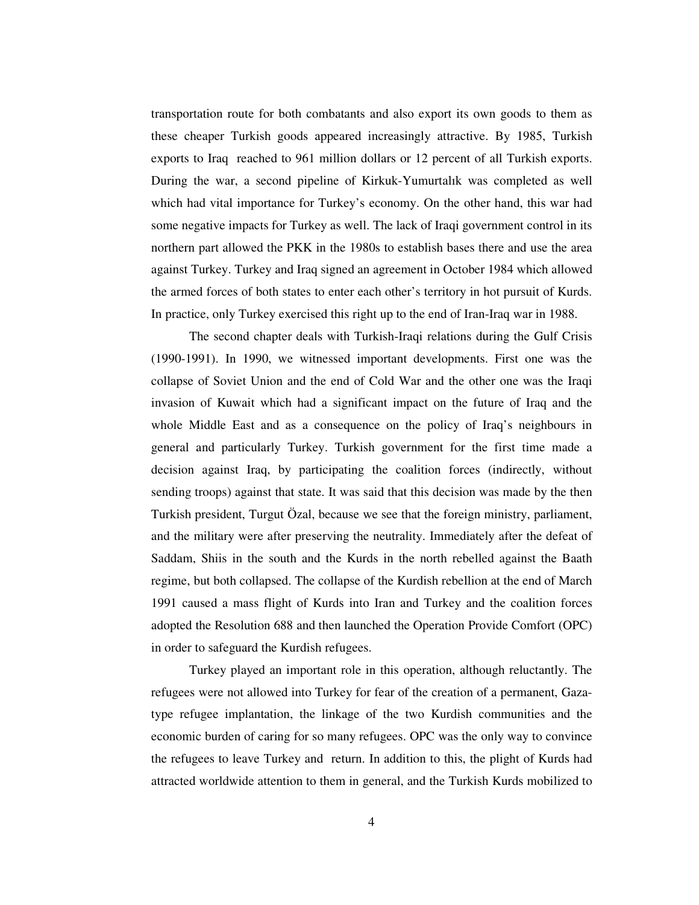transportation route for both combatants and also export its own goods to them as these cheaper Turkish goods appeared increasingly attractive. By 1985, Turkish exports to Iraq reached to 961 million dollars or 12 percent of all Turkish exports. During the war, a second pipeline of Kirkuk-Yumurtalık was completed as well which had vital importance for Turkey's economy. On the other hand, this war had some negative impacts for Turkey as well. The lack of Iraqi government control in its northern part allowed the PKK in the 1980s to establish bases there and use the area against Turkey. Turkey and Iraq signed an agreement in October 1984 which allowed the armed forces of both states to enter each other's territory in hot pursuit of Kurds. In practice, only Turkey exercised this right up to the end of Iran-Iraq war in 1988.

The second chapter deals with Turkish-Iraqi relations during the Gulf Crisis (1990-1991). In 1990, we witnessed important developments. First one was the collapse of Soviet Union and the end of Cold War and the other one was the Iraqi invasion of Kuwait which had a significant impact on the future of Iraq and the whole Middle East and as a consequence on the policy of Iraq's neighbours in general and particularly Turkey. Turkish government for the first time made a decision against Iraq, by participating the coalition forces (indirectly, without sending troops) against that state. It was said that this decision was made by the then Turkish president, Turgut Özal, because we see that the foreign ministry, parliament, and the military were after preserving the neutrality. Immediately after the defeat of Saddam, Shiis in the south and the Kurds in the north rebelled against the Baath regime, but both collapsed. The collapse of the Kurdish rebellion at the end of March 1991 caused a mass flight of Kurds into Iran and Turkey and the coalition forces adopted the Resolution 688 and then launched the Operation Provide Comfort (OPC) in order to safeguard the Kurdish refugees.

Turkey played an important role in this operation, although reluctantly. The refugees were not allowed into Turkey for fear of the creation of a permanent, Gazatype refugee implantation, the linkage of the two Kurdish communities and the economic burden of caring for so many refugees. OPC was the only way to convince the refugees to leave Turkey and return. In addition to this, the plight of Kurds had attracted worldwide attention to them in general, and the Turkish Kurds mobilized to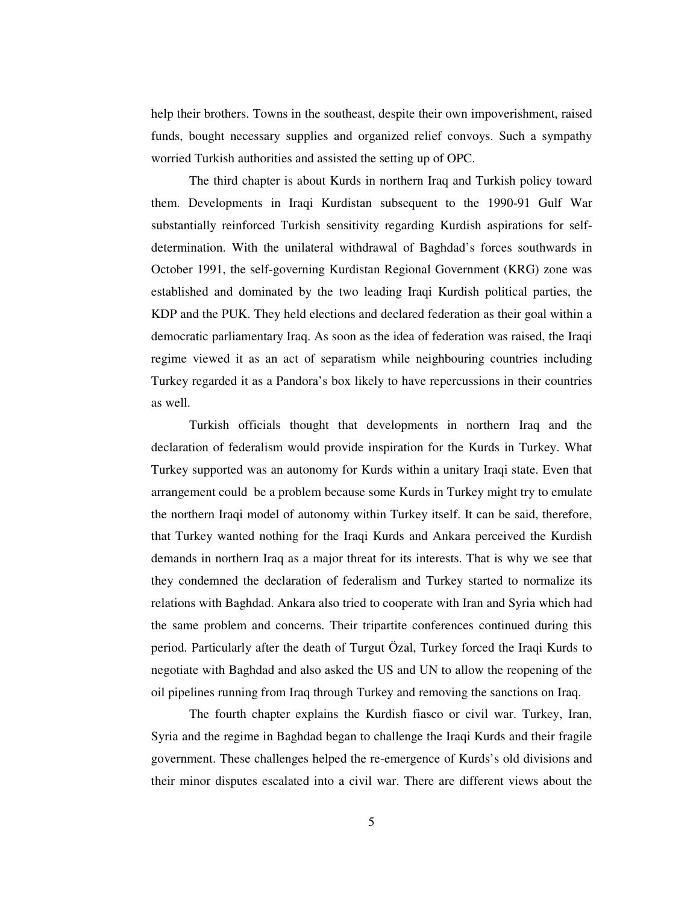help their brothers. Towns in the southeast, despite their own impoverishment, raised funds, bought necessary supplies and organized relief convoys. Such a sympathy worried Turkish authorities and assisted the setting up of OPC.

The third chapter is about Kurds in northern Iraq and Turkish policy toward them. Developments in Iraqi Kurdistan subsequent to the 1990-91 Gulf War substantially reinforced Turkish sensitivity regarding Kurdish aspirations for selfdetermination. With the unilateral withdrawal of Baghdad's forces southwards in October 1991, the self-governing Kurdistan Regional Government (KRG) zone was established and dominated by the two leading Iraqi Kurdish political parties, the KDP and the PUK. They held elections and declared federation as their goal within a democratic parliamentary Iraq. As soon as the idea of federation was raised, the Iraqi regime viewed it as an act of separatism while neighbouring countries including Turkey regarded it as a Pandora's box likely to have repercussions in their countries as well.

Turkish officials thought that developments in northern Iraq and the declaration of federalism would provide inspiration for the Kurds in Turkey. What Turkey supported was an autonomy for Kurds within a unitary Iraqi state. Even that arrangement could be a problem because some Kurds in Turkey might try to emulate the northern Iraqi model of autonomy within Turkey itself. It can be said, therefore, that Turkey wanted nothing for the Iraqi Kurds and Ankara perceived the Kurdish demands in northern Iraq as a major threat for its interests. That is why we see that they condemned the declaration of federalism and Turkey started to normalize its relations with Baghdad. Ankara also tried to cooperate with Iran and Syria which had the same problem and concerns. Their tripartite conferences continued during this period. Particularly after the death of Turgut Özal, Turkey forced the Iraqi Kurds to negotiate with Baghdad and also asked the US and UN to allow the reopening of the oil pipelines running from Iraq through Turkey and removing the sanctions on Iraq.

The fourth chapter explains the Kurdish fiasco or civil war. Turkey, Iran, Syria and the regime in Baghdad began to challenge the Iraqi Kurds and their fragile government. These challenges helped the re-emergence of Kurds's old divisions and their minor disputes escalated into a civil war. There are different views about the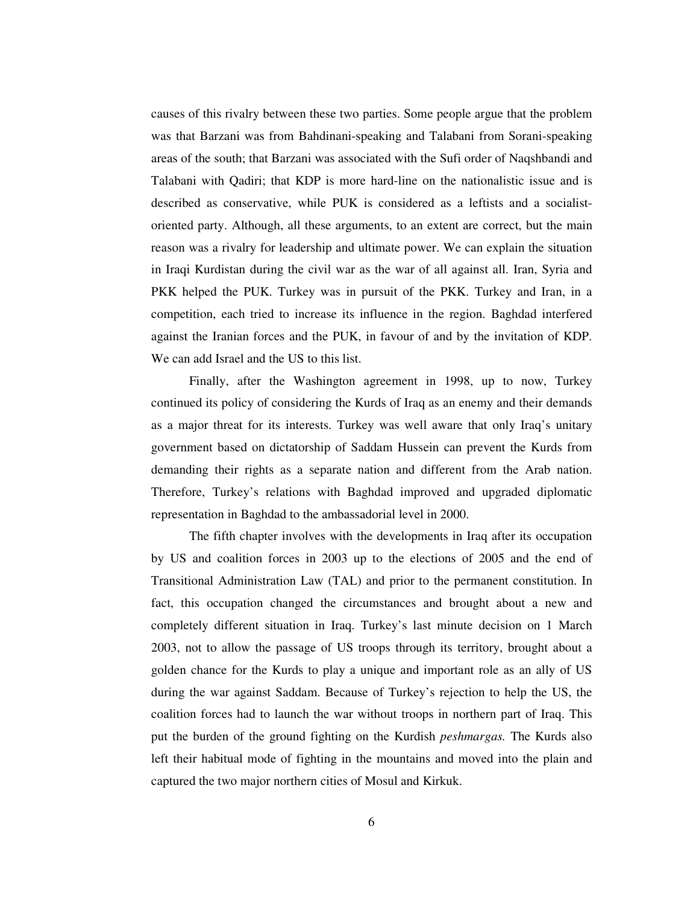causes of this rivalry between these two parties. Some people argue that the problem was that Barzani was from Bahdinani-speaking and Talabani from Sorani-speaking areas of the south; that Barzani was associated with the Sufi order of Naqshbandi and Talabani with Qadiri; that KDP is more hard-line on the nationalistic issue and is described as conservative, while PUK is considered as a leftists and a socialistoriented party. Although, all these arguments, to an extent are correct, but the main reason was a rivalry for leadership and ultimate power. We can explain the situation in Iraqi Kurdistan during the civil war as the war of all against all. Iran, Syria and PKK helped the PUK. Turkey was in pursuit of the PKK. Turkey and Iran, in a competition, each tried to increase its influence in the region. Baghdad interfered against the Iranian forces and the PUK, in favour of and by the invitation of KDP. We can add Israel and the US to this list.

Finally, after the Washington agreement in 1998, up to now, Turkey continued its policy of considering the Kurds of Iraq as an enemy and their demands as a major threat for its interests. Turkey was well aware that only Iraq's unitary government based on dictatorship of Saddam Hussein can prevent the Kurds from demanding their rights as a separate nation and different from the Arab nation. Therefore, Turkey's relations with Baghdad improved and upgraded diplomatic representation in Baghdad to the ambassadorial level in 2000.

The fifth chapter involves with the developments in Iraq after its occupation by US and coalition forces in 2003 up to the elections of 2005 and the end of Transitional Administration Law (TAL) and prior to the permanent constitution. In fact, this occupation changed the circumstances and brought about a new and completely different situation in Iraq. Turkey's last minute decision on 1 March 2003, not to allow the passage of US troops through its territory, brought about a golden chance for the Kurds to play a unique and important role as an ally of US during the war against Saddam. Because of Turkey's rejection to help the US, the coalition forces had to launch the war without troops in northern part of Iraq. This put the burden of the ground fighting on the Kurdish *peshmargas.* The Kurds also left their habitual mode of fighting in the mountains and moved into the plain and captured the two major northern cities of Mosul and Kirkuk.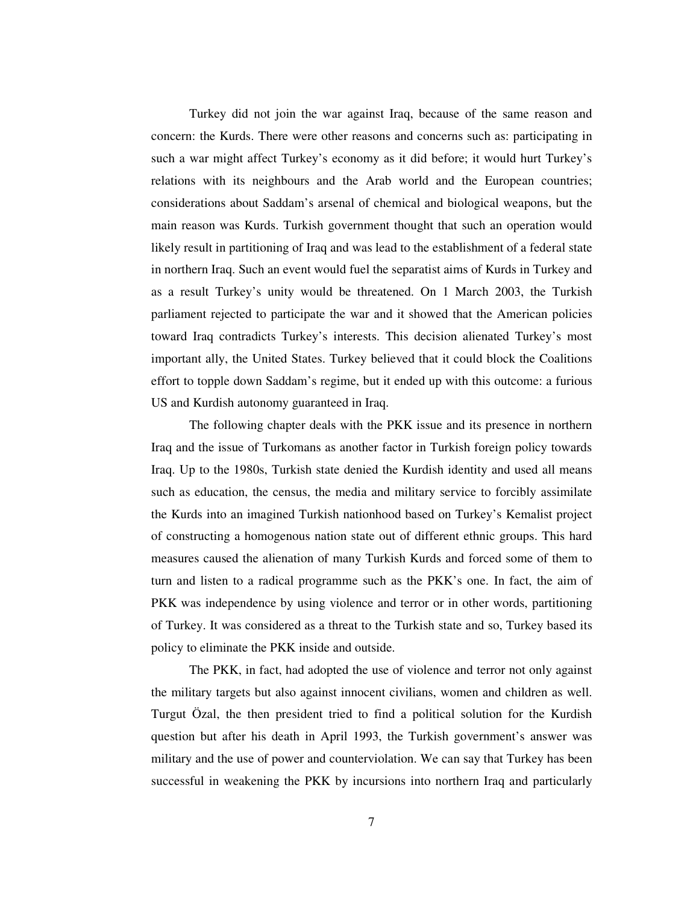Turkey did not join the war against Iraq, because of the same reason and concern: the Kurds. There were other reasons and concerns such as: participating in such a war might affect Turkey's economy as it did before; it would hurt Turkey's relations with its neighbours and the Arab world and the European countries; considerations about Saddam's arsenal of chemical and biological weapons, but the main reason was Kurds. Turkish government thought that such an operation would likely result in partitioning of Iraq and was lead to the establishment of a federal state in northern Iraq. Such an event would fuel the separatist aims of Kurds in Turkey and as a result Turkey's unity would be threatened. On 1 March 2003, the Turkish parliament rejected to participate the war and it showed that the American policies toward Iraq contradicts Turkey's interests. This decision alienated Turkey's most important ally, the United States. Turkey believed that it could block the Coalitions effort to topple down Saddam's regime, but it ended up with this outcome: a furious US and Kurdish autonomy guaranteed in Iraq.

The following chapter deals with the PKK issue and its presence in northern Iraq and the issue of Turkomans as another factor in Turkish foreign policy towards Iraq. Up to the 1980s, Turkish state denied the Kurdish identity and used all means such as education, the census, the media and military service to forcibly assimilate the Kurds into an imagined Turkish nationhood based on Turkey's Kemalist project of constructing a homogenous nation state out of different ethnic groups. This hard measures caused the alienation of many Turkish Kurds and forced some of them to turn and listen to a radical programme such as the PKK's one. In fact, the aim of PKK was independence by using violence and terror or in other words, partitioning of Turkey. It was considered as a threat to the Turkish state and so, Turkey based its policy to eliminate the PKK inside and outside.

The PKK, in fact, had adopted the use of violence and terror not only against the military targets but also against innocent civilians, women and children as well. Turgut Özal, the then president tried to find a political solution for the Kurdish question but after his death in April 1993, the Turkish government's answer was military and the use of power and counterviolation. We can say that Turkey has been successful in weakening the PKK by incursions into northern Iraq and particularly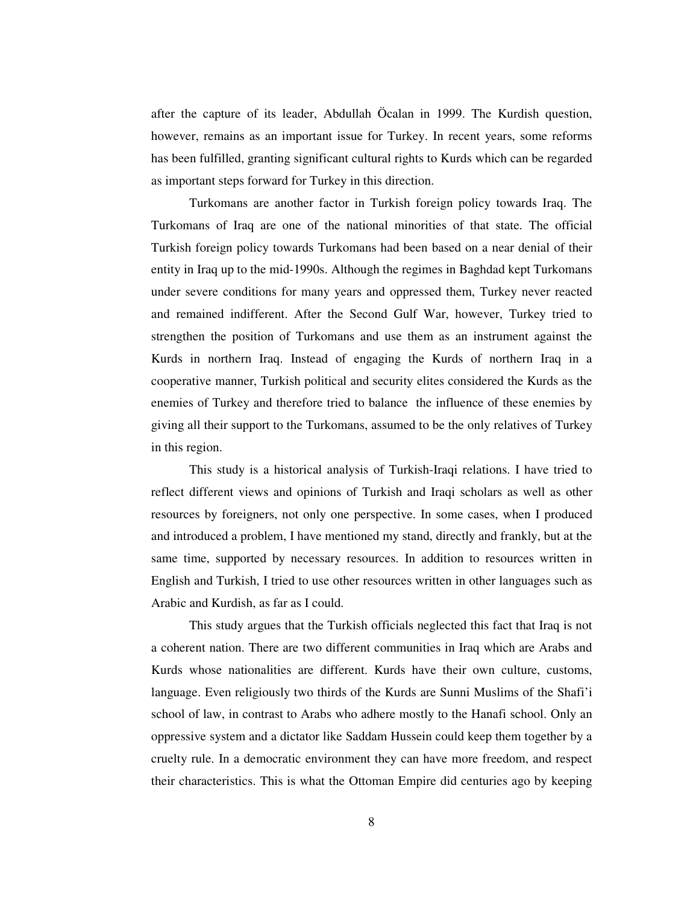after the capture of its leader, Abdullah Öcalan in 1999. The Kurdish question, however, remains as an important issue for Turkey. In recent years, some reforms has been fulfilled, granting significant cultural rights to Kurds which can be regarded as important steps forward for Turkey in this direction.

Turkomans are another factor in Turkish foreign policy towards Iraq. The Turkomans of Iraq are one of the national minorities of that state. The official Turkish foreign policy towards Turkomans had been based on a near denial of their entity in Iraq up to the mid-1990s. Although the regimes in Baghdad kept Turkomans under severe conditions for many years and oppressed them, Turkey never reacted and remained indifferent. After the Second Gulf War, however, Turkey tried to strengthen the position of Turkomans and use them as an instrument against the Kurds in northern Iraq. Instead of engaging the Kurds of northern Iraq in a cooperative manner, Turkish political and security elites considered the Kurds as the enemies of Turkey and therefore tried to balance the influence of these enemies by giving all their support to the Turkomans, assumed to be the only relatives of Turkey in this region.

This study is a historical analysis of Turkish-Iraqi relations. I have tried to reflect different views and opinions of Turkish and Iraqi scholars as well as other resources by foreigners, not only one perspective. In some cases, when I produced and introduced a problem, I have mentioned my stand, directly and frankly, but at the same time, supported by necessary resources. In addition to resources written in English and Turkish, I tried to use other resources written in other languages such as Arabic and Kurdish, as far as I could.

This study argues that the Turkish officials neglected this fact that Iraq is not a coherent nation. There are two different communities in Iraq which are Arabs and Kurds whose nationalities are different. Kurds have their own culture, customs, language. Even religiously two thirds of the Kurds are Sunni Muslims of the Shafi'i school of law, in contrast to Arabs who adhere mostly to the Hanafi school. Only an oppressive system and a dictator like Saddam Hussein could keep them together by a cruelty rule. In a democratic environment they can have more freedom, and respect their characteristics. This is what the Ottoman Empire did centuries ago by keeping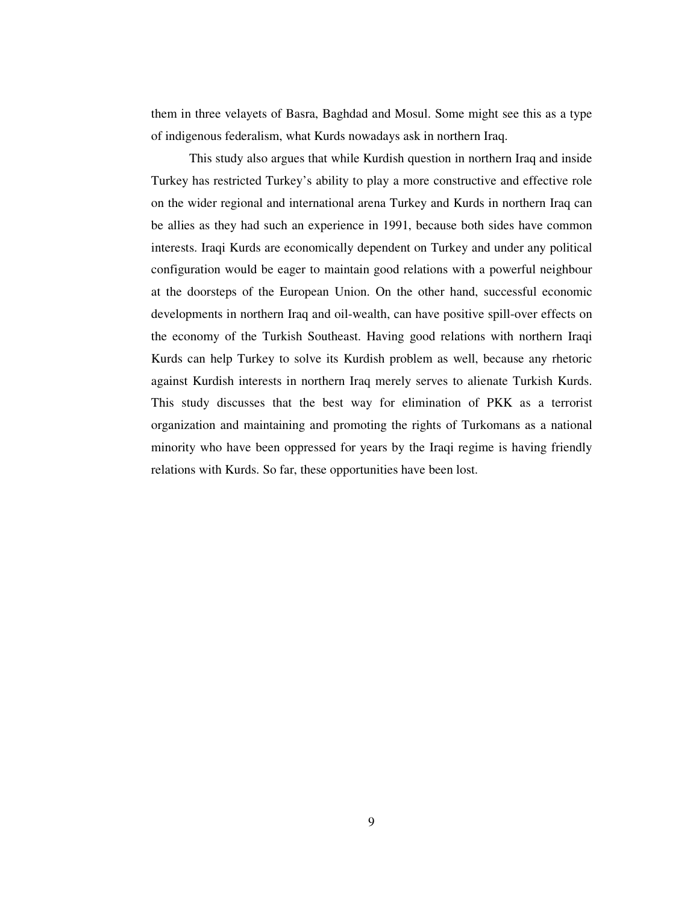them in three velayets of Basra, Baghdad and Mosul. Some might see this as a type of indigenous federalism, what Kurds nowadays ask in northern Iraq.

This study also argues that while Kurdish question in northern Iraq and inside Turkey has restricted Turkey's ability to play a more constructive and effective role on the wider regional and international arena Turkey and Kurds in northern Iraq can be allies as they had such an experience in 1991, because both sides have common interests. Iraqi Kurds are economically dependent on Turkey and under any political configuration would be eager to maintain good relations with a powerful neighbour at the doorsteps of the European Union. On the other hand, successful economic developments in northern Iraq and oil-wealth, can have positive spill-over effects on the economy of the Turkish Southeast. Having good relations with northern Iraqi Kurds can help Turkey to solve its Kurdish problem as well, because any rhetoric against Kurdish interests in northern Iraq merely serves to alienate Turkish Kurds. This study discusses that the best way for elimination of PKK as a terrorist organization and maintaining and promoting the rights of Turkomans as a national minority who have been oppressed for years by the Iraqi regime is having friendly relations with Kurds. So far, these opportunities have been lost.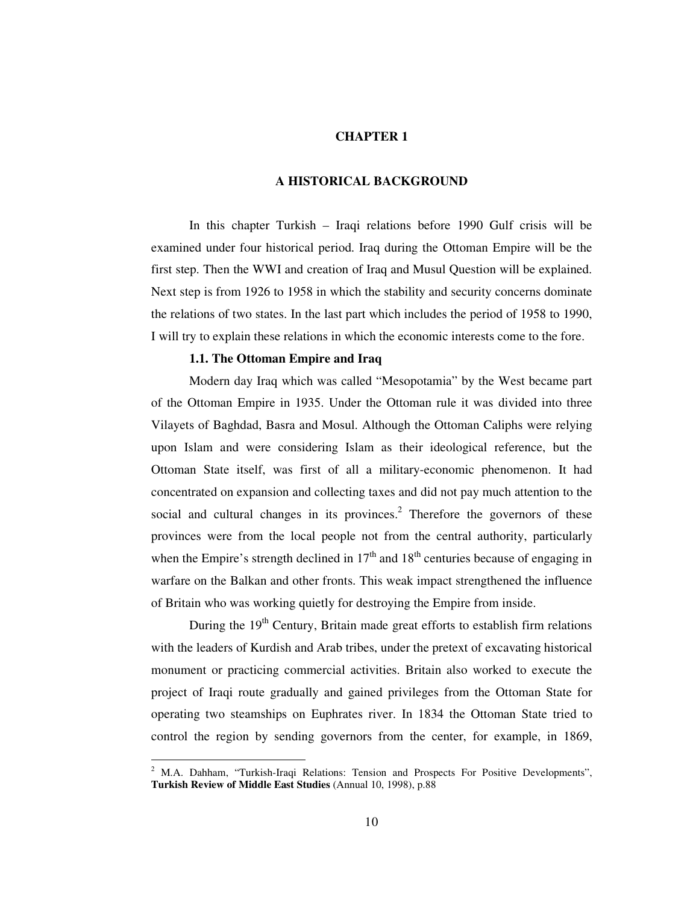### **CHAPTER 1**

### **A HISTORICAL BACKGROUND**

In this chapter Turkish – Iraqi relations before 1990 Gulf crisis will be examined under four historical period. Iraq during the Ottoman Empire will be the first step. Then the WWI and creation of Iraq and Musul Question will be explained. Next step is from 1926 to 1958 in which the stability and security concerns dominate the relations of two states. In the last part which includes the period of 1958 to 1990, I will try to explain these relations in which the economic interests come to the fore.

### **1.1. The Ottoman Empire and Iraq**

Modern day Iraq which was called "Mesopotamia" by the West became part of the Ottoman Empire in 1935. Under the Ottoman rule it was divided into three Vilayets of Baghdad, Basra and Mosul. Although the Ottoman Caliphs were relying upon Islam and were considering Islam as their ideological reference, but the Ottoman State itself, was first of all a military-economic phenomenon. It had concentrated on expansion and collecting taxes and did not pay much attention to the social and cultural changes in its provinces.<sup>2</sup> Therefore the governors of these provinces were from the local people not from the central authority, particularly when the Empire's strength declined in  $17<sup>th</sup>$  and  $18<sup>th</sup>$  centuries because of engaging in warfare on the Balkan and other fronts. This weak impact strengthened the influence of Britain who was working quietly for destroying the Empire from inside.

During the 19<sup>th</sup> Century, Britain made great efforts to establish firm relations with the leaders of Kurdish and Arab tribes, under the pretext of excavating historical monument or practicing commercial activities. Britain also worked to execute the project of Iraqi route gradually and gained privileges from the Ottoman State for operating two steamships on Euphrates river. In 1834 the Ottoman State tried to control the region by sending governors from the center, for example, in 1869,

<sup>2</sup> M.A. Dahham, "Turkish-Iraqi Relations: Tension and Prospects For Positive Developments", **Turkish Review of Middle East Studies** (Annual 10, 1998), p.88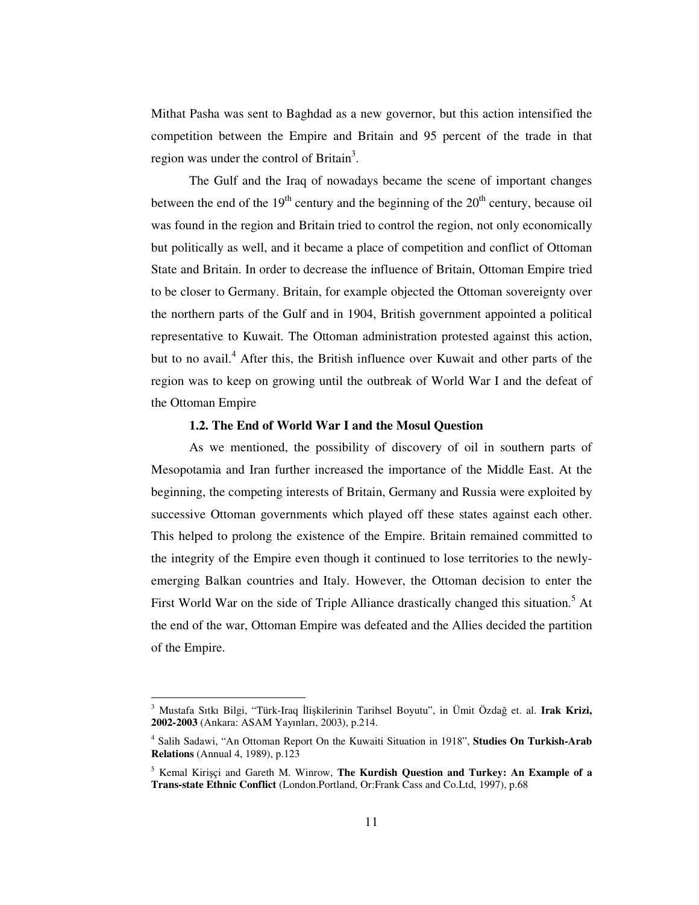Mithat Pasha was sent to Baghdad as a new governor, but this action intensified the competition between the Empire and Britain and 95 percent of the trade in that region was under the control of Britain<sup>3</sup>.

The Gulf and the Iraq of nowadays became the scene of important changes between the end of the  $19<sup>th</sup>$  century and the beginning of the  $20<sup>th</sup>$  century, because oil was found in the region and Britain tried to control the region, not only economically but politically as well, and it became a place of competition and conflict of Ottoman State and Britain. In order to decrease the influence of Britain, Ottoman Empire tried to be closer to Germany. Britain, for example objected the Ottoman sovereignty over the northern parts of the Gulf and in 1904, British government appointed a political representative to Kuwait. The Ottoman administration protested against this action, but to no avail. <sup>4</sup> After this, the British influence over Kuwait and other parts of the region was to keep on growing until the outbreak of World War I and the defeat of the Ottoman Empire

### **1.2. The End of World War I and the Mosul Question**

As we mentioned, the possibility of discovery of oil in southern parts of Mesopotamia and Iran further increased the importance of the Middle East. At the beginning, the competing interests of Britain, Germany and Russia were exploited by successive Ottoman governments which played off these states against each other. This helped to prolong the existence of the Empire. Britain remained committed to the integrity of the Empire even though it continued to lose territories to the newlyemerging Balkan countries and Italy. However, the Ottoman decision to enter the First World War on the side of Triple Alliance drastically changed this situation.<sup>5</sup> At the end of the war, Ottoman Empire was defeated and the Allies decided the partition of the Empire.

<sup>&</sup>lt;sup>3</sup> Mustafa Sıtkı Bilgi, "Türk-Iraq İlişkilerinin Tarihsel Boyutu", in Ümit Özdağ et. al. Irak Krizi, **2002-2003** (Ankara: ASAM Yayınları, 2003), p.214.

<sup>4</sup> Salih Sadawi, "An Ottoman Report On the Kuwaiti Situation in 1918", **Studies On Turkish-Arab Relations** (Annual 4, 1989), p.123

<sup>5</sup> Kemal Kiriçi and Gareth M. Winrow, **The Kurdish Question and Turkey: An Example of a Trans-state Ethnic Conflict** (London.Portland, Or:Frank Cass and Co.Ltd, 1997), p.68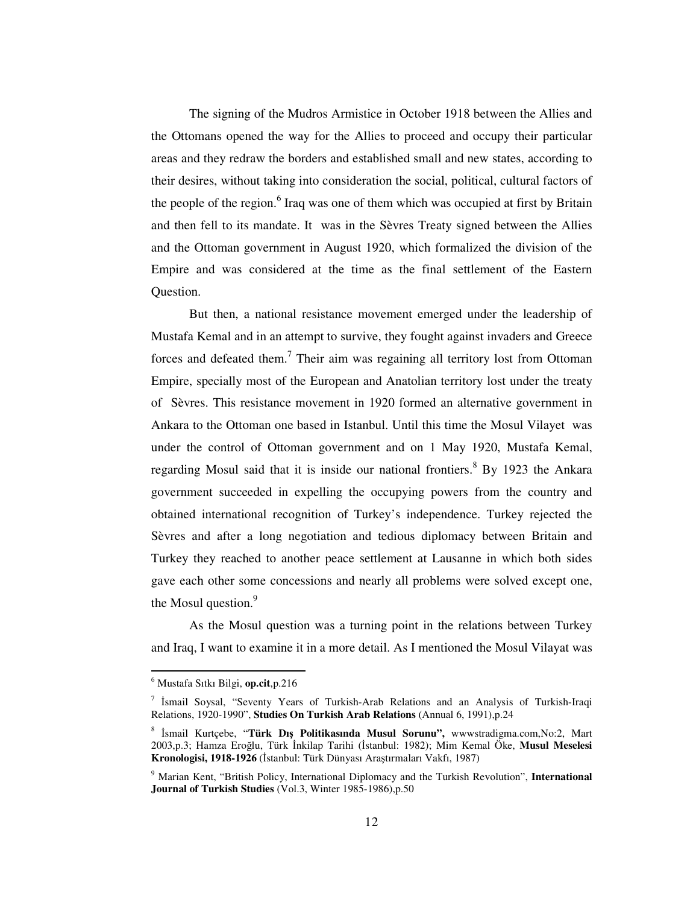The signing of the Mudros Armistice in October 1918 between the Allies and the Ottomans opened the way for the Allies to proceed and occupy their particular areas and they redraw the borders and established small and new states, according to their desires, without taking into consideration the social, political, cultural factors of the people of the region.<sup>6</sup> Iraq was one of them which was occupied at first by Britain and then fell to its mandate. It was in the Sèvres Treaty signed between the Allies and the Ottoman government in August 1920, which formalized the division of the Empire and was considered at the time as the final settlement of the Eastern Question.

But then, a national resistance movement emerged under the leadership of Mustafa Kemal and in an attempt to survive, they fought against invaders and Greece forces and defeated them.<sup>7</sup> Their aim was regaining all territory lost from Ottoman Empire, specially most of the European and Anatolian territory lost under the treaty of Sèvres. This resistance movement in 1920 formed an alternative government in Ankara to the Ottoman one based in Istanbul. Until this time the Mosul Vilayet was under the control of Ottoman government and on 1 May 1920, Mustafa Kemal, regarding Mosul said that it is inside our national frontiers. <sup>8</sup> By 1923 the Ankara government succeeded in expelling the occupying powers from the country and obtained international recognition of Turkey's independence. Turkey rejected the Sèvres and after a long negotiation and tedious diplomacy between Britain and Turkey they reached to another peace settlement at Lausanne in which both sides gave each other some concessions and nearly all problems were solved except one, the Mosul question.<sup>9</sup>

As the Mosul question was a turning point in the relations between Turkey and Iraq, I want to examine it in a more detail. As I mentioned the Mosul Vilayat was

<sup>6</sup> Mustafa Sıtkı Bilgi, **op.cit**,p.216

<sup>&</sup>lt;sup>7</sup> İsmail Soysal, "Seventy Years of Turkish-Arab Relations and an Analysis of Turkish-Iraqi Relations, 1920-1990", **Studies On Turkish Arab Relations** (Annual 6, 1991),p.24

<sup>&</sup>lt;sup>8</sup> İsmail Kurtçebe, "Türk Dış Politikasında Musul Sorunu", wwwstradigma.com,No:2, Mart 2003,p.3; Hamza Eroğlu, Türk İnkilap Tarihi (İstanbul: 1982); Mim Kemal Öke, **Musul Meselesi Kronologisi, 1918-1926** (İstanbul: Türk Dünyası Araştırmaları Vakfı, 1987)

<sup>9</sup> Marian Kent, "British Policy, International Diplomacy and the Turkish Revolution", **International Journal of Turkish Studies** (Vol.3, Winter 1985-1986),p.50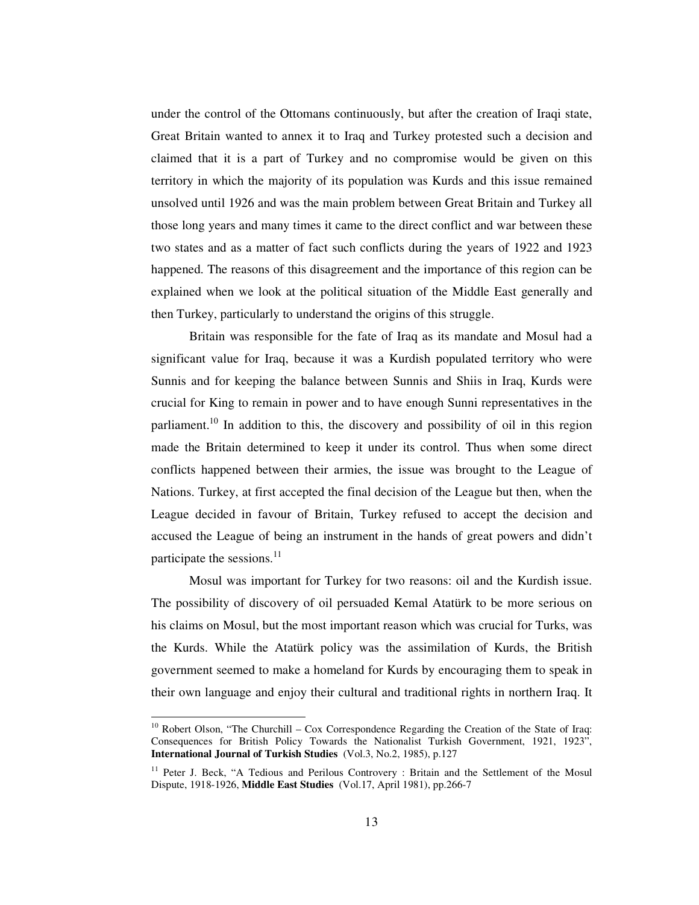under the control of the Ottomans continuously, but after the creation of Iraqi state, Great Britain wanted to annex it to Iraq and Turkey protested such a decision and claimed that it is a part of Turkey and no compromise would be given on this territory in which the majority of its population was Kurds and this issue remained unsolved until 1926 and was the main problem between Great Britain and Turkey all those long years and many times it came to the direct conflict and war between these two states and as a matter of fact such conflicts during the years of 1922 and 1923 happened. The reasons of this disagreement and the importance of this region can be explained when we look at the political situation of the Middle East generally and then Turkey, particularly to understand the origins of this struggle.

Britain was responsible for the fate of Iraq as its mandate and Mosul had a significant value for Iraq, because it was a Kurdish populated territory who were Sunnis and for keeping the balance between Sunnis and Shiis in Iraq, Kurds were crucial for King to remain in power and to have enough Sunni representatives in the parliament.<sup>10</sup> In addition to this, the discovery and possibility of oil in this region made the Britain determined to keep it under its control. Thus when some direct conflicts happened between their armies, the issue was brought to the League of Nations. Turkey, at first accepted the final decision of the League but then, when the League decided in favour of Britain, Turkey refused to accept the decision and accused the League of being an instrument in the hands of great powers and didn't participate the sessions.<sup>11</sup>

Mosul was important for Turkey for two reasons: oil and the Kurdish issue. The possibility of discovery of oil persuaded Kemal Atatürk to be more serious on his claims on Mosul, but the most important reason which was crucial for Turks, was the Kurds. While the Atatürk policy was the assimilation of Kurds, the British government seemed to make a homeland for Kurds by encouraging them to speak in their own language and enjoy their cultural and traditional rights in northern Iraq. It

 $10$  Robert Olson, "The Churchill – Cox Correspondence Regarding the Creation of the State of Iraq: Consequences for British Policy Towards the Nationalist Turkish Government, 1921, 1923", **International Journal of Turkish Studies** (Vol.3, No.2, 1985), p.127

<sup>&</sup>lt;sup>11</sup> Peter J. Beck, "A Tedious and Perilous Controvery : Britain and the Settlement of the Mosul Dispute, 1918-1926, **Middle East Studies** (Vol.17, April 1981), pp.266-7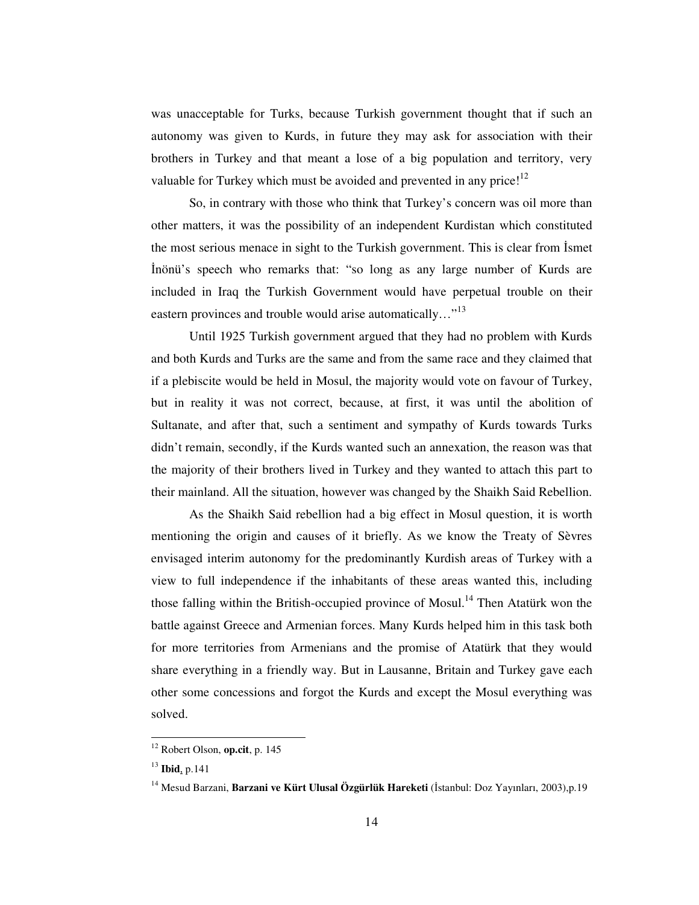was unacceptable for Turks, because Turkish government thought that if such an autonomy was given to Kurds, in future they may ask for association with their brothers in Turkey and that meant a lose of a big population and territory, very valuable for Turkey which must be avoided and prevented in any price!<sup>12</sup>

So, in contrary with those who think that Turkey's concern was oil more than other matters, it was the possibility of an independent Kurdistan which constituted the most serious menace in sight to the Turkish government. This is clear from Ismet -nönü's speech who remarks that: "so long as any large number of Kurds are included in Iraq the Turkish Government would have perpetual trouble on their eastern provinces and trouble would arise automatically..."<sup>13</sup>

Until 1925 Turkish government argued that they had no problem with Kurds and both Kurds and Turks are the same and from the same race and they claimed that if a plebiscite would be held in Mosul, the majority would vote on favour of Turkey, but in reality it was not correct, because, at first, it was until the abolition of Sultanate, and after that, such a sentiment and sympathy of Kurds towards Turks didn't remain, secondly, if the Kurds wanted such an annexation, the reason was that the majority of their brothers lived in Turkey and they wanted to attach this part to their mainland. All the situation, however was changed by the Shaikh Said Rebellion.

As the Shaikh Said rebellion had a big effect in Mosul question, it is worth mentioning the origin and causes of it briefly. As we know the Treaty of Sèvres envisaged interim autonomy for the predominantly Kurdish areas of Turkey with a view to full independence if the inhabitants of these areas wanted this, including those falling within the British-occupied province of Mosul.<sup>14</sup> Then Atatürk won the battle against Greece and Armenian forces. Many Kurds helped him in this task both for more territories from Armenians and the promise of Atatürk that they would share everything in a friendly way. But in Lausanne, Britain and Turkey gave each other some concessions and forgot the Kurds and except the Mosul everything was solved.

<sup>12</sup> Robert Olson, **op.cit**, p. 145

<sup>13</sup> **Ibid**, p.141

<sup>&</sup>lt;sup>14</sup> Mesud Barzani, **Barzani ve Kürt Ulusal Özgürlük Hareketi** (İstanbul: Doz Yayınları, 2003),p.19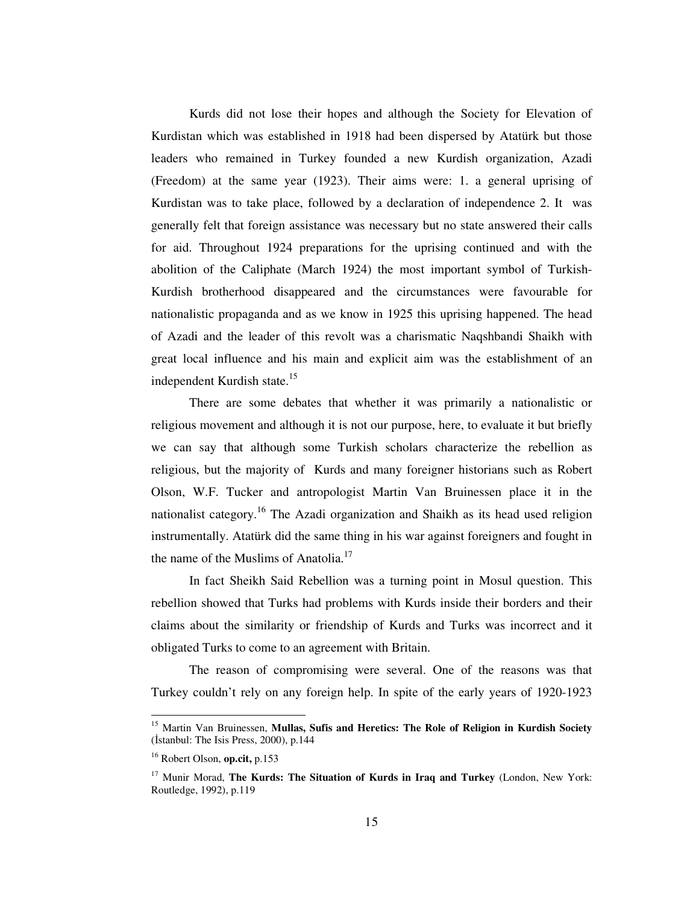Kurds did not lose their hopes and although the Society for Elevation of Kurdistan which was established in 1918 had been dispersed by Atatürk but those leaders who remained in Turkey founded a new Kurdish organization, Azadi (Freedom) at the same year (1923). Their aims were: 1. a general uprising of Kurdistan was to take place, followed by a declaration of independence 2. It was generally felt that foreign assistance was necessary but no state answered their calls for aid. Throughout 1924 preparations for the uprising continued and with the abolition of the Caliphate (March 1924) the most important symbol of Turkish-Kurdish brotherhood disappeared and the circumstances were favourable for nationalistic propaganda and as we know in 1925 this uprising happened. The head of Azadi and the leader of this revolt was a charismatic Naqshbandi Shaikh with great local influence and his main and explicit aim was the establishment of an independent Kurdish state.<sup>15</sup>

There are some debates that whether it was primarily a nationalistic or religious movement and although it is not our purpose, here, to evaluate it but briefly we can say that although some Turkish scholars characterize the rebellion as religious, but the majority of Kurds and many foreigner historians such as Robert Olson, W.F. Tucker and antropologist Martin Van Bruinessen place it in the nationalist category.<sup>16</sup> The Azadi organization and Shaikh as its head used religion instrumentally. Atatürk did the same thing in his war against foreigners and fought in the name of the Muslims of Anatolia.<sup>17</sup>

In fact Sheikh Said Rebellion was a turning point in Mosul question. This rebellion showed that Turks had problems with Kurds inside their borders and their claims about the similarity or friendship of Kurds and Turks was incorrect and it obligated Turks to come to an agreement with Britain.

The reason of compromising were several. One of the reasons was that Turkey couldn't rely on any foreign help. In spite of the early years of 1920-1923

<sup>15</sup> Martin Van Bruinessen, **Mullas, Sufis and Heretics: The Role of Religion in Kurdish Society**  $($ Istanbul: The Isis Press, 2000), p.144

<sup>16</sup> Robert Olson, **op.cit,** p.153

<sup>17</sup> Munir Morad, **The Kurds: The Situation of Kurds in Iraq and Turkey** (London, New York: Routledge, 1992), p.119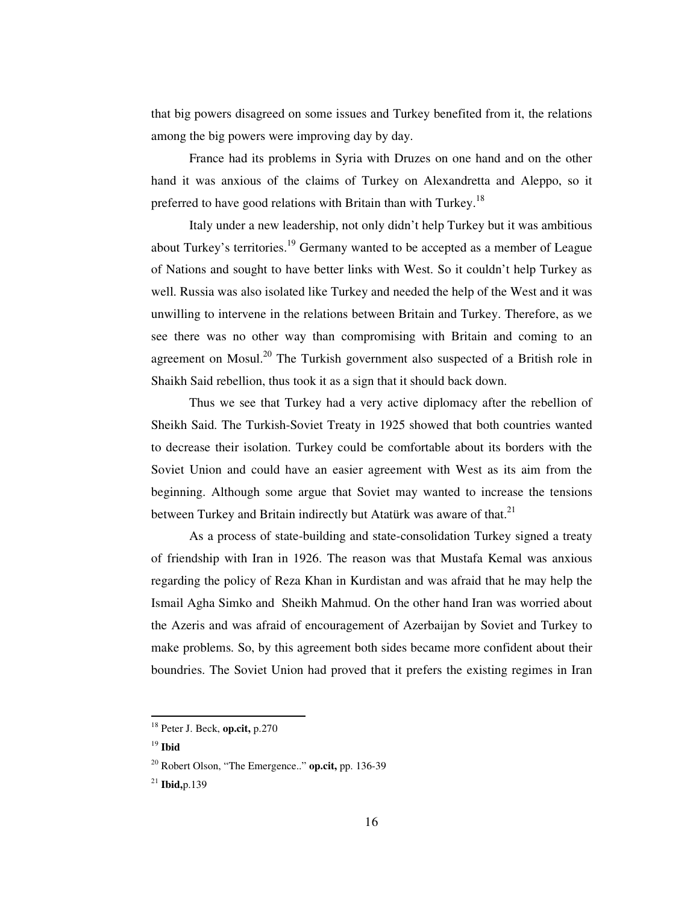that big powers disagreed on some issues and Turkey benefited from it, the relations among the big powers were improving day by day.

France had its problems in Syria with Druzes on one hand and on the other hand it was anxious of the claims of Turkey on Alexandretta and Aleppo, so it preferred to have good relations with Britain than with Turkey.<sup>18</sup>

Italy under a new leadership, not only didn't help Turkey but it was ambitious about Turkey's territories.<sup>19</sup> Germany wanted to be accepted as a member of League of Nations and sought to have better links with West. So it couldn't help Turkey as well. Russia was also isolated like Turkey and needed the help of the West and it was unwilling to intervene in the relations between Britain and Turkey. Therefore, as we see there was no other way than compromising with Britain and coming to an agreement on Mosul.<sup>20</sup> The Turkish government also suspected of a British role in Shaikh Said rebellion, thus took it as a sign that it should back down.

Thus we see that Turkey had a very active diplomacy after the rebellion of Sheikh Said. The Turkish-Soviet Treaty in 1925 showed that both countries wanted to decrease their isolation. Turkey could be comfortable about its borders with the Soviet Union and could have an easier agreement with West as its aim from the beginning. Although some argue that Soviet may wanted to increase the tensions between Turkey and Britain indirectly but Atatürk was aware of that.<sup>21</sup>

As a process of state-building and state-consolidation Turkey signed a treaty of friendship with Iran in 1926. The reason was that Mustafa Kemal was anxious regarding the policy of Reza Khan in Kurdistan and was afraid that he may help the Ismail Agha Simko and Sheikh Mahmud. On the other hand Iran was worried about the Azeris and was afraid of encouragement of Azerbaijan by Soviet and Turkey to make problems. So, by this agreement both sides became more confident about their boundries. The Soviet Union had proved that it prefers the existing regimes in Iran

<sup>18</sup> Peter J. Beck, **op.cit,** p.270

<sup>19</sup> **Ibid**

<sup>20</sup> Robert Olson, "The Emergence.." **op.cit,** pp. 136-39

<sup>21</sup> **Ibid,**p.139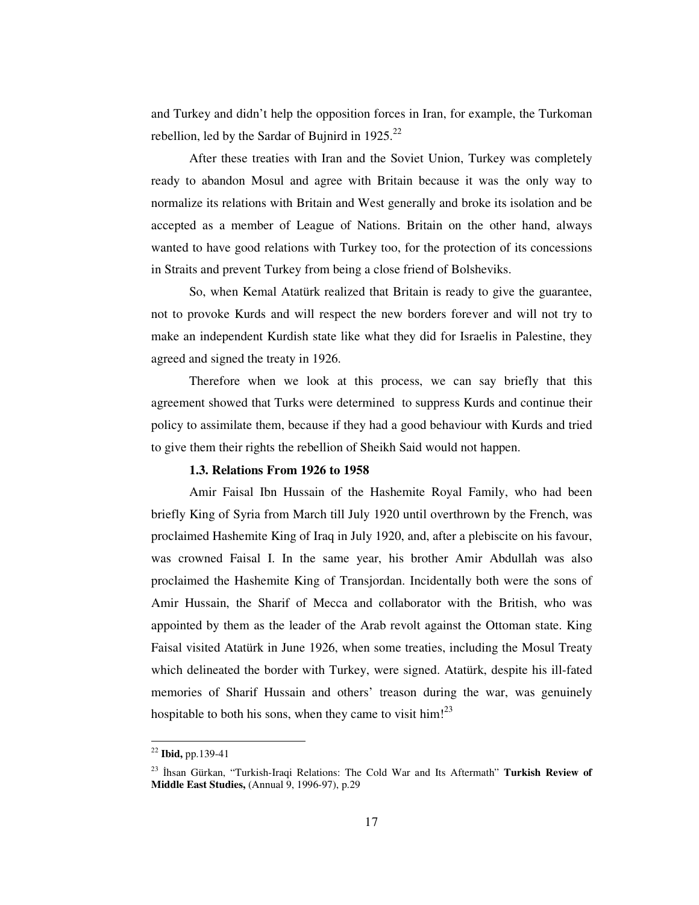and Turkey and didn't help the opposition forces in Iran, for example, the Turkoman rebellion, led by the Sardar of Bujnird in  $1925.^{22}$ 

After these treaties with Iran and the Soviet Union, Turkey was completely ready to abandon Mosul and agree with Britain because it was the only way to normalize its relations with Britain and West generally and broke its isolation and be accepted as a member of League of Nations. Britain on the other hand, always wanted to have good relations with Turkey too, for the protection of its concessions in Straits and prevent Turkey from being a close friend of Bolsheviks.

So, when Kemal Atatürk realized that Britain is ready to give the guarantee, not to provoke Kurds and will respect the new borders forever and will not try to make an independent Kurdish state like what they did for Israelis in Palestine, they agreed and signed the treaty in 1926.

Therefore when we look at this process, we can say briefly that this agreement showed that Turks were determined to suppress Kurds and continue their policy to assimilate them, because if they had a good behaviour with Kurds and tried to give them their rights the rebellion of Sheikh Said would not happen.

### **1.3. Relations From 1926 to 1958**

Amir Faisal Ibn Hussain of the Hashemite Royal Family, who had been briefly King of Syria from March till July 1920 until overthrown by the French, was proclaimed Hashemite King of Iraq in July 1920, and, after a plebiscite on his favour, was crowned Faisal I. In the same year, his brother Amir Abdullah was also proclaimed the Hashemite King of Transjordan. Incidentally both were the sons of Amir Hussain, the Sharif of Mecca and collaborator with the British, who was appointed by them as the leader of the Arab revolt against the Ottoman state. King Faisal visited Atatürk in June 1926, when some treaties, including the Mosul Treaty which delineated the border with Turkey, were signed. Atatürk, despite his ill-fated memories of Sharif Hussain and others' treason during the war, was genuinely hospitable to both his sons, when they came to visit him! $^{23}$ 

<sup>22</sup> **Ibid,** pp.139-41

<sup>23</sup> -hsan Gürkan, "Turkish-Iraqi Relations: The Cold War and Its Aftermath" **Turkish Review of Middle East Studies,** (Annual 9, 1996-97), p.29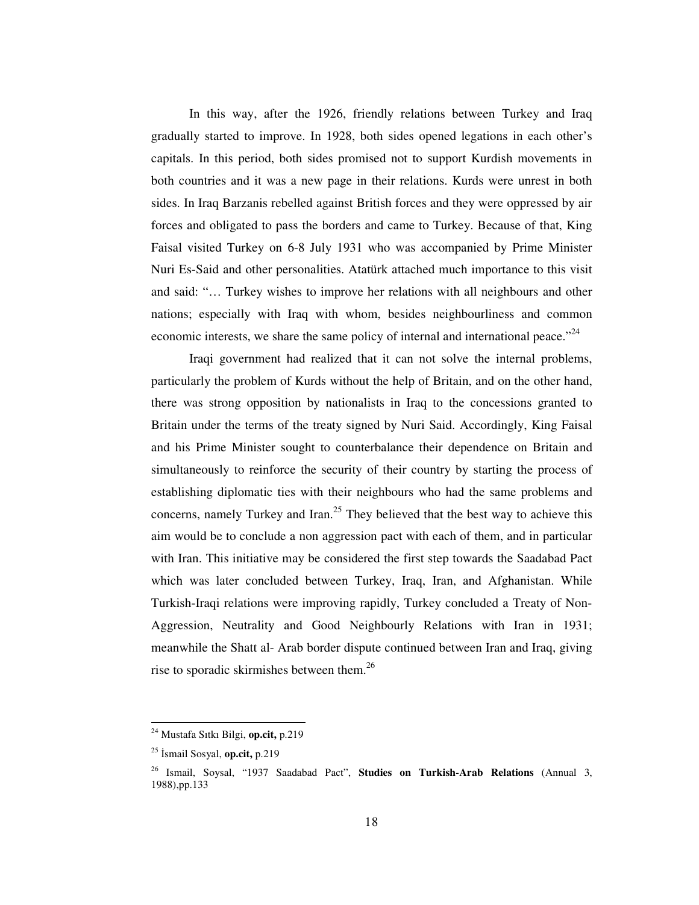In this way, after the 1926, friendly relations between Turkey and Iraq gradually started to improve. In 1928, both sides opened legations in each other's capitals. In this period, both sides promised not to support Kurdish movements in both countries and it was a new page in their relations. Kurds were unrest in both sides. In Iraq Barzanis rebelled against British forces and they were oppressed by air forces and obligated to pass the borders and came to Turkey. Because of that, King Faisal visited Turkey on 6-8 July 1931 who was accompanied by Prime Minister Nuri Es-Said and other personalities. Atatürk attached much importance to this visit and said: "… Turkey wishes to improve her relations with all neighbours and other nations; especially with Iraq with whom, besides neighbourliness and common economic interests, we share the same policy of internal and international peace."<sup>24</sup>

Iraqi government had realized that it can not solve the internal problems, particularly the problem of Kurds without the help of Britain, and on the other hand, there was strong opposition by nationalists in Iraq to the concessions granted to Britain under the terms of the treaty signed by Nuri Said. Accordingly, King Faisal and his Prime Minister sought to counterbalance their dependence on Britain and simultaneously to reinforce the security of their country by starting the process of establishing diplomatic ties with their neighbours who had the same problems and concerns, namely Turkey and Iran. 25 They believed that the best way to achieve this aim would be to conclude a non aggression pact with each of them, and in particular with Iran. This initiative may be considered the first step towards the Saadabad Pact which was later concluded between Turkey, Iraq, Iran, and Afghanistan. While Turkish-Iraqi relations were improving rapidly, Turkey concluded a Treaty of Non-Aggression, Neutrality and Good Neighbourly Relations with Iran in 1931; meanwhile the Shatt al- Arab border dispute continued between Iran and Iraq, giving rise to sporadic skirmishes between them.<sup>26</sup>

<sup>24</sup> Mustafa Sıtkı Bilgi, **op.cit,** p.219

<sup>&</sup>lt;sup>25</sup> İsmail Sosyal, **op.cit,** p.219

<sup>26</sup> Ismail, Soysal, "1937 Saadabad Pact", **Studies on Turkish-Arab Relations** (Annual 3, 1988),pp.133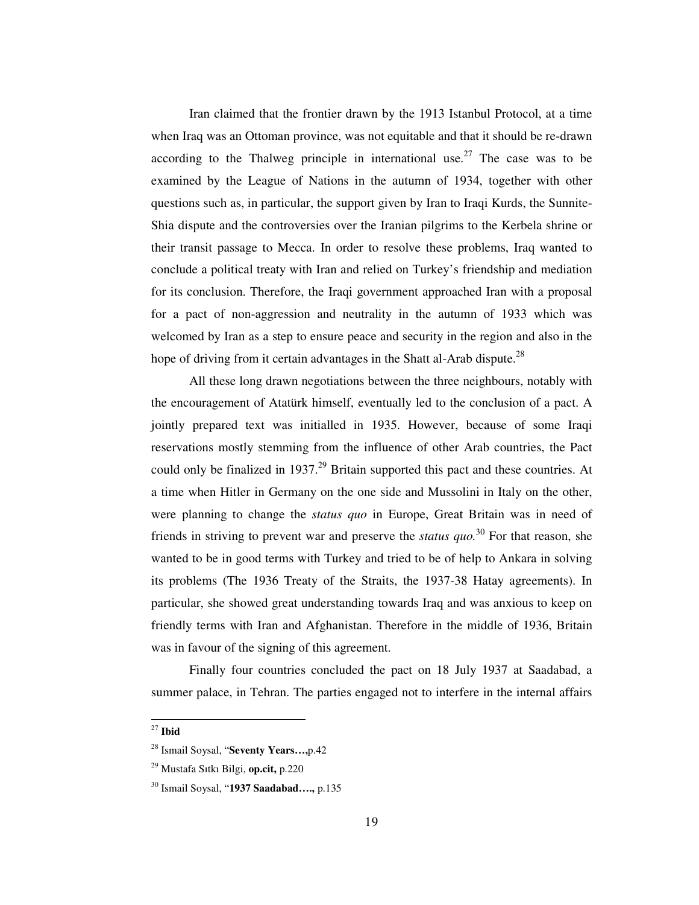Iran claimed that the frontier drawn by the 1913 Istanbul Protocol, at a time when Iraq was an Ottoman province, was not equitable and that it should be re-drawn according to the Thalweg principle in international use.<sup>27</sup> The case was to be examined by the League of Nations in the autumn of 1934, together with other questions such as, in particular, the support given by Iran to Iraqi Kurds, the Sunnite-Shia dispute and the controversies over the Iranian pilgrims to the Kerbela shrine or their transit passage to Mecca. In order to resolve these problems, Iraq wanted to conclude a political treaty with Iran and relied on Turkey's friendship and mediation for its conclusion. Therefore, the Iraqi government approached Iran with a proposal for a pact of non-aggression and neutrality in the autumn of 1933 which was welcomed by Iran as a step to ensure peace and security in the region and also in the hope of driving from it certain advantages in the Shatt al-Arab dispute.<sup>28</sup>

All these long drawn negotiations between the three neighbours, notably with the encouragement of Atatürk himself, eventually led to the conclusion of a pact. A jointly prepared text was initialled in 1935. However, because of some Iraqi reservations mostly stemming from the influence of other Arab countries, the Pact could only be finalized in 1937.<sup>29</sup> Britain supported this pact and these countries. At a time when Hitler in Germany on the one side and Mussolini in Italy on the other, were planning to change the *status quo* in Europe, Great Britain was in need of friends in striving to prevent war and preserve the *status quo.* 30 For that reason, she wanted to be in good terms with Turkey and tried to be of help to Ankara in solving its problems (The 1936 Treaty of the Straits, the 1937-38 Hatay agreements). In particular, she showed great understanding towards Iraq and was anxious to keep on friendly terms with Iran and Afghanistan. Therefore in the middle of 1936, Britain was in favour of the signing of this agreement.

Finally four countries concluded the pact on 18 July 1937 at Saadabad, a summer palace, in Tehran. The parties engaged not to interfere in the internal affairs

<sup>27</sup> **Ibid**

<sup>28</sup> Ismail Soysal, "**Seventy Years…,**p.42

<sup>29</sup> Mustafa Sıtkı Bilgi, **op.cit,** p.220

<sup>30</sup> Ismail Soysal, "**1937 Saadabad….,** p.135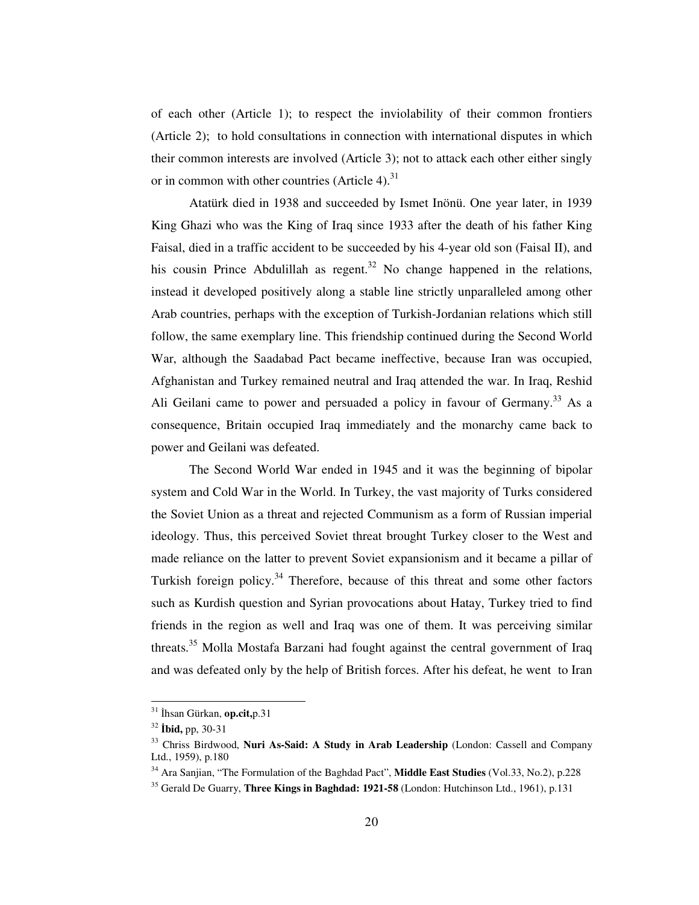of each other (Article 1); to respect the inviolability of their common frontiers (Article 2); to hold consultations in connection with international disputes in which their common interests are involved (Article 3); not to attack each other either singly or in common with other countries (Article 4).<sup>31</sup>

Atatürk died in 1938 and succeeded by Ismet Inönü. One year later, in 1939 King Ghazi who was the King of Iraq since 1933 after the death of his father King Faisal, died in a traffic accident to be succeeded by his 4-year old son (Faisal II), and his cousin Prince Abdulillah as regent.<sup>32</sup> No change happened in the relations, instead it developed positively along a stable line strictly unparalleled among other Arab countries, perhaps with the exception of Turkish-Jordanian relations which still follow, the same exemplary line. This friendship continued during the Second World War, although the Saadabad Pact became ineffective, because Iran was occupied, Afghanistan and Turkey remained neutral and Iraq attended the war. In Iraq, Reshid Ali Geilani came to power and persuaded a policy in favour of Germany.<sup>33</sup> As a consequence, Britain occupied Iraq immediately and the monarchy came back to power and Geilani was defeated.

The Second World War ended in 1945 and it was the beginning of bipolar system and Cold War in the World. In Turkey, the vast majority of Turks considered the Soviet Union as a threat and rejected Communism as a form of Russian imperial ideology. Thus, this perceived Soviet threat brought Turkey closer to the West and made reliance on the latter to prevent Soviet expansionism and it became a pillar of Turkish foreign policy.<sup>34</sup> Therefore, because of this threat and some other factors such as Kurdish question and Syrian provocations about Hatay, Turkey tried to find friends in the region as well and Iraq was one of them. It was perceiving similar threats.<sup>35</sup> Molla Mostafa Barzani had fought against the central government of Iraq and was defeated only by the help of British forces. After his defeat, he went to Iran

<sup>&</sup>lt;sup>31</sup> İhsan Gürkan, **op.cit,**p.31

<sup>32</sup> **bid,** pp, 30-31

<sup>33</sup> Chriss Birdwood, **Nuri As-Said: A Study in Arab Leadership** (London: Cassell and Company Ltd., 1959), p.180

<sup>34</sup> Ara Sanjian, "The Formulation of the Baghdad Pact", **Middle East Studies** (Vol.33, No.2), p.228

<sup>35</sup> Gerald De Guarry, **Three Kings in Baghdad: 1921-58** (London: Hutchinson Ltd., 1961), p.131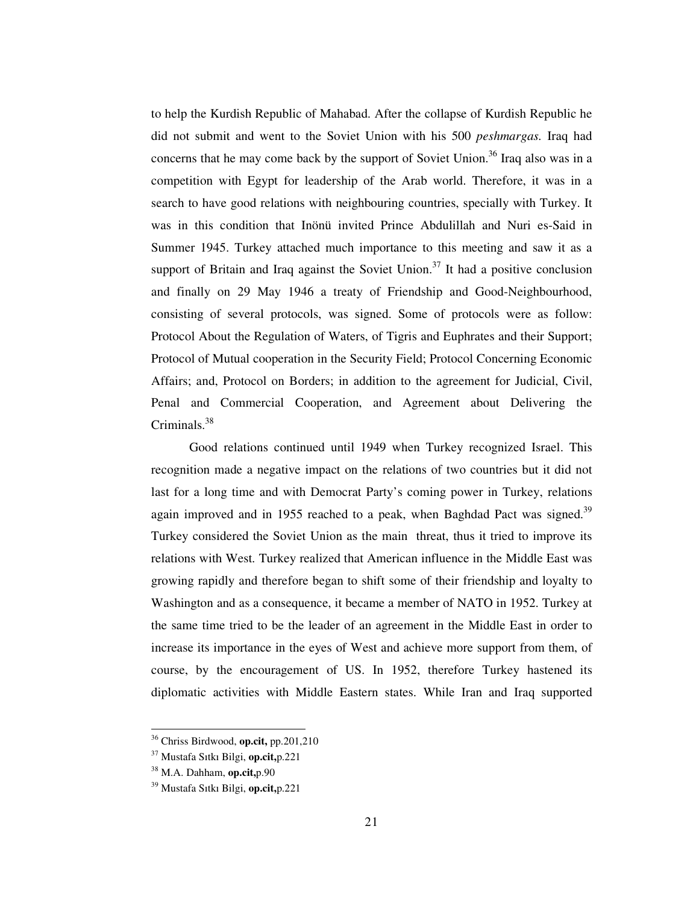to help the Kurdish Republic of Mahabad. After the collapse of Kurdish Republic he did not submit and went to the Soviet Union with his 500 *peshmargas.* Iraq had concerns that he may come back by the support of Soviet Union.<sup>36</sup> Iraq also was in a competition with Egypt for leadership of the Arab world. Therefore, it was in a search to have good relations with neighbouring countries, specially with Turkey. It was in this condition that Inönü invited Prince Abdulillah and Nuri es-Said in Summer 1945. Turkey attached much importance to this meeting and saw it as a support of Britain and Iraq against the Soviet Union.<sup>37</sup> It had a positive conclusion and finally on 29 May 1946 a treaty of Friendship and Good-Neighbourhood, consisting of several protocols, was signed. Some of protocols were as follow: Protocol About the Regulation of Waters, of Tigris and Euphrates and their Support; Protocol of Mutual cooperation in the Security Field; Protocol Concerning Economic Affairs; and, Protocol on Borders; in addition to the agreement for Judicial, Civil, Penal and Commercial Cooperation, and Agreement about Delivering the Criminals.<sup>38</sup>

Good relations continued until 1949 when Turkey recognized Israel. This recognition made a negative impact on the relations of two countries but it did not last for a long time and with Democrat Party's coming power in Turkey, relations again improved and in 1955 reached to a peak, when Baghdad Pact was signed.<sup>39</sup> Turkey considered the Soviet Union as the main threat, thus it tried to improve its relations with West. Turkey realized that American influence in the Middle East was growing rapidly and therefore began to shift some of their friendship and loyalty to Washington and as a consequence, it became a member of NATO in 1952. Turkey at the same time tried to be the leader of an agreement in the Middle East in order to increase its importance in the eyes of West and achieve more support from them, of course, by the encouragement of US. In 1952, therefore Turkey hastened its diplomatic activities with Middle Eastern states. While Iran and Iraq supported

<sup>36</sup> Chriss Birdwood, **op.cit,** pp.201,210

<sup>37</sup> Mustafa Sıtkı Bilgi, **op.cit,**p.221

<sup>38</sup> M.A. Dahham, **op.cit,**p.90

<sup>39</sup> Mustafa Sıtkı Bilgi, **op.cit,**p.221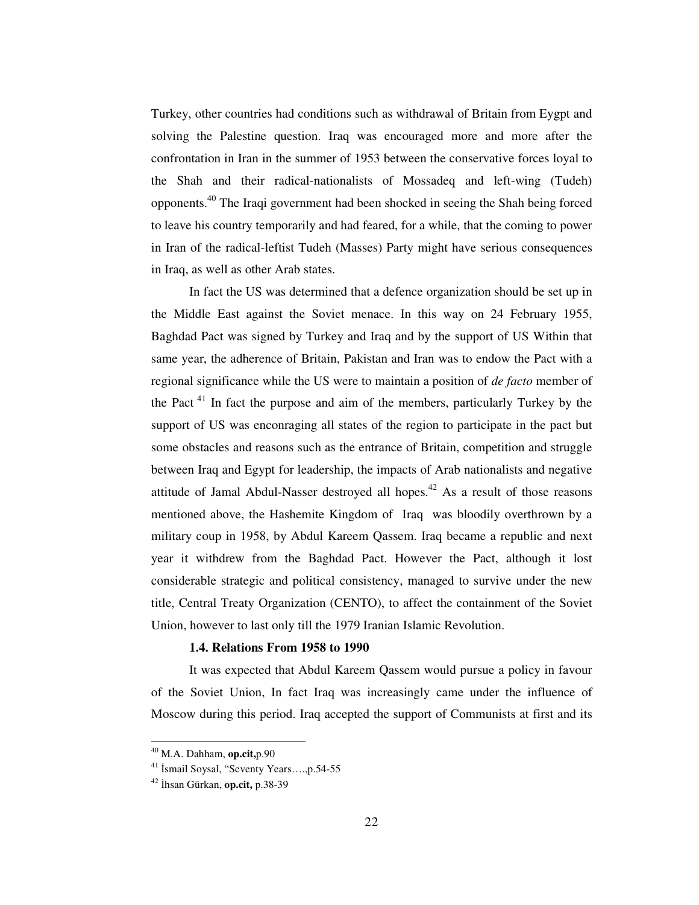Turkey, other countries had conditions such as withdrawal of Britain from Eygpt and solving the Palestine question. Iraq was encouraged more and more after the confrontation in Iran in the summer of 1953 between the conservative forces loyal to the Shah and their radical-nationalists of Mossadeq and left-wing (Tudeh) opponents. 40 The Iraqi government had been shocked in seeing the Shah being forced to leave his country temporarily and had feared, for a while, that the coming to power in Iran of the radical-leftist Tudeh (Masses) Party might have serious consequences in Iraq, as well as other Arab states.

In fact the US was determined that a defence organization should be set up in the Middle East against the Soviet menace. In this way on 24 February 1955, Baghdad Pact was signed by Turkey and Iraq and by the support of US Within that same year, the adherence of Britain, Pakistan and Iran was to endow the Pact with a regional significance while the US were to maintain a position of *de facto* member of the Pact<sup>41</sup> In fact the purpose and aim of the members, particularly Turkey by the support of US was enconraging all states of the region to participate in the pact but some obstacles and reasons such as the entrance of Britain, competition and struggle between Iraq and Egypt for leadership, the impacts of Arab nationalists and negative attitude of Jamal Abdul-Nasser destroyed all hopes.<sup>42</sup> As a result of those reasons mentioned above, the Hashemite Kingdom of Iraq was bloodily overthrown by a military coup in 1958, by Abdul Kareem Qassem. Iraq became a republic and next year it withdrew from the Baghdad Pact. However the Pact, although it lost considerable strategic and political consistency, managed to survive under the new title, Central Treaty Organization (CENTO), to affect the containment of the Soviet Union, however to last only till the 1979 Iranian Islamic Revolution.

### **1.4. Relations From 1958 to 1990**

It was expected that Abdul Kareem Qassem would pursue a policy in favour of the Soviet Union, In fact Iraq was increasingly came under the influence of Moscow during this period. Iraq accepted the support of Communists at first and its

<sup>40</sup> M.A. Dahham, **op.cit,**p.90

<sup>&</sup>lt;sup>41</sup> İsmail Soysal, "Seventy Years....,p.54-55

<sup>42</sup> -hsan Gürkan, **op.cit,** p.38-39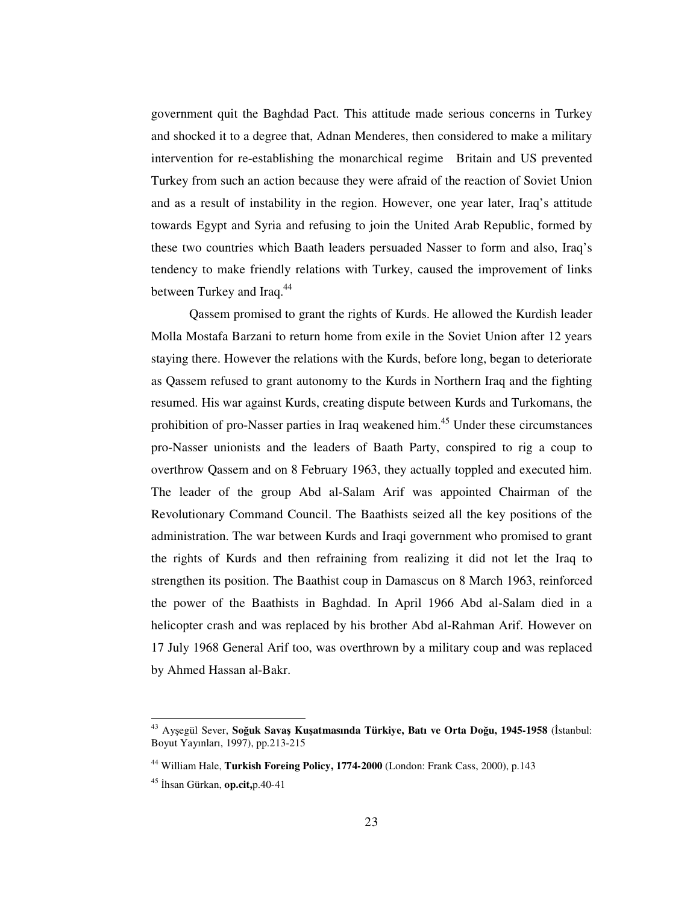government quit the Baghdad Pact. This attitude made serious concerns in Turkey and shocked it to a degree that, Adnan Menderes, then considered to make a military intervention for re-establishing the monarchical regime Britain and US prevented Turkey from such an action because they were afraid of the reaction of Soviet Union and as a result of instability in the region. However, one year later, Iraq's attitude towards Egypt and Syria and refusing to join the United Arab Republic, formed by these two countries which Baath leaders persuaded Nasser to form and also, Iraq's tendency to make friendly relations with Turkey, caused the improvement of links between Turkey and Iraq.<sup>44</sup>

Qassem promised to grant the rights of Kurds. He allowed the Kurdish leader Molla Mostafa Barzani to return home from exile in the Soviet Union after 12 years staying there. However the relations with the Kurds, before long, began to deteriorate as Qassem refused to grant autonomy to the Kurds in Northern Iraq and the fighting resumed. His war against Kurds, creating dispute between Kurds and Turkomans, the prohibition of pro-Nasser parties in Iraq weakened him.<sup>45</sup> Under these circumstances pro-Nasser unionists and the leaders of Baath Party, conspired to rig a coup to overthrow Qassem and on 8 February 1963, they actually toppled and executed him. The leader of the group Abd al-Salam Arif was appointed Chairman of the Revolutionary Command Council. The Baathists seized all the key positions of the administration. The war between Kurds and Iraqi government who promised to grant the rights of Kurds and then refraining from realizing it did not let the Iraq to strengthen its position. The Baathist coup in Damascus on 8 March 1963, reinforced the power of the Baathists in Baghdad. In April 1966 Abd al-Salam died in a helicopter crash and was replaced by his brother Abd al-Rahman Arif. However on 17 July 1968 General Arif too, was overthrown by a military coup and was replaced by Ahmed Hassan al-Bakr.

<sup>43</sup> Ayegül Sever, **Souk Sava Kuatmasında Türkiye, Batı ve Orta Dou, 1945-1958** (-stanbul: Boyut Yayınları, 1997), pp.213-215

<sup>44</sup> William Hale, **Turkish Foreing Policy, 1774-2000** (London: Frank Cass, 2000), p.143

<sup>&</sup>lt;sup>45</sup> İhsan Gürkan, **op.cit,**p.40-41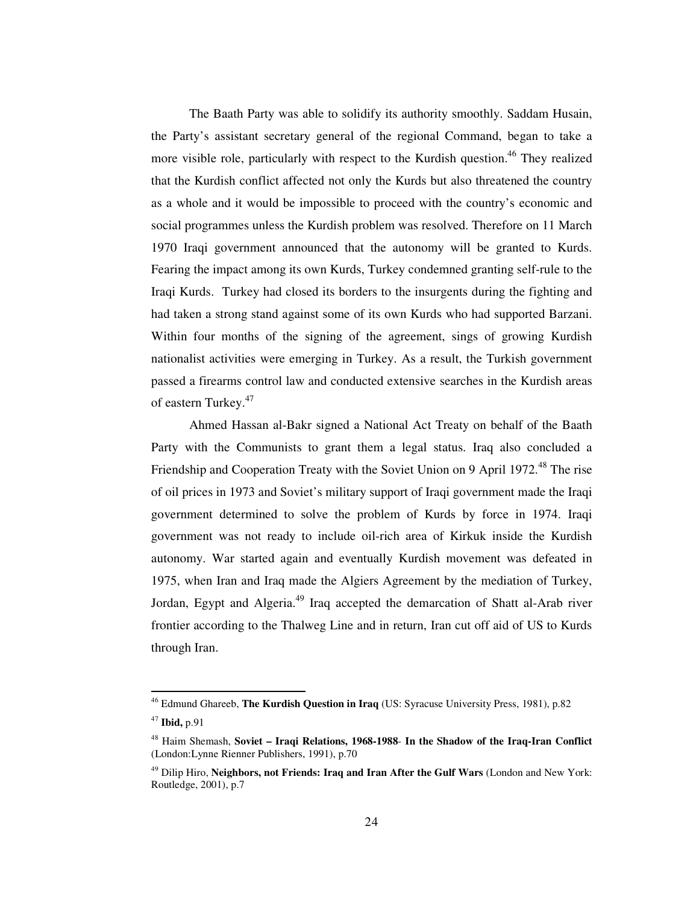The Baath Party was able to solidify its authority smoothly. Saddam Husain, the Party's assistant secretary general of the regional Command, began to take a more visible role, particularly with respect to the Kurdish question.<sup>46</sup> They realized that the Kurdish conflict affected not only the Kurds but also threatened the country as a whole and it would be impossible to proceed with the country's economic and social programmes unless the Kurdish problem was resolved. Therefore on 11 March 1970 Iraqi government announced that the autonomy will be granted to Kurds. Fearing the impact among its own Kurds, Turkey condemned granting self-rule to the Iraqi Kurds. Turkey had closed its borders to the insurgents during the fighting and had taken a strong stand against some of its own Kurds who had supported Barzani. Within four months of the signing of the agreement, sings of growing Kurdish nationalist activities were emerging in Turkey. As a result, the Turkish government passed a firearms control law and conducted extensive searches in the Kurdish areas of eastern Turkey. 47

Ahmed Hassan al-Bakr signed a National Act Treaty on behalf of the Baath Party with the Communists to grant them a legal status. Iraq also concluded a Friendship and Cooperation Treaty with the Soviet Union on 9 April 1972.<sup>48</sup> The rise of oil prices in 1973 and Soviet's military support of Iraqi government made the Iraqi government determined to solve the problem of Kurds by force in 1974. Iraqi government was not ready to include oil-rich area of Kirkuk inside the Kurdish autonomy. War started again and eventually Kurdish movement was defeated in 1975, when Iran and Iraq made the Algiers Agreement by the mediation of Turkey, Jordan, Egypt and Algeria.<sup>49</sup> Iraq accepted the demarcation of Shatt al-Arab river frontier according to the Thalweg Line and in return, Iran cut off aid of US to Kurds through Iran.

<sup>46</sup> Edmund Ghareeb, **The Kurdish Question in Iraq** (US: Syracuse University Press, 1981), p.82

<sup>47</sup> **Ibid,** p.91

<sup>48</sup> Haim Shemash, **Soviet – Iraqi Relations, 1968-1988**- **In the Shadow of the Iraq-Iran Conflict** (London:Lynne Rienner Publishers, 1991), p.70

<sup>49</sup> Dilip Hiro, **Neighbors, not Friends: Iraq and Iran After the Gulf Wars** (London and New York: Routledge, 2001), p.7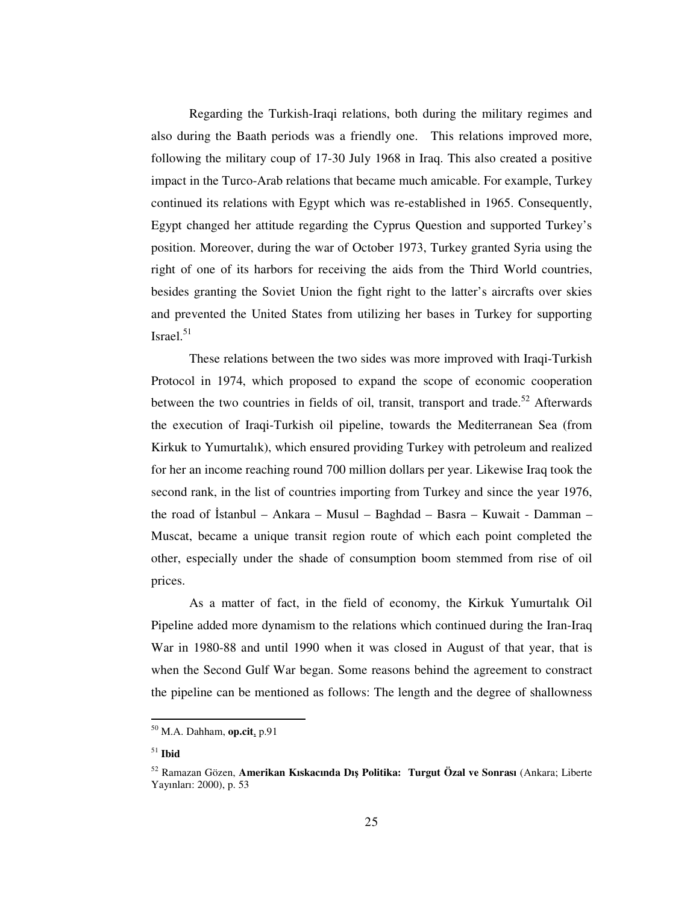Regarding the Turkish-Iraqi relations, both during the military regimes and also during the Baath periods was a friendly one. This relations improved more, following the military coup of 17-30 July 1968 in Iraq. This also created a positive impact in the Turco-Arab relations that became much amicable. For example, Turkey continued its relations with Egypt which was re-established in 1965. Consequently, Egypt changed her attitude regarding the Cyprus Question and supported Turkey's position. Moreover, during the war of October 1973, Turkey granted Syria using the right of one of its harbors for receiving the aids from the Third World countries, besides granting the Soviet Union the fight right to the latter's aircrafts over skies and prevented the United States from utilizing her bases in Turkey for supporting Israel. 51

These relations between the two sides was more improved with Iraqi-Turkish Protocol in 1974, which proposed to expand the scope of economic cooperation between the two countries in fields of oil, transit, transport and trade.<sup>52</sup> Afterwards the execution of Iraqi-Turkish oil pipeline, towards the Mediterranean Sea (from Kirkuk to Yumurtalık), which ensured providing Turkey with petroleum and realized for her an income reaching round 700 million dollars per year. Likewise Iraq took the second rank, in the list of countries importing from Turkey and since the year 1976, the road of İstanbul – Ankara – Musul – Baghdad – Basra – Kuwait - Damman – Muscat, became a unique transit region route of which each point completed the other, especially under the shade of consumption boom stemmed from rise of oil prices.

As a matter of fact, in the field of economy, the Kirkuk Yumurtalık Oil Pipeline added more dynamism to the relations which continued during the Iran-Iraq War in 1980-88 and until 1990 when it was closed in August of that year, that is when the Second Gulf War began. Some reasons behind the agreement to constract the pipeline can be mentioned as follows: The length and the degree of shallowness

<sup>50</sup> M.A. Dahham, **op.cit**, p.91

<sup>51</sup> **Ibid**

<sup>52</sup> Ramazan Gözen, **Amerikan Kıskacında Dı Politika: Turgut Özal ve Sonrası** (Ankara; Liberte Yayınları: 2000), p. 53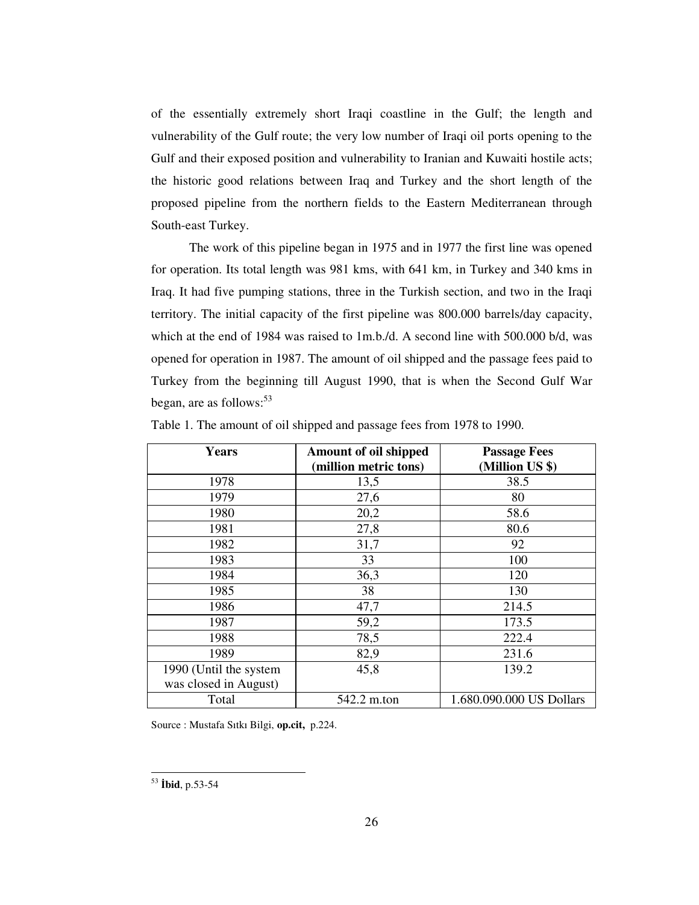of the essentially extremely short Iraqi coastline in the Gulf; the length and vulnerability of the Gulf route; the very low number of Iraqi oil ports opening to the Gulf and their exposed position and vulnerability to Iranian and Kuwaiti hostile acts; the historic good relations between Iraq and Turkey and the short length of the proposed pipeline from the northern fields to the Eastern Mediterranean through South-east Turkey.

The work of this pipeline began in 1975 and in 1977 the first line was opened for operation. Its total length was 981 kms, with 641 km, in Turkey and 340 kms in Iraq. It had five pumping stations, three in the Turkish section, and two in the Iraqi territory. The initial capacity of the first pipeline was 800.000 barrels/day capacity, which at the end of 1984 was raised to 1m.b./d. A second line with 500.000 b/d, was opened for operation in 1987. The amount of oil shipped and the passage fees paid to Turkey from the beginning till August 1990, that is when the Second Gulf War began, are as follows: 53

| <b>Years</b>           | Amount of oil shipped<br>(million metric tons) | <b>Passage Fees</b><br>(Million US \$) |
|------------------------|------------------------------------------------|----------------------------------------|
| 1978                   | 13,5                                           | 38.5                                   |
| 1979                   | 27,6                                           | 80                                     |
| 1980                   | 20,2                                           | 58.6                                   |
| 1981                   | 27,8                                           | 80.6                                   |
| 1982                   | 31,7                                           | 92                                     |
| 1983                   | 33                                             | 100                                    |
| 1984                   | 36,3                                           | 120                                    |
| 1985                   | 38                                             | 130                                    |
| 1986                   | 47,7                                           | 214.5                                  |
| 1987                   | 59,2                                           | 173.5                                  |
| 1988                   | 78,5                                           | 222.4                                  |
| 1989                   | 82,9                                           | 231.6                                  |
| 1990 (Until the system | 45,8                                           | 139.2                                  |
| was closed in August)  |                                                |                                        |
| Total                  | 542.2 m.ton                                    | 1.680.090.000 US Dollars               |

Table 1. The amount of oil shipped and passage fees from 1978 to 1990.

Source : Mustafa Sıtkı Bilgi, **op.cit,** p.224.

<sup>53</sup> **bid**, p.53-54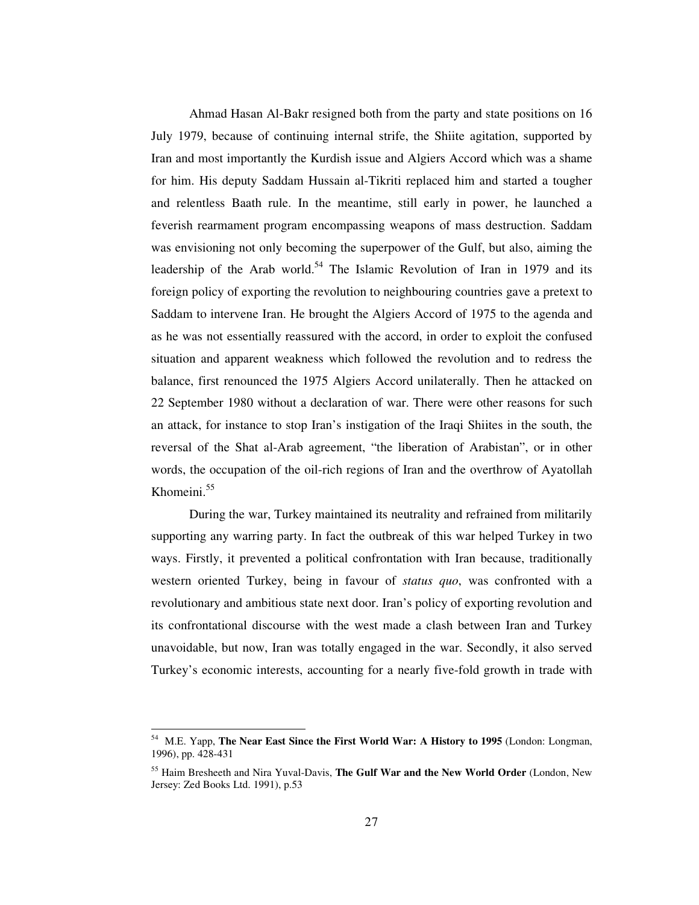Ahmad Hasan Al-Bakr resigned both from the party and state positions on 16 July 1979, because of continuing internal strife, the Shiite agitation, supported by Iran and most importantly the Kurdish issue and Algiers Accord which was a shame for him. His deputy Saddam Hussain al-Tikriti replaced him and started a tougher and relentless Baath rule. In the meantime, still early in power, he launched a feverish rearmament program encompassing weapons of mass destruction. Saddam was envisioning not only becoming the superpower of the Gulf, but also, aiming the leadership of the Arab world.<sup>54</sup> The Islamic Revolution of Iran in 1979 and its foreign policy of exporting the revolution to neighbouring countries gave a pretext to Saddam to intervene Iran. He brought the Algiers Accord of 1975 to the agenda and as he was not essentially reassured with the accord, in order to exploit the confused situation and apparent weakness which followed the revolution and to redress the balance, first renounced the 1975 Algiers Accord unilaterally. Then he attacked on 22 September 1980 without a declaration of war. There were other reasons for such an attack, for instance to stop Iran's instigation of the Iraqi Shiites in the south, the reversal of the Shat al-Arab agreement, "the liberation of Arabistan", or in other words, the occupation of the oil-rich regions of Iran and the overthrow of Ayatollah Khomeini. 55

During the war, Turkey maintained its neutrality and refrained from militarily supporting any warring party. In fact the outbreak of this war helped Turkey in two ways. Firstly, it prevented a political confrontation with Iran because, traditionally western oriented Turkey, being in favour of *status quo*, was confronted with a revolutionary and ambitious state next door. Iran's policy of exporting revolution and its confrontational discourse with the west made a clash between Iran and Turkey unavoidable, but now, Iran was totally engaged in the war. Secondly, it also served Turkey's economic interests, accounting for a nearly five-fold growth in trade with

<sup>54</sup> M.E. Yapp, **The Near East Since the First World War: A History to 1995** (London: Longman, 1996), pp. 428-431

<sup>55</sup> Haim Bresheeth and Nira Yuval-Davis, **The Gulf War and the New World Order** (London, New Jersey: Zed Books Ltd. 1991), p.53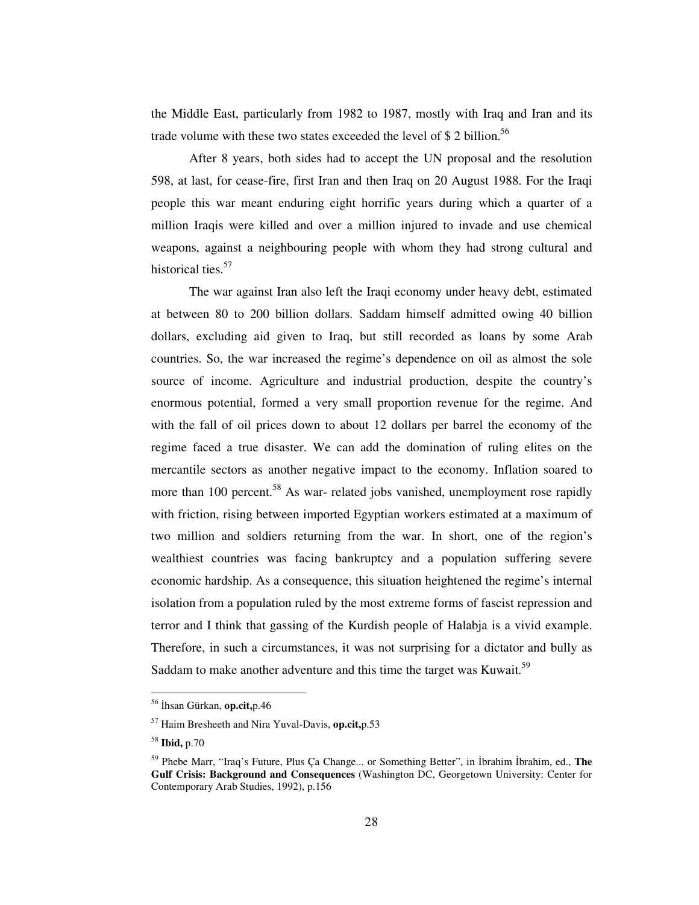the Middle East, particularly from 1982 to 1987, mostly with Iraq and Iran and its trade volume with these two states exceeded the level of \$2 billion.<sup>56</sup>

After 8 years, both sides had to accept the UN proposal and the resolution 598, at last, for cease-fire, first Iran and then Iraq on 20 August 1988. For the Iraqi people this war meant enduring eight horrific years during which a quarter of a million Iraqis were killed and over a million injured to invade and use chemical weapons, against a neighbouring people with whom they had strong cultural and historical ties.<sup>57</sup>

The war against Iran also left the Iraqi economy under heavy debt, estimated at between 80 to 200 billion dollars. Saddam himself admitted owing 40 billion dollars, excluding aid given to Iraq, but still recorded as loans by some Arab countries. So, the war increased the regime's dependence on oil as almost the sole source of income. Agriculture and industrial production, despite the country's enormous potential, formed a very small proportion revenue for the regime. And with the fall of oil prices down to about 12 dollars per barrel the economy of the regime faced a true disaster. We can add the domination of ruling elites on the mercantile sectors as another negative impact to the economy. Inflation soared to more than 100 percent.<sup>58</sup> As war- related jobs vanished, unemployment rose rapidly with friction, rising between imported Egyptian workers estimated at a maximum of two million and soldiers returning from the war. In short, one of the region's wealthiest countries was facing bankruptcy and a population suffering severe economic hardship. As a consequence, this situation heightened the regime's internal isolation from a population ruled by the most extreme forms of fascist repression and terror and I think that gassing of the Kurdish people of Halabja is a vivid example. Therefore, in such a circumstances, it was not surprising for a dictator and bully as Saddam to make another adventure and this time the target was Kuwait.<sup>59</sup>

<sup>56</sup> -hsan Gürkan, **op.cit,**p.46

<sup>57</sup> Haim Bresheeth and Nira Yuval-Davis, **op.cit,**p.53

<sup>58</sup> **Ibid,** p.70

<sup>&</sup>lt;sup>59</sup> Phebe Marr, "Iraq's Future, Plus Ça Change... or Something Better", in İbrahim İbrahim, ed., The **Gulf Crisis: Background and Consequences** (Washington DC, Georgetown University: Center for Contemporary Arab Studies, 1992), p.156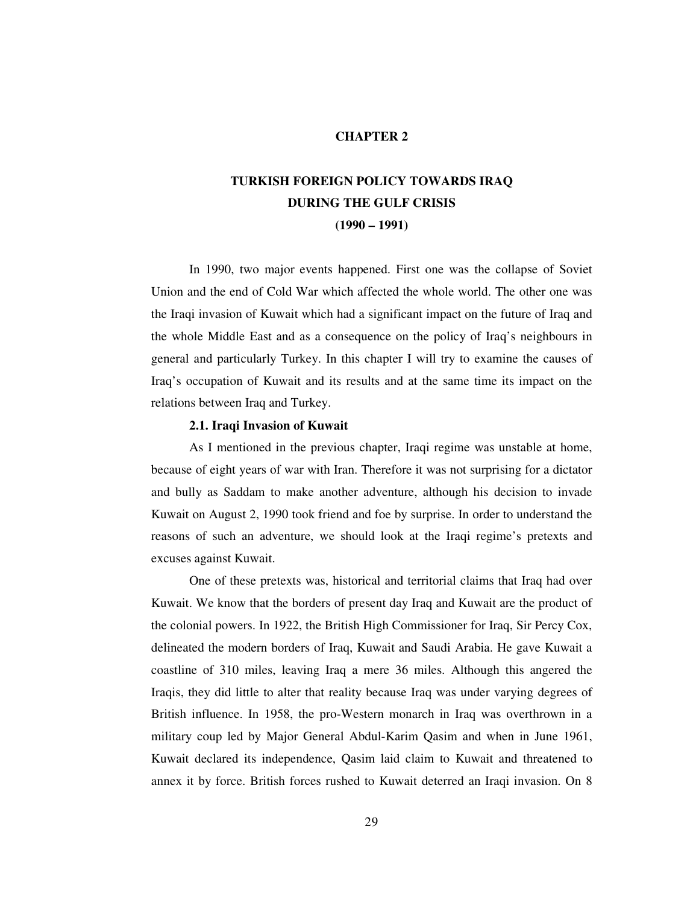## **CHAPTER 2**

# **TURKISH FOREIGN POLICY TOWARDS IRAQ DURING THE GULF CRISIS (1990 – 1991)**

In 1990, two major events happened. First one was the collapse of Soviet Union and the end of Cold War which affected the whole world. The other one was the Iraqi invasion of Kuwait which had a significant impact on the future of Iraq and the whole Middle East and as a consequence on the policy of Iraq's neighbours in general and particularly Turkey. In this chapter I will try to examine the causes of Iraq's occupation of Kuwait and its results and at the same time its impact on the relations between Iraq and Turkey.

#### **2.1. Iraqi Invasion of Kuwait**

As I mentioned in the previous chapter, Iraqi regime was unstable at home, because of eight years of war with Iran. Therefore it was not surprising for a dictator and bully as Saddam to make another adventure, although his decision to invade Kuwait on August 2, 1990 took friend and foe by surprise. In order to understand the reasons of such an adventure, we should look at the Iraqi regime's pretexts and excuses against Kuwait.

One of these pretexts was, historical and territorial claims that Iraq had over Kuwait. We know that the borders of present day Iraq and Kuwait are the product of the colonial powers. In 1922, the British High Commissioner for Iraq, Sir Percy Cox, delineated the modern borders of Iraq, Kuwait and Saudi Arabia. He gave Kuwait a coastline of 310 miles, leaving Iraq a mere 36 miles. Although this angered the Iraqis, they did little to alter that reality because Iraq was under varying degrees of British influence. In 1958, the pro-Western monarch in Iraq was overthrown in a military coup led by Major General Abdul-Karim Qasim and when in June 1961, Kuwait declared its independence, Qasim laid claim to Kuwait and threatened to annex it by force. British forces rushed to Kuwait deterred an Iraqi invasion. On 8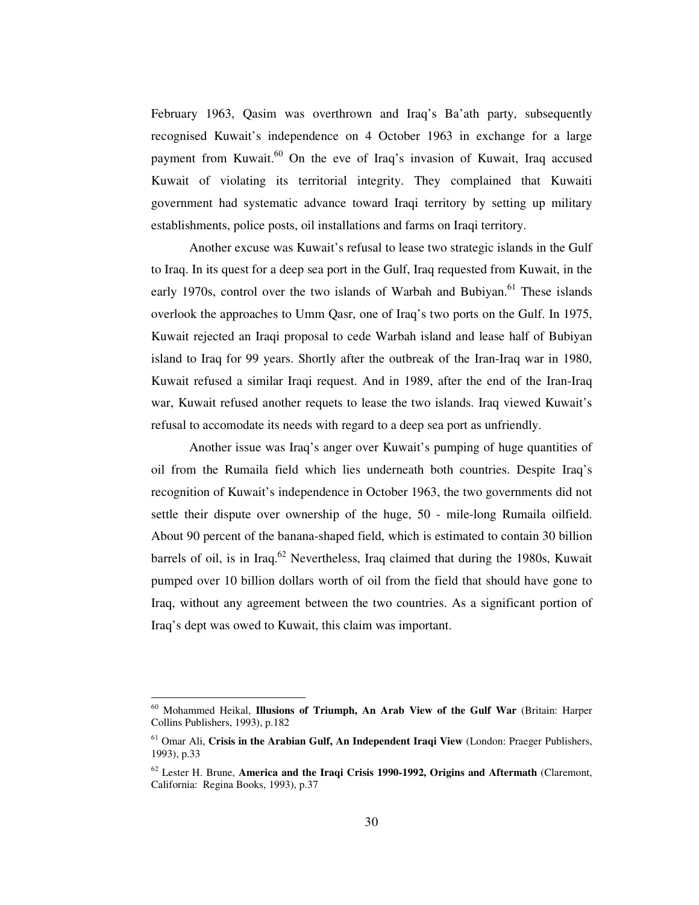February 1963, Qasim was overthrown and Iraq's Ba'ath party, subsequently recognised Kuwait's independence on 4 October 1963 in exchange for a large payment from Kuwait.<sup>60</sup> On the eve of Iraq's invasion of Kuwait, Iraq accused Kuwait of violating its territorial integrity. They complained that Kuwaiti government had systematic advance toward Iraqi territory by setting up military establishments, police posts, oil installations and farms on Iraqi territory.

Another excuse was Kuwait's refusal to lease two strategic islands in the Gulf to Iraq. In its quest for a deep sea port in the Gulf, Iraq requested from Kuwait, in the early 1970s, control over the two islands of Warbah and Bubiyan.<sup>61</sup> These islands overlook the approaches to Umm Qasr, one of Iraq's two ports on the Gulf. In 1975, Kuwait rejected an Iraqi proposal to cede Warbah island and lease half of Bubiyan island to Iraq for 99 years. Shortly after the outbreak of the Iran-Iraq war in 1980, Kuwait refused a similar Iraqi request. And in 1989, after the end of the Iran-Iraq war, Kuwait refused another requets to lease the two islands. Iraq viewed Kuwait's refusal to accomodate its needs with regard to a deep sea port as unfriendly.

Another issue was Iraq's anger over Kuwait's pumping of huge quantities of oil from the Rumaila field which lies underneath both countries. Despite Iraq's recognition of Kuwait's independence in October 1963, the two governments did not settle their dispute over ownership of the huge, 50 - mile-long Rumaila oilfield. About 90 percent of the banana-shaped field, which is estimated to contain 30 billion barrels of oil, is in Iraq.<sup>62</sup> Nevertheless, Iraq claimed that during the 1980s, Kuwait pumped over 10 billion dollars worth of oil from the field that should have gone to Iraq, without any agreement between the two countries. As a significant portion of Iraq's dept was owed to Kuwait, this claim was important.

<sup>60</sup> Mohammed Heikal, **Illusions of Triumph, An Arab View of the Gulf War** (Britain: Harper Collins Publishers, 1993), p.182

<sup>61</sup> Omar Ali, **Crisis in the Arabian Gulf, An Independent Iraqi View** (London: Praeger Publishers, 1993), p.33

<sup>62</sup> Lester H. Brune, **America and the Iraqi Crisis 1990-1992, Origins and Aftermath** (Claremont, California: Regina Books, 1993), p.37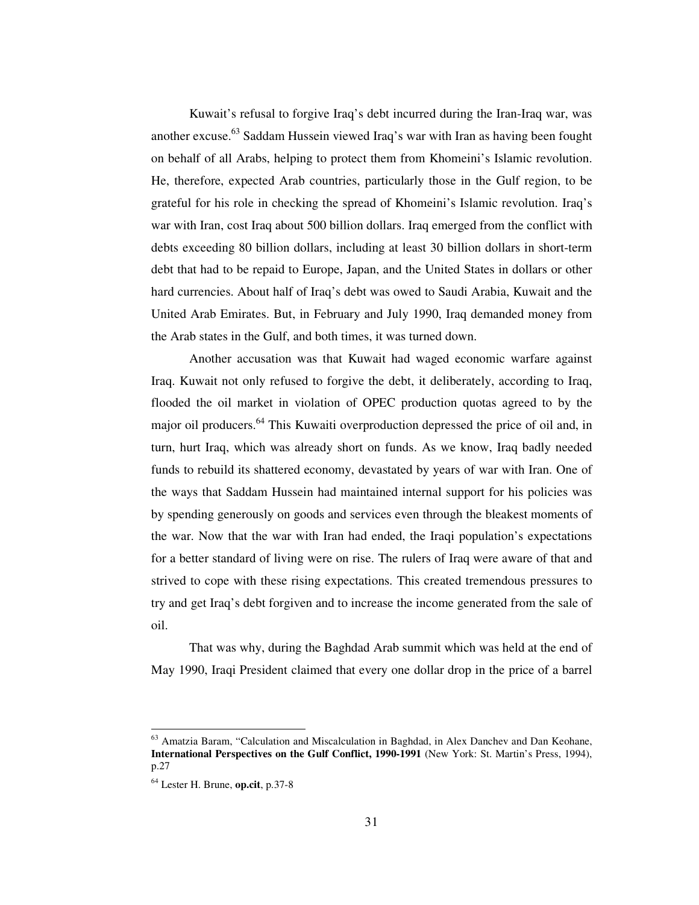Kuwait's refusal to forgive Iraq's debt incurred during the Iran-Iraq war, was another excuse. 63 Saddam Hussein viewed Iraq's war with Iran as having been fought on behalf of all Arabs, helping to protect them from Khomeini's Islamic revolution. He, therefore, expected Arab countries, particularly those in the Gulf region, to be grateful for his role in checking the spread of Khomeini's Islamic revolution. Iraq's war with Iran, cost Iraq about 500 billion dollars. Iraq emerged from the conflict with debts exceeding 80 billion dollars, including at least 30 billion dollars in short-term debt that had to be repaid to Europe, Japan, and the United States in dollars or other hard currencies. About half of Iraq's debt was owed to Saudi Arabia, Kuwait and the United Arab Emirates. But, in February and July 1990, Iraq demanded money from the Arab states in the Gulf, and both times, it was turned down.

Another accusation was that Kuwait had waged economic warfare against Iraq. Kuwait not only refused to forgive the debt, it deliberately, according to Iraq, flooded the oil market in violation of OPEC production quotas agreed to by the major oil producers.<sup>64</sup> This Kuwaiti overproduction depressed the price of oil and, in turn, hurt Iraq, which was already short on funds. As we know, Iraq badly needed funds to rebuild its shattered economy, devastated by years of war with Iran. One of the ways that Saddam Hussein had maintained internal support for his policies was by spending generously on goods and services even through the bleakest moments of the war. Now that the war with Iran had ended, the Iraqi population's expectations for a better standard of living were on rise. The rulers of Iraq were aware of that and strived to cope with these rising expectations. This created tremendous pressures to try and get Iraq's debt forgiven and to increase the income generated from the sale of oil.

That was why, during the Baghdad Arab summit which was held at the end of May 1990, Iraqi President claimed that every one dollar drop in the price of a barrel

<sup>&</sup>lt;sup>63</sup> Amatzia Baram, "Calculation and Miscalculation in Baghdad, in Alex Danchev and Dan Keohane, **International Perspectives on the Gulf Conflict, 1990-1991** (New York: St. Martin's Press, 1994), p.27

<sup>64</sup> Lester H. Brune, **op.cit**, p.37-8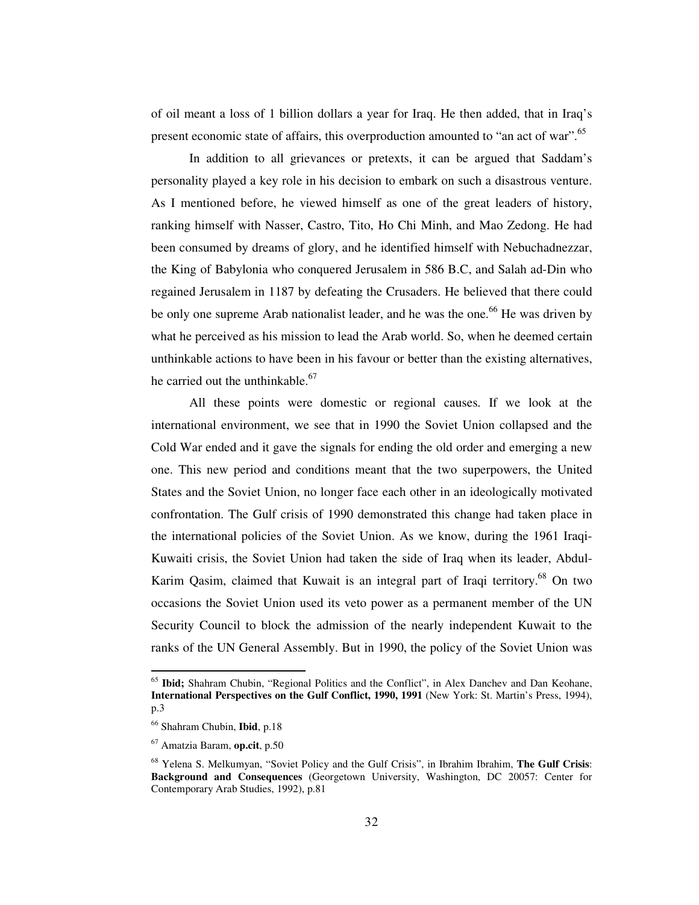of oil meant a loss of 1 billion dollars a year for Iraq. He then added, that in Iraq's present economic state of affairs, this overproduction amounted to "an act of war".<sup>65</sup>

In addition to all grievances or pretexts, it can be argued that Saddam's personality played a key role in his decision to embark on such a disastrous venture. As I mentioned before, he viewed himself as one of the great leaders of history, ranking himself with Nasser, Castro, Tito, Ho Chi Minh, and Mao Zedong. He had been consumed by dreams of glory, and he identified himself with Nebuchadnezzar, the King of Babylonia who conquered Jerusalem in 586 B.C, and Salah ad-Din who regained Jerusalem in 1187 by defeating the Crusaders. He believed that there could be only one supreme Arab nationalist leader, and he was the one.<sup>66</sup> He was driven by what he perceived as his mission to lead the Arab world. So, when he deemed certain unthinkable actions to have been in his favour or better than the existing alternatives, he carried out the unthinkable.<sup>67</sup>

All these points were domestic or regional causes. If we look at the international environment, we see that in 1990 the Soviet Union collapsed and the Cold War ended and it gave the signals for ending the old order and emerging a new one. This new period and conditions meant that the two superpowers, the United States and the Soviet Union, no longer face each other in an ideologically motivated confrontation. The Gulf crisis of 1990 demonstrated this change had taken place in the international policies of the Soviet Union. As we know, during the 1961 Iraqi-Kuwaiti crisis, the Soviet Union had taken the side of Iraq when its leader, Abdul-Karim Qasim, claimed that Kuwait is an integral part of Iraqi territory.<sup>68</sup> On two occasions the Soviet Union used its veto power as a permanent member of the UN Security Council to block the admission of the nearly independent Kuwait to the ranks of the UN General Assembly. But in 1990, the policy of the Soviet Union was

<sup>&</sup>lt;sup>65</sup> Ibid; Shahram Chubin, "Regional Politics and the Conflict", in Alex Danchev and Dan Keohane, **International Perspectives on the Gulf Conflict, 1990, 1991** (New York: St. Martin's Press, 1994), p.3

<sup>66</sup> Shahram Chubin, **Ibid**, p.18

<sup>67</sup> Amatzia Baram, **op.cit**, p.50

<sup>68</sup> Yelena S. Melkumyan, "Soviet Policy and the Gulf Crisis", in Ibrahim Ibrahim, **The Gulf Crisis**: **Background and Consequences** (Georgetown University, Washington, DC 20057: Center for Contemporary Arab Studies, 1992), p.81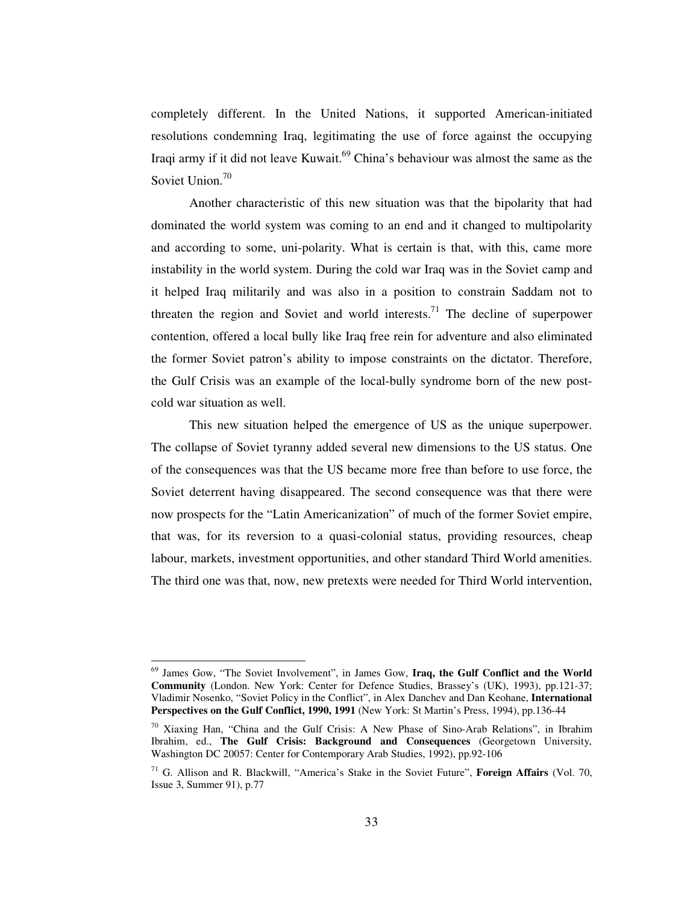completely different. In the United Nations, it supported American-initiated resolutions condemning Iraq, legitimating the use of force against the occupying Iraqi army if it did not leave Kuwait. <sup>69</sup> China's behaviour was almost the same as the Soviet Union.<sup>70</sup>

Another characteristic of this new situation was that the bipolarity that had dominated the world system was coming to an end and it changed to multipolarity and according to some, uni-polarity. What is certain is that, with this, came more instability in the world system. During the cold war Iraq was in the Soviet camp and it helped Iraq militarily and was also in a position to constrain Saddam not to threaten the region and Soviet and world interests.<sup>71</sup> The decline of superpower contention, offered a local bully like Iraq free rein for adventure and also eliminated the former Soviet patron's ability to impose constraints on the dictator. Therefore, the Gulf Crisis was an example of the local-bully syndrome born of the new postcold war situation as well.

This new situation helped the emergence of US as the unique superpower. The collapse of Soviet tyranny added several new dimensions to the US status. One of the consequences was that the US became more free than before to use force, the Soviet deterrent having disappeared. The second consequence was that there were now prospects for the "Latin Americanization" of much of the former Soviet empire, that was, for its reversion to a quasi-colonial status, providing resources, cheap labour, markets, investment opportunities, and other standard Third World amenities. The third one was that, now, new pretexts were needed for Third World intervention,

<sup>69</sup> James Gow, "The Soviet Involvement", in James Gow, **Iraq, the Gulf Conflict and the World Community** (London. New York: Center for Defence Studies, Brassey's (UK), 1993), pp.121-37; Vladimir Nosenko, "Soviet Policy in the Conflict", in Alex Danchev and Dan Keohane, **International Perspectives on the Gulf Conflict, 1990, 1991** (New York: St Martin's Press, 1994), pp.136-44

 $70$  Xiaxing Han, "China and the Gulf Crisis: A New Phase of Sino-Arab Relations", in Ibrahim Ibrahim, ed., **The Gulf Crisis: Background and Consequences** (Georgetown University, Washington DC 20057: Center for Contemporary Arab Studies, 1992), pp.92-106

<sup>71</sup> G. Allison and R. Blackwill, "America's Stake in the Soviet Future", **Foreign Affairs** (Vol. 70, Issue 3, Summer 91), p.77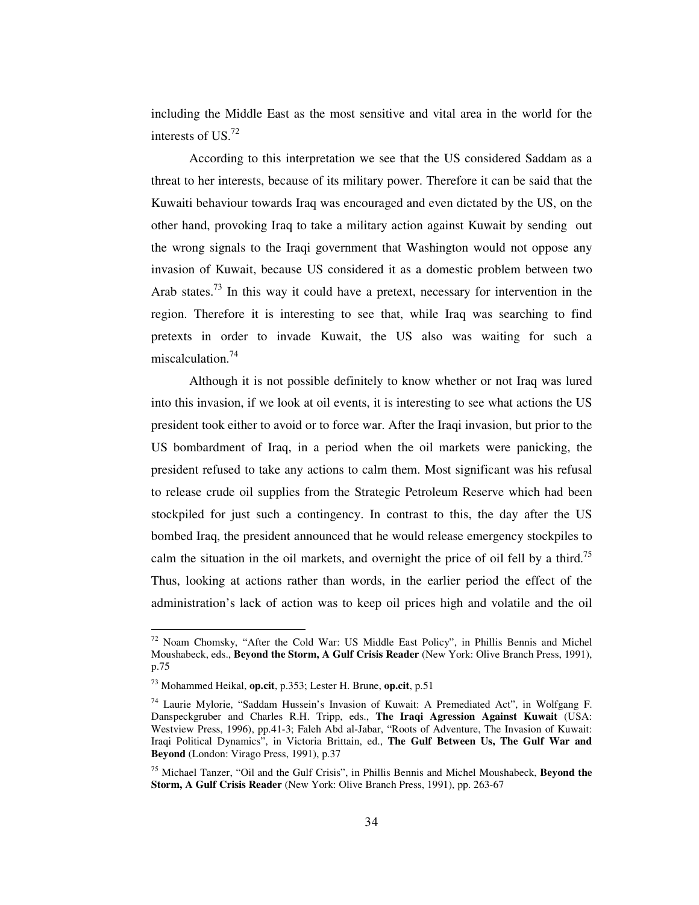including the Middle East as the most sensitive and vital area in the world for the interests of US. 72

According to this interpretation we see that the US considered Saddam as a threat to her interests, because of its military power. Therefore it can be said that the Kuwaiti behaviour towards Iraq was encouraged and even dictated by the US, on the other hand, provoking Iraq to take a military action against Kuwait by sending out the wrong signals to the Iraqi government that Washington would not oppose any invasion of Kuwait, because US considered it as a domestic problem between two Arab states.<sup>73</sup> In this way it could have a pretext, necessary for intervention in the region. Therefore it is interesting to see that, while Iraq was searching to find pretexts in order to invade Kuwait, the US also was waiting for such a miscalculation. 74

Although it is not possible definitely to know whether or not Iraq was lured into this invasion, if we look at oil events, it is interesting to see what actions the US president took either to avoid or to force war. After the Iraqi invasion, but prior to the US bombardment of Iraq, in a period when the oil markets were panicking, the president refused to take any actions to calm them. Most significant was his refusal to release crude oil supplies from the Strategic Petroleum Reserve which had been stockpiled for just such a contingency. In contrast to this, the day after the US bombed Iraq, the president announced that he would release emergency stockpiles to calm the situation in the oil markets, and overnight the price of oil fell by a third.<sup>75</sup> Thus, looking at actions rather than words, in the earlier period the effect of the administration's lack of action was to keep oil prices high and volatile and the oil

<sup>72</sup> Noam Chomsky, "After the Cold War: US Middle East Policy", in Phillis Bennis and Michel Moushabeck, eds., **Beyond the Storm, A Gulf Crisis Reader** (New York: Olive Branch Press, 1991), p.75

<sup>73</sup> Mohammed Heikal, **op.cit**, p.353; Lester H. Brune, **op.cit**, p.51

<sup>&</sup>lt;sup>74</sup> Laurie Mylorie, "Saddam Hussein's Invasion of Kuwait: A Premediated Act", in Wolfgang F. Danspeckgruber and Charles R.H. Tripp, eds., **The Iraqi Agression Against Kuwait** (USA: Westview Press, 1996), pp.41-3; Faleh Abd al-Jabar, "Roots of Adventure, The Invasion of Kuwait: Iraqi Political Dynamics", in Victoria Brittain, ed., **The Gulf Between Us, The Gulf War and Beyond** (London: Virago Press, 1991), p.37

<sup>75</sup> Michael Tanzer, "Oil and the Gulf Crisis", in Phillis Bennis and Michel Moushabeck, **Beyond the Storm, A Gulf Crisis Reader** (New York: Olive Branch Press, 1991), pp. 263-67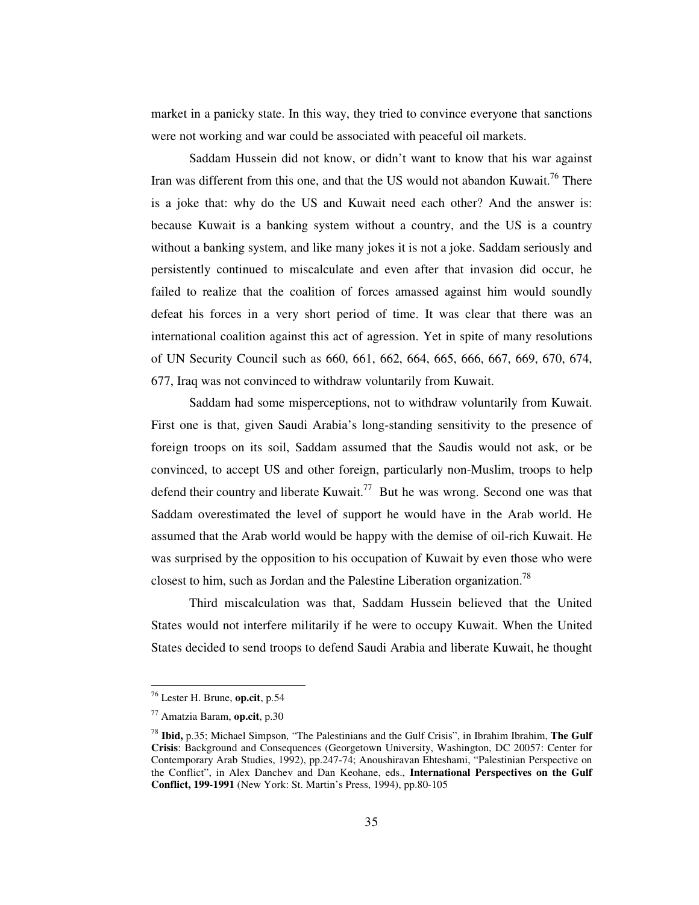market in a panicky state. In this way, they tried to convince everyone that sanctions were not working and war could be associated with peaceful oil markets.

Saddam Hussein did not know, or didn't want to know that his war against Iran was different from this one, and that the US would not abandon Kuwait.<sup>76</sup> There is a joke that: why do the US and Kuwait need each other? And the answer is: because Kuwait is a banking system without a country, and the US is a country without a banking system, and like many jokes it is not a joke. Saddam seriously and persistently continued to miscalculate and even after that invasion did occur, he failed to realize that the coalition of forces amassed against him would soundly defeat his forces in a very short period of time. It was clear that there was an international coalition against this act of agression. Yet in spite of many resolutions of UN Security Council such as 660, 661, 662, 664, 665, 666, 667, 669, 670, 674, 677, Iraq was not convinced to withdraw voluntarily from Kuwait.

Saddam had some misperceptions, not to withdraw voluntarily from Kuwait. First one is that, given Saudi Arabia's long-standing sensitivity to the presence of foreign troops on its soil, Saddam assumed that the Saudis would not ask, or be convinced, to accept US and other foreign, particularly non-Muslim, troops to help defend their country and liberate Kuwait.<sup>77</sup> But he was wrong. Second one was that Saddam overestimated the level of support he would have in the Arab world. He assumed that the Arab world would be happy with the demise of oil-rich Kuwait. He was surprised by the opposition to his occupation of Kuwait by even those who were closest to him, such as Jordan and the Palestine Liberation organization.<sup>78</sup>

Third miscalculation was that, Saddam Hussein believed that the United States would not interfere militarily if he were to occupy Kuwait. When the United States decided to send troops to defend Saudi Arabia and liberate Kuwait, he thought

<sup>76</sup> Lester H. Brune, **op.cit**, p.54

<sup>77</sup> Amatzia Baram, **op.cit**, p.30

<sup>78</sup> **Ibid,** p.35; Michael Simpson, "The Palestinians and the Gulf Crisis", in Ibrahim Ibrahim, **The Gulf Crisis**: Background and Consequences (Georgetown University, Washington, DC 20057: Center for Contemporary Arab Studies, 1992), pp.247-74; Anoushiravan Ehteshami, "Palestinian Perspective on the Conflict", in Alex Danchev and Dan Keohane, eds., **International Perspectives on the Gulf Conflict, 199-1991** (New York: St. Martin's Press, 1994), pp.80-105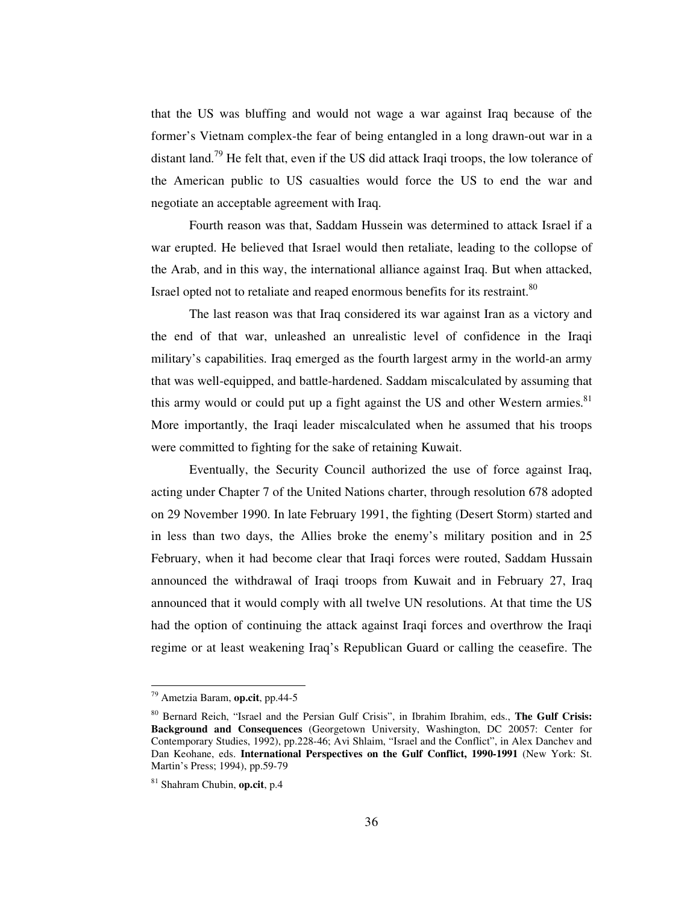that the US was bluffing and would not wage a war against Iraq because of the former's Vietnam complex-the fear of being entangled in a long drawn-out war in a distant land.<sup>79</sup> He felt that, even if the US did attack Iraqi troops, the low tolerance of the American public to US casualties would force the US to end the war and negotiate an acceptable agreement with Iraq.

Fourth reason was that, Saddam Hussein was determined to attack Israel if a war erupted. He believed that Israel would then retaliate, leading to the collopse of the Arab, and in this way, the international alliance against Iraq. But when attacked, Israel opted not to retaliate and reaped enormous benefits for its restraint.<sup>80</sup>

The last reason was that Iraq considered its war against Iran as a victory and the end of that war, unleashed an unrealistic level of confidence in the Iraqi military's capabilities. Iraq emerged as the fourth largest army in the world-an army that was well-equipped, and battle-hardened. Saddam miscalculated by assuming that this army would or could put up a fight against the US and other Western armies.<sup>81</sup> More importantly, the Iraqi leader miscalculated when he assumed that his troops were committed to fighting for the sake of retaining Kuwait.

Eventually, the Security Council authorized the use of force against Iraq, acting under Chapter 7 of the United Nations charter, through resolution 678 adopted on 29 November 1990. In late February 1991, the fighting (Desert Storm) started and in less than two days, the Allies broke the enemy's military position and in 25 February, when it had become clear that Iraqi forces were routed, Saddam Hussain announced the withdrawal of Iraqi troops from Kuwait and in February 27, Iraq announced that it would comply with all twelve UN resolutions. At that time the US had the option of continuing the attack against Iraqi forces and overthrow the Iraqi regime or at least weakening Iraq's Republican Guard or calling the ceasefire. The

<sup>79</sup> Ametzia Baram, **op.cit**, pp.44-5

<sup>80</sup> Bernard Reich, "Israel and the Persian Gulf Crisis", in Ibrahim Ibrahim, eds., **The Gulf Crisis: Background and Consequences** (Georgetown University, Washington, DC 20057: Center for Contemporary Studies, 1992), pp.228-46; Avi Shlaim, "Israel and the Conflict", in Alex Danchev and Dan Keohane, eds. **International Perspectives on the Gulf Conflict, 1990-1991** (New York: St. Martin's Press; 1994), pp.59-79

<sup>81</sup> Shahram Chubin, **op.cit**, p.4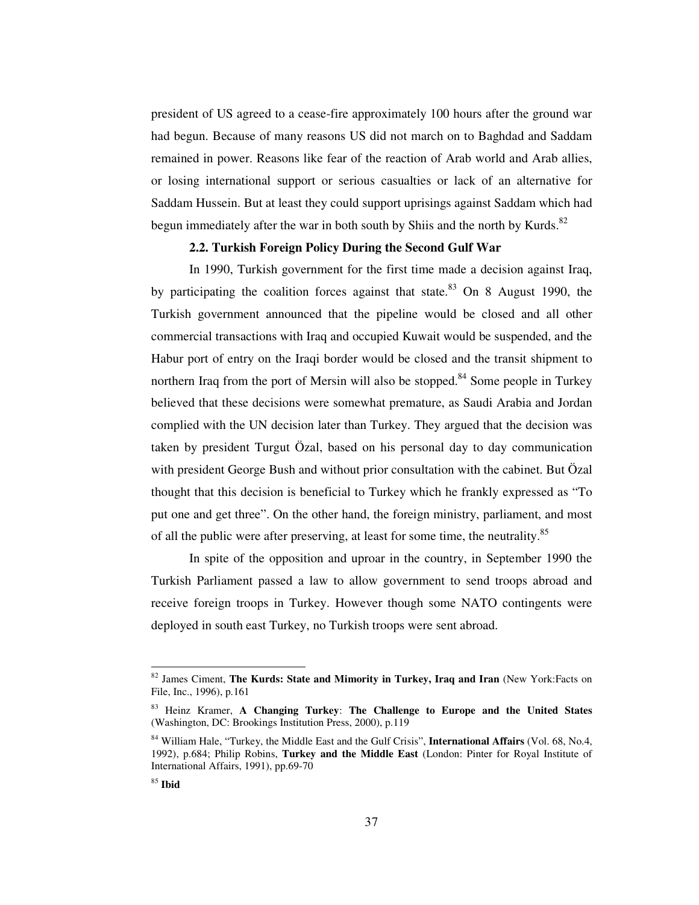president of US agreed to a cease-fire approximately 100 hours after the ground war had begun. Because of many reasons US did not march on to Baghdad and Saddam remained in power. Reasons like fear of the reaction of Arab world and Arab allies, or losing international support or serious casualties or lack of an alternative for Saddam Hussein. But at least they could support uprisings against Saddam which had begun immediately after the war in both south by Shiis and the north by Kurds.<sup>82</sup>

# **2.2. Turkish Foreign Policy During the Second Gulf War**

In 1990, Turkish government for the first time made a decision against Iraq, by participating the coalition forces against that state.<sup>83</sup> On 8 August 1990, the Turkish government announced that the pipeline would be closed and all other commercial transactions with Iraq and occupied Kuwait would be suspended, and the Habur port of entry on the Iraqi border would be closed and the transit shipment to northern Iraq from the port of Mersin will also be stopped.<sup>84</sup> Some people in Turkey believed that these decisions were somewhat premature, as Saudi Arabia and Jordan complied with the UN decision later than Turkey. They argued that the decision was taken by president Turgut Özal, based on his personal day to day communication with president George Bush and without prior consultation with the cabinet. But Özal thought that this decision is beneficial to Turkey which he frankly expressed as "To put one and get three". On the other hand, the foreign ministry, parliament, and most of all the public were after preserving, at least for some time, the neutrality.<sup>85</sup>

In spite of the opposition and uproar in the country, in September 1990 the Turkish Parliament passed a law to allow government to send troops abroad and receive foreign troops in Turkey. However though some NATO contingents were deployed in south east Turkey, no Turkish troops were sent abroad.

<sup>82</sup> James Ciment, **The Kurds: State and Mimority in Turkey, Iraq and Iran** (New York:Facts on File, Inc., 1996), p.161

<sup>83</sup> Heinz Kramer, **A Changing Turkey**: **The Challenge to Europe and the United States** (Washington, DC: Brookings Institution Press, 2000), p.119

<sup>84</sup> William Hale, "Turkey, the Middle East and the Gulf Crisis", **International Affairs** (Vol. 68, No.4, 1992), p.684; Philip Robins, **Turkey and the Middle East** (London: Pinter for Royal Institute of International Affairs, 1991), pp.69-70

<sup>85</sup> **Ibid**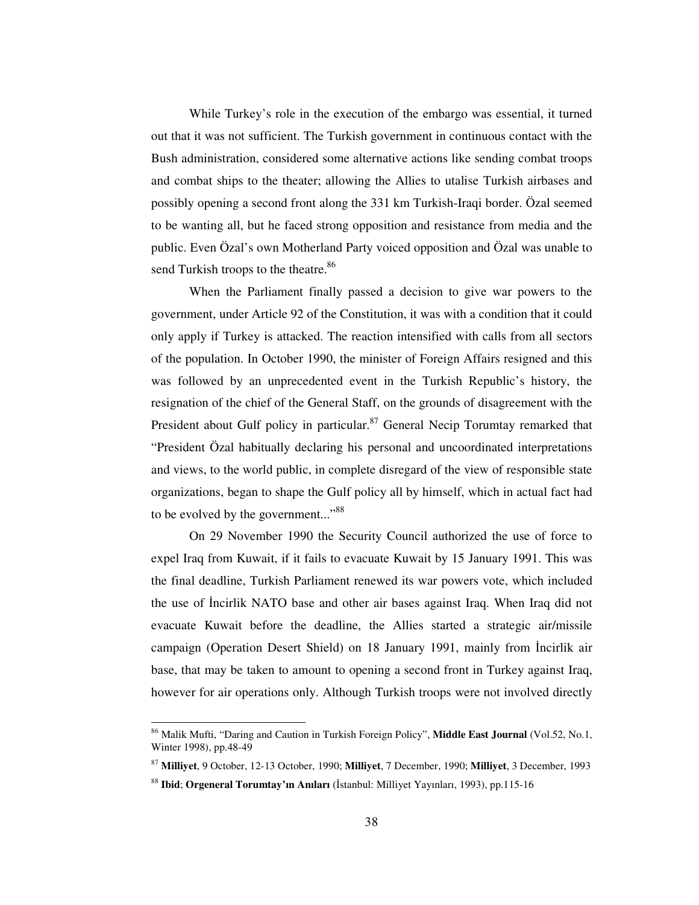While Turkey's role in the execution of the embargo was essential, it turned out that it was not sufficient. The Turkish government in continuous contact with the Bush administration, considered some alternative actions like sending combat troops and combat ships to the theater; allowing the Allies to utalise Turkish airbases and possibly opening a second front along the 331 km Turkish-Iraqi border. Özal seemed to be wanting all, but he faced strong opposition and resistance from media and the public. Even Özal's own Motherland Party voiced opposition and Özal was unable to send Turkish troops to the theatre.<sup>86</sup>

When the Parliament finally passed a decision to give war powers to the government, under Article 92 of the Constitution, it was with a condition that it could only apply if Turkey is attacked. The reaction intensified with calls from all sectors of the population. In October 1990, the minister of Foreign Affairs resigned and this was followed by an unprecedented event in the Turkish Republic's history, the resignation of the chief of the General Staff, on the grounds of disagreement with the President about Gulf policy in particular.<sup>87</sup> General Necip Torumtay remarked that "President Özal habitually declaring his personal and uncoordinated interpretations and views, to the world public, in complete disregard of the view of responsible state organizations, began to shape the Gulf policy all by himself, which in actual fact had to be evolved by the government..."<sup>88</sup>

On 29 November 1990 the Security Council authorized the use of force to expel Iraq from Kuwait, if it fails to evacuate Kuwait by 15 January 1991. This was the final deadline, Turkish Parliament renewed its war powers vote, which included the use of Incirlik NATO base and other air bases against Iraq. When Iraq did not evacuate Kuwait before the deadline, the Allies started a strategic air/missile campaign (Operation Desert Shield) on 18 January 1991, mainly from Incirlik air base, that may be taken to amount to opening a second front in Turkey against Iraq, however for air operations only. Although Turkish troops were not involved directly

<sup>86</sup> Malik Mufti, "Daring and Caution in Turkish Foreign Policy", **Middle East Journal** (Vol.52, No.1, Winter 1998), pp.48-49

<sup>87</sup> **Milliyet**, 9 October, 12-13 October, 1990; **Milliyet**, 7 December, 1990; **Milliyet**, 3 December, 1993

<sup>&</sup>lt;sup>88</sup> Ibid; Orgeneral Torumtay'ın Anıları (İstanbul: Milliyet Yayınları, 1993), pp.115-16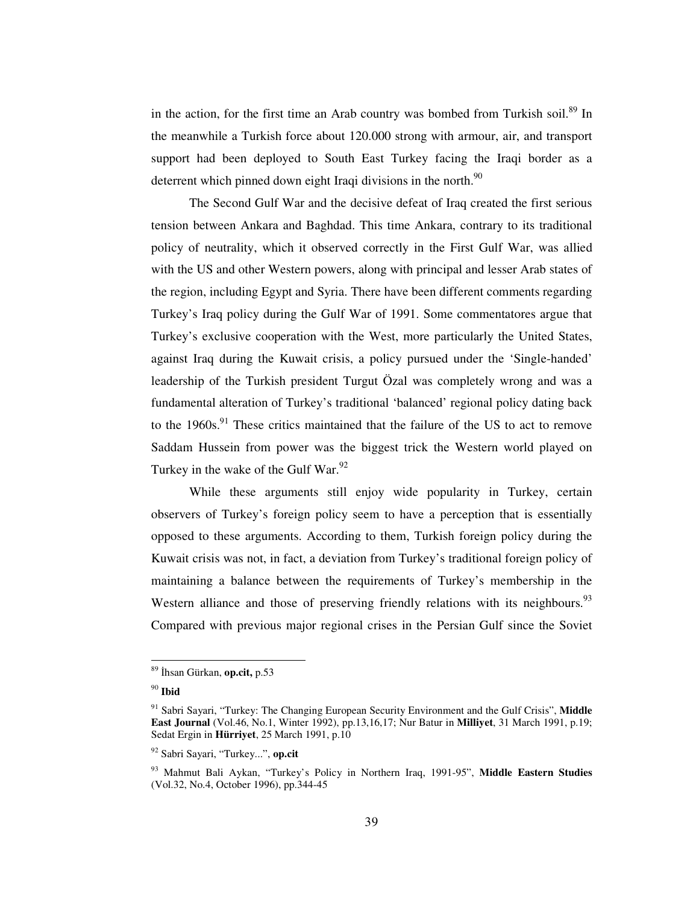in the action, for the first time an Arab country was bombed from Turkish soil.<sup>89</sup> In the meanwhile a Turkish force about 120.000 strong with armour, air, and transport support had been deployed to South East Turkey facing the Iraqi border as a deterrent which pinned down eight Iraqi divisions in the north.<sup>90</sup>

The Second Gulf War and the decisive defeat of Iraq created the first serious tension between Ankara and Baghdad. This time Ankara, contrary to its traditional policy of neutrality, which it observed correctly in the First Gulf War, was allied with the US and other Western powers, along with principal and lesser Arab states of the region, including Egypt and Syria. There have been different comments regarding Turkey's Iraq policy during the Gulf War of 1991. Some commentatores argue that Turkey's exclusive cooperation with the West, more particularly the United States, against Iraq during the Kuwait crisis, a policy pursued under the 'Single-handed' leadership of the Turkish president Turgut Özal was completely wrong and was a fundamental alteration of Turkey's traditional 'balanced' regional policy dating back to the 1960s.<sup>91</sup> These critics maintained that the failure of the US to act to remove Saddam Hussein from power was the biggest trick the Western world played on Turkey in the wake of the Gulf War.<sup>92</sup>

While these arguments still enjoy wide popularity in Turkey, certain observers of Turkey's foreign policy seem to have a perception that is essentially opposed to these arguments. According to them, Turkish foreign policy during the Kuwait crisis was not, in fact, a deviation from Turkey's traditional foreign policy of maintaining a balance between the requirements of Turkey's membership in the Western alliance and those of preserving friendly relations with its neighbours.<sup>93</sup> Compared with previous major regional crises in the Persian Gulf since the Soviet

<sup>&</sup>lt;sup>89</sup> İhsan Gürkan, **op.cit,** p.53

<sup>90</sup> **Ibid**

<sup>91</sup> Sabri Sayari, "Turkey: The Changing European Security Environment and the Gulf Crisis", **Middle East Journal** (Vol.46, No.1, Winter 1992), pp.13,16,17; Nur Batur in **Milliyet**, 31 March 1991, p.19; Sedat Ergin in **Hürriyet**, 25 March 1991, p.10

<sup>92</sup> Sabri Sayari, "Turkey...", **op.cit**

<sup>93</sup> Mahmut Bali Aykan, "Turkey's Policy in Northern Iraq, 1991-95", **Middle Eastern Studies** (Vol.32, No.4, October 1996), pp.344-45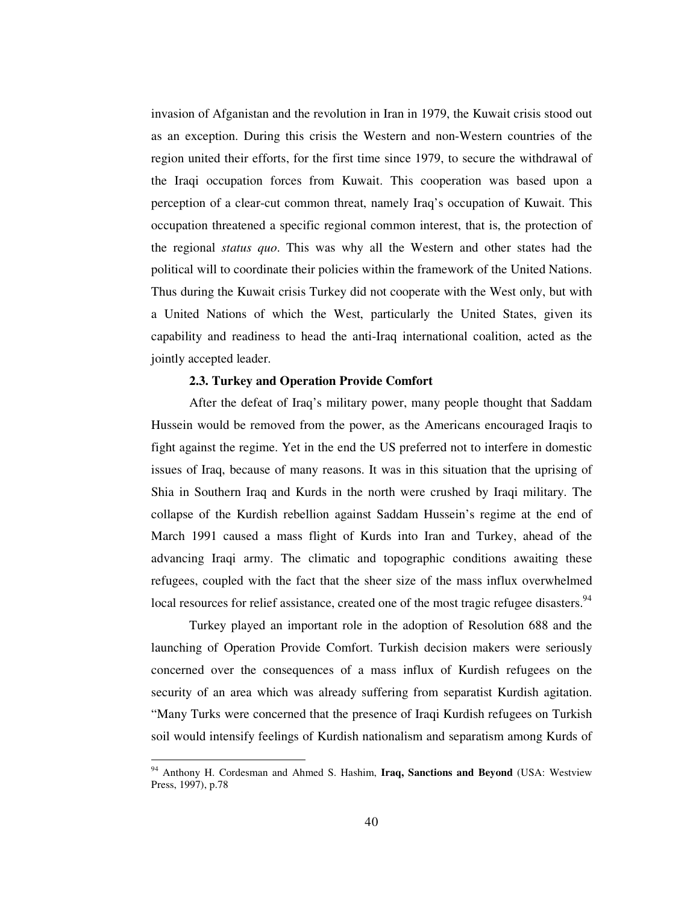invasion of Afganistan and the revolution in Iran in 1979, the Kuwait crisis stood out as an exception. During this crisis the Western and non-Western countries of the region united their efforts, for the first time since 1979, to secure the withdrawal of the Iraqi occupation forces from Kuwait. This cooperation was based upon a perception of a clear-cut common threat, namely Iraq's occupation of Kuwait. This occupation threatened a specific regional common interest, that is, the protection of the regional *status quo*. This was why all the Western and other states had the political will to coordinate their policies within the framework of the United Nations. Thus during the Kuwait crisis Turkey did not cooperate with the West only, but with a United Nations of which the West, particularly the United States, given its capability and readiness to head the anti-Iraq international coalition, acted as the jointly accepted leader.

#### **2.3. Turkey and Operation Provide Comfort**

After the defeat of Iraq's military power, many people thought that Saddam Hussein would be removed from the power, as the Americans encouraged Iraqis to fight against the regime. Yet in the end the US preferred not to interfere in domestic issues of Iraq, because of many reasons. It was in this situation that the uprising of Shia in Southern Iraq and Kurds in the north were crushed by Iraqi military. The collapse of the Kurdish rebellion against Saddam Hussein's regime at the end of March 1991 caused a mass flight of Kurds into Iran and Turkey, ahead of the advancing Iraqi army. The climatic and topographic conditions awaiting these refugees, coupled with the fact that the sheer size of the mass influx overwhelmed local resources for relief assistance, created one of the most tragic refugee disasters.<sup>94</sup>

Turkey played an important role in the adoption of Resolution 688 and the launching of Operation Provide Comfort. Turkish decision makers were seriously concerned over the consequences of a mass influx of Kurdish refugees on the security of an area which was already suffering from separatist Kurdish agitation. "Many Turks were concerned that the presence of Iraqi Kurdish refugees on Turkish soil would intensify feelings of Kurdish nationalism and separatism among Kurds of

<sup>94</sup> Anthony H. Cordesman and Ahmed S. Hashim, **Iraq, Sanctions and Beyond** (USA: Westview Press, 1997), p.78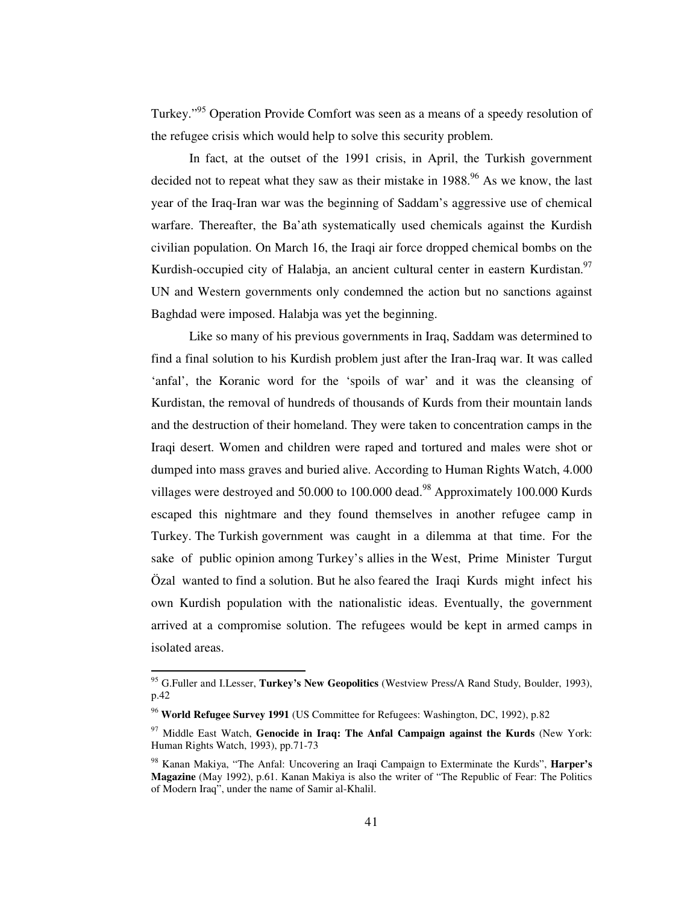Turkey."<sup>95</sup> Operation Provide Comfort was seen as a means of a speedy resolution of the refugee crisis which would help to solve this security problem.

In fact, at the outset of the 1991 crisis, in April, the Turkish government decided not to repeat what they saw as their mistake in 1988.<sup>96</sup> As we know, the last year of the Iraq-Iran war was the beginning of Saddam's aggressive use of chemical warfare. Thereafter, the Ba'ath systematically used chemicals against the Kurdish civilian population. On March 16, the Iraqi air force dropped chemical bombs on the Kurdish-occupied city of Halabja, an ancient cultural center in eastern Kurdistan.<sup>97</sup> UN and Western governments only condemned the action but no sanctions against Baghdad were imposed. Halabja was yet the beginning.

Like so many of his previous governments in Iraq, Saddam was determined to find a final solution to his Kurdish problem just after the Iran-Iraq war. It was called 'anfal', the Koranic word for the 'spoils of war' and it was the cleansing of Kurdistan, the removal of hundreds of thousands of Kurds from their mountain lands and the destruction of their homeland. They were taken to concentration camps in the Iraqi desert. Women and children were raped and tortured and males were shot or dumped into mass graves and buried alive. According to Human Rights Watch, 4.000 villages were destroyed and 50.000 to 100.000 dead.<sup>98</sup> Approximately 100.000 Kurds escaped this nightmare and they found themselves in another refugee camp in Turkey. The Turkish government was caught in a dilemma at that time. For the sake of public opinion among Turkey's allies in the West, Prime Minister Turgut Özal wanted to find a solution. But he also feared the Iraqi Kurds might infect his own Kurdish population with the nationalistic ideas. Eventually, the government arrived at a compromise solution. The refugees would be kept in armed camps in isolated areas.

<sup>95</sup> G.Fuller and I.Lesser, **Turkey's New Geopolitics** (Westview Press/A Rand Study, Boulder, 1993), p.42

<sup>96</sup> **World Refugee Survey 1991** (US Committee for Refugees: Washington, DC, 1992), p.82

<sup>97</sup> Middle East Watch, **Genocide in Iraq: The Anfal Campaign against the Kurds** (New York: Human Rights Watch, 1993), pp.71-73

<sup>98</sup> Kanan Makiya, "The Anfal: Uncovering an Iraqi Campaign to Exterminate the Kurds", **Harper's Magazine** (May 1992), p.61. Kanan Makiya is also the writer of "The Republic of Fear: The Politics of Modern Iraq", under the name of Samir al-Khalil.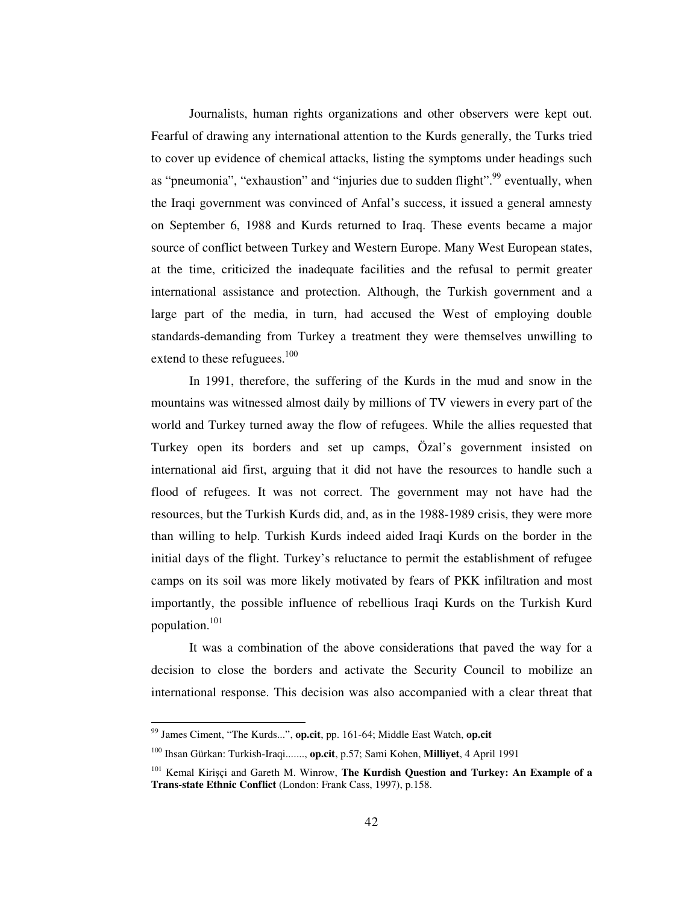Journalists, human rights organizations and other observers were kept out. Fearful of drawing any international attention to the Kurds generally, the Turks tried to cover up evidence of chemical attacks, listing the symptoms under headings such as "pneumonia", "exhaustion" and "injuries due to sudden flight".<sup>99</sup> eventually, when the Iraqi government was convinced of Anfal's success, it issued a general amnesty on September 6, 1988 and Kurds returned to Iraq. These events became a major source of conflict between Turkey and Western Europe. Many West European states, at the time, criticized the inadequate facilities and the refusal to permit greater international assistance and protection. Although, the Turkish government and a large part of the media, in turn, had accused the West of employing double standards-demanding from Turkey a treatment they were themselves unwilling to extend to these refuguees.<sup>100</sup>

In 1991, therefore, the suffering of the Kurds in the mud and snow in the mountains was witnessed almost daily by millions of TV viewers in every part of the world and Turkey turned away the flow of refugees. While the allies requested that Turkey open its borders and set up camps, Özal's government insisted on international aid first, arguing that it did not have the resources to handle such a flood of refugees. It was not correct. The government may not have had the resources, but the Turkish Kurds did, and, as in the 1988-1989 crisis, they were more than willing to help. Turkish Kurds indeed aided Iraqi Kurds on the border in the initial days of the flight. Turkey's reluctance to permit the establishment of refugee camps on its soil was more likely motivated by fears of PKK infiltration and most importantly, the possible influence of rebellious Iraqi Kurds on the Turkish Kurd population. 101

It was a combination of the above considerations that paved the way for a decision to close the borders and activate the Security Council to mobilize an international response. This decision was also accompanied with a clear threat that

<sup>99</sup> James Ciment, "The Kurds...", **op.cit**, pp. 161-64; Middle East Watch, **op.cit**

<sup>100</sup> Ihsan Gürkan: Turkish-Iraqi......., **op.cit**, p.57; Sami Kohen, **Milliyet**, 4 April 1991

<sup>101</sup> Kemal Kiriçi and Gareth M. Winrow, **The Kurdish Question and Turkey: An Example of a Trans-state Ethnic Conflict** (London: Frank Cass, 1997), p.158.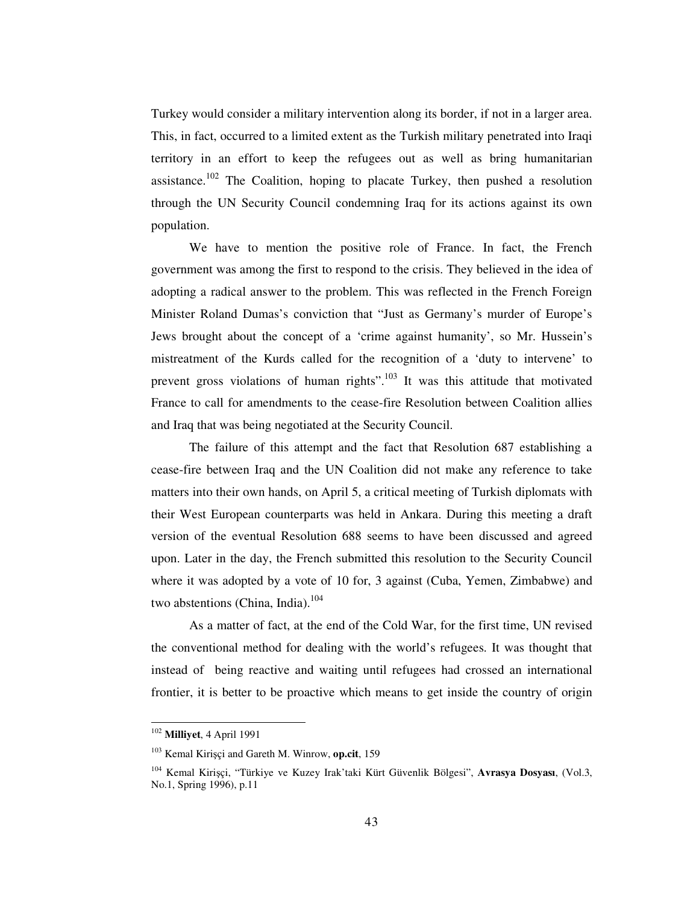Turkey would consider a military intervention along its border, if not in a larger area. This, in fact, occurred to a limited extent as the Turkish military penetrated into Iraqi territory in an effort to keep the refugees out as well as bring humanitarian assistance.<sup>102</sup> The Coalition, hoping to placate Turkey, then pushed a resolution through the UN Security Council condemning Iraq for its actions against its own population.

We have to mention the positive role of France. In fact, the French government was among the first to respond to the crisis. They believed in the idea of adopting a radical answer to the problem. This was reflected in the French Foreign Minister Roland Dumas's conviction that "Just as Germany's murder of Europe's Jews brought about the concept of a 'crime against humanity', so Mr. Hussein's mistreatment of the Kurds called for the recognition of a 'duty to intervene' to prevent gross violations of human rights".<sup>103</sup> It was this attitude that motivated France to call for amendments to the cease-fire Resolution between Coalition allies and Iraq that was being negotiated at the Security Council.

The failure of this attempt and the fact that Resolution 687 establishing a cease-fire between Iraq and the UN Coalition did not make any reference to take matters into their own hands, on April 5, a critical meeting of Turkish diplomats with their West European counterparts was held in Ankara. During this meeting a draft version of the eventual Resolution 688 seems to have been discussed and agreed upon. Later in the day, the French submitted this resolution to the Security Council where it was adopted by a vote of 10 for, 3 against (Cuba, Yemen, Zimbabwe) and two abstentions (China, India).<sup>104</sup>

As a matter of fact, at the end of the Cold War, for the first time, UN revised the conventional method for dealing with the world's refugees. It was thought that instead of being reactive and waiting until refugees had crossed an international frontier, it is better to be proactive which means to get inside the country of origin

<sup>102</sup> **Milliyet**, 4 April 1991

<sup>103</sup> Kemal Kiriçi and Gareth M. Winrow, **op.cit**, 159

<sup>104</sup> Kemal Kiriçi, "Türkiye ve Kuzey Irak'taki Kürt Güvenlik Bölgesi", **Avrasya Dosyası**, (Vol.3, No.1, Spring 1996), p.11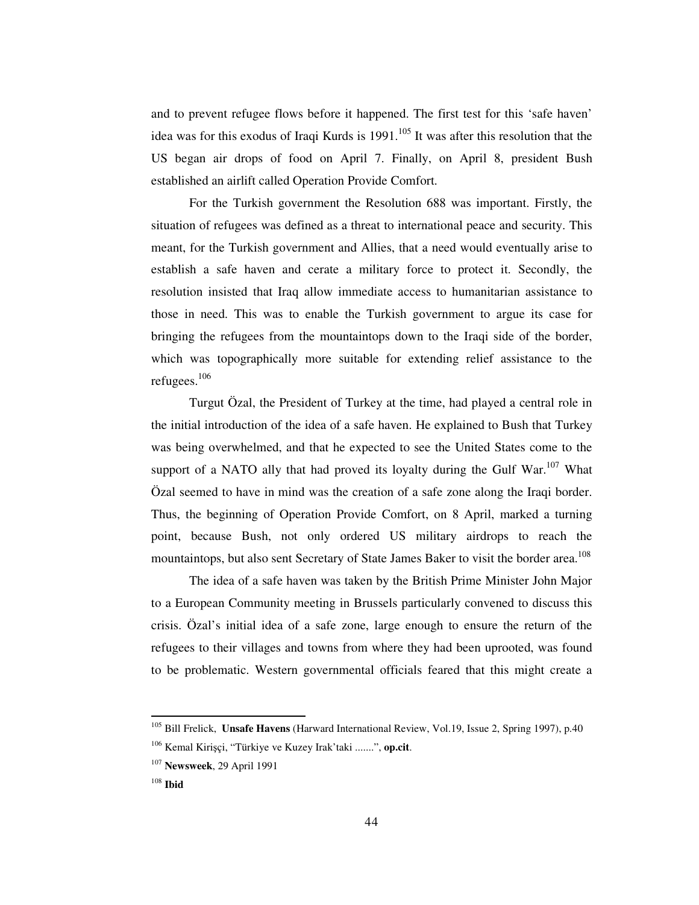and to prevent refugee flows before it happened. The first test for this 'safe haven' idea was for this exodus of Iraqi Kurds is 1991. 105 It was after this resolution that the US began air drops of food on April 7. Finally, on April 8, president Bush established an airlift called Operation Provide Comfort.

For the Turkish government the Resolution 688 was important. Firstly, the situation of refugees was defined as a threat to international peace and security. This meant, for the Turkish government and Allies, that a need would eventually arise to establish a safe haven and cerate a military force to protect it. Secondly, the resolution insisted that Iraq allow immediate access to humanitarian assistance to those in need. This was to enable the Turkish government to argue its case for bringing the refugees from the mountaintops down to the Iraqi side of the border, which was topographically more suitable for extending relief assistance to the refugees. 106

Turgut Özal, the President of Turkey at the time, had played a central role in the initial introduction of the idea of a safe haven. He explained to Bush that Turkey was being overwhelmed, and that he expected to see the United States come to the support of a NATO ally that had proved its loyalty during the Gulf War.<sup>107</sup> What Özal seemed to have in mind was the creation of a safe zone along the Iraqi border. Thus, the beginning of Operation Provide Comfort, on 8 April, marked a turning point, because Bush, not only ordered US military airdrops to reach the mountaintops, but also sent Secretary of State James Baker to visit the border area. 108

The idea of a safe haven was taken by the British Prime Minister John Major to a European Community meeting in Brussels particularly convened to discuss this crisis. Özal's initial idea of a safe zone, large enough to ensure the return of the refugees to their villages and towns from where they had been uprooted, was found to be problematic. Western governmental officials feared that this might create a

<sup>105</sup> Bill Frelick, **Unsafe Havens** (Harward International Review, Vol.19, Issue 2, Spring 1997), p.40

<sup>106</sup> Kemal Kiriçi, "Türkiye ve Kuzey Irak'taki .......", **op.cit**.

<sup>107</sup> **Newsweek**, 29 April 1991

<sup>108</sup> **Ibid**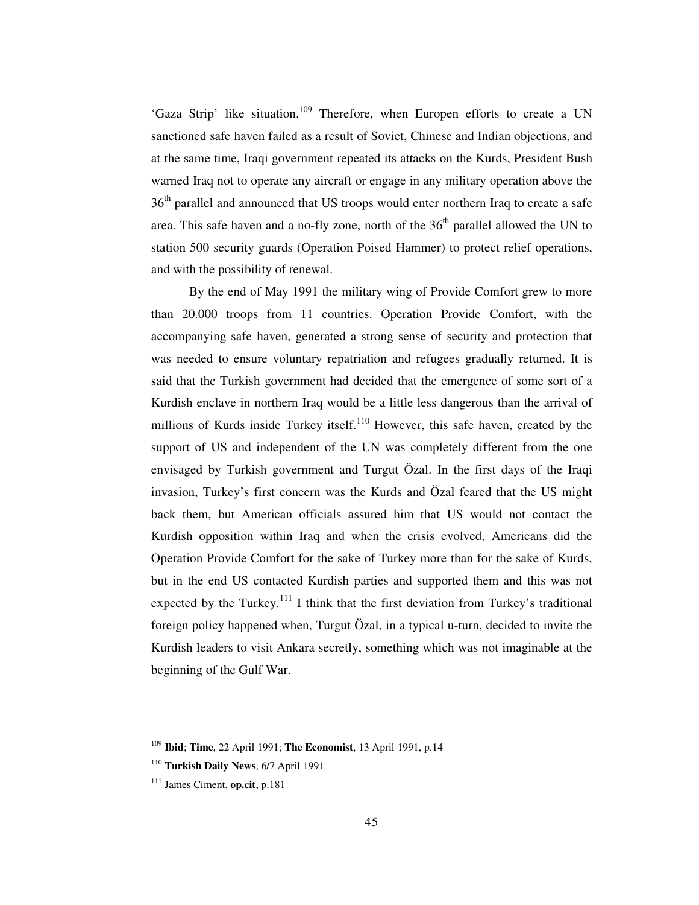'Gaza Strip' like situation.<sup>109</sup> Therefore, when Europen efforts to create a UN sanctioned safe haven failed as a result of Soviet, Chinese and Indian objections, and at the same time, Iraqi government repeated its attacks on the Kurds, President Bush warned Iraq not to operate any aircraft or engage in any military operation above the 36<sup>th</sup> parallel and announced that US troops would enter northern Iraq to create a safe area. This safe haven and a no-fly zone, north of the  $36<sup>th</sup>$  parallel allowed the UN to station 500 security guards (Operation Poised Hammer) to protect relief operations, and with the possibility of renewal.

By the end of May 1991 the military wing of Provide Comfort grew to more than 20.000 troops from 11 countries. Operation Provide Comfort, with the accompanying safe haven, generated a strong sense of security and protection that was needed to ensure voluntary repatriation and refugees gradually returned. It is said that the Turkish government had decided that the emergence of some sort of a Kurdish enclave in northern Iraq would be a little less dangerous than the arrival of millions of Kurds inside Turkey itself.<sup>110</sup> However, this safe haven, created by the support of US and independent of the UN was completely different from the one envisaged by Turkish government and Turgut Özal. In the first days of the Iraqi invasion, Turkey's first concern was the Kurds and Özal feared that the US might back them, but American officials assured him that US would not contact the Kurdish opposition within Iraq and when the crisis evolved, Americans did the Operation Provide Comfort for the sake of Turkey more than for the sake of Kurds, but in the end US contacted Kurdish parties and supported them and this was not expected by the Turkey.<sup>111</sup> I think that the first deviation from Turkey's traditional foreign policy happened when, Turgut Özal, in a typical u-turn, decided to invite the Kurdish leaders to visit Ankara secretly, something which was not imaginable at the beginning of the Gulf War.

<sup>109</sup> **Ibid**; **Time**, 22 April 1991; **The Economist**, 13 April 1991, p.14

<sup>110</sup> **Turkish Daily News**, 6/7 April 1991

<sup>111</sup> James Ciment, **op.cit**, p.181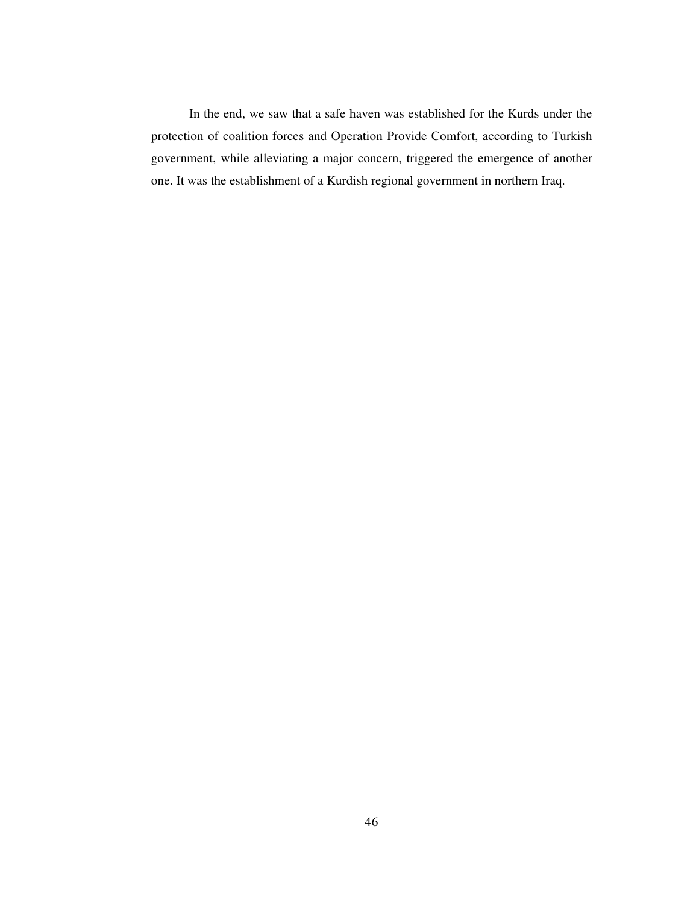In the end, we saw that a safe haven was established for the Kurds under the protection of coalition forces and Operation Provide Comfort, according to Turkish government, while alleviating a major concern, triggered the emergence of another one. It was the establishment of a Kurdish regional government in northern Iraq.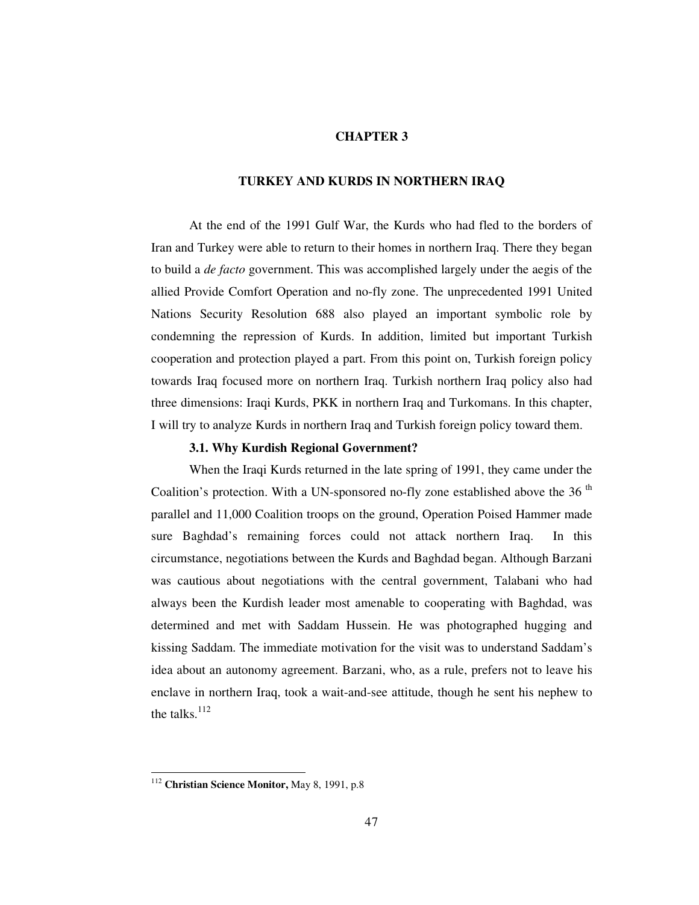#### **CHAPTER 3**

#### **TURKEY AND KURDS IN NORTHERN IRAQ**

At the end of the 1991 Gulf War, the Kurds who had fled to the borders of Iran and Turkey were able to return to their homes in northern Iraq. There they began to build a *de facto* government. This was accomplished largely under the aegis of the allied Provide Comfort Operation and no-fly zone. The unprecedented 1991 United Nations Security Resolution 688 also played an important symbolic role by condemning the repression of Kurds. In addition, limited but important Turkish cooperation and protection played a part. From this point on, Turkish foreign policy towards Iraq focused more on northern Iraq. Turkish northern Iraq policy also had three dimensions: Iraqi Kurds, PKK in northern Iraq and Turkomans. In this chapter, I will try to analyze Kurds in northern Iraq and Turkish foreign policy toward them.

## **3.1. Why Kurdish Regional Government?**

When the Iraqi Kurds returned in the late spring of 1991, they came under the Coalition's protection. With a UN-sponsored no-fly zone established above the 36<sup>th</sup> parallel and 11,000 Coalition troops on the ground, Operation Poised Hammer made sure Baghdad's remaining forces could not attack northern Iraq. In this circumstance, negotiations between the Kurds and Baghdad began. Although Barzani was cautious about negotiations with the central government, Talabani who had always been the Kurdish leader most amenable to cooperating with Baghdad, was determined and met with Saddam Hussein. He was photographed hugging and kissing Saddam. The immediate motivation for the visit was to understand Saddam's idea about an autonomy agreement. Barzani, who, as a rule, prefers not to leave his enclave in northern Iraq, took a wait-and-see attitude, though he sent his nephew to the talks. $112$ 

<sup>112</sup> **Christian Science Monitor,** May 8, 1991, p.8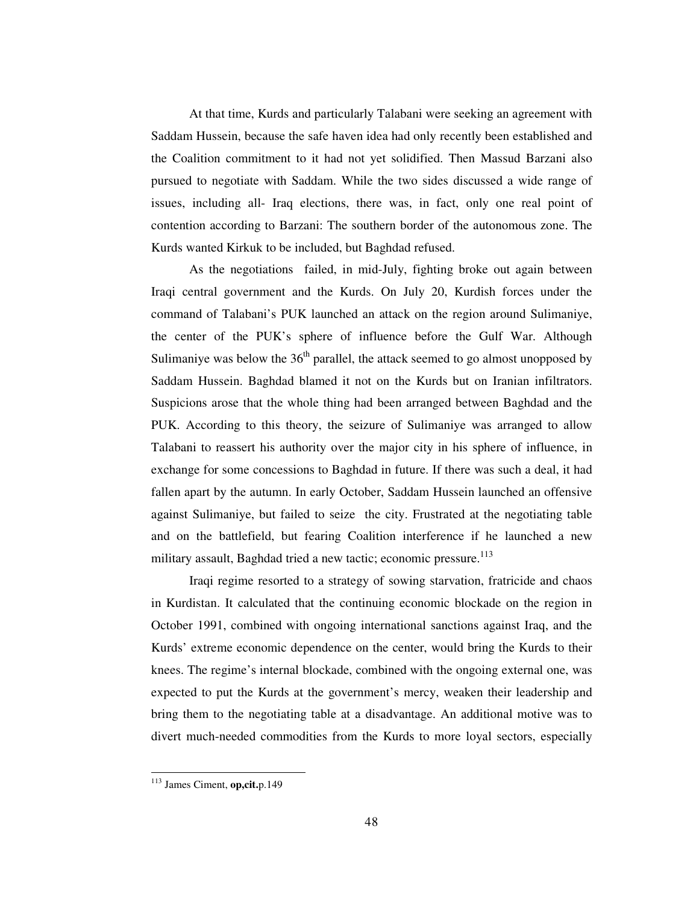At that time, Kurds and particularly Talabani were seeking an agreement with Saddam Hussein, because the safe haven idea had only recently been established and the Coalition commitment to it had not yet solidified. Then Massud Barzani also pursued to negotiate with Saddam. While the two sides discussed a wide range of issues, including all- Iraq elections, there was, in fact, only one real point of contention according to Barzani: The southern border of the autonomous zone. The Kurds wanted Kirkuk to be included, but Baghdad refused.

As the negotiations failed, in mid-July, fighting broke out again between Iraqi central government and the Kurds. On July 20, Kurdish forces under the command of Talabani's PUK launched an attack on the region around Sulimaniye, the center of the PUK's sphere of influence before the Gulf War. Although Sulimaniye was below the  $36<sup>th</sup>$  parallel, the attack seemed to go almost unopposed by Saddam Hussein. Baghdad blamed it not on the Kurds but on Iranian infiltrators. Suspicions arose that the whole thing had been arranged between Baghdad and the PUK. According to this theory, the seizure of Sulimaniye was arranged to allow Talabani to reassert his authority over the major city in his sphere of influence, in exchange for some concessions to Baghdad in future. If there was such a deal, it had fallen apart by the autumn. In early October, Saddam Hussein launched an offensive against Sulimaniye, but failed to seize the city. Frustrated at the negotiating table and on the battlefield, but fearing Coalition interference if he launched a new military assault, Baghdad tried a new tactic; economic pressure.<sup>113</sup>

Iraqi regime resorted to a strategy of sowing starvation, fratricide and chaos in Kurdistan. It calculated that the continuing economic blockade on the region in October 1991, combined with ongoing international sanctions against Iraq, and the Kurds' extreme economic dependence on the center, would bring the Kurds to their knees. The regime's internal blockade, combined with the ongoing external one, was expected to put the Kurds at the government's mercy, weaken their leadership and bring them to the negotiating table at a disadvantage. An additional motive was to divert much-needed commodities from the Kurds to more loyal sectors, especially

<sup>113</sup> James Ciment, **op,cit.**p.149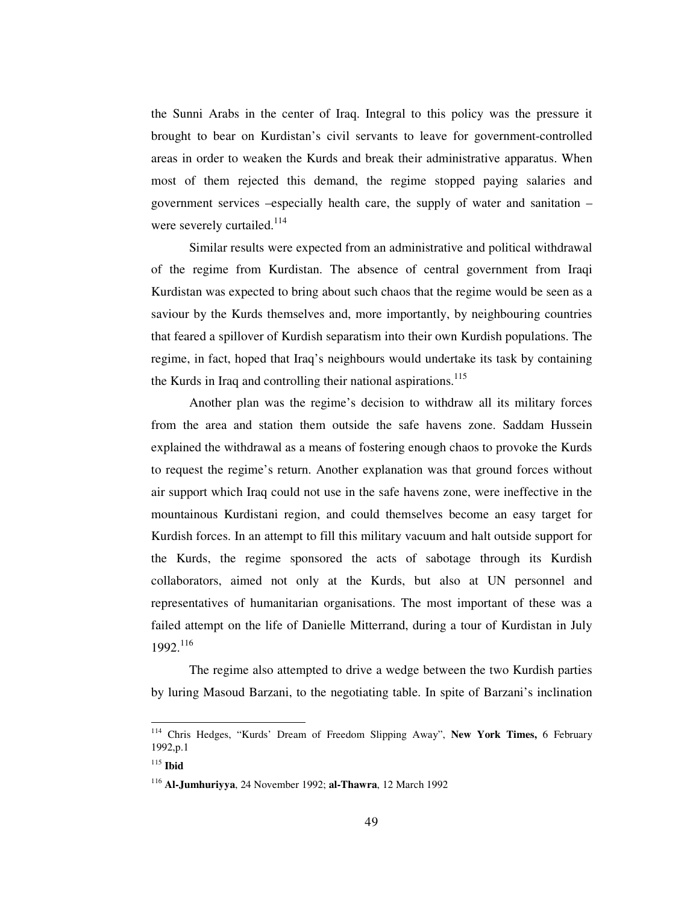the Sunni Arabs in the center of Iraq. Integral to this policy was the pressure it brought to bear on Kurdistan's civil servants to leave for government-controlled areas in order to weaken the Kurds and break their administrative apparatus. When most of them rejected this demand, the regime stopped paying salaries and government services –especially health care, the supply of water and sanitation – were severely curtailed.<sup>114</sup>

Similar results were expected from an administrative and political withdrawal of the regime from Kurdistan. The absence of central government from Iraqi Kurdistan was expected to bring about such chaos that the regime would be seen as a saviour by the Kurds themselves and, more importantly, by neighbouring countries that feared a spillover of Kurdish separatism into their own Kurdish populations. The regime, in fact, hoped that Iraq's neighbours would undertake its task by containing the Kurds in Iraq and controlling their national aspirations.<sup>115</sup>

Another plan was the regime's decision to withdraw all its military forces from the area and station them outside the safe havens zone. Saddam Hussein explained the withdrawal as a means of fostering enough chaos to provoke the Kurds to request the regime's return. Another explanation was that ground forces without air support which Iraq could not use in the safe havens zone, were ineffective in the mountainous Kurdistani region, and could themselves become an easy target for Kurdish forces. In an attempt to fill this military vacuum and halt outside support for the Kurds, the regime sponsored the acts of sabotage through its Kurdish collaborators, aimed not only at the Kurds, but also at UN personnel and representatives of humanitarian organisations. The most important of these was a failed attempt on the life of Danielle Mitterrand, during a tour of Kurdistan in July 1992. 116

The regime also attempted to drive a wedge between the two Kurdish parties by luring Masoud Barzani, to the negotiating table. In spite of Barzani's inclination

<sup>114</sup> Chris Hedges, "Kurds' Dream of Freedom Slipping Away", **New York Times,** 6 February 1992,p.1

<sup>115</sup> **Ibid**

<sup>116</sup> **Al-Jumhuriyya**, 24 November 1992; **al-Thawra**, 12 March 1992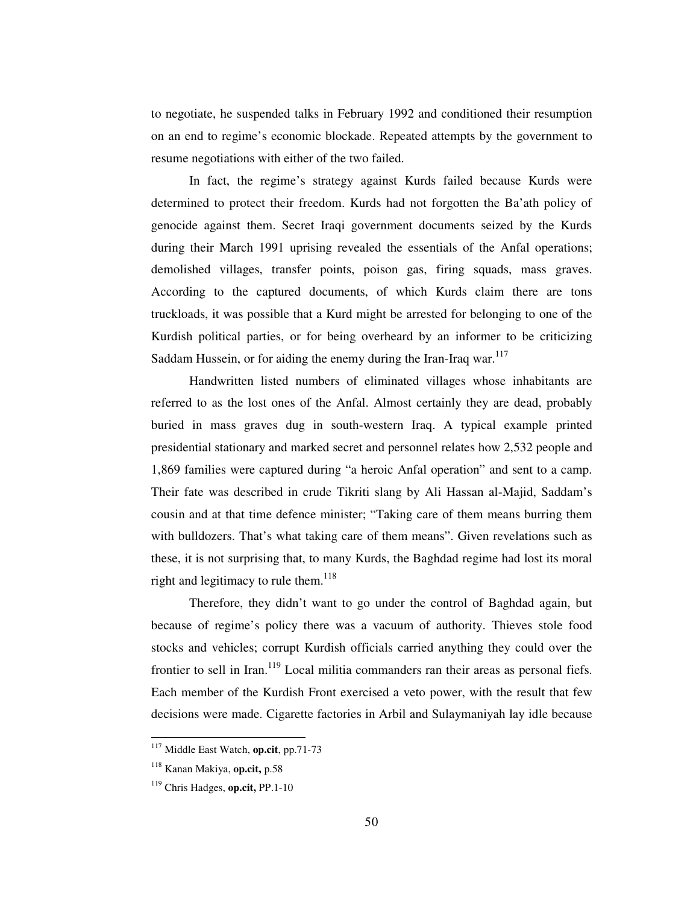to negotiate, he suspended talks in February 1992 and conditioned their resumption on an end to regime's economic blockade. Repeated attempts by the government to resume negotiations with either of the two failed.

In fact, the regime's strategy against Kurds failed because Kurds were determined to protect their freedom. Kurds had not forgotten the Ba'ath policy of genocide against them. Secret Iraqi government documents seized by the Kurds during their March 1991 uprising revealed the essentials of the Anfal operations; demolished villages, transfer points, poison gas, firing squads, mass graves. According to the captured documents, of which Kurds claim there are tons truckloads, it was possible that a Kurd might be arrested for belonging to one of the Kurdish political parties, or for being overheard by an informer to be criticizing Saddam Hussein, or for aiding the enemy during the Iran-Iraq war.<sup>117</sup>

Handwritten listed numbers of eliminated villages whose inhabitants are referred to as the lost ones of the Anfal. Almost certainly they are dead, probably buried in mass graves dug in south-western Iraq. A typical example printed presidential stationary and marked secret and personnel relates how 2,532 people and 1,869 families were captured during "a heroic Anfal operation" and sent to a camp. Their fate was described in crude Tikriti slang by Ali Hassan al-Majid, Saddam's cousin and at that time defence minister; "Taking care of them means burring them with bulldozers. That's what taking care of them means". Given revelations such as these, it is not surprising that, to many Kurds, the Baghdad regime had lost its moral right and legitimacy to rule them.<sup>118</sup>

Therefore, they didn't want to go under the control of Baghdad again, but because of regime's policy there was a vacuum of authority. Thieves stole food stocks and vehicles; corrupt Kurdish officials carried anything they could over the frontier to sell in Iran.<sup>119</sup> Local militia commanders ran their areas as personal fiefs. Each member of the Kurdish Front exercised a veto power, with the result that few decisions were made. Cigarette factories in Arbil and Sulaymaniyah lay idle because

<sup>117</sup> Middle East Watch, **op.cit**, pp.71-73

<sup>118</sup> Kanan Makiya, **op.cit,** p.58

<sup>119</sup> Chris Hadges, **op.cit,** PP.1-10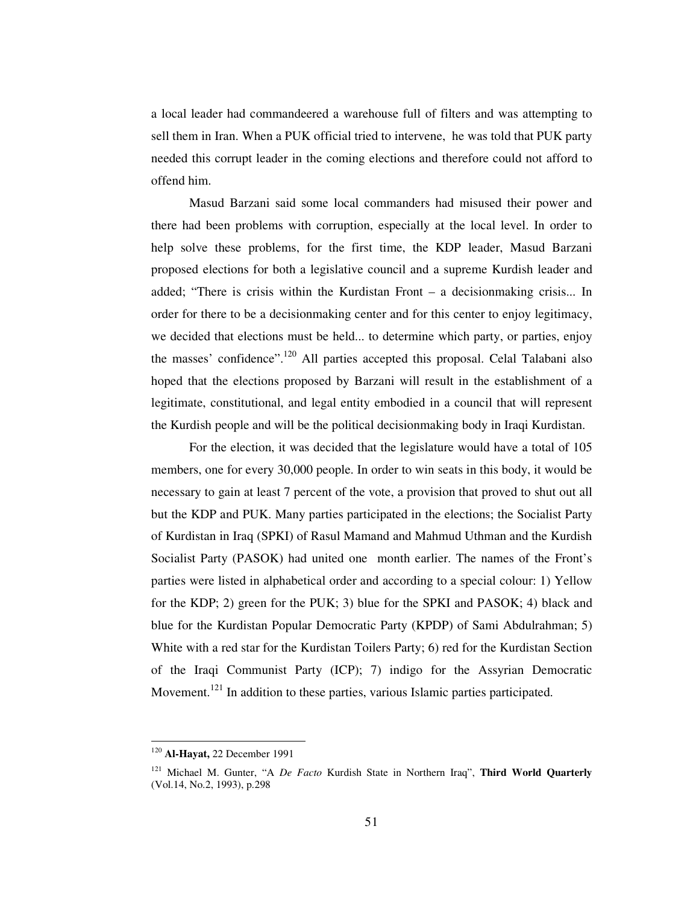a local leader had commandeered a warehouse full of filters and was attempting to sell them in Iran. When a PUK official tried to intervene, he was told that PUK party needed this corrupt leader in the coming elections and therefore could not afford to offend him.

Masud Barzani said some local commanders had misused their power and there had been problems with corruption, especially at the local level. In order to help solve these problems, for the first time, the KDP leader, Masud Barzani proposed elections for both a legislative council and a supreme Kurdish leader and added; "There is crisis within the Kurdistan Front – a decisionmaking crisis... In order for there to be a decisionmaking center and for this center to enjoy legitimacy, we decided that elections must be held... to determine which party, or parties, enjoy the masses' confidence".<sup>120</sup> All parties accepted this proposal. Celal Talabani also hoped that the elections proposed by Barzani will result in the establishment of a legitimate, constitutional, and legal entity embodied in a council that will represent the Kurdish people and will be the political decisionmaking body in Iraqi Kurdistan.

For the election, it was decided that the legislature would have a total of 105 members, one for every 30,000 people. In order to win seats in this body, it would be necessary to gain at least 7 percent of the vote, a provision that proved to shut out all but the KDP and PUK. Many parties participated in the elections; the Socialist Party of Kurdistan in Iraq (SPKI) of Rasul Mamand and Mahmud Uthman and the Kurdish Socialist Party (PASOK) had united one month earlier. The names of the Front's parties were listed in alphabetical order and according to a special colour: 1) Yellow for the KDP; 2) green for the PUK; 3) blue for the SPKI and PASOK; 4) black and blue for the Kurdistan Popular Democratic Party (KPDP) of Sami Abdulrahman; 5) White with a red star for the Kurdistan Toilers Party; 6) red for the Kurdistan Section of the Iraqi Communist Party (ICP); 7) indigo for the Assyrian Democratic Movement.<sup>121</sup> In addition to these parties, various Islamic parties participated.

<sup>120</sup> **Al-Hayat,** 22 December 1991

<sup>121</sup> Michael M. Gunter, "A *De Facto* Kurdish State in Northern Iraq", **Third World Quarterly** (Vol.14, No.2, 1993), p.298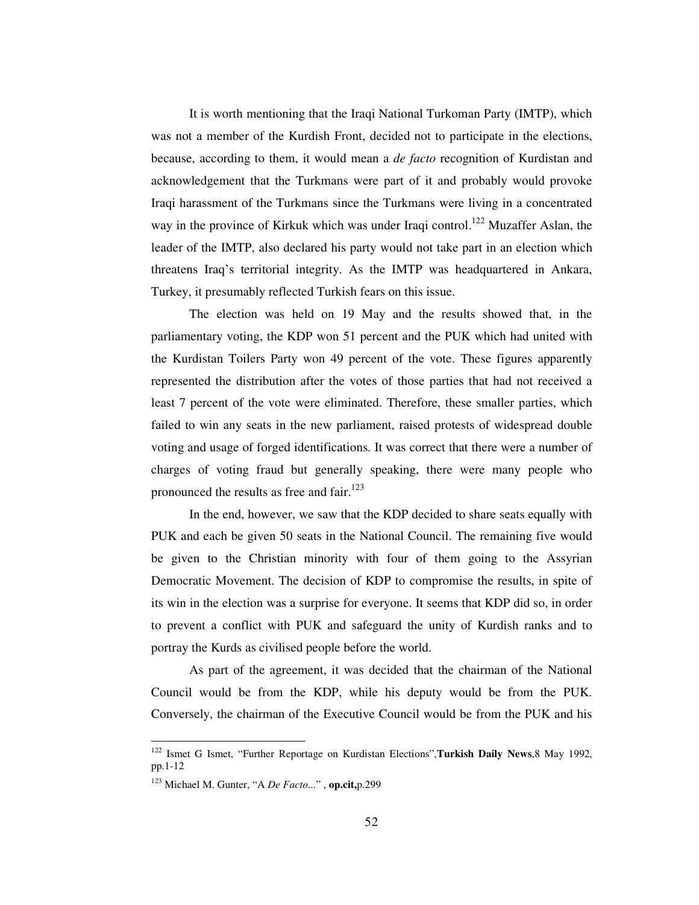It is worth mentioning that the Iraqi National Turkoman Party (IMTP), which was not a member of the Kurdish Front, decided not to participate in the elections, because, according to them, it would mean a *de facto* recognition of Kurdistan and acknowledgement that the Turkmans were part of it and probably would provoke Iraqi harassment of the Turkmans since the Turkmans were living in a concentrated way in the province of Kirkuk which was under Iraqi control.<sup>122</sup> Muzaffer Aslan, the leader of the IMTP, also declared his party would not take part in an election which threatens Iraq's territorial integrity. As the IMTP was headquartered in Ankara, Turkey, it presumably reflected Turkish fears on this issue.

The election was held on 19 May and the results showed that, in the parliamentary voting, the KDP won 51 percent and the PUK which had united with the Kurdistan Toilers Party won 49 percent of the vote. These figures apparently represented the distribution after the votes of those parties that had not received a least 7 percent of the vote were eliminated. Therefore, these smaller parties, which failed to win any seats in the new parliament, raised protests of widespread double voting and usage of forged identifications. It was correct that there were a number of charges of voting fraud but generally speaking, there were many people who pronounced the results as free and fair.<sup>123</sup>

In the end, however, we saw that the KDP decided to share seats equally with PUK and each be given 50 seats in the National Council. The remaining five would be given to the Christian minority with four of them going to the Assyrian Democratic Movement. The decision of KDP to compromise the results, in spite of its win in the election was a surprise for everyone. It seems that KDP did so, in order to prevent a conflict with PUK and safeguard the unity of Kurdish ranks and to portray the Kurds as civilised people before the world.

As part of the agreement, it was decided that the chairman of the National Council would be from the KDP, while his deputy would be from the PUK. Conversely, the chairman of the Executive Council would be from the PUK and his

<sup>122</sup> Ismet G Ismet, "Further Reportage on Kurdistan Elections",**Turkish Daily News**,8 May 1992, pp.1-12

<sup>123</sup> Michael M. Gunter, "A *De Facto*..." , **op.cit,**p.299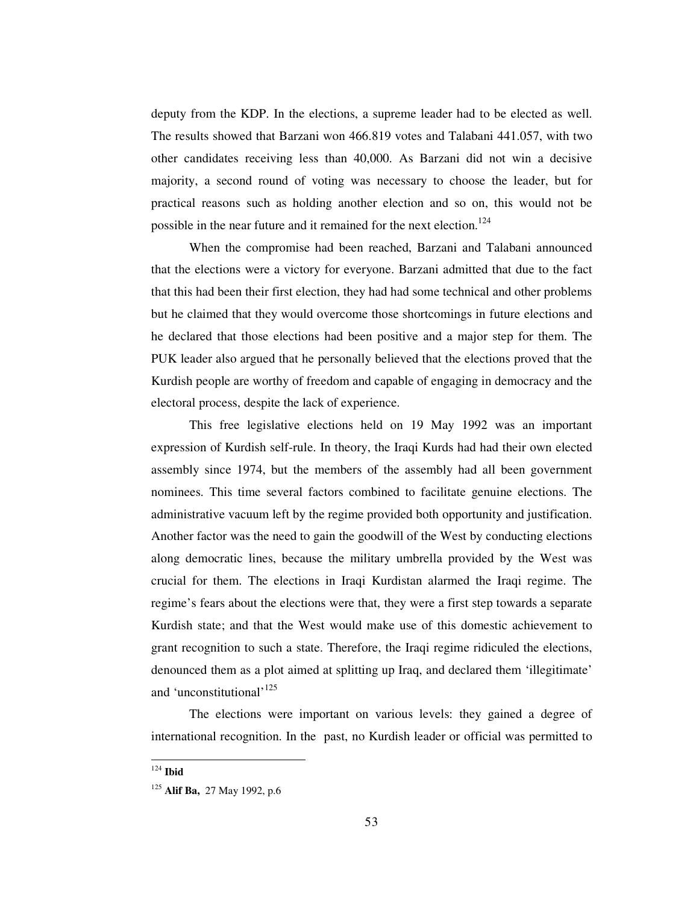deputy from the KDP. In the elections, a supreme leader had to be elected as well. The results showed that Barzani won 466.819 votes and Talabani 441.057, with two other candidates receiving less than 40,000. As Barzani did not win a decisive majority, a second round of voting was necessary to choose the leader, but for practical reasons such as holding another election and so on, this would not be possible in the near future and it remained for the next election.<sup>124</sup>

When the compromise had been reached, Barzani and Talabani announced that the elections were a victory for everyone. Barzani admitted that due to the fact that this had been their first election, they had had some technical and other problems but he claimed that they would overcome those shortcomings in future elections and he declared that those elections had been positive and a major step for them. The PUK leader also argued that he personally believed that the elections proved that the Kurdish people are worthy of freedom and capable of engaging in democracy and the electoral process, despite the lack of experience.

This free legislative elections held on 19 May 1992 was an important expression of Kurdish self-rule. In theory, the Iraqi Kurds had had their own elected assembly since 1974, but the members of the assembly had all been government nominees. This time several factors combined to facilitate genuine elections. The administrative vacuum left by the regime provided both opportunity and justification. Another factor was the need to gain the goodwill of the West by conducting elections along democratic lines, because the military umbrella provided by the West was crucial for them. The elections in Iraqi Kurdistan alarmed the Iraqi regime. The regime's fears about the elections were that, they were a first step towards a separate Kurdish state; and that the West would make use of this domestic achievement to grant recognition to such a state. Therefore, the Iraqi regime ridiculed the elections, denounced them as a plot aimed at splitting up Iraq, and declared them 'illegitimate' and 'unconstitutional'<sup>125</sup>

The elections were important on various levels: they gained a degree of international recognition. In the past, no Kurdish leader or official was permitted to

<sup>124</sup> **Ibid**

<sup>125</sup> **Alif Ba,** 27 May 1992, p.6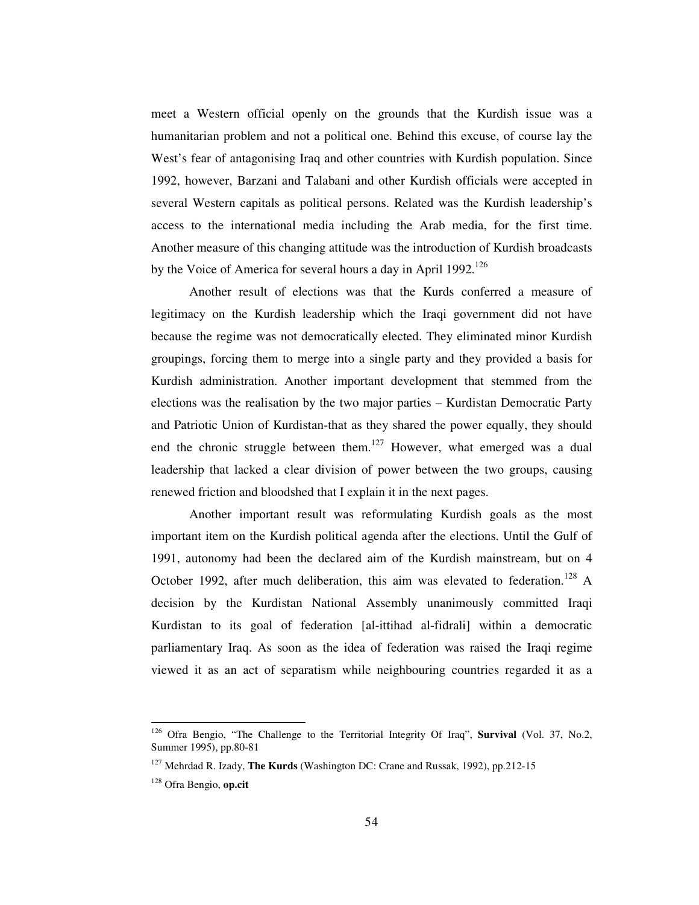meet a Western official openly on the grounds that the Kurdish issue was a humanitarian problem and not a political one. Behind this excuse, of course lay the West's fear of antagonising Iraq and other countries with Kurdish population. Since 1992, however, Barzani and Talabani and other Kurdish officials were accepted in several Western capitals as political persons. Related was the Kurdish leadership's access to the international media including the Arab media, for the first time. Another measure of this changing attitude was the introduction of Kurdish broadcasts by the Voice of America for several hours a day in April 1992.<sup>126</sup>

Another result of elections was that the Kurds conferred a measure of legitimacy on the Kurdish leadership which the Iraqi government did not have because the regime was not democratically elected. They eliminated minor Kurdish groupings, forcing them to merge into a single party and they provided a basis for Kurdish administration. Another important development that stemmed from the elections was the realisation by the two major parties – Kurdistan Democratic Party and Patriotic Union of Kurdistan-that as they shared the power equally, they should end the chronic struggle between them.<sup>127</sup> However, what emerged was a dual leadership that lacked a clear division of power between the two groups, causing renewed friction and bloodshed that I explain it in the next pages.

Another important result was reformulating Kurdish goals as the most important item on the Kurdish political agenda after the elections. Until the Gulf of 1991, autonomy had been the declared aim of the Kurdish mainstream, but on 4 October 1992, after much deliberation, this aim was elevated to federation.<sup>128</sup> A decision by the Kurdistan National Assembly unanimously committed Iraqi Kurdistan to its goal of federation [al-ittihad al-fidrali] within a democratic parliamentary Iraq. As soon as the idea of federation was raised the Iraqi regime viewed it as an act of separatism while neighbouring countries regarded it as a

<sup>126</sup> Ofra Bengio, "The Challenge to the Territorial Integrity Of Iraq", **Survival** (Vol. 37, No.2, Summer 1995), pp.80-81

<sup>127</sup> Mehrdad R. Izady, **The Kurds** (Washington DC: Crane and Russak, 1992), pp.212-15

<sup>128</sup> Ofra Bengio, **op.cit**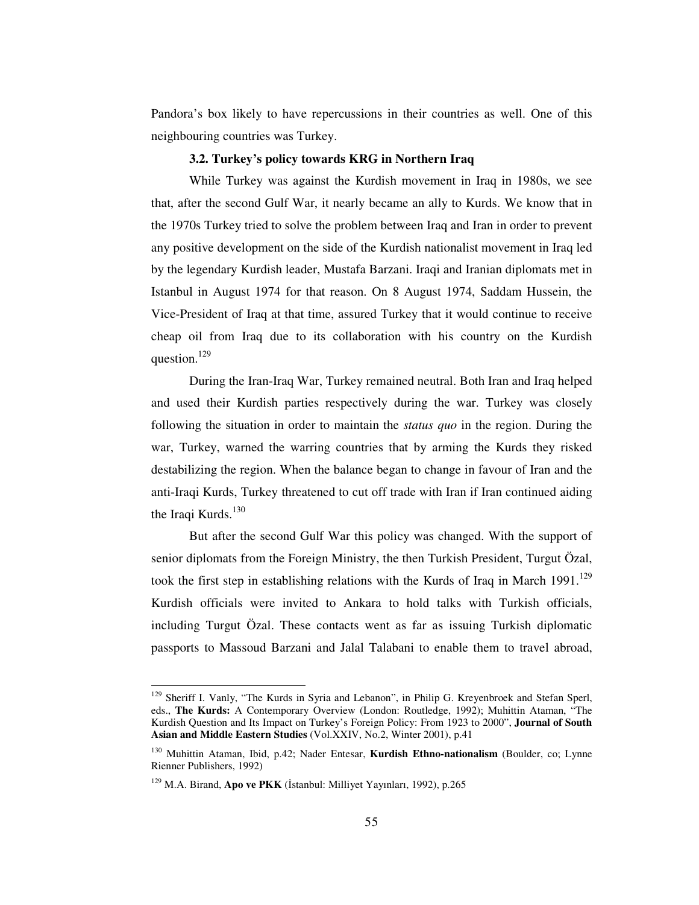Pandora's box likely to have repercussions in their countries as well. One of this neighbouring countries was Turkey.

## **3.2. Turkey's policy towards KRG in Northern Iraq**

While Turkey was against the Kurdish movement in Iraq in 1980s, we see that, after the second Gulf War, it nearly became an ally to Kurds. We know that in the 1970s Turkey tried to solve the problem between Iraq and Iran in order to prevent any positive development on the side of the Kurdish nationalist movement in Iraq led by the legendary Kurdish leader, Mustafa Barzani. Iraqi and Iranian diplomats met in Istanbul in August 1974 for that reason. On 8 August 1974, Saddam Hussein, the Vice-President of Iraq at that time, assured Turkey that it would continue to receive cheap oil from Iraq due to its collaboration with his country on the Kurdish question.<sup>129</sup>

During the Iran-Iraq War, Turkey remained neutral. Both Iran and Iraq helped and used their Kurdish parties respectively during the war. Turkey was closely following the situation in order to maintain the *status quo* in the region. During the war, Turkey, warned the warring countries that by arming the Kurds they risked destabilizing the region. When the balance began to change in favour of Iran and the anti-Iraqi Kurds, Turkey threatened to cut off trade with Iran if Iran continued aiding the Iraqi Kurds.<sup>130</sup>

But after the second Gulf War this policy was changed. With the support of senior diplomats from the Foreign Ministry, the then Turkish President, Turgut Özal, took the first step in establishing relations with the Kurds of Iraq in March 1991.<sup>129</sup> Kurdish officials were invited to Ankara to hold talks with Turkish officials, including Turgut Özal. These contacts went as far as issuing Turkish diplomatic passports to Massoud Barzani and Jalal Talabani to enable them to travel abroad,

<sup>&</sup>lt;sup>129</sup> Sheriff I. Vanly, "The Kurds in Syria and Lebanon", in Philip G. Kreyenbroek and Stefan Sperl, eds., **The Kurds:** A Contemporary Overview (London: Routledge, 1992); Muhittin Ataman, "The Kurdish Question and Its Impact on Turkey's Foreign Policy: From 1923 to 2000", **Journal of South Asian and Middle Eastern Studies** (Vol.XXIV, No.2, Winter 2001), p.41

<sup>130</sup> Muhittin Ataman, Ibid, p.42; Nader Entesar, **Kurdish Ethno-nationalism** (Boulder, co; Lynne Rienner Publishers, 1992)

<sup>&</sup>lt;sup>129</sup> M.A. Birand, Apo ve PKK (İstanbul: Milliyet Yayınları, 1992), p.265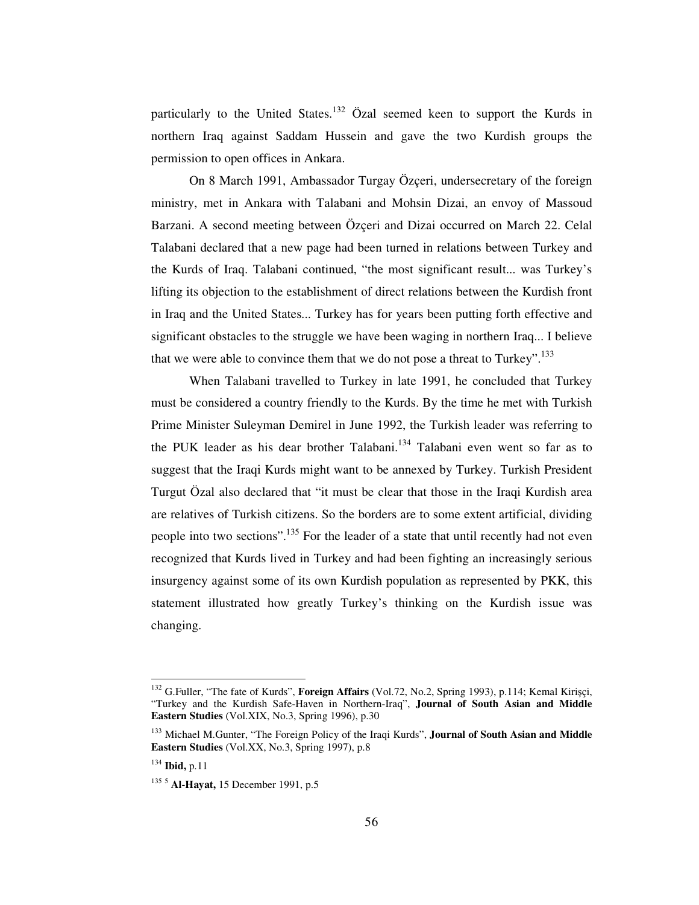particularly to the United States.<sup>132</sup> Özal seemed keen to support the Kurds in northern Iraq against Saddam Hussein and gave the two Kurdish groups the permission to open offices in Ankara.

On 8 March 1991, Ambassador Turgay Özçeri, undersecretary of the foreign ministry, met in Ankara with Talabani and Mohsin Dizai, an envoy of Massoud Barzani. A second meeting between Özçeri and Dizai occurred on March 22. Celal Talabani declared that a new page had been turned in relations between Turkey and the Kurds of Iraq. Talabani continued, "the most significant result... was Turkey's lifting its objection to the establishment of direct relations between the Kurdish front in Iraq and the United States... Turkey has for years been putting forth effective and significant obstacles to the struggle we have been waging in northern Iraq... I believe that we were able to convince them that we do not pose a threat to Turkey".<sup>133</sup>

When Talabani travelled to Turkey in late 1991, he concluded that Turkey must be considered a country friendly to the Kurds. By the time he met with Turkish Prime Minister Suleyman Demirel in June 1992, the Turkish leader was referring to the PUK leader as his dear brother Talabani.<sup>134</sup> Talabani even went so far as to suggest that the Iraqi Kurds might want to be annexed by Turkey. Turkish President Turgut Özal also declared that "it must be clear that those in the Iraqi Kurdish area are relatives of Turkish citizens. So the borders are to some extent artificial, dividing people into two sections".<sup>135</sup> For the leader of a state that until recently had not even recognized that Kurds lived in Turkey and had been fighting an increasingly serious insurgency against some of its own Kurdish population as represented by PKK, this statement illustrated how greatly Turkey's thinking on the Kurdish issue was changing.

<sup>132</sup> G.Fuller, "The fate of Kurds", **Foreign Affairs** (Vol.72, No.2, Spring 1993), p.114; Kemal Kiriçi, "Turkey and the Kurdish Safe-Haven in Northern-Iraq", **Journal of South Asian and Middle Eastern Studies** (Vol.XIX, No.3, Spring 1996), p.30

<sup>133</sup> Michael M.Gunter, "The Foreign Policy of the Iraqi Kurds", **Journal of South Asian and Middle Eastern Studies** (Vol.XX, No.3, Spring 1997), p.8

<sup>134</sup> **Ibid,** p.11

<sup>135</sup> <sup>5</sup> **Al-Hayat,** 15 December 1991, p.5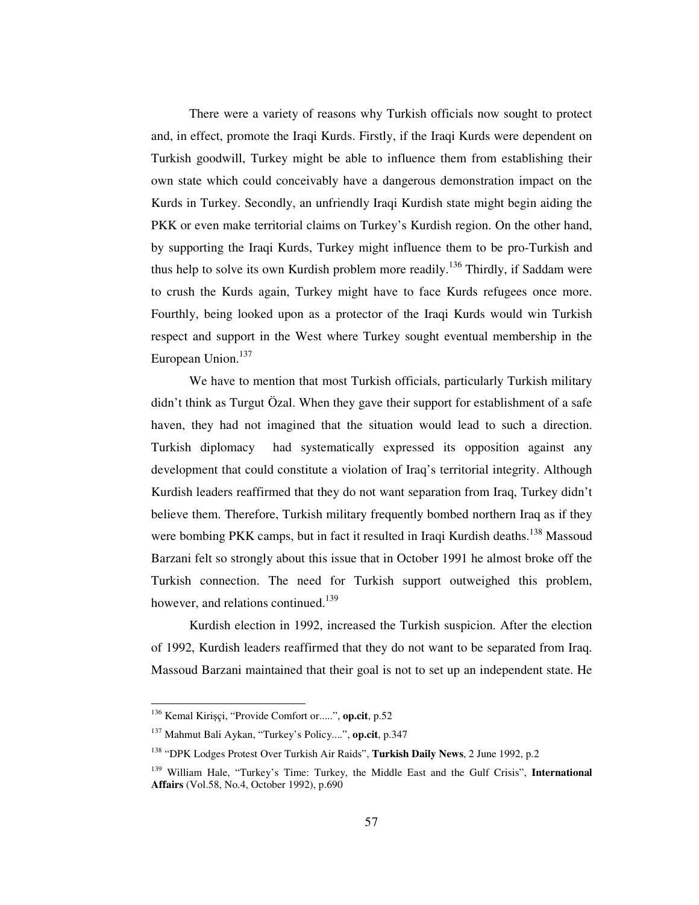There were a variety of reasons why Turkish officials now sought to protect and, in effect, promote the Iraqi Kurds. Firstly, if the Iraqi Kurds were dependent on Turkish goodwill, Turkey might be able to influence them from establishing their own state which could conceivably have a dangerous demonstration impact on the Kurds in Turkey. Secondly, an unfriendly Iraqi Kurdish state might begin aiding the PKK or even make territorial claims on Turkey's Kurdish region. On the other hand, by supporting the Iraqi Kurds, Turkey might influence them to be pro-Turkish and thus help to solve its own Kurdish problem more readily.<sup>136</sup> Thirdly, if Saddam were to crush the Kurds again, Turkey might have to face Kurds refugees once more. Fourthly, being looked upon as a protector of the Iraqi Kurds would win Turkish respect and support in the West where Turkey sought eventual membership in the European Union.<sup>137</sup>

We have to mention that most Turkish officials, particularly Turkish military didn't think as Turgut Özal. When they gave their support for establishment of a safe haven, they had not imagined that the situation would lead to such a direction. Turkish diplomacy had systematically expressed its opposition against any development that could constitute a violation of Iraq's territorial integrity. Although Kurdish leaders reaffirmed that they do not want separation from Iraq, Turkey didn't believe them. Therefore, Turkish military frequently bombed northern Iraq as if they were bombing PKK camps, but in fact it resulted in Iraqi Kurdish deaths.<sup>138</sup> Massoud Barzani felt so strongly about this issue that in October 1991 he almost broke off the Turkish connection. The need for Turkish support outweighed this problem, however, and relations continued.<sup>139</sup>

Kurdish election in 1992, increased the Turkish suspicion. After the election of 1992, Kurdish leaders reaffirmed that they do not want to be separated from Iraq. Massoud Barzani maintained that their goal is not to set up an independent state. He

<sup>&</sup>lt;sup>136</sup> Kemal Kirişçi, "Provide Comfort or.....", **op.cit**, p.52

<sup>137</sup> Mahmut Bali Aykan, "Turkey's Policy....", **op.cit**, p.347

<sup>138</sup> "DPK Lodges Protest Over Turkish Air Raids", **Turkish Daily News**, 2 June 1992, p.2

<sup>139</sup> William Hale, "Turkey's Time: Turkey, the Middle East and the Gulf Crisis", **International Affairs** (Vol.58, No.4, October 1992), p.690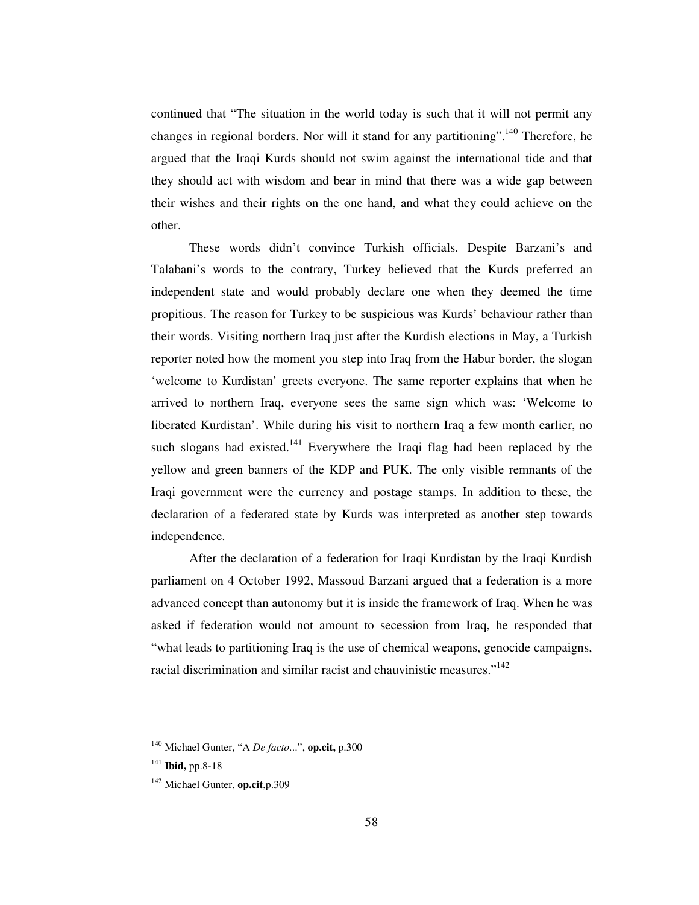continued that "The situation in the world today is such that it will not permit any changes in regional borders. Nor will it stand for any partitioning".<sup>140</sup> Therefore, he argued that the Iraqi Kurds should not swim against the international tide and that they should act with wisdom and bear in mind that there was a wide gap between their wishes and their rights on the one hand, and what they could achieve on the other.

These words didn't convince Turkish officials. Despite Barzani's and Talabani's words to the contrary, Turkey believed that the Kurds preferred an independent state and would probably declare one when they deemed the time propitious. The reason for Turkey to be suspicious was Kurds' behaviour rather than their words. Visiting northern Iraq just after the Kurdish elections in May, a Turkish reporter noted how the moment you step into Iraq from the Habur border, the slogan 'welcome to Kurdistan' greets everyone. The same reporter explains that when he arrived to northern Iraq, everyone sees the same sign which was: 'Welcome to liberated Kurdistan'. While during his visit to northern Iraq a few month earlier, no such slogans had existed. $141$  Everywhere the Iraqi flag had been replaced by the yellow and green banners of the KDP and PUK. The only visible remnants of the Iraqi government were the currency and postage stamps. In addition to these, the declaration of a federated state by Kurds was interpreted as another step towards independence.

After the declaration of a federation for Iraqi Kurdistan by the Iraqi Kurdish parliament on 4 October 1992, Massoud Barzani argued that a federation is a more advanced concept than autonomy but it is inside the framework of Iraq. When he was asked if federation would not amount to secession from Iraq, he responded that "what leads to partitioning Iraq is the use of chemical weapons, genocide campaigns, racial discrimination and similar racist and chauvinistic measures."<sup>142</sup>

<sup>140</sup> Michael Gunter, "A *De facto*...", **op.cit,** p.300

<sup>141</sup> **Ibid,** pp.8-18

<sup>142</sup> Michael Gunter, **op.cit**,p.309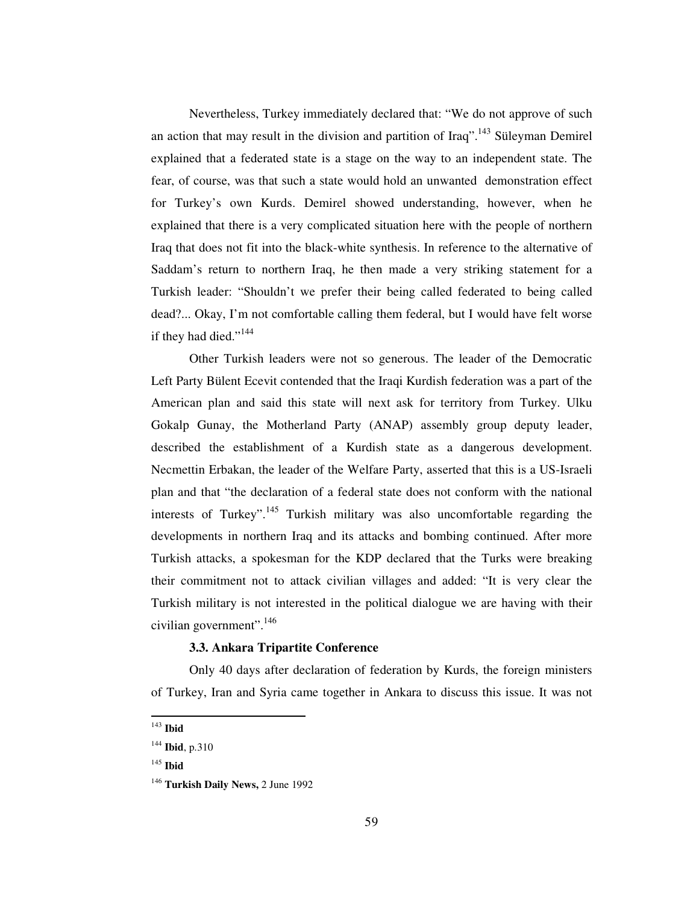Nevertheless, Turkey immediately declared that: "We do not approve of such an action that may result in the division and partition of Iraq".<sup>143</sup> Süleyman Demirel explained that a federated state is a stage on the way to an independent state. The fear, of course, was that such a state would hold an unwanted demonstration effect for Turkey's own Kurds. Demirel showed understanding, however, when he explained that there is a very complicated situation here with the people of northern Iraq that does not fit into the black-white synthesis. In reference to the alternative of Saddam's return to northern Iraq, he then made a very striking statement for a Turkish leader: "Shouldn't we prefer their being called federated to being called dead?... Okay, I'm not comfortable calling them federal, but I would have felt worse if they had died."<sup>144</sup>

Other Turkish leaders were not so generous. The leader of the Democratic Left Party Bülent Ecevit contended that the Iraqi Kurdish federation was a part of the American plan and said this state will next ask for territory from Turkey. Ulku Gokalp Gunay, the Motherland Party (ANAP) assembly group deputy leader, described the establishment of a Kurdish state as a dangerous development. Necmettin Erbakan, the leader of the Welfare Party, asserted that this is a US-Israeli plan and that "the declaration of a federal state does not conform with the national interests of Turkey".<sup>145</sup> Turkish military was also uncomfortable regarding the developments in northern Iraq and its attacks and bombing continued. After more Turkish attacks, a spokesman for the KDP declared that the Turks were breaking their commitment not to attack civilian villages and added: "It is very clear the Turkish military is not interested in the political dialogue we are having with their civilian government". 146

# **3.3. Ankara Tripartite Conference**

Only 40 days after declaration of federation by Kurds, the foreign ministers of Turkey, Iran and Syria came together in Ankara to discuss this issue. It was not

<sup>143</sup> **Ibid**

<sup>144</sup> **Ibid**, p.310

<sup>145</sup> **Ibid**

<sup>146</sup> **Turkish Daily News,** 2 June 1992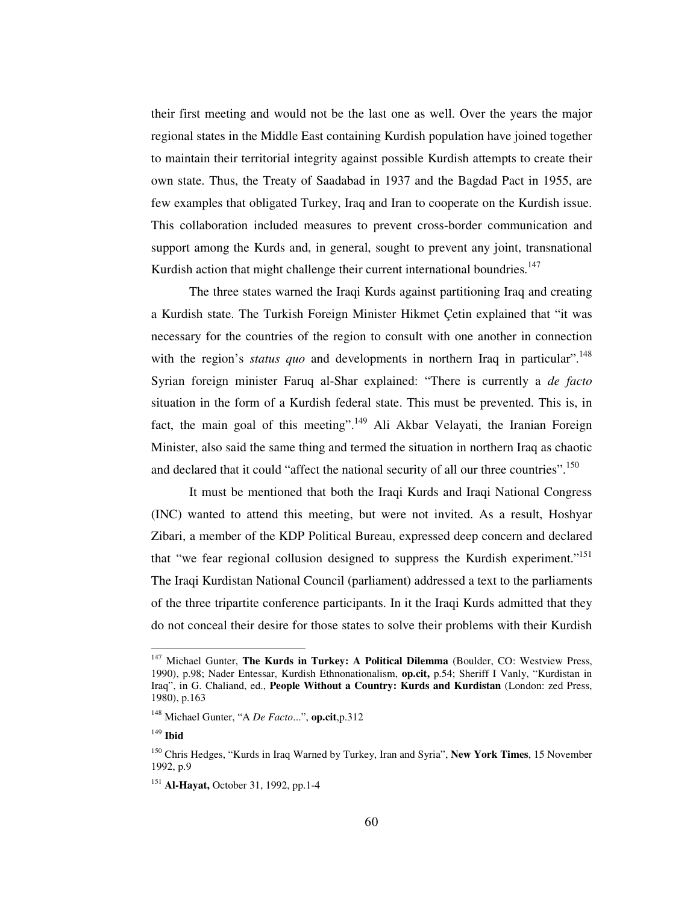their first meeting and would not be the last one as well. Over the years the major regional states in the Middle East containing Kurdish population have joined together to maintain their territorial integrity against possible Kurdish attempts to create their own state. Thus, the Treaty of Saadabad in 1937 and the Bagdad Pact in 1955, are few examples that obligated Turkey, Iraq and Iran to cooperate on the Kurdish issue. This collaboration included measures to prevent cross-border communication and support among the Kurds and, in general, sought to prevent any joint, transnational Kurdish action that might challenge their current international boundries.<sup>147</sup>

The three states warned the Iraqi Kurds against partitioning Iraq and creating a Kurdish state. The Turkish Foreign Minister Hikmet Çetin explained that "it was necessary for the countries of the region to consult with one another in connection with the region's *status quo* and developments in northern Iraq in particular".<sup>148</sup> Syrian foreign minister Faruq al-Shar explained: "There is currently a *de facto* situation in the form of a Kurdish federal state. This must be prevented. This is, in fact, the main goal of this meeting".<sup>149</sup> Ali Akbar Velayati, the Iranian Foreign Minister, also said the same thing and termed the situation in northern Iraq as chaotic and declared that it could "affect the national security of all our three countries".<sup>150</sup>

It must be mentioned that both the Iraqi Kurds and Iraqi National Congress (INC) wanted to attend this meeting, but were not invited. As a result, Hoshyar Zibari, a member of the KDP Political Bureau, expressed deep concern and declared that "we fear regional collusion designed to suppress the Kurdish experiment."<sup>151</sup> The Iraqi Kurdistan National Council (parliament) addressed a text to the parliaments of the three tripartite conference participants. In it the Iraqi Kurds admitted that they do not conceal their desire for those states to solve their problems with their Kurdish

<sup>147</sup> Michael Gunter, **The Kurds in Turkey: A Political Dilemma** (Boulder, CO: Westview Press, 1990), p.98; Nader Entessar, Kurdish Ethnonationalism, **op.cit,** p.54; Sheriff I Vanly, "Kurdistan in Iraq", in G. Chaliand, ed., **People Without a Country: Kurds and Kurdistan** (London: zed Press, 1980), p.163

<sup>148</sup> Michael Gunter, "A *De Facto*...", **op.cit**,p.312

<sup>149</sup> **Ibid**

<sup>150</sup> Chris Hedges, "Kurds in Iraq Warned by Turkey, Iran and Syria", **New York Times**, 15 November 1992, p.9

<sup>151</sup> **Al-Hayat,** October 31, 1992, pp.1-4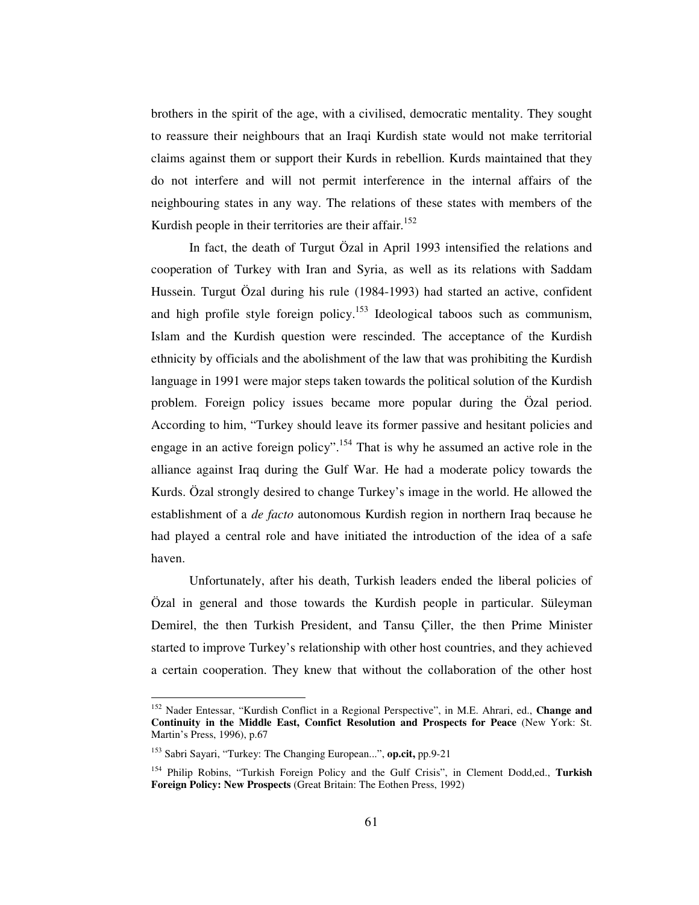brothers in the spirit of the age, with a civilised, democratic mentality. They sought to reassure their neighbours that an Iraqi Kurdish state would not make territorial claims against them or support their Kurds in rebellion. Kurds maintained that they do not interfere and will not permit interference in the internal affairs of the neighbouring states in any way. The relations of these states with members of the Kurdish people in their territories are their affair.<sup>152</sup>

In fact, the death of Turgut Özal in April 1993 intensified the relations and cooperation of Turkey with Iran and Syria, as well as its relations with Saddam Hussein. Turgut Özal during his rule (1984-1993) had started an active, confident and high profile style foreign policy.<sup>153</sup> Ideological taboos such as communism, Islam and the Kurdish question were rescinded. The acceptance of the Kurdish ethnicity by officials and the abolishment of the law that was prohibiting the Kurdish language in 1991 were major steps taken towards the political solution of the Kurdish problem. Foreign policy issues became more popular during the Özal period. According to him, "Turkey should leave its former passive and hesitant policies and engage in an active foreign policy".<sup>154</sup> That is why he assumed an active role in the alliance against Iraq during the Gulf War. He had a moderate policy towards the Kurds. Özal strongly desired to change Turkey's image in the world. He allowed the establishment of a *de facto* autonomous Kurdish region in northern Iraq because he had played a central role and have initiated the introduction of the idea of a safe haven.

Unfortunately, after his death, Turkish leaders ended the liberal policies of Özal in general and those towards the Kurdish people in particular. Süleyman Demirel, the then Turkish President, and Tansu Çiller, the then Prime Minister started to improve Turkey's relationship with other host countries, and they achieved a certain cooperation. They knew that without the collaboration of the other host

<sup>152</sup> Nader Entessar, "Kurdish Conflict in a Regional Perspective", in M.E. Ahrari, ed., **Change and Continuity in the Middle East, Coınfict Resolution and Prospects for Peace** (New York: St. Martin's Press, 1996), p.67

<sup>153</sup> Sabri Sayari, "Turkey: The Changing European...", **op.cit,** pp.9-21

<sup>154</sup> Philip Robins, "Turkish Foreign Policy and the Gulf Crisis", in Clement Dodd,ed., **Turkish Foreign Policy: New Prospects** (Great Britain: The Eothen Press, 1992)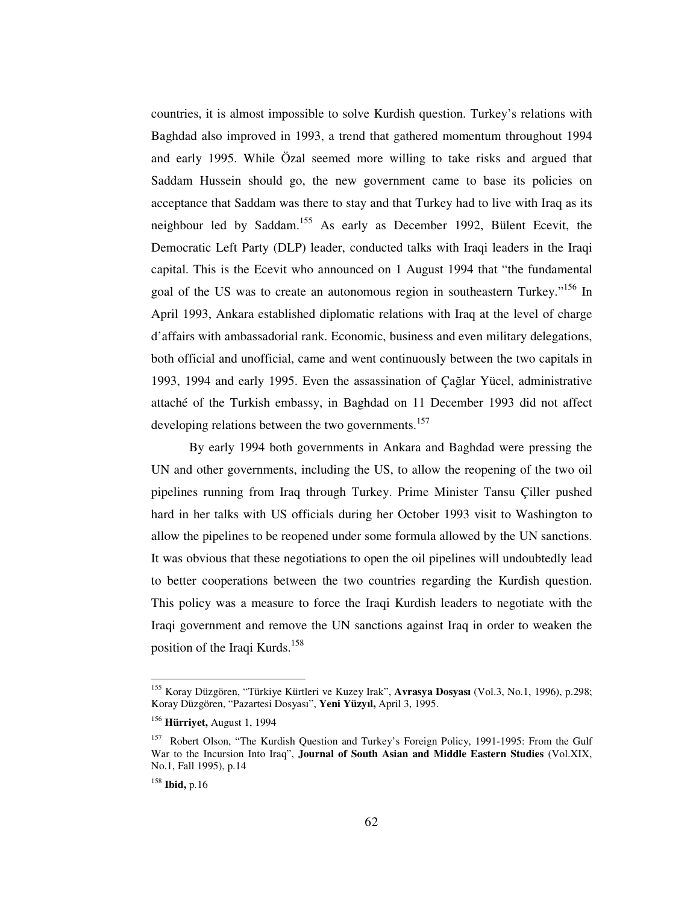countries, it is almost impossible to solve Kurdish question. Turkey's relations with Baghdad also improved in 1993, a trend that gathered momentum throughout 1994 and early 1995. While Özal seemed more willing to take risks and argued that Saddam Hussein should go, the new government came to base its policies on acceptance that Saddam was there to stay and that Turkey had to live with Iraq as its neighbour led by Saddam.<sup>155</sup> As early as December 1992, Bülent Ecevit, the Democratic Left Party (DLP) leader, conducted talks with Iraqi leaders in the Iraqi capital. This is the Ecevit who announced on 1 August 1994 that "the fundamental goal of the US was to create an autonomous region in southeastern Turkey."<sup>156</sup> In April 1993, Ankara established diplomatic relations with Iraq at the level of charge d'affairs with ambassadorial rank. Economic, business and even military delegations, both official and unofficial, came and went continuously between the two capitals in 1993, 1994 and early 1995. Even the assassination of Çağlar Yücel, administrative attaché of the Turkish embassy, in Baghdad on 11 December 1993 did not affect developing relations between the two governments.<sup>157</sup>

By early 1994 both governments in Ankara and Baghdad were pressing the UN and other governments, including the US, to allow the reopening of the two oil pipelines running from Iraq through Turkey. Prime Minister Tansu Çiller pushed hard in her talks with US officials during her October 1993 visit to Washington to allow the pipelines to be reopened under some formula allowed by the UN sanctions. It was obvious that these negotiations to open the oil pipelines will undoubtedly lead to better cooperations between the two countries regarding the Kurdish question. This policy was a measure to force the Iraqi Kurdish leaders to negotiate with the Iraqi government and remove the UN sanctions against Iraq in order to weaken the position of the Iraqi Kurds. 158

<sup>155</sup> Koray Düzgören, "Türkiye Kürtleri ve Kuzey Irak", **Avrasya Dosyası** (Vol.3, No.1, 1996), p.298; Koray Düzgören, "Pazartesi Dosyası", **Yeni Yüzyıl,** April 3, 1995.

<sup>156</sup> **Hürriyet,** August 1, 1994

<sup>&</sup>lt;sup>157</sup> Robert Olson, "The Kurdish Question and Turkey's Foreign Policy, 1991-1995: From the Gulf War to the Incursion Into Iraq", **Journal of South Asian and Middle Eastern Studies** (Vol.XIX, No.1, Fall 1995), p.14

<sup>158</sup> **Ibid,** p.16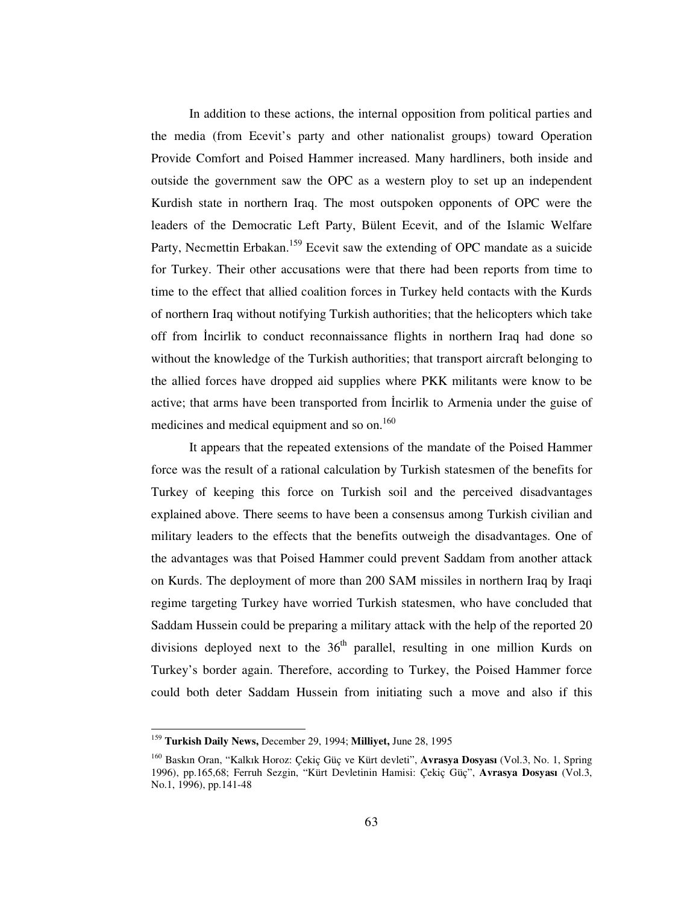In addition to these actions, the internal opposition from political parties and the media (from Ecevit's party and other nationalist groups) toward Operation Provide Comfort and Poised Hammer increased. Many hardliners, both inside and outside the government saw the OPC as a western ploy to set up an independent Kurdish state in northern Iraq. The most outspoken opponents of OPC were the leaders of the Democratic Left Party, Bülent Ecevit, and of the Islamic Welfare Party, Necmettin Erbakan.<sup>159</sup> Ecevit saw the extending of OPC mandate as a suicide for Turkey. Their other accusations were that there had been reports from time to time to the effect that allied coalition forces in Turkey held contacts with the Kurds of northern Iraq without notifying Turkish authorities; that the helicopters which take off from Incirlik to conduct reconnaissance flights in northern Iraq had done so without the knowledge of the Turkish authorities; that transport aircraft belonging to the allied forces have dropped aid supplies where PKK militants were know to be active; that arms have been transported from Incirlik to Armenia under the guise of medicines and medical equipment and so on.<sup>160</sup>

It appears that the repeated extensions of the mandate of the Poised Hammer force was the result of a rational calculation by Turkish statesmen of the benefits for Turkey of keeping this force on Turkish soil and the perceived disadvantages explained above. There seems to have been a consensus among Turkish civilian and military leaders to the effects that the benefits outweigh the disadvantages. One of the advantages was that Poised Hammer could prevent Saddam from another attack on Kurds. The deployment of more than 200 SAM missiles in northern Iraq by Iraqi regime targeting Turkey have worried Turkish statesmen, who have concluded that Saddam Hussein could be preparing a military attack with the help of the reported 20 divisions deployed next to the  $36<sup>th</sup>$  parallel, resulting in one million Kurds on Turkey's border again. Therefore, according to Turkey, the Poised Hammer force could both deter Saddam Hussein from initiating such a move and also if this

<sup>159</sup> **Turkish Daily News,** December 29, 1994; **Milliyet,** June 28, 1995

<sup>160</sup> Baskın Oran, "Kalkık Horoz: Çekiç Güç ve Kürt devleti", **Avrasya Dosyası** (Vol.3, No. 1, Spring 1996), pp.165,68; Ferruh Sezgin, "Kürt Devletinin Hamisi: Çekiç Güç", **Avrasya Dosyası** (Vol.3, No.1, 1996), pp.141-48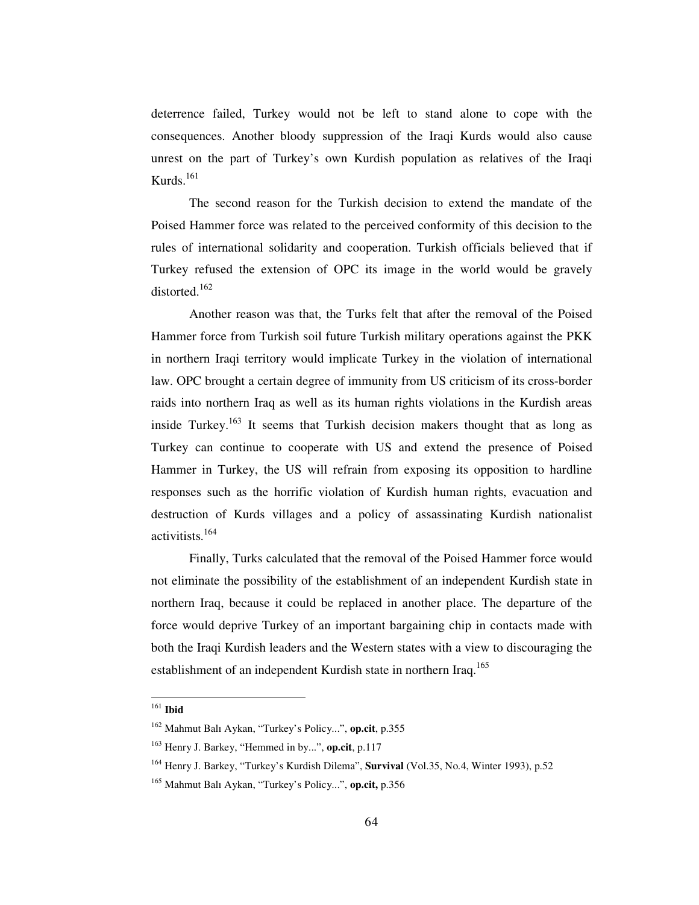deterrence failed, Turkey would not be left to stand alone to cope with the consequences. Another bloody suppression of the Iraqi Kurds would also cause unrest on the part of Turkey's own Kurdish population as relatives of the Iraqi Kurds. 161

The second reason for the Turkish decision to extend the mandate of the Poised Hammer force was related to the perceived conformity of this decision to the rules of international solidarity and cooperation. Turkish officials believed that if Turkey refused the extension of OPC its image in the world would be gravely distorted. 162

Another reason was that, the Turks felt that after the removal of the Poised Hammer force from Turkish soil future Turkish military operations against the PKK in northern Iraqi territory would implicate Turkey in the violation of international law. OPC brought a certain degree of immunity from US criticism of its cross-border raids into northern Iraq as well as its human rights violations in the Kurdish areas inside Turkey.<sup>163</sup> It seems that Turkish decision makers thought that as long as Turkey can continue to cooperate with US and extend the presence of Poised Hammer in Turkey, the US will refrain from exposing its opposition to hardline responses such as the horrific violation of Kurdish human rights, evacuation and destruction of Kurds villages and a policy of assassinating Kurdish nationalist activitists. 164

Finally, Turks calculated that the removal of the Poised Hammer force would not eliminate the possibility of the establishment of an independent Kurdish state in northern Iraq, because it could be replaced in another place. The departure of the force would deprive Turkey of an important bargaining chip in contacts made with both the Iraqi Kurdish leaders and the Western states with a view to discouraging the establishment of an independent Kurdish state in northern Iraq.<sup>165</sup>

<sup>161</sup> **Ibid**

<sup>162</sup> Mahmut Balı Aykan, "Turkey's Policy...", **op.cit**, p.355

<sup>163</sup> Henry J. Barkey, "Hemmed in by...", **op.cit**, p.117

<sup>164</sup> Henry J. Barkey, "Turkey's Kurdish Dilema", **Survival** (Vol.35, No.4, Winter 1993), p.52

<sup>165</sup> Mahmut Balı Aykan, "Turkey's Policy...", **op.cit,** p.356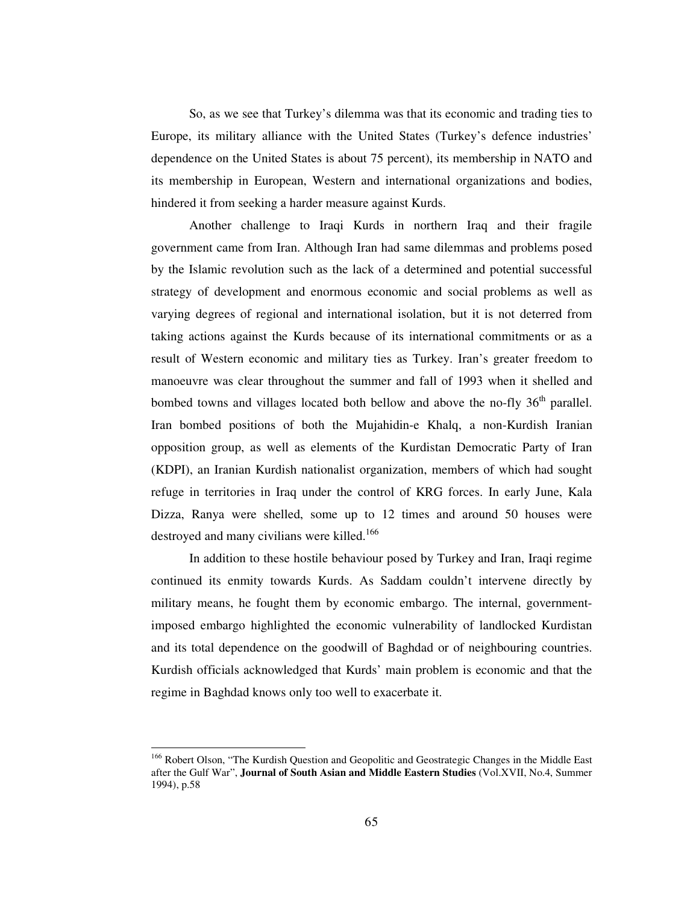So, as we see that Turkey's dilemma was that its economic and trading ties to Europe, its military alliance with the United States (Turkey's defence industries' dependence on the United States is about 75 percent), its membership in NATO and its membership in European, Western and international organizations and bodies, hindered it from seeking a harder measure against Kurds.

Another challenge to Iraqi Kurds in northern Iraq and their fragile government came from Iran. Although Iran had same dilemmas and problems posed by the Islamic revolution such as the lack of a determined and potential successful strategy of development and enormous economic and social problems as well as varying degrees of regional and international isolation, but it is not deterred from taking actions against the Kurds because of its international commitments or as a result of Western economic and military ties as Turkey. Iran's greater freedom to manoeuvre was clear throughout the summer and fall of 1993 when it shelled and bombed towns and villages located both bellow and above the no-fly 36<sup>th</sup> parallel. Iran bombed positions of both the Mujahidin-e Khalq, a non-Kurdish Iranian opposition group, as well as elements of the Kurdistan Democratic Party of Iran (KDPI), an Iranian Kurdish nationalist organization, members of which had sought refuge in territories in Iraq under the control of KRG forces. In early June, Kala Dizza, Ranya were shelled, some up to 12 times and around 50 houses were destroyed and many civilians were killed.<sup>166</sup>

In addition to these hostile behaviour posed by Turkey and Iran, Iraqi regime continued its enmity towards Kurds. As Saddam couldn't intervene directly by military means, he fought them by economic embargo. The internal, governmentimposed embargo highlighted the economic vulnerability of landlocked Kurdistan and its total dependence on the goodwill of Baghdad or of neighbouring countries. Kurdish officials acknowledged that Kurds' main problem is economic and that the regime in Baghdad knows only too well to exacerbate it.

<sup>&</sup>lt;sup>166</sup> Robert Olson, "The Kurdish Question and Geopolitic and Geostrategic Changes in the Middle East after the Gulf War", **Journal of South Asian and Middle Eastern Studies** (Vol.XVII, No.4, Summer 1994), p.58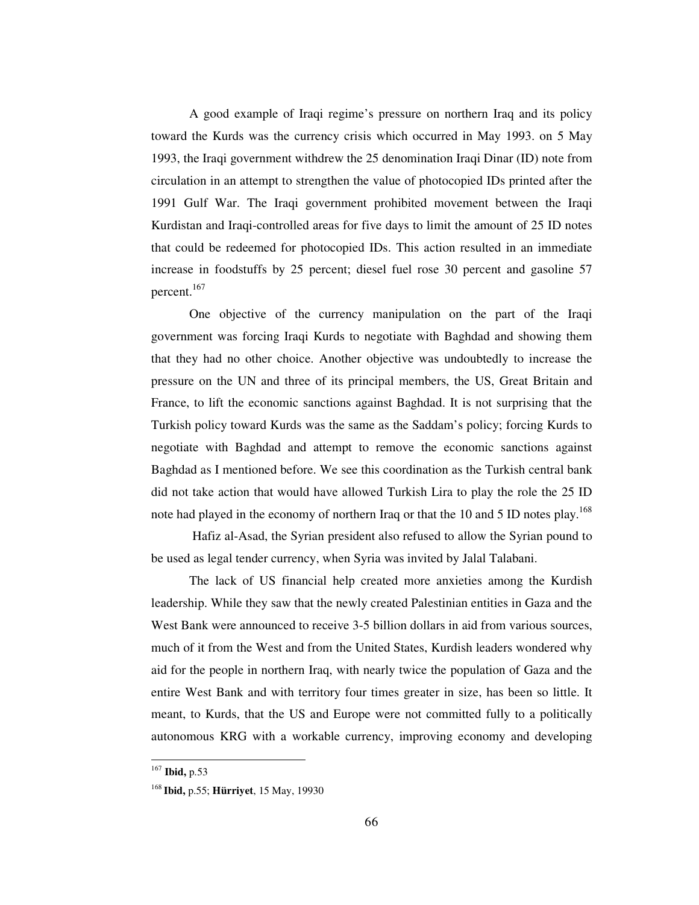A good example of Iraqi regime's pressure on northern Iraq and its policy toward the Kurds was the currency crisis which occurred in May 1993. on 5 May 1993, the Iraqi government withdrew the 25 denomination Iraqi Dinar (ID) note from circulation in an attempt to strengthen the value of photocopied IDs printed after the 1991 Gulf War. The Iraqi government prohibited movement between the Iraqi Kurdistan and Iraqi-controlled areas for five days to limit the amount of 25 ID notes that could be redeemed for photocopied IDs. This action resulted in an immediate increase in foodstuffs by 25 percent; diesel fuel rose 30 percent and gasoline 57 percent. 167

One objective of the currency manipulation on the part of the Iraqi government was forcing Iraqi Kurds to negotiate with Baghdad and showing them that they had no other choice. Another objective was undoubtedly to increase the pressure on the UN and three of its principal members, the US, Great Britain and France, to lift the economic sanctions against Baghdad. It is not surprising that the Turkish policy toward Kurds was the same as the Saddam's policy; forcing Kurds to negotiate with Baghdad and attempt to remove the economic sanctions against Baghdad as I mentioned before. We see this coordination as the Turkish central bank did not take action that would have allowed Turkish Lira to play the role the 25 ID note had played in the economy of northern Iraq or that the 10 and 5 ID notes play.<sup>168</sup>

Hafiz al-Asad, the Syrian president also refused to allow the Syrian pound to be used as legal tender currency, when Syria was invited by Jalal Talabani.

The lack of US financial help created more anxieties among the Kurdish leadership. While they saw that the newly created Palestinian entities in Gaza and the West Bank were announced to receive 3-5 billion dollars in aid from various sources, much of it from the West and from the United States, Kurdish leaders wondered why aid for the people in northern Iraq, with nearly twice the population of Gaza and the entire West Bank and with territory four times greater in size, has been so little. It meant, to Kurds, that the US and Europe were not committed fully to a politically autonomous KRG with a workable currency, improving economy and developing

<sup>167</sup> **Ibid,** p.53

<sup>168</sup> **Ibid,** p.55; **Hürriyet**, 15 May, 19930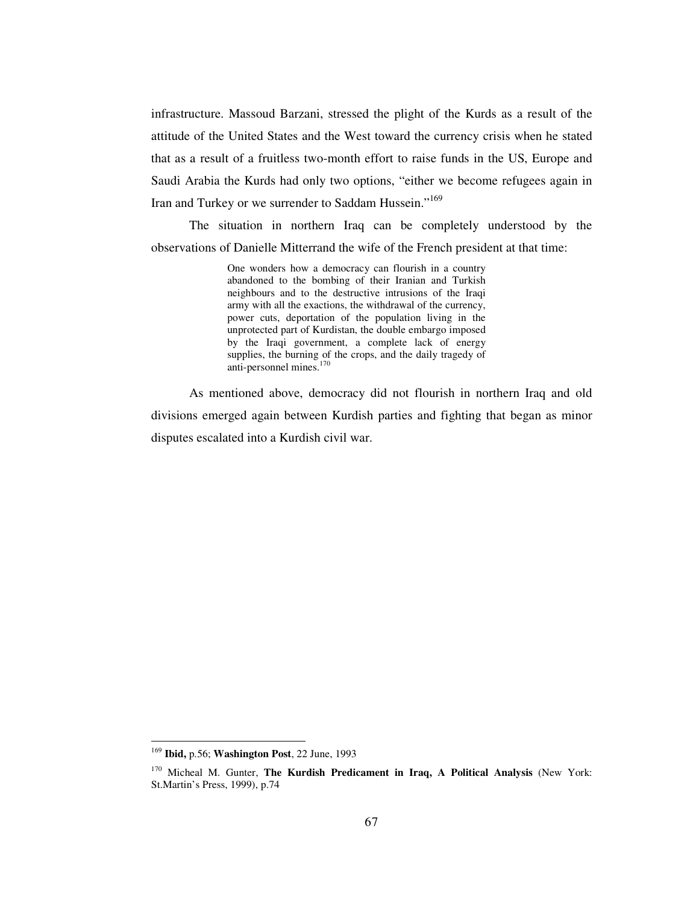infrastructure. Massoud Barzani, stressed the plight of the Kurds as a result of the attitude of the United States and the West toward the currency crisis when he stated that as a result of a fruitless two-month effort to raise funds in the US, Europe and Saudi Arabia the Kurds had only two options, "either we become refugees again in Iran and Turkey or we surrender to Saddam Hussein."<sup>169</sup>

The situation in northern Iraq can be completely understood by the observations of Danielle Mitterrand the wife of the French president at that time:

> One wonders how a democracy can flourish in a country abandoned to the bombing of their Iranian and Turkish neighbours and to the destructive intrusions of the Iraqi army with all the exactions, the withdrawal of the currency, power cuts, deportation of the population living in the unprotected part of Kurdistan, the double embargo imposed by the Iraqi government, a complete lack of energy supplies, the burning of the crops, and the daily tragedy of anti-personnel mines. 170

As mentioned above, democracy did not flourish in northern Iraq and old divisions emerged again between Kurdish parties and fighting that began as minor disputes escalated into a Kurdish civil war.

<sup>169</sup> **Ibid,** p.56; **Washington Post**, 22 June, 1993

<sup>170</sup> Micheal M. Gunter, **The Kurdish Predicament in Iraq, A Political Analysis** (New York: St.Martin's Press, 1999), p.74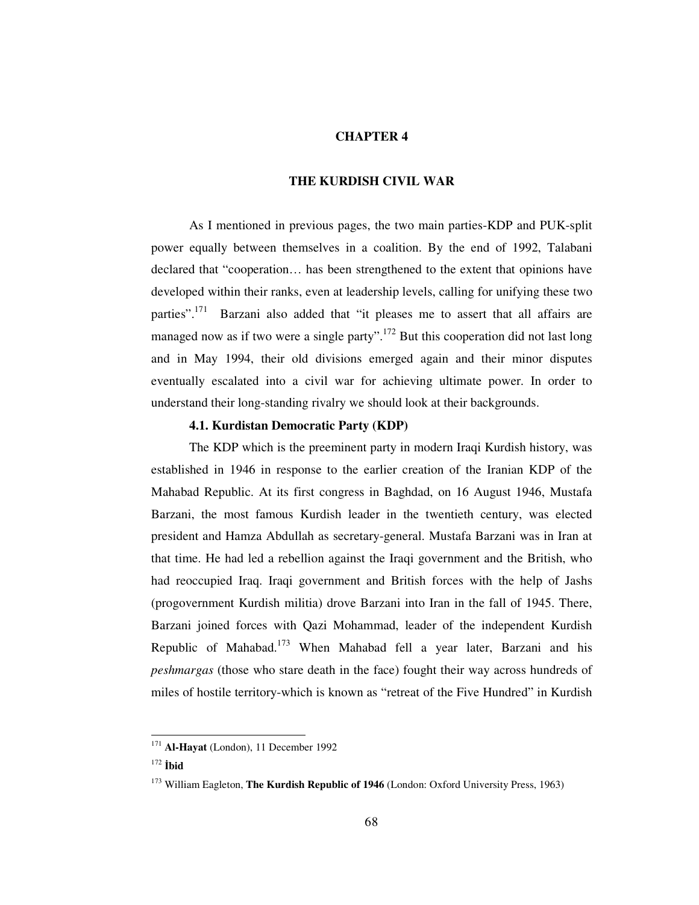### **CHAPTER 4**

#### **THE KURDISH CIVIL WAR**

As I mentioned in previous pages, the two main parties-KDP and PUK-split power equally between themselves in a coalition. By the end of 1992, Talabani declared that "cooperation… has been strengthened to the extent that opinions have developed within their ranks, even at leadership levels, calling for unifying these two parties".<sup>171</sup> Barzani also added that "it pleases me to assert that all affairs are managed now as if two were a single party".<sup>172</sup> But this cooperation did not last long and in May 1994, their old divisions emerged again and their minor disputes eventually escalated into a civil war for achieving ultimate power. In order to understand their long-standing rivalry we should look at their backgrounds.

#### **4.1. Kurdistan Democratic Party (KDP)**

The KDP which is the preeminent party in modern Iraqi Kurdish history, was established in 1946 in response to the earlier creation of the Iranian KDP of the Mahabad Republic. At its first congress in Baghdad, on 16 August 1946, Mustafa Barzani, the most famous Kurdish leader in the twentieth century, was elected president and Hamza Abdullah as secretary-general. Mustafa Barzani was in Iran at that time. He had led a rebellion against the Iraqi government and the British, who had reoccupied Iraq. Iraqi government and British forces with the help of Jashs (progovernment Kurdish militia) drove Barzani into Iran in the fall of 1945. There, Barzani joined forces with Qazi Mohammad, leader of the independent Kurdish Republic of Mahabad.<sup>173</sup> When Mahabad fell a year later, Barzani and his *peshmargas* (those who stare death in the face) fought their way across hundreds of miles of hostile territory-which is known as "retreat of the Five Hundred" in Kurdish

<sup>171</sup> **Al-Hayat** (London), 11 December 1992

<sup>172</sup> **bid**

<sup>173</sup> William Eagleton, **The Kurdish Republic of 1946** (London: Oxford University Press, 1963)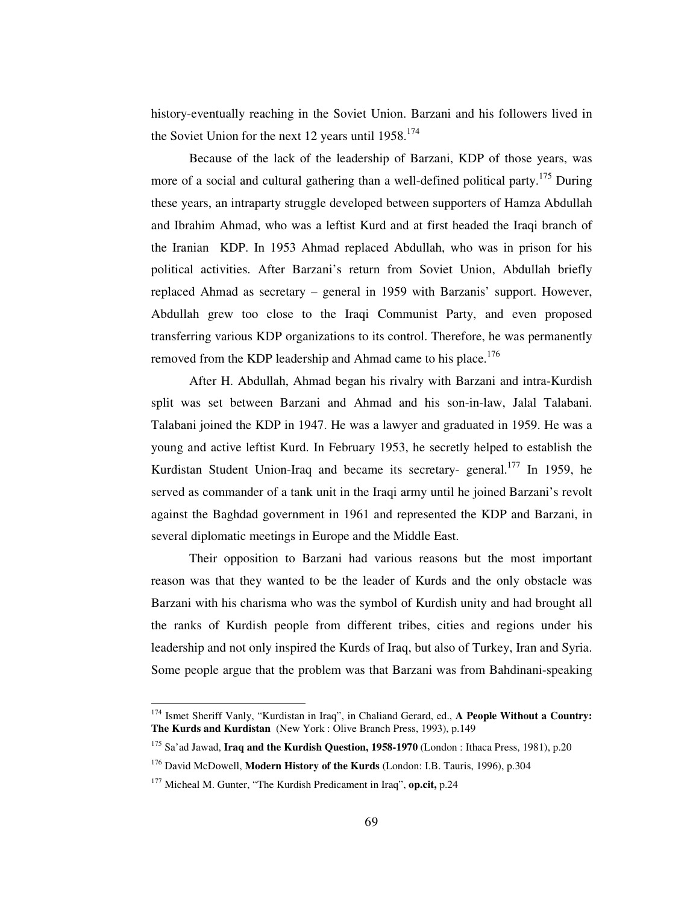history-eventually reaching in the Soviet Union. Barzani and his followers lived in the Soviet Union for the next 12 years until 1958.<sup>174</sup>

Because of the lack of the leadership of Barzani, KDP of those years, was more of a social and cultural gathering than a well-defined political party.<sup>175</sup> During these years, an intraparty struggle developed between supporters of Hamza Abdullah and Ibrahim Ahmad, who was a leftist Kurd and at first headed the Iraqi branch of the Iranian KDP. In 1953 Ahmad replaced Abdullah, who was in prison for his political activities. After Barzani's return from Soviet Union, Abdullah briefly replaced Ahmad as secretary – general in 1959 with Barzanis' support. However, Abdullah grew too close to the Iraqi Communist Party, and even proposed transferring various KDP organizations to its control. Therefore, he was permanently removed from the KDP leadership and Ahmad came to his place.<sup>176</sup>

After H. Abdullah, Ahmad began his rivalry with Barzani and intra-Kurdish split was set between Barzani and Ahmad and his son-in-law, Jalal Talabani. Talabani joined the KDP in 1947. He was a lawyer and graduated in 1959. He was a young and active leftist Kurd. In February 1953, he secretly helped to establish the Kurdistan Student Union-Iraq and became its secretary- general.<sup>177</sup> In 1959, he served as commander of a tank unit in the Iraqi army until he joined Barzani's revolt against the Baghdad government in 1961 and represented the KDP and Barzani, in several diplomatic meetings in Europe and the Middle East.

Their opposition to Barzani had various reasons but the most important reason was that they wanted to be the leader of Kurds and the only obstacle was Barzani with his charisma who was the symbol of Kurdish unity and had brought all the ranks of Kurdish people from different tribes, cities and regions under his leadership and not only inspired the Kurds of Iraq, but also of Turkey, Iran and Syria. Some people argue that the problem was that Barzani was from Bahdinani-speaking

<sup>174</sup> Ismet Sheriff Vanly, "Kurdistan in Iraq", in Chaliand Gerard, ed., **A People Without a Country: The Kurds and Kurdistan** (New York : Olive Branch Press, 1993), p.149

<sup>175</sup> Sa'ad Jawad, **Iraq and the Kurdish Question, 1958-1970** (London : Ithaca Press, 1981), p.20

<sup>176</sup> David McDowell, **Modern History of the Kurds** (London: I.B. Tauris, 1996), p.304

<sup>177</sup> Micheal M. Gunter, "The Kurdish Predicament in Iraq", **op.cit,** p.24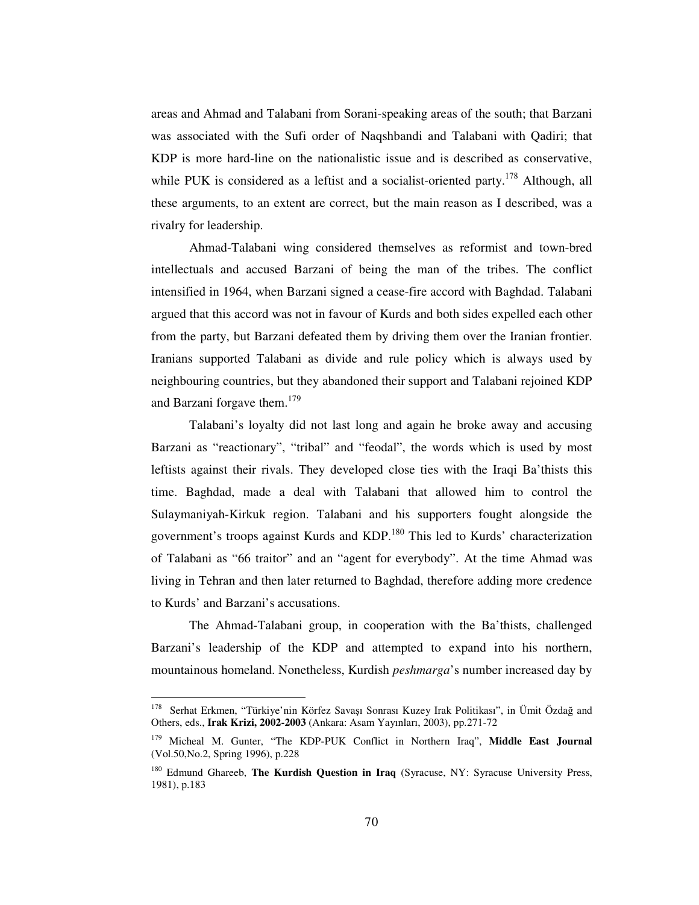areas and Ahmad and Talabani from Sorani-speaking areas of the south; that Barzani was associated with the Sufi order of Naqshbandi and Talabani with Qadiri; that KDP is more hard-line on the nationalistic issue and is described as conservative, while PUK is considered as a leftist and a socialist-oriented party.<sup>178</sup> Although, all these arguments, to an extent are correct, but the main reason as I described, was a rivalry for leadership.

Ahmad-Talabani wing considered themselves as reformist and town-bred intellectuals and accused Barzani of being the man of the tribes. The conflict intensified in 1964, when Barzani signed a cease-fire accord with Baghdad. Talabani argued that this accord was not in favour of Kurds and both sides expelled each other from the party, but Barzani defeated them by driving them over the Iranian frontier. Iranians supported Talabani as divide and rule policy which is always used by neighbouring countries, but they abandoned their support and Talabani rejoined KDP and Barzani forgave them. 179

Talabani's loyalty did not last long and again he broke away and accusing Barzani as "reactionary", "tribal" and "feodal", the words which is used by most leftists against their rivals. They developed close ties with the Iraqi Ba'thists this time. Baghdad, made a deal with Talabani that allowed him to control the Sulaymaniyah-Kirkuk region. Talabani and his supporters fought alongside the government's troops against Kurds and KDP.<sup>180</sup> This led to Kurds' characterization of Talabani as "66 traitor" and an "agent for everybody". At the time Ahmad was living in Tehran and then later returned to Baghdad, therefore adding more credence to Kurds' and Barzani's accusations.

The Ahmad-Talabani group, in cooperation with the Ba'thists, challenged Barzani's leadership of the KDP and attempted to expand into his northern, mountainous homeland. Nonetheless, Kurdish *peshmarga*'s number increased day by

<sup>&</sup>lt;sup>178</sup> Serhat Erkmen, "Türkiye'nin Körfez Savaşı Sonrası Kuzey Irak Politikası", in Ümit Özdağ and Others, eds., **Irak Krizi, 2002-2003** (Ankara: Asam Yayınları, 2003), pp.271-72

<sup>179</sup> Micheal M. Gunter, "The KDP-PUK Conflict in Northern Iraq", **Middle East Journal** (Vol.50,No.2, Spring 1996), p.228

<sup>180</sup> Edmund Ghareeb, **The Kurdish Question in Iraq** (Syracuse, NY: Syracuse University Press, 1981), p.183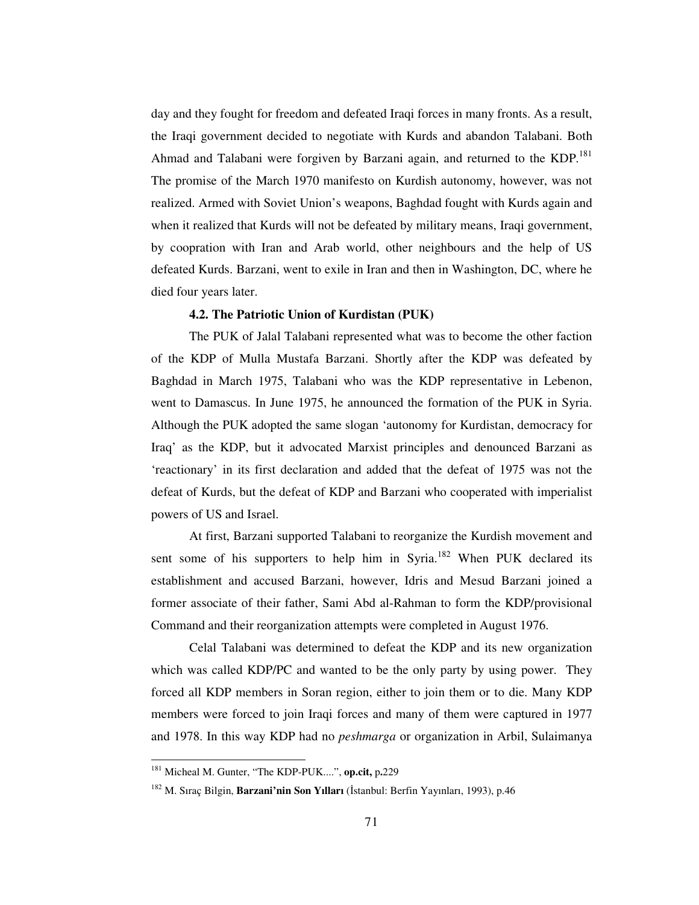day and they fought for freedom and defeated Iraqi forces in many fronts. As a result, the Iraqi government decided to negotiate with Kurds and abandon Talabani. Both Ahmad and Talabani were forgiven by Barzani again, and returned to the KDP.<sup>181</sup> The promise of the March 1970 manifesto on Kurdish autonomy, however, was not realized. Armed with Soviet Union's weapons, Baghdad fought with Kurds again and when it realized that Kurds will not be defeated by military means, Iraqi government, by coopration with Iran and Arab world, other neighbours and the help of US defeated Kurds. Barzani, went to exile in Iran and then in Washington, DC, where he died four years later.

# **4.2. The Patriotic Union of Kurdistan (PUK)**

The PUK of Jalal Talabani represented what was to become the other faction of the KDP of Mulla Mustafa Barzani. Shortly after the KDP was defeated by Baghdad in March 1975, Talabani who was the KDP representative in Lebenon, went to Damascus. In June 1975, he announced the formation of the PUK in Syria. Although the PUK adopted the same slogan 'autonomy for Kurdistan, democracy for Iraq' as the KDP, but it advocated Marxist principles and denounced Barzani as 'reactionary' in its first declaration and added that the defeat of 1975 was not the defeat of Kurds, but the defeat of KDP and Barzani who cooperated with imperialist powers of US and Israel.

At first, Barzani supported Talabani to reorganize the Kurdish movement and sent some of his supporters to help him in Syria.<sup>182</sup> When PUK declared its establishment and accused Barzani, however, Idris and Mesud Barzani joined a former associate of their father, Sami Abd al-Rahman to form the KDP/provisional Command and their reorganization attempts were completed in August 1976.

Celal Talabani was determined to defeat the KDP and its new organization which was called KDP/PC and wanted to be the only party by using power. They forced all KDP members in Soran region, either to join them or to die. Many KDP members were forced to join Iraqi forces and many of them were captured in 1977 and 1978. In this way KDP had no *peshmarga* or organization in Arbil, Sulaimanya

<sup>181</sup> Micheal M. Gunter, "The KDP-PUK....", **op.cit,** p**.**229

<sup>&</sup>lt;sup>182</sup> M. Sıraç Bilgin, **Barzani'nin Son Yılları** (İstanbul: Berfin Yayınları, 1993), p.46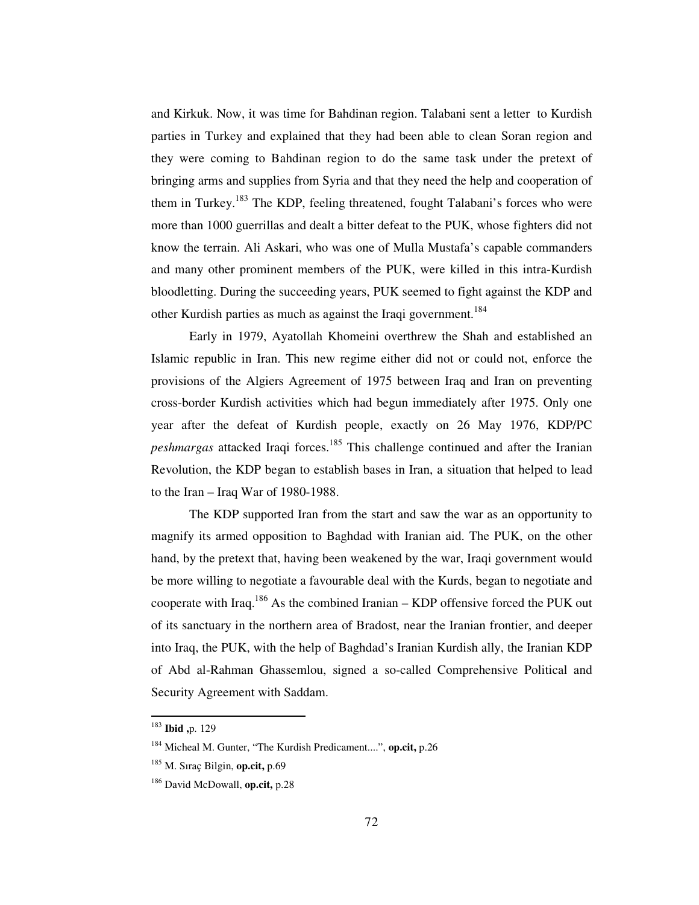and Kirkuk. Now, it was time for Bahdinan region. Talabani sent a letter to Kurdish parties in Turkey and explained that they had been able to clean Soran region and they were coming to Bahdinan region to do the same task under the pretext of bringing arms and supplies from Syria and that they need the help and cooperation of them in Turkey.<sup>183</sup> The KDP, feeling threatened, fought Talabani's forces who were more than 1000 guerrillas and dealt a bitter defeat to the PUK, whose fighters did not know the terrain. Ali Askari, who was one of Mulla Mustafa's capable commanders and many other prominent members of the PUK, were killed in this intra-Kurdish bloodletting. During the succeeding years, PUK seemed to fight against the KDP and other Kurdish parties as much as against the Iraqi government.<sup>184</sup>

Early in 1979, Ayatollah Khomeini overthrew the Shah and established an Islamic republic in Iran. This new regime either did not or could not, enforce the provisions of the Algiers Agreement of 1975 between Iraq and Iran on preventing cross-border Kurdish activities which had begun immediately after 1975. Only one year after the defeat of Kurdish people, exactly on 26 May 1976, KDP/PC *peshmargas* attacked Iraqi forces. <sup>185</sup> This challenge continued and after the Iranian Revolution, the KDP began to establish bases in Iran, a situation that helped to lead to the Iran – Iraq War of 1980-1988.

The KDP supported Iran from the start and saw the war as an opportunity to magnify its armed opposition to Baghdad with Iranian aid. The PUK, on the other hand, by the pretext that, having been weakened by the war, Iraqi government would be more willing to negotiate a favourable deal with the Kurds, began to negotiate and cooperate with Iraq.<sup>186</sup> As the combined Iranian – KDP offensive forced the PUK out of its sanctuary in the northern area of Bradost, near the Iranian frontier, and deeper into Iraq, the PUK, with the help of Baghdad's Iranian Kurdish ally, the Iranian KDP of Abd al-Rahman Ghassemlou, signed a so-called Comprehensive Political and Security Agreement with Saddam.

<sup>183</sup> **Ibid ,**p. 129

<sup>184</sup> Micheal M. Gunter, "The Kurdish Predicament....", **op.cit,** p.26

<sup>185</sup> M. Sıraç Bilgin, **op.cit,** p.69

<sup>186</sup> David McDowall, **op.cit,** p.28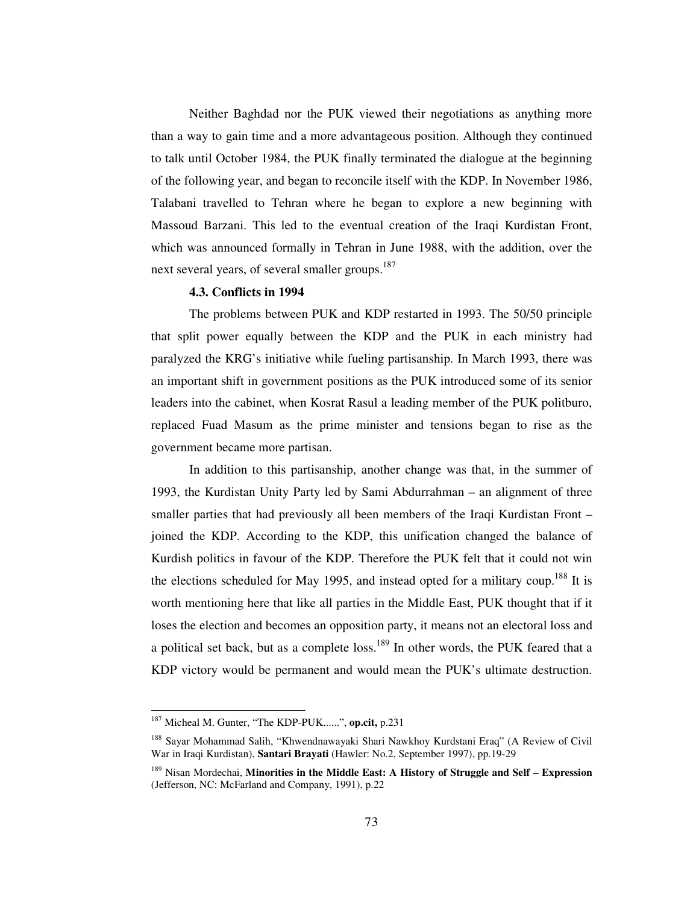Neither Baghdad nor the PUK viewed their negotiations as anything more than a way to gain time and a more advantageous position. Although they continued to talk until October 1984, the PUK finally terminated the dialogue at the beginning of the following year, and began to reconcile itself with the KDP. In November 1986, Talabani travelled to Tehran where he began to explore a new beginning with Massoud Barzani. This led to the eventual creation of the Iraqi Kurdistan Front, which was announced formally in Tehran in June 1988, with the addition, over the next several years, of several smaller groups.<sup>187</sup>

### **4.3. Conflicts in 1994**

The problems between PUK and KDP restarted in 1993. The 50/50 principle that split power equally between the KDP and the PUK in each ministry had paralyzed the KRG's initiative while fueling partisanship. In March 1993, there was an important shift in government positions as the PUK introduced some of its senior leaders into the cabinet, when Kosrat Rasul a leading member of the PUK politburo, replaced Fuad Masum as the prime minister and tensions began to rise as the government became more partisan.

In addition to this partisanship, another change was that, in the summer of 1993, the Kurdistan Unity Party led by Sami Abdurrahman – an alignment of three smaller parties that had previously all been members of the Iraqi Kurdistan Front – joined the KDP. According to the KDP, this unification changed the balance of Kurdish politics in favour of the KDP. Therefore the PUK felt that it could not win the elections scheduled for May 1995, and instead opted for a military coup.<sup>188</sup> It is worth mentioning here that like all parties in the Middle East, PUK thought that if it loses the election and becomes an opposition party, it means not an electoral loss and a political set back, but as a complete loss.<sup>189</sup> In other words, the PUK feared that a KDP victory would be permanent and would mean the PUK's ultimate destruction.

<sup>187</sup> Micheal M. Gunter, "The KDP-PUK......", **op.cit,** p.231

<sup>&</sup>lt;sup>188</sup> Sayar Mohammad Salih, "Khwendnawayaki Shari Nawkhoy Kurdstani Eraq" (A Review of Civil War in Iraqi Kurdistan), **Santari Brayati** (Hawler: No.2, September 1997), pp.19-29

<sup>189</sup> Nisan Mordechai, **Minorities in the Middle East: A History of Struggle and Self – Expression** (Jefferson, NC: McFarland and Company, 1991), p.22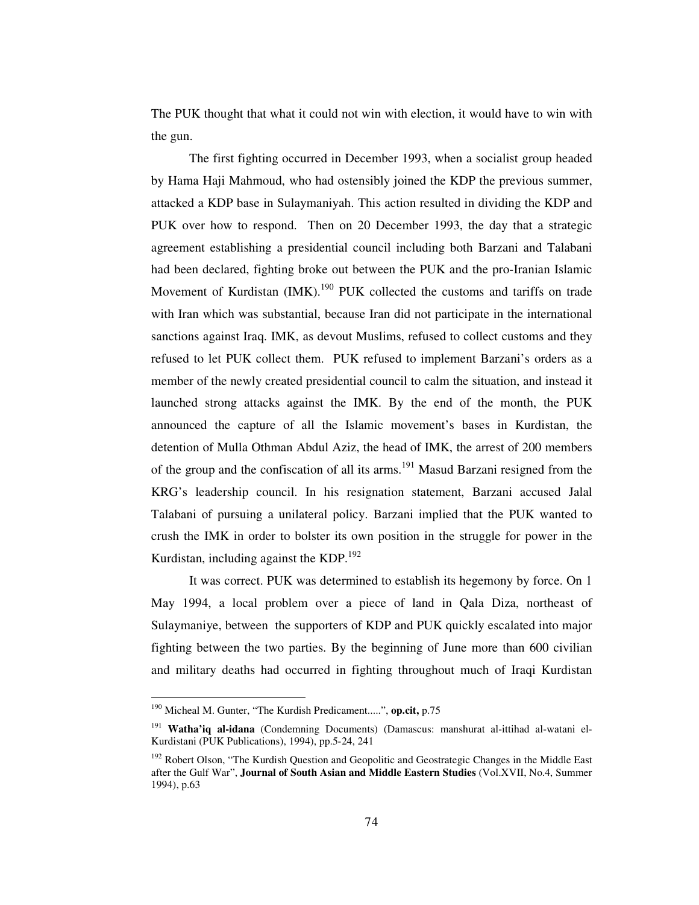The PUK thought that what it could not win with election, it would have to win with the gun.

The first fighting occurred in December 1993, when a socialist group headed by Hama Haji Mahmoud, who had ostensibly joined the KDP the previous summer, attacked a KDP base in Sulaymaniyah. This action resulted in dividing the KDP and PUK over how to respond. Then on 20 December 1993, the day that a strategic agreement establishing a presidential council including both Barzani and Talabani had been declared, fighting broke out between the PUK and the pro-Iranian Islamic Movement of Kurdistan (IMK).<sup>190</sup> PUK collected the customs and tariffs on trade with Iran which was substantial, because Iran did not participate in the international sanctions against Iraq. IMK, as devout Muslims, refused to collect customs and they refused to let PUK collect them. PUK refused to implement Barzani's orders as a member of the newly created presidential council to calm the situation, and instead it launched strong attacks against the IMK. By the end of the month, the PUK announced the capture of all the Islamic movement's bases in Kurdistan, the detention of Mulla Othman Abdul Aziz, the head of IMK, the arrest of 200 members of the group and the confiscation of all its arms.<sup>191</sup> Masud Barzani resigned from the KRG's leadership council. In his resignation statement, Barzani accused Jalal Talabani of pursuing a unilateral policy. Barzani implied that the PUK wanted to crush the IMK in order to bolster its own position in the struggle for power in the Kurdistan, including against the KDP.<sup>192</sup>

It was correct. PUK was determined to establish its hegemony by force. On 1 May 1994, a local problem over a piece of land in Qala Diza, northeast of Sulaymaniye, between the supporters of KDP and PUK quickly escalated into major fighting between the two parties. By the beginning of June more than 600 civilian and military deaths had occurred in fighting throughout much of Iraqi Kurdistan

<sup>190</sup> Micheal M. Gunter, "The Kurdish Predicament.....", **op.cit,** p.75

<sup>191</sup> **Watha'iq al-idana** (Condemning Documents) (Damascus: manshurat al-ittihad al-watani el-Kurdistani (PUK Publications), 1994), pp.5-24, 241

<sup>&</sup>lt;sup>192</sup> Robert Olson, "The Kurdish Question and Geopolitic and Geostrategic Changes in the Middle East after the Gulf War", **Journal of South Asian and Middle Eastern Studies** (Vol.XVII, No.4, Summer 1994), p.63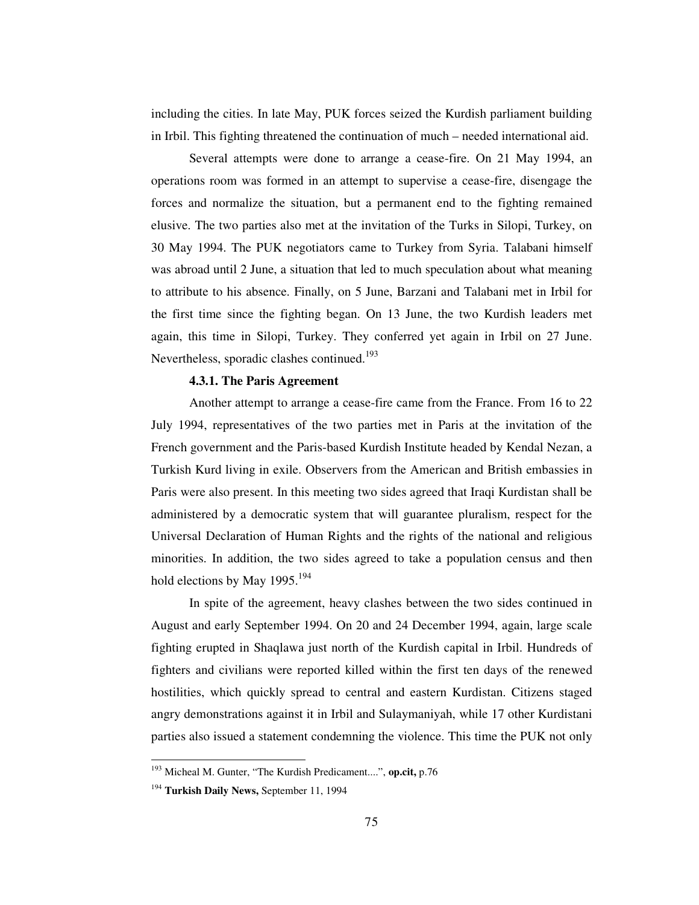including the cities. In late May, PUK forces seized the Kurdish parliament building in Irbil. This fighting threatened the continuation of much – needed international aid.

Several attempts were done to arrange a cease-fire. On 21 May 1994, an operations room was formed in an attempt to supervise a cease-fire, disengage the forces and normalize the situation, but a permanent end to the fighting remained elusive. The two parties also met at the invitation of the Turks in Silopi, Turkey, on 30 May 1994. The PUK negotiators came to Turkey from Syria. Talabani himself was abroad until 2 June, a situation that led to much speculation about what meaning to attribute to his absence. Finally, on 5 June, Barzani and Talabani met in Irbil for the first time since the fighting began. On 13 June, the two Kurdish leaders met again, this time in Silopi, Turkey. They conferred yet again in Irbil on 27 June. Nevertheless, sporadic clashes continued.<sup>193</sup>

## **4.3.1. The Paris Agreement**

Another attempt to arrange a cease-fire came from the France. From 16 to 22 July 1994, representatives of the two parties met in Paris at the invitation of the French government and the Paris-based Kurdish Institute headed by Kendal Nezan, a Turkish Kurd living in exile. Observers from the American and British embassies in Paris were also present. In this meeting two sides agreed that Iraqi Kurdistan shall be administered by a democratic system that will guarantee pluralism, respect for the Universal Declaration of Human Rights and the rights of the national and religious minorities. In addition, the two sides agreed to take a population census and then hold elections by May 1995.<sup>194</sup>

In spite of the agreement, heavy clashes between the two sides continued in August and early September 1994. On 20 and 24 December 1994, again, large scale fighting erupted in Shaqlawa just north of the Kurdish capital in Irbil. Hundreds of fighters and civilians were reported killed within the first ten days of the renewed hostilities, which quickly spread to central and eastern Kurdistan. Citizens staged angry demonstrations against it in Irbil and Sulaymaniyah, while 17 other Kurdistani parties also issued a statement condemning the violence. This time the PUK not only

<sup>193</sup> Micheal M. Gunter, "The Kurdish Predicament....", **op.cit,** p.76

<sup>194</sup> **Turkish Daily News,** September 11, 1994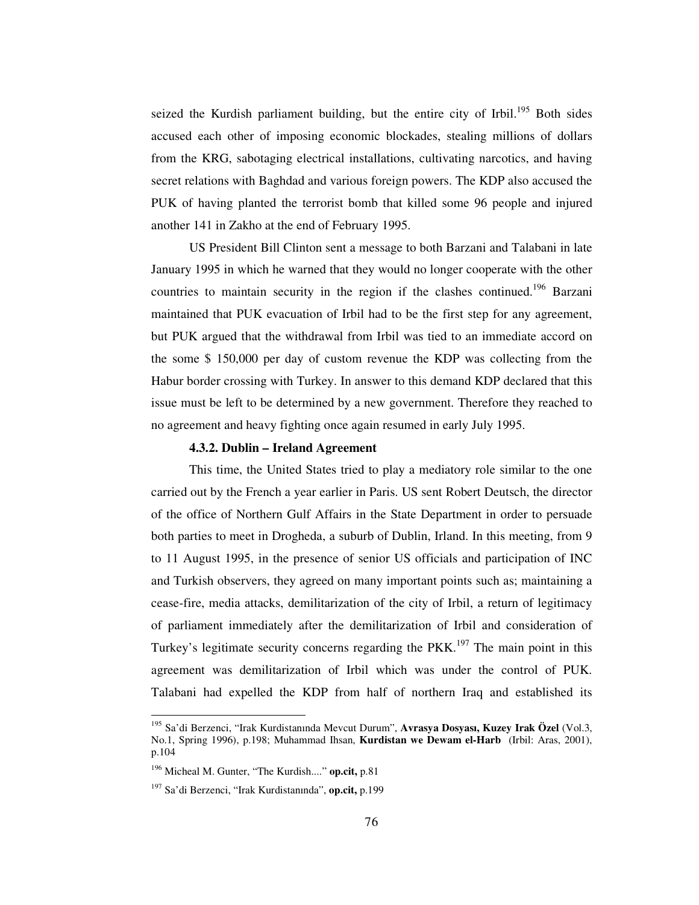seized the Kurdish parliament building, but the entire city of Irbil.<sup>195</sup> Both sides accused each other of imposing economic blockades, stealing millions of dollars from the KRG, sabotaging electrical installations, cultivating narcotics, and having secret relations with Baghdad and various foreign powers. The KDP also accused the PUK of having planted the terrorist bomb that killed some 96 people and injured another 141 in Zakho at the end of February 1995.

US President Bill Clinton sent a message to both Barzani and Talabani in late January 1995 in which he warned that they would no longer cooperate with the other countries to maintain security in the region if the clashes continued.<sup>196</sup> Barzani maintained that PUK evacuation of Irbil had to be the first step for any agreement, but PUK argued that the withdrawal from Irbil was tied to an immediate accord on the some \$ 150,000 per day of custom revenue the KDP was collecting from the Habur border crossing with Turkey. In answer to this demand KDP declared that this issue must be left to be determined by a new government. Therefore they reached to no agreement and heavy fighting once again resumed in early July 1995.

# **4.3.2. Dublin – Ireland Agreement**

This time, the United States tried to play a mediatory role similar to the one carried out by the French a year earlier in Paris. US sent Robert Deutsch, the director of the office of Northern Gulf Affairs in the State Department in order to persuade both parties to meet in Drogheda, a suburb of Dublin, Irland. In this meeting, from 9 to 11 August 1995, in the presence of senior US officials and participation of INC and Turkish observers, they agreed on many important points such as; maintaining a cease-fire, media attacks, demilitarization of the city of Irbil, a return of legitimacy of parliament immediately after the demilitarization of Irbil and consideration of Turkey's legitimate security concerns regarding the PKK.<sup>197</sup> The main point in this agreement was demilitarization of Irbil which was under the control of PUK. Talabani had expelled the KDP from half of northern Iraq and established its

<sup>195</sup> Sa'di Berzenci, "Irak Kurdistanında Mevcut Durum", **Avrasya Dosyası, Kuzey Irak Özel** (Vol.3, No.1, Spring 1996), p.198; Muhammad Ihsan, **Kurdistan we Dewam el-Harb** (Irbil: Aras, 2001), p.104

<sup>196</sup> Micheal M. Gunter, "The Kurdish...." **op.cit,** p.81

<sup>197</sup> Sa'di Berzenci, "Irak Kurdistanında", **op.cit,** p.199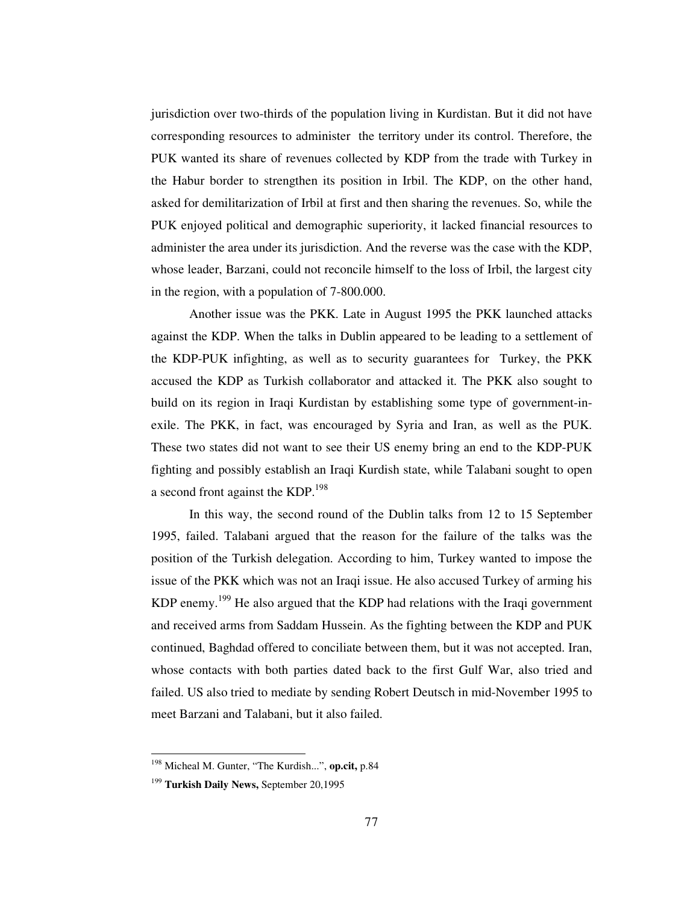jurisdiction over two-thirds of the population living in Kurdistan. But it did not have corresponding resources to administer the territory under its control. Therefore, the PUK wanted its share of revenues collected by KDP from the trade with Turkey in the Habur border to strengthen its position in Irbil. The KDP, on the other hand, asked for demilitarization of Irbil at first and then sharing the revenues. So, while the PUK enjoyed political and demographic superiority, it lacked financial resources to administer the area under its jurisdiction. And the reverse was the case with the KDP, whose leader, Barzani, could not reconcile himself to the loss of Irbil, the largest city in the region, with a population of 7-800.000.

Another issue was the PKK. Late in August 1995 the PKK launched attacks against the KDP. When the talks in Dublin appeared to be leading to a settlement of the KDP-PUK infighting, as well as to security guarantees for Turkey, the PKK accused the KDP as Turkish collaborator and attacked it. The PKK also sought to build on its region in Iraqi Kurdistan by establishing some type of government-inexile. The PKK, in fact, was encouraged by Syria and Iran, as well as the PUK. These two states did not want to see their US enemy bring an end to the KDP-PUK fighting and possibly establish an Iraqi Kurdish state, while Talabani sought to open a second front against the KDP.<sup>198</sup>

In this way, the second round of the Dublin talks from 12 to 15 September 1995, failed. Talabani argued that the reason for the failure of the talks was the position of the Turkish delegation. According to him, Turkey wanted to impose the issue of the PKK which was not an Iraqi issue. He also accused Turkey of arming his KDP enemy.<sup>199</sup> He also argued that the KDP had relations with the Iraqi government and received arms from Saddam Hussein. As the fighting between the KDP and PUK continued, Baghdad offered to conciliate between them, but it was not accepted. Iran, whose contacts with both parties dated back to the first Gulf War, also tried and failed. US also tried to mediate by sending Robert Deutsch in mid-November 1995 to meet Barzani and Talabani, but it also failed.

<sup>198</sup> Micheal M. Gunter, "The Kurdish...", **op.cit,** p.84

<sup>199</sup> **Turkish Daily News,** September 20,1995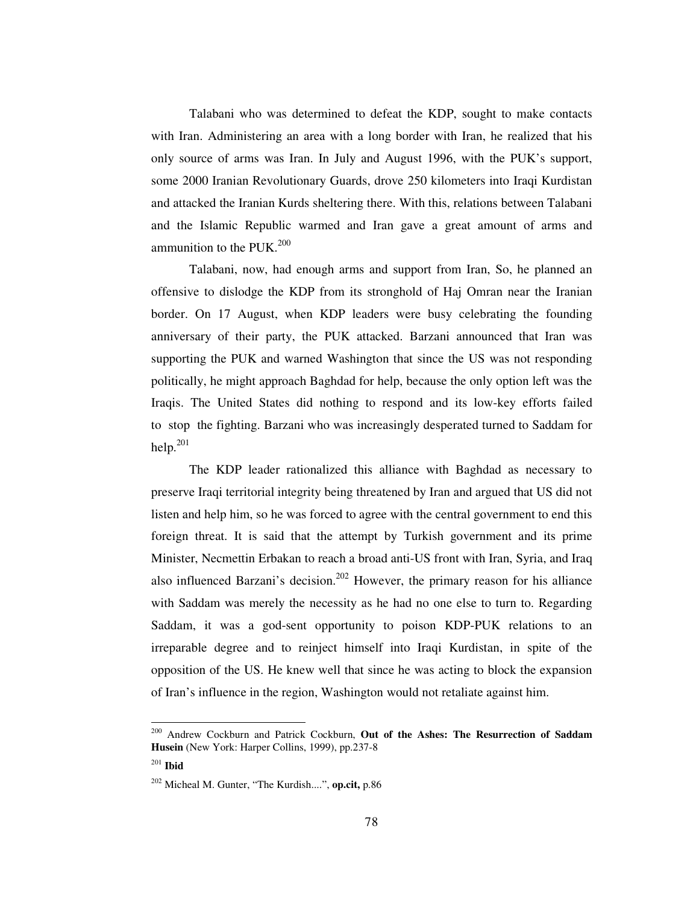Talabani who was determined to defeat the KDP, sought to make contacts with Iran. Administering an area with a long border with Iran, he realized that his only source of arms was Iran. In July and August 1996, with the PUK's support, some 2000 Iranian Revolutionary Guards, drove 250 kilometers into Iraqi Kurdistan and attacked the Iranian Kurds sheltering there. With this, relations between Talabani and the Islamic Republic warmed and Iran gave a great amount of arms and ammunition to the PUK. $^{200}$ 

Talabani, now, had enough arms and support from Iran, So, he planned an offensive to dislodge the KDP from its stronghold of Haj Omran near the Iranian border. On 17 August, when KDP leaders were busy celebrating the founding anniversary of their party, the PUK attacked. Barzani announced that Iran was supporting the PUK and warned Washington that since the US was not responding politically, he might approach Baghdad for help, because the only option left was the Iraqis. The United States did nothing to respond and its low-key efforts failed to stop the fighting. Barzani who was increasingly desperated turned to Saddam for help. $^{201}$ 

The KDP leader rationalized this alliance with Baghdad as necessary to preserve Iraqi territorial integrity being threatened by Iran and argued that US did not listen and help him, so he was forced to agree with the central government to end this foreign threat. It is said that the attempt by Turkish government and its prime Minister, Necmettin Erbakan to reach a broad anti-US front with Iran, Syria, and Iraq also influenced Barzani's decision.<sup>202</sup> However, the primary reason for his alliance with Saddam was merely the necessity as he had no one else to turn to. Regarding Saddam, it was a god-sent opportunity to poison KDP-PUK relations to an irreparable degree and to reinject himself into Iraqi Kurdistan, in spite of the opposition of the US. He knew well that since he was acting to block the expansion of Iran's influence in the region, Washington would not retaliate against him.

<sup>200</sup> Andrew Cockburn and Patrick Cockburn, **Out of the Ashes: The Resurrection of Saddam Husein** (New York: Harper Collins, 1999), pp.237-8

<sup>201</sup> **Ibid**

<sup>202</sup> Micheal M. Gunter, "The Kurdish....", **op.cit,** p.86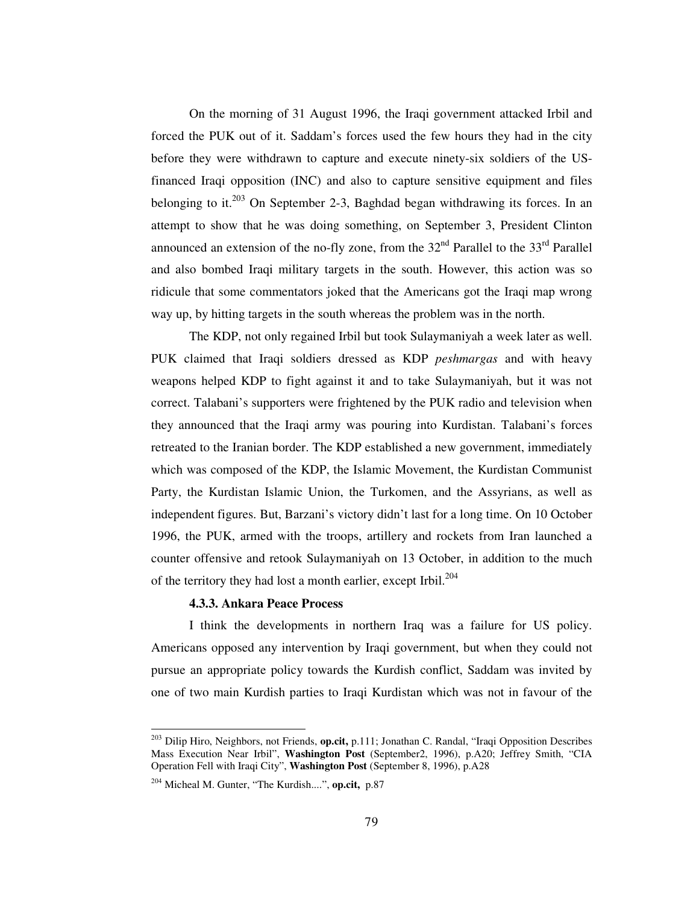On the morning of 31 August 1996, the Iraqi government attacked Irbil and forced the PUK out of it. Saddam's forces used the few hours they had in the city before they were withdrawn to capture and execute ninety-six soldiers of the USfinanced Iraqi opposition (INC) and also to capture sensitive equipment and files belonging to it.<sup>203</sup> On September 2-3, Baghdad began withdrawing its forces. In an attempt to show that he was doing something, on September 3, President Clinton announced an extension of the no-fly zone, from the  $32<sup>nd</sup>$  Parallel to the  $33<sup>rd</sup>$  Parallel and also bombed Iraqi military targets in the south. However, this action was so ridicule that some commentators joked that the Americans got the Iraqi map wrong way up, by hitting targets in the south whereas the problem was in the north.

The KDP, not only regained Irbil but took Sulaymaniyah a week later as well. PUK claimed that Iraqi soldiers dressed as KDP *peshmargas* and with heavy weapons helped KDP to fight against it and to take Sulaymaniyah, but it was not correct. Talabani's supporters were frightened by the PUK radio and television when they announced that the Iraqi army was pouring into Kurdistan. Talabani's forces retreated to the Iranian border. The KDP established a new government, immediately which was composed of the KDP, the Islamic Movement, the Kurdistan Communist Party, the Kurdistan Islamic Union, the Turkomen, and the Assyrians, as well as independent figures. But, Barzani's victory didn't last for a long time. On 10 October 1996, the PUK, armed with the troops, artillery and rockets from Iran launched a counter offensive and retook Sulaymaniyah on 13 October, in addition to the much of the territory they had lost a month earlier, except Irbil.<sup>204</sup>

### **4.3.3. Ankara Peace Process**

I think the developments in northern Iraq was a failure for US policy. Americans opposed any intervention by Iraqi government, but when they could not pursue an appropriate policy towards the Kurdish conflict, Saddam was invited by one of two main Kurdish parties to Iraqi Kurdistan which was not in favour of the

<sup>203</sup> Dilip Hiro, Neighbors, not Friends, **op.cit,** p.111; Jonathan C. Randal, "Iraqi Opposition Describes Mass Execution Near Irbil", **Washington Post** (September2, 1996), p.A20; Jeffrey Smith, "CIA Operation Fell with Iraqi City", **Washington Post** (September 8, 1996), p.A28

<sup>204</sup> Micheal M. Gunter, "The Kurdish....", **op.cit,** p.87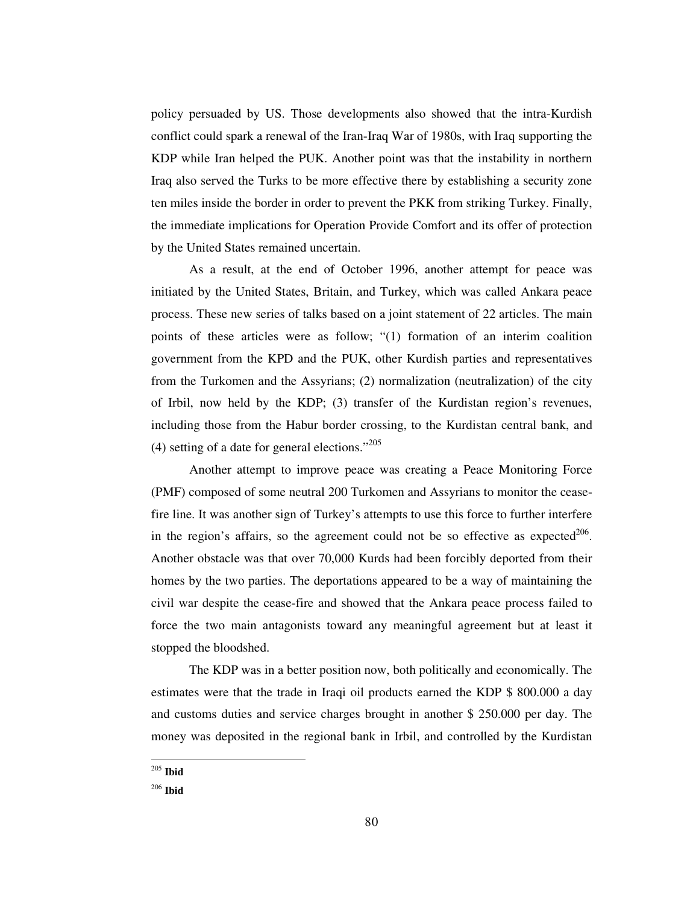policy persuaded by US. Those developments also showed that the intra-Kurdish conflict could spark a renewal of the Iran-Iraq War of 1980s, with Iraq supporting the KDP while Iran helped the PUK. Another point was that the instability in northern Iraq also served the Turks to be more effective there by establishing a security zone ten miles inside the border in order to prevent the PKK from striking Turkey. Finally, the immediate implications for Operation Provide Comfort and its offer of protection by the United States remained uncertain.

As a result, at the end of October 1996, another attempt for peace was initiated by the United States, Britain, and Turkey, which was called Ankara peace process. These new series of talks based on a joint statement of 22 articles. The main points of these articles were as follow; "(1) formation of an interim coalition government from the KPD and the PUK, other Kurdish parties and representatives from the Turkomen and the Assyrians; (2) normalization (neutralization) of the city of Irbil, now held by the KDP; (3) transfer of the Kurdistan region's revenues, including those from the Habur border crossing, to the Kurdistan central bank, and (4) setting of a date for general elections." $^{205}$ 

Another attempt to improve peace was creating a Peace Monitoring Force (PMF) composed of some neutral 200 Turkomen and Assyrians to monitor the ceasefire line. It was another sign of Turkey's attempts to use this force to further interfere in the region's affairs, so the agreement could not be so effective as expected $206$ . Another obstacle was that over 70,000 Kurds had been forcibly deported from their homes by the two parties. The deportations appeared to be a way of maintaining the civil war despite the cease-fire and showed that the Ankara peace process failed to force the two main antagonists toward any meaningful agreement but at least it stopped the bloodshed.

The KDP was in a better position now, both politically and economically. The estimates were that the trade in Iraqi oil products earned the KDP \$ 800.000 a day and customs duties and service charges brought in another \$ 250.000 per day. The money was deposited in the regional bank in Irbil, and controlled by the Kurdistan

<sup>205</sup> **Ibid**

<sup>206</sup> **Ibid**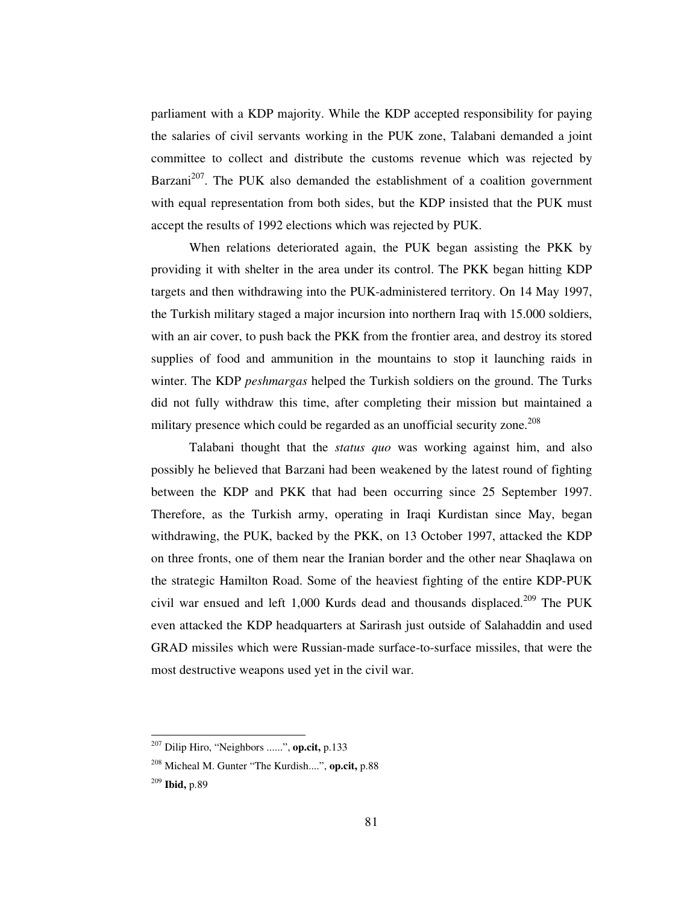parliament with a KDP majority. While the KDP accepted responsibility for paying the salaries of civil servants working in the PUK zone, Talabani demanded a joint committee to collect and distribute the customs revenue which was rejected by Barzani<sup>207</sup>. The PUK also demanded the establishment of a coalition government with equal representation from both sides, but the KDP insisted that the PUK must accept the results of 1992 elections which was rejected by PUK.

When relations deteriorated again, the PUK began assisting the PKK by providing it with shelter in the area under its control. The PKK began hitting KDP targets and then withdrawing into the PUK-administered territory. On 14 May 1997, the Turkish military staged a major incursion into northern Iraq with 15.000 soldiers, with an air cover, to push back the PKK from the frontier area, and destroy its stored supplies of food and ammunition in the mountains to stop it launching raids in winter. The KDP *peshmargas* helped the Turkish soldiers on the ground. The Turks did not fully withdraw this time, after completing their mission but maintained a military presence which could be regarded as an unofficial security zone. 208

Talabani thought that the *status quo* was working against him, and also possibly he believed that Barzani had been weakened by the latest round of fighting between the KDP and PKK that had been occurring since 25 September 1997. Therefore, as the Turkish army, operating in Iraqi Kurdistan since May, began withdrawing, the PUK, backed by the PKK, on 13 October 1997, attacked the KDP on three fronts, one of them near the Iranian border and the other near Shaqlawa on the strategic Hamilton Road. Some of the heaviest fighting of the entire KDP-PUK civil war ensued and left 1,000 Kurds dead and thousands displaced. <sup>209</sup> The PUK even attacked the KDP headquarters at Sarirash just outside of Salahaddin and used GRAD missiles which were Russian-made surface-to-surface missiles, that were the most destructive weapons used yet in the civil war.

<sup>207</sup> Dilip Hiro, "Neighbors ......", **op.cit,** p.133

<sup>208</sup> Micheal M. Gunter "The Kurdish....", **op.cit,** p.88

<sup>209</sup> **Ibid,** p.89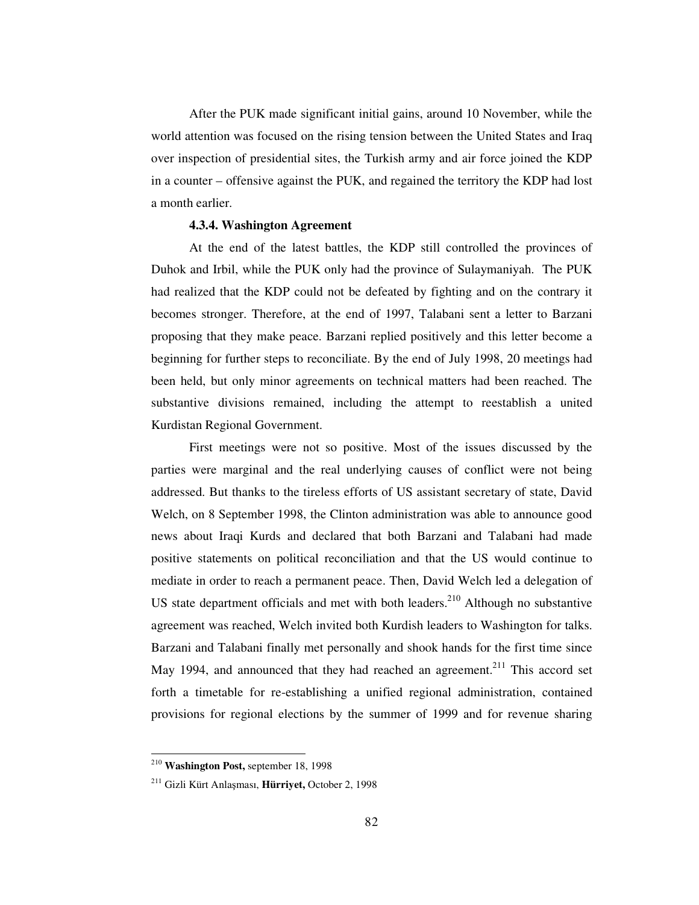After the PUK made significant initial gains, around 10 November, while the world attention was focused on the rising tension between the United States and Iraq over inspection of presidential sites, the Turkish army and air force joined the KDP in a counter – offensive against the PUK, and regained the territory the KDP had lost a month earlier.

# **4.3.4. Washington Agreement**

At the end of the latest battles, the KDP still controlled the provinces of Duhok and Irbil, while the PUK only had the province of Sulaymaniyah. The PUK had realized that the KDP could not be defeated by fighting and on the contrary it becomes stronger. Therefore, at the end of 1997, Talabani sent a letter to Barzani proposing that they make peace. Barzani replied positively and this letter become a beginning for further steps to reconciliate. By the end of July 1998, 20 meetings had been held, but only minor agreements on technical matters had been reached. The substantive divisions remained, including the attempt to reestablish a united Kurdistan Regional Government.

First meetings were not so positive. Most of the issues discussed by the parties were marginal and the real underlying causes of conflict were not being addressed. But thanks to the tireless efforts of US assistant secretary of state, David Welch, on 8 September 1998, the Clinton administration was able to announce good news about Iraqi Kurds and declared that both Barzani and Talabani had made positive statements on political reconciliation and that the US would continue to mediate in order to reach a permanent peace. Then, David Welch led a delegation of US state department officials and met with both leaders.<sup>210</sup> Although no substantive agreement was reached, Welch invited both Kurdish leaders to Washington for talks. Barzani and Talabani finally met personally and shook hands for the first time since May 1994, and announced that they had reached an agreement.<sup>211</sup> This accord set forth a timetable for re-establishing a unified regional administration, contained provisions for regional elections by the summer of 1999 and for revenue sharing

<sup>210</sup> **Washington Post,** september 18, 1998

<sup>211</sup> Gizli Kürt Anlaması, **Hürriyet,** October 2, 1998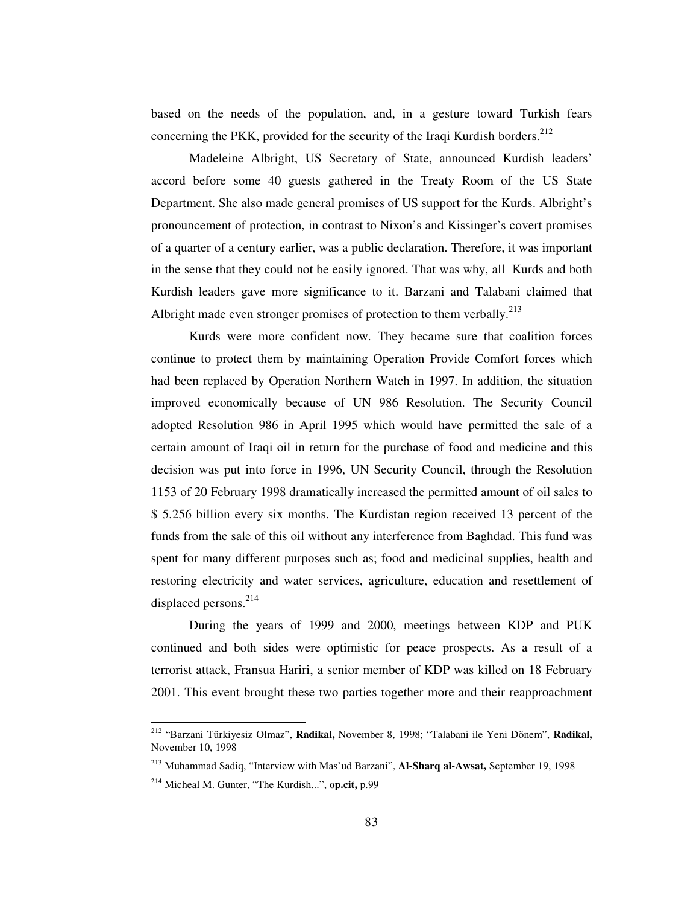based on the needs of the population, and, in a gesture toward Turkish fears concerning the PKK, provided for the security of the Iraqi Kurdish borders.<sup>212</sup>

Madeleine Albright, US Secretary of State, announced Kurdish leaders' accord before some 40 guests gathered in the Treaty Room of the US State Department. She also made general promises of US support for the Kurds. Albright's pronouncement of protection, in contrast to Nixon's and Kissinger's covert promises of a quarter of a century earlier, was a public declaration. Therefore, it was important in the sense that they could not be easily ignored. That was why, all Kurds and both Kurdish leaders gave more significance to it. Barzani and Talabani claimed that Albright made even stronger promises of protection to them verbally.<sup>213</sup>

Kurds were more confident now. They became sure that coalition forces continue to protect them by maintaining Operation Provide Comfort forces which had been replaced by Operation Northern Watch in 1997. In addition, the situation improved economically because of UN 986 Resolution. The Security Council adopted Resolution 986 in April 1995 which would have permitted the sale of a certain amount of Iraqi oil in return for the purchase of food and medicine and this decision was put into force in 1996, UN Security Council, through the Resolution 1153 of 20 February 1998 dramatically increased the permitted amount of oil sales to \$ 5.256 billion every six months. The Kurdistan region received 13 percent of the funds from the sale of this oil without any interference from Baghdad. This fund was spent for many different purposes such as; food and medicinal supplies, health and restoring electricity and water services, agriculture, education and resettlement of displaced persons. 214

During the years of 1999 and 2000, meetings between KDP and PUK continued and both sides were optimistic for peace prospects. As a result of a terrorist attack, Fransua Hariri, a senior member of KDP was killed on 18 February 2001. This event brought these two parties together more and their reapproachment

<sup>212</sup> "Barzani Türkiyesiz Olmaz", **Radikal,** November 8, 1998; "Talabani ile Yeni Dönem", **Radikal,** November 10, 1998

<sup>213</sup> Muhammad Sadiq, "Interview with Mas'ud Barzani", **Al-Sharq al-Awsat,** September 19, 1998

<sup>214</sup> Micheal M. Gunter, "The Kurdish...", **op.cit,** p.99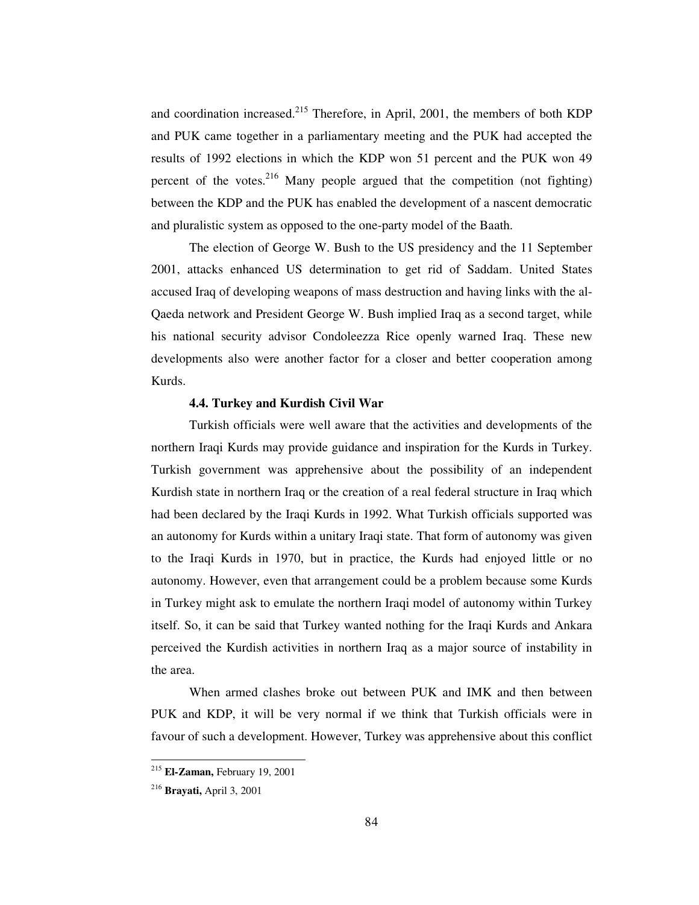and coordination increased.<sup>215</sup> Therefore, in April, 2001, the members of both KDP and PUK came together in a parliamentary meeting and the PUK had accepted the results of 1992 elections in which the KDP won 51 percent and the PUK won 49 percent of the votes.<sup>216</sup> Many people argued that the competition (not fighting) between the KDP and the PUK has enabled the development of a nascent democratic and pluralistic system as opposed to the one-party model of the Baath.

The election of George W. Bush to the US presidency and the 11 September 2001, attacks enhanced US determination to get rid of Saddam. United States accused Iraq of developing weapons of mass destruction and having links with the al-Qaeda network and President George W. Bush implied Iraq as a second target, while his national security advisor Condoleezza Rice openly warned Iraq. These new developments also were another factor for a closer and better cooperation among Kurds.

### **4.4. Turkey and Kurdish Civil War**

Turkish officials were well aware that the activities and developments of the northern Iraqi Kurds may provide guidance and inspiration for the Kurds in Turkey. Turkish government was apprehensive about the possibility of an independent Kurdish state in northern Iraq or the creation of a real federal structure in Iraq which had been declared by the Iraqi Kurds in 1992. What Turkish officials supported was an autonomy for Kurds within a unitary Iraqi state. That form of autonomy was given to the Iraqi Kurds in 1970, but in practice, the Kurds had enjoyed little or no autonomy. However, even that arrangement could be a problem because some Kurds in Turkey might ask to emulate the northern Iraqi model of autonomy within Turkey itself. So, it can be said that Turkey wanted nothing for the Iraqi Kurds and Ankara perceived the Kurdish activities in northern Iraq as a major source of instability in the area.

When armed clashes broke out between PUK and IMK and then between PUK and KDP, it will be very normal if we think that Turkish officials were in favour of such a development. However, Turkey was apprehensive about this conflict

<sup>215</sup> **El-Zaman,** February 19, 2001

<sup>216</sup> **Brayati,** April 3, 2001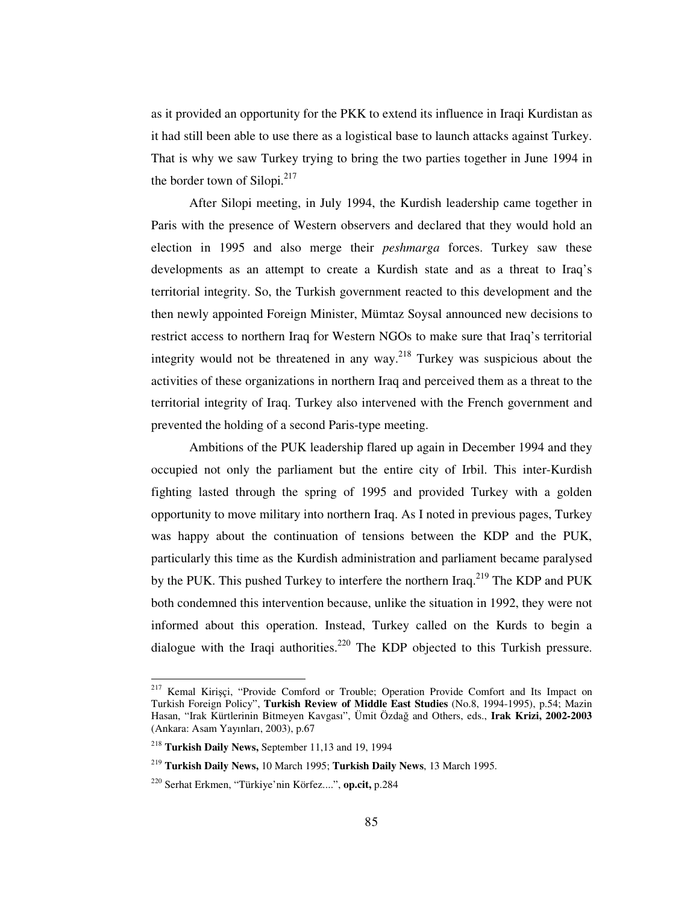as it provided an opportunity for the PKK to extend its influence in Iraqi Kurdistan as it had still been able to use there as a logistical base to launch attacks against Turkey. That is why we saw Turkey trying to bring the two parties together in June 1994 in the border town of Silopi.<sup>217</sup>

After Silopi meeting, in July 1994, the Kurdish leadership came together in Paris with the presence of Western observers and declared that they would hold an election in 1995 and also merge their *peshmarga* forces. Turkey saw these developments as an attempt to create a Kurdish state and as a threat to Iraq's territorial integrity. So, the Turkish government reacted to this development and the then newly appointed Foreign Minister, Mümtaz Soysal announced new decisions to restrict access to northern Iraq for Western NGOs to make sure that Iraq's territorial integrity would not be threatened in any way. <sup>218</sup> Turkey was suspicious about the activities of these organizations in northern Iraq and perceived them as a threat to the territorial integrity of Iraq. Turkey also intervened with the French government and prevented the holding of a second Paris-type meeting.

Ambitions of the PUK leadership flared up again in December 1994 and they occupied not only the parliament but the entire city of Irbil. This inter-Kurdish fighting lasted through the spring of 1995 and provided Turkey with a golden opportunity to move military into northern Iraq. As I noted in previous pages, Turkey was happy about the continuation of tensions between the KDP and the PUK, particularly this time as the Kurdish administration and parliament became paralysed by the PUK. This pushed Turkey to interfere the northern Iraq.<sup>219</sup> The KDP and PUK both condemned this intervention because, unlike the situation in 1992, they were not informed about this operation. Instead, Turkey called on the Kurds to begin a dialogue with the Iraqi authorities.<sup>220</sup> The KDP objected to this Turkish pressure.

<sup>&</sup>lt;sup>217</sup> Kemal Kirișci, "Provide Comford or Trouble; Operation Provide Comfort and Its Impact on Turkish Foreign Policy", **Turkish Review of Middle East Studies** (No.8, 1994-1995), p.54; Mazin Hasan, "Irak Kürtlerinin Bitmeyen Kavgası", Ümit Özdağ and Others, eds., Irak Krizi, 2002-2003 (Ankara: Asam Yayınları, 2003), p.67

<sup>218</sup> **Turkish Daily News,** September 11,13 and 19, 1994

<sup>219</sup> **Turkish Daily News,** 10 March 1995; **Turkish Daily News**, 13 March 1995.

<sup>220</sup> Serhat Erkmen, "Türkiye'nin Körfez....", **op.cit,** p.284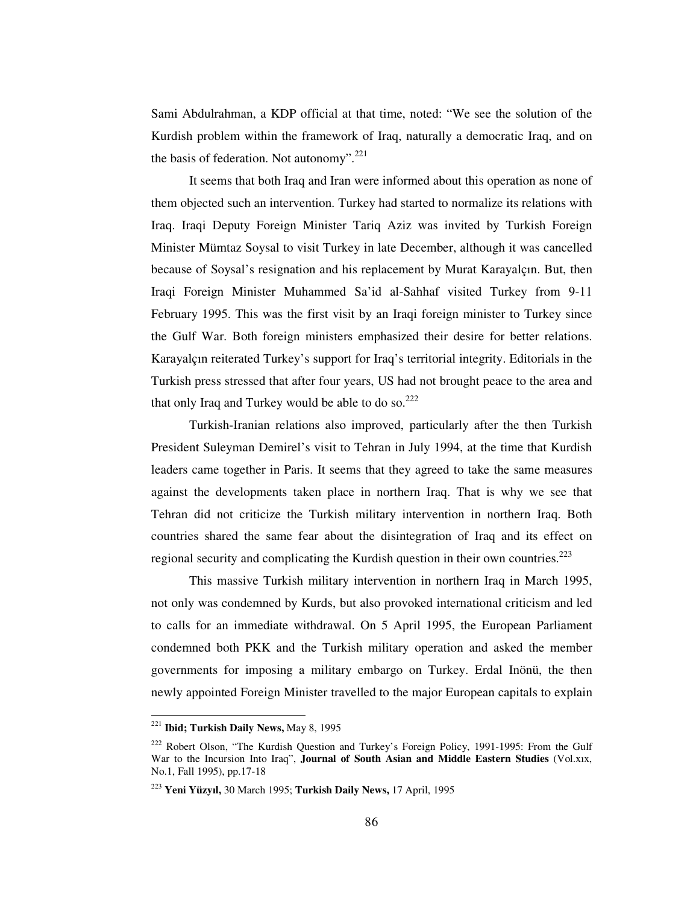Sami Abdulrahman, a KDP official at that time, noted: "We see the solution of the Kurdish problem within the framework of Iraq, naturally a democratic Iraq, and on the basis of federation. Not autonomy".<sup>221</sup>

It seems that both Iraq and Iran were informed about this operation as none of them objected such an intervention. Turkey had started to normalize its relations with Iraq. Iraqi Deputy Foreign Minister Tariq Aziz was invited by Turkish Foreign Minister Mümtaz Soysal to visit Turkey in late December, although it was cancelled because of Soysal's resignation and his replacement by Murat Karayalçın. But, then Iraqi Foreign Minister Muhammed Sa'id al-Sahhaf visited Turkey from 9-11 February 1995. This was the first visit by an Iraqi foreign minister to Turkey since the Gulf War. Both foreign ministers emphasized their desire for better relations. Karayalçın reiterated Turkey's support for Iraq's territorial integrity. Editorials in the Turkish press stressed that after four years, US had not brought peace to the area and that only Iraq and Turkey would be able to do so.<sup>222</sup>

Turkish-Iranian relations also improved, particularly after the then Turkish President Suleyman Demirel's visit to Tehran in July 1994, at the time that Kurdish leaders came together in Paris. It seems that they agreed to take the same measures against the developments taken place in northern Iraq. That is why we see that Tehran did not criticize the Turkish military intervention in northern Iraq. Both countries shared the same fear about the disintegration of Iraq and its effect on regional security and complicating the Kurdish question in their own countries.<sup>223</sup>

This massive Turkish military intervention in northern Iraq in March 1995, not only was condemned by Kurds, but also provoked international criticism and led to calls for an immediate withdrawal. On 5 April 1995, the European Parliament condemned both PKK and the Turkish military operation and asked the member governments for imposing a military embargo on Turkey. Erdal Inönü, the then newly appointed Foreign Minister travelled to the major European capitals to explain

<sup>221</sup> **Ibid; Turkish Daily News,** May 8, 1995

<sup>&</sup>lt;sup>222</sup> Robert Olson, "The Kurdish Question and Turkey's Foreign Policy, 1991-1995: From the Gulf War to the Incursion Into Iraq", **Journal of South Asian and Middle Eastern Studies** (Vol.xıx, No.1, Fall 1995), pp.17-18

<sup>223</sup> **Yeni Yüzyıl,** 30 March 1995; **Turkish Daily News,** 17 April, 1995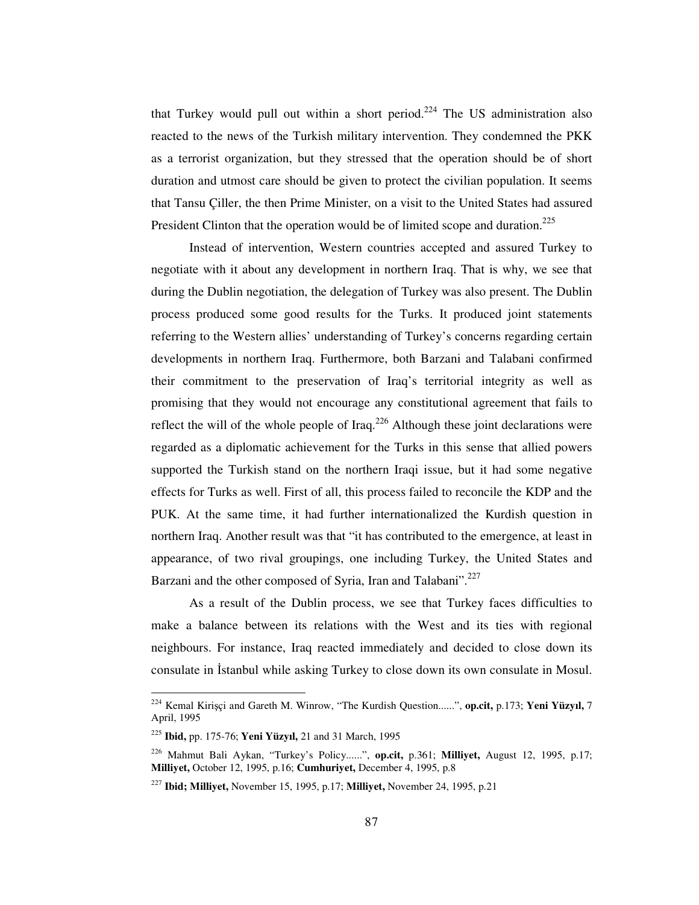that Turkey would pull out within a short period.<sup>224</sup> The US administration also reacted to the news of the Turkish military intervention. They condemned the PKK as a terrorist organization, but they stressed that the operation should be of short duration and utmost care should be given to protect the civilian population. It seems that Tansu Çiller, the then Prime Minister, on a visit to the United States had assured President Clinton that the operation would be of limited scope and duration.<sup>225</sup>

Instead of intervention, Western countries accepted and assured Turkey to negotiate with it about any development in northern Iraq. That is why, we see that during the Dublin negotiation, the delegation of Turkey was also present. The Dublin process produced some good results for the Turks. It produced joint statements referring to the Western allies' understanding of Turkey's concerns regarding certain developments in northern Iraq. Furthermore, both Barzani and Talabani confirmed their commitment to the preservation of Iraq's territorial integrity as well as promising that they would not encourage any constitutional agreement that fails to reflect the will of the whole people of Iraq. $226$  Although these joint declarations were regarded as a diplomatic achievement for the Turks in this sense that allied powers supported the Turkish stand on the northern Iraqi issue, but it had some negative effects for Turks as well. First of all, this process failed to reconcile the KDP and the PUK. At the same time, it had further internationalized the Kurdish question in northern Iraq. Another result was that "it has contributed to the emergence, at least in appearance, of two rival groupings, one including Turkey, the United States and Barzani and the other composed of Syria, Iran and Talabani".<sup>227</sup>

As a result of the Dublin process, we see that Turkey faces difficulties to make a balance between its relations with the West and its ties with regional neighbours. For instance, Iraq reacted immediately and decided to close down its consulate in Istanbul while asking Turkey to close down its own consulate in Mosul.

<sup>224</sup> Kemal Kiriçi and Gareth M. Winrow, "The Kurdish Question......", **op.cit,** p.173; **Yeni Yüzyıl,** 7 April, 1995

<sup>225</sup> **Ibid,** pp. 175-76; **Yeni Yüzyıl,** 21 and 31 March, 1995

<sup>226</sup> Mahmut Bali Aykan, "Turkey's Policy......", **op.cit,** p.361; **Milliyet,** August 12, 1995, p.17; **Milliyet,** October 12, 1995, p.16; **Cumhuriyet,** December 4, 1995, p.8

<sup>227</sup> **Ibid; Milliyet,** November 15, 1995, p.17; **Milliyet,** November 24, 1995, p.21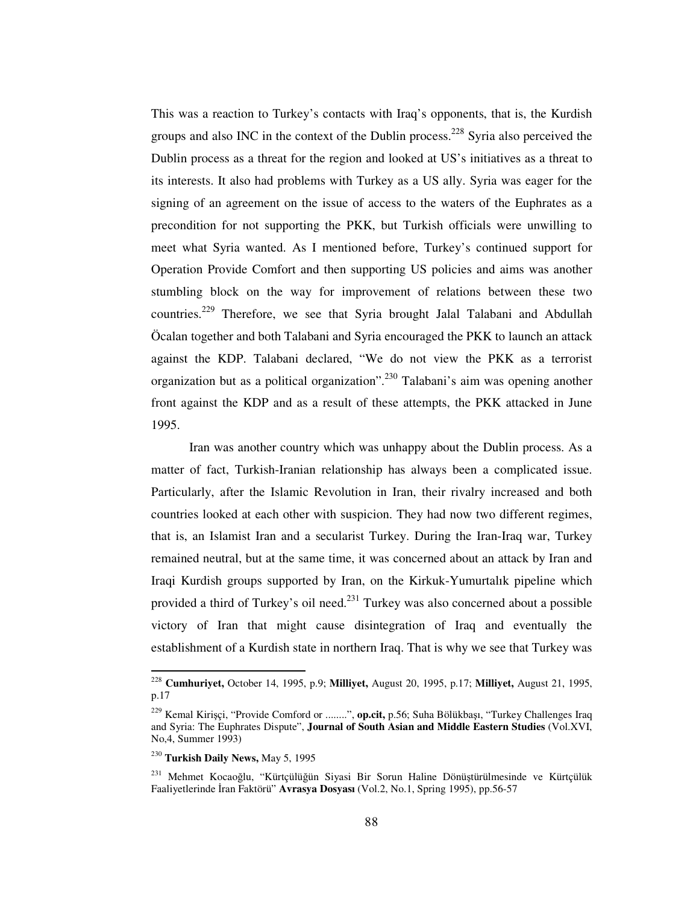This was a reaction to Turkey's contacts with Iraq's opponents, that is, the Kurdish groups and also INC in the context of the Dublin process.<sup>228</sup> Syria also perceived the Dublin process as a threat for the region and looked at US's initiatives as a threat to its interests. It also had problems with Turkey as a US ally. Syria was eager for the signing of an agreement on the issue of access to the waters of the Euphrates as a precondition for not supporting the PKK, but Turkish officials were unwilling to meet what Syria wanted. As I mentioned before, Turkey's continued support for Operation Provide Comfort and then supporting US policies and aims was another stumbling block on the way for improvement of relations between these two countries.<sup>229</sup> Therefore, we see that Syria brought Jalal Talabani and Abdullah Öcalan together and both Talabani and Syria encouraged the PKK to launch an attack against the KDP. Talabani declared, "We do not view the PKK as a terrorist organization but as a political organization".<sup>230</sup> Talabani's aim was opening another front against the KDP and as a result of these attempts, the PKK attacked in June 1995.

Iran was another country which was unhappy about the Dublin process. As a matter of fact, Turkish-Iranian relationship has always been a complicated issue. Particularly, after the Islamic Revolution in Iran, their rivalry increased and both countries looked at each other with suspicion. They had now two different regimes, that is, an Islamist Iran and a secularist Turkey. During the Iran-Iraq war, Turkey remained neutral, but at the same time, it was concerned about an attack by Iran and Iraqi Kurdish groups supported by Iran, on the Kirkuk-Yumurtalık pipeline which provided a third of Turkey's oil need.<sup>231</sup> Turkey was also concerned about a possible victory of Iran that might cause disintegration of Iraq and eventually the establishment of a Kurdish state in northern Iraq. That is why we see that Turkey was

<sup>228</sup> **Cumhuriyet,** October 14, 1995, p.9; **Milliyet,** August 20, 1995, p.17; **Milliyet,** August 21, 1995, p.17

<sup>229</sup> Kemal Kiriçi, "Provide Comford or ........", **op.cit,** p.56; Suha Bölükbaı, "Turkey Challenges Iraq and Syria: The Euphrates Dispute", **Journal of South Asian and Middle Eastern Studies** (Vol.XVI, No,4, Summer 1993)

<sup>230</sup> **Turkish Daily News,** May 5, 1995

 $^{231}$  Mehmet Kocaoğlu, "Kürtçülüğün Siyasi Bir Sorun Haline Dönüstürülmesinde ve Kürtçülük Faaliyetlerinde İran Faktörü" **Avrasya Dosyası** (Vol.2, No.1, Spring 1995), pp.56-57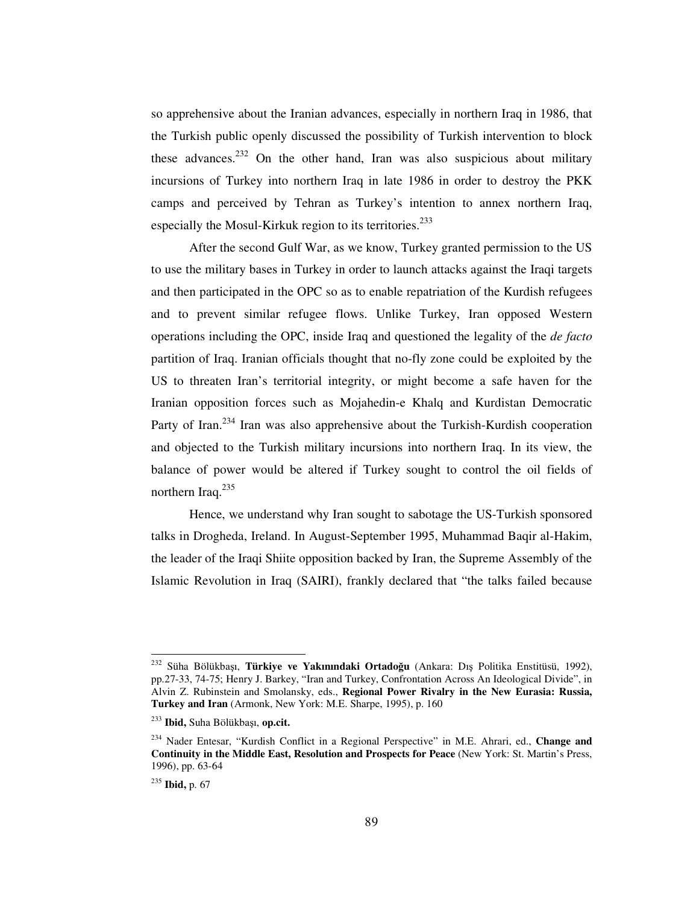so apprehensive about the Iranian advances, especially in northern Iraq in 1986, that the Turkish public openly discussed the possibility of Turkish intervention to block these advances.<sup>232</sup> On the other hand, Iran was also suspicious about military incursions of Turkey into northern Iraq in late 1986 in order to destroy the PKK camps and perceived by Tehran as Turkey's intention to annex northern Iraq, especially the Mosul-Kirkuk region to its territories.<sup>233</sup>

After the second Gulf War, as we know, Turkey granted permission to the US to use the military bases in Turkey in order to launch attacks against the Iraqi targets and then participated in the OPC so as to enable repatriation of the Kurdish refugees and to prevent similar refugee flows. Unlike Turkey, Iran opposed Western operations including the OPC, inside Iraq and questioned the legality of the *de facto* partition of Iraq. Iranian officials thought that no-fly zone could be exploited by the US to threaten Iran's territorial integrity, or might become a safe haven for the Iranian opposition forces such as Mojahedin-e Khalq and Kurdistan Democratic Party of Iran.<sup>234</sup> Iran was also apprehensive about the Turkish-Kurdish cooperation and objected to the Turkish military incursions into northern Iraq. In its view, the balance of power would be altered if Turkey sought to control the oil fields of northern Iraq.<sup>235</sup>

Hence, we understand why Iran sought to sabotage the US-Turkish sponsored talks in Drogheda, Ireland. In August-September 1995, Muhammad Baqir al-Hakim, the leader of the Iraqi Shiite opposition backed by Iran, the Supreme Assembly of the Islamic Revolution in Iraq (SAIRI), frankly declared that "the talks failed because

<sup>&</sup>lt;sup>232</sup> Süha Bölükbaşı, **Türkiye ve Yakınındaki Ortadoğu** (Ankara: Dış Politika Enstitüsü, 1992), pp.27-33, 74-75; Henry J. Barkey, "Iran and Turkey, Confrontation Across An Ideological Divide", in Alvin Z. Rubinstein and Smolansky, eds., **Regional Power Rivalry in the New Eurasia: Russia, Turkey and Iran** (Armonk, New York: M.E. Sharpe, 1995), p. 160

<sup>&</sup>lt;sup>233</sup> **Ibid,** Suha Bölükbaşı, **op.cit.** 

<sup>234</sup> Nader Entesar, "Kurdish Conflict in a Regional Perspective" in M.E. Ahrari, ed., **Change and Continuity in the Middle East, Resolution and Prospects for Peace** (New York: St. Martin's Press, 1996), pp. 63-64

<sup>235</sup> **Ibid,** p. 67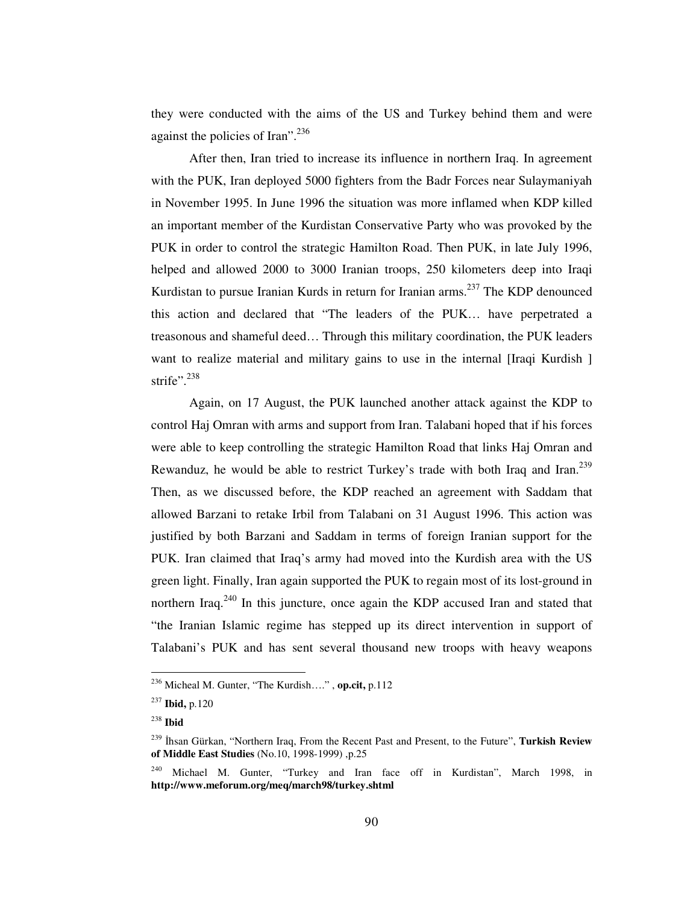they were conducted with the aims of the US and Turkey behind them and were against the policies of Iran".<sup>236</sup>

After then, Iran tried to increase its influence in northern Iraq. In agreement with the PUK, Iran deployed 5000 fighters from the Badr Forces near Sulaymaniyah in November 1995. In June 1996 the situation was more inflamed when KDP killed an important member of the Kurdistan Conservative Party who was provoked by the PUK in order to control the strategic Hamilton Road. Then PUK, in late July 1996, helped and allowed 2000 to 3000 Iranian troops, 250 kilometers deep into Iraqi Kurdistan to pursue Iranian Kurds in return for Iranian arms.<sup>237</sup> The KDP denounced this action and declared that "The leaders of the PUK… have perpetrated a treasonous and shameful deed… Through this military coordination, the PUK leaders want to realize material and military gains to use in the internal [Iraqi Kurdish ] strife".<sup>238</sup>

Again, on 17 August, the PUK launched another attack against the KDP to control Haj Omran with arms and support from Iran. Talabani hoped that if his forces were able to keep controlling the strategic Hamilton Road that links Haj Omran and Rewanduz, he would be able to restrict Turkey's trade with both Iraq and Iran.<sup>239</sup> Then, as we discussed before, the KDP reached an agreement with Saddam that allowed Barzani to retake Irbil from Talabani on 31 August 1996. This action was justified by both Barzani and Saddam in terms of foreign Iranian support for the PUK. Iran claimed that Iraq's army had moved into the Kurdish area with the US green light. Finally, Iran again supported the PUK to regain most of its lost-ground in northern Iraq.<sup>240</sup> In this juncture, once again the KDP accused Iran and stated that "the Iranian Islamic regime has stepped up its direct intervention in support of Talabani's PUK and has sent several thousand new troops with heavy weapons

<sup>236</sup> Micheal M. Gunter, "The Kurdish…." , **op.cit,** p.112

<sup>237</sup> **Ibid,** p.120

<sup>238</sup> **Ibid**

<sup>239</sup> -hsan Gürkan, "Northern Iraq, From the Recent Past and Present, to the Future", **Turkish Review of Middle East Studies** (No.10, 1998-1999) ,p.25

<sup>240</sup> Michael M. Gunter, "Turkey and Iran face off in Kurdistan", March 1998, in **http://www.meforum.org/meq/march98/turkey.shtml**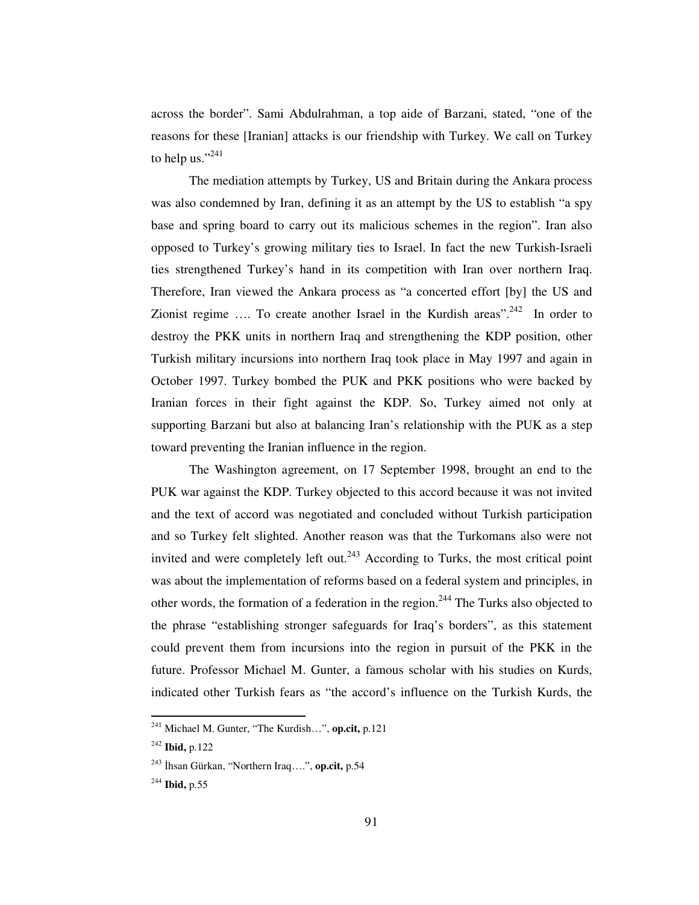across the border". Sami Abdulrahman, a top aide of Barzani, stated, "one of the reasons for these [Iranian] attacks is our friendship with Turkey. We call on Turkey to help us." $^{241}$ 

The mediation attempts by Turkey, US and Britain during the Ankara process was also condemned by Iran, defining it as an attempt by the US to establish "a spy base and spring board to carry out its malicious schemes in the region". Iran also opposed to Turkey's growing military ties to Israel. In fact the new Turkish-Israeli ties strengthened Turkey's hand in its competition with Iran over northern Iraq. Therefore, Iran viewed the Ankara process as "a concerted effort [by] the US and Zionist regime .... To create another Israel in the Kurdish areas".<sup>242</sup> In order to destroy the PKK units in northern Iraq and strengthening the KDP position, other Turkish military incursions into northern Iraq took place in May 1997 and again in October 1997. Turkey bombed the PUK and PKK positions who were backed by Iranian forces in their fight against the KDP. So, Turkey aimed not only at supporting Barzani but also at balancing Iran's relationship with the PUK as a step toward preventing the Iranian influence in the region.

The Washington agreement, on 17 September 1998, brought an end to the PUK war against the KDP. Turkey objected to this accord because it was not invited and the text of accord was negotiated and concluded without Turkish participation and so Turkey felt slighted. Another reason was that the Turkomans also were not invited and were completely left out.<sup>243</sup> According to Turks, the most critical point was about the implementation of reforms based on a federal system and principles, in other words, the formation of a federation in the region.<sup>244</sup> The Turks also objected to the phrase "establishing stronger safeguards for Iraq's borders", as this statement could prevent them from incursions into the region in pursuit of the PKK in the future. Professor Michael M. Gunter, a famous scholar with his studies on Kurds, indicated other Turkish fears as "the accord's influence on the Turkish Kurds, the

<sup>241</sup> Michael M. Gunter, "The Kurdish…", **op.cit,** p.121

<sup>242</sup> **Ibid,** p.122

<sup>&</sup>lt;sup>243</sup> İhsan Gürkan, ''Northern Iraq….'', **op.cit,** p.54

<sup>244</sup> **Ibid,** p.55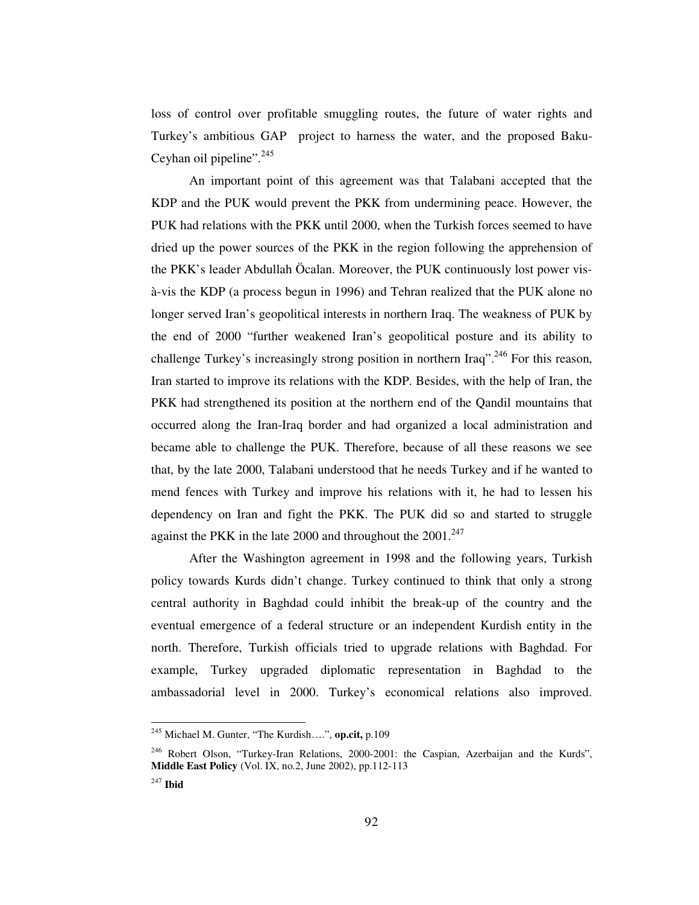loss of control over profitable smuggling routes, the future of water rights and Turkey's ambitious GAP project to harness the water, and the proposed Baku-Ceyhan oil pipeline".<sup>245</sup>

An important point of this agreement was that Talabani accepted that the KDP and the PUK would prevent the PKK from undermining peace. However, the PUK had relations with the PKK until 2000, when the Turkish forces seemed to have dried up the power sources of the PKK in the region following the apprehension of the PKK's leader Abdullah Öcalan. Moreover, the PUK continuously lost power visà-vis the KDP (a process begun in 1996) and Tehran realized that the PUK alone no longer served Iran's geopolitical interests in northern Iraq. The weakness of PUK by the end of 2000 "further weakened Iran's geopolitical posture and its ability to challenge Turkey's increasingly strong position in northern Iraq".<sup>246</sup> For this reason, Iran started to improve its relations with the KDP. Besides, with the help of Iran, the PKK had strengthened its position at the northern end of the Qandil mountains that occurred along the Iran-Iraq border and had organized a local administration and became able to challenge the PUK. Therefore, because of all these reasons we see that, by the late 2000, Talabani understood that he needs Turkey and if he wanted to mend fences with Turkey and improve his relations with it, he had to lessen his dependency on Iran and fight the PKK. The PUK did so and started to struggle against the PKK in the late 2000 and throughout the  $2001.^{247}$ 

After the Washington agreement in 1998 and the following years, Turkish policy towards Kurds didn't change. Turkey continued to think that only a strong central authority in Baghdad could inhibit the break-up of the country and the eventual emergence of a federal structure or an independent Kurdish entity in the north. Therefore, Turkish officials tried to upgrade relations with Baghdad. For example, Turkey upgraded diplomatic representation in Baghdad to the ambassadorial level in 2000. Turkey's economical relations also improved.

<sup>245</sup> Michael M. Gunter, "The Kurdish….", **op.cit,** p.109

<sup>&</sup>lt;sup>246</sup> Robert Olson, "Turkey-Iran Relations, 2000-2001: the Caspian, Azerbaijan and the Kurds", **Middle East Policy** (Vol. IX, no.2, June 2002), pp.112-113

<sup>247</sup> **Ibid**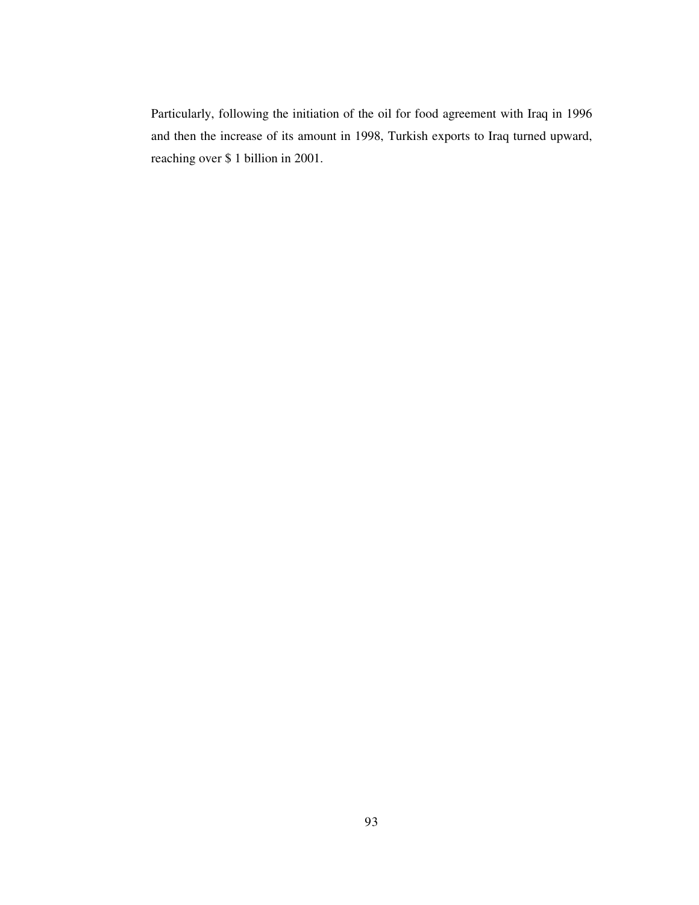Particularly, following the initiation of the oil for food agreement with Iraq in 1996 and then the increase of its amount in 1998, Turkish exports to Iraq turned upward, reaching over \$ 1 billion in 2001.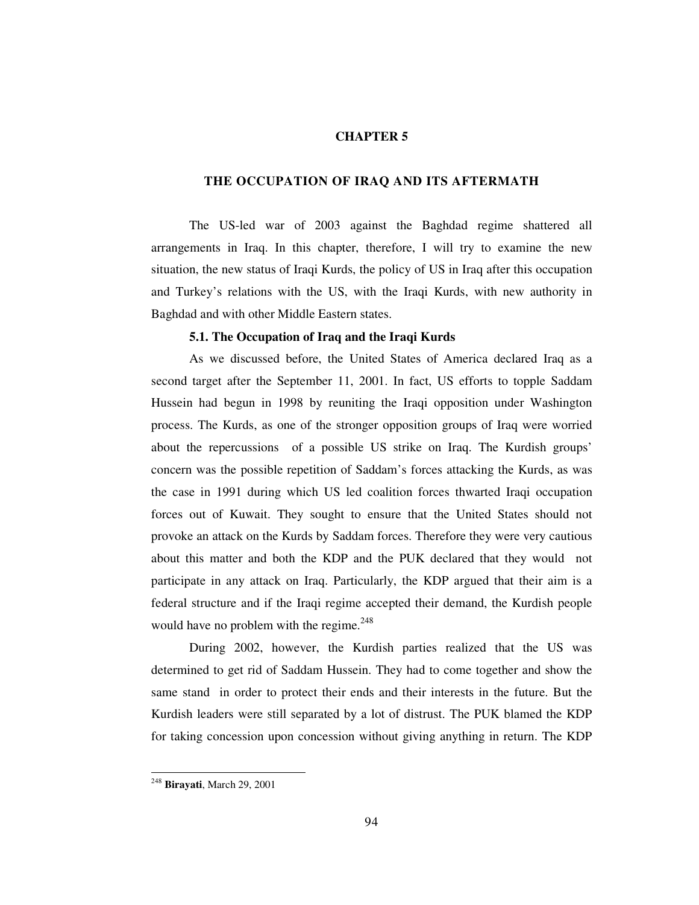### **CHAPTER 5**

#### **THE OCCUPATION OF IRAQ AND ITS AFTERMATH**

The US-led war of 2003 against the Baghdad regime shattered all arrangements in Iraq. In this chapter, therefore, I will try to examine the new situation, the new status of Iraqi Kurds, the policy of US in Iraq after this occupation and Turkey's relations with the US, with the Iraqi Kurds, with new authority in Baghdad and with other Middle Eastern states.

#### **5.1. The Occupation of Iraq and the Iraqi Kurds**

As we discussed before, the United States of America declared Iraq as a second target after the September 11, 2001. In fact, US efforts to topple Saddam Hussein had begun in 1998 by reuniting the Iraqi opposition under Washington process. The Kurds, as one of the stronger opposition groups of Iraq were worried about the repercussions of a possible US strike on Iraq. The Kurdish groups' concern was the possible repetition of Saddam's forces attacking the Kurds, as was the case in 1991 during which US led coalition forces thwarted Iraqi occupation forces out of Kuwait. They sought to ensure that the United States should not provoke an attack on the Kurds by Saddam forces. Therefore they were very cautious about this matter and both the KDP and the PUK declared that they would not participate in any attack on Iraq. Particularly, the KDP argued that their aim is a federal structure and if the Iraqi regime accepted their demand, the Kurdish people would have no problem with the regime.<sup>248</sup>

During 2002, however, the Kurdish parties realized that the US was determined to get rid of Saddam Hussein. They had to come together and show the same stand in order to protect their ends and their interests in the future. But the Kurdish leaders were still separated by a lot of distrust. The PUK blamed the KDP for taking concession upon concession without giving anything in return. The KDP

<sup>248</sup> **Birayati**, March 29, 2001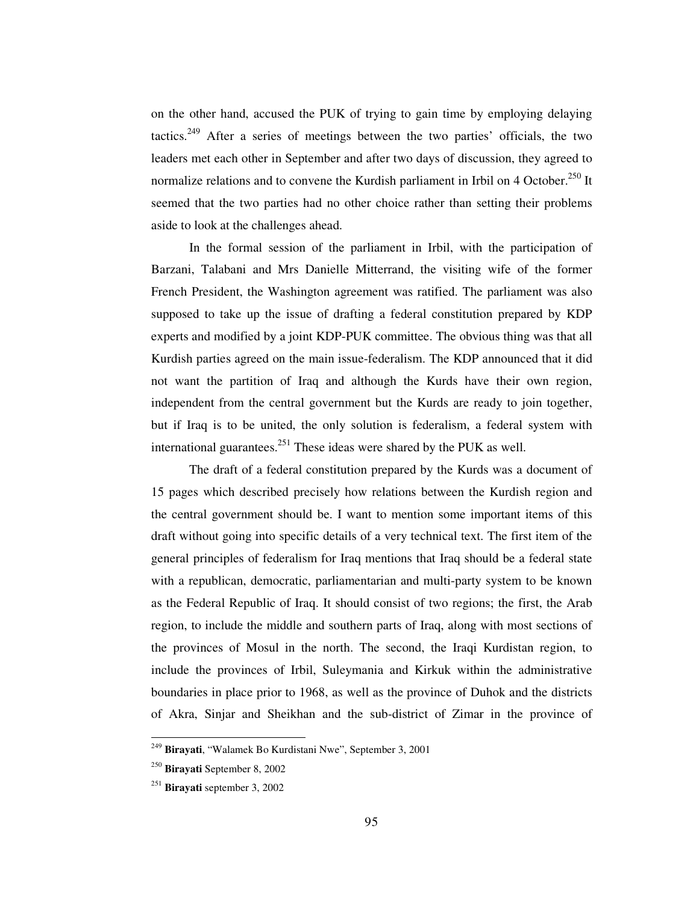on the other hand, accused the PUK of trying to gain time by employing delaying tactics.<sup>249</sup> After a series of meetings between the two parties' officials, the two leaders met each other in September and after two days of discussion, they agreed to normalize relations and to convene the Kurdish parliament in Irbil on 4 October.<sup>250</sup> It seemed that the two parties had no other choice rather than setting their problems aside to look at the challenges ahead.

In the formal session of the parliament in Irbil, with the participation of Barzani, Talabani and Mrs Danielle Mitterrand, the visiting wife of the former French President, the Washington agreement was ratified. The parliament was also supposed to take up the issue of drafting a federal constitution prepared by KDP experts and modified by a joint KDP-PUK committee. The obvious thing was that all Kurdish parties agreed on the main issue-federalism. The KDP announced that it did not want the partition of Iraq and although the Kurds have their own region, independent from the central government but the Kurds are ready to join together, but if Iraq is to be united, the only solution is federalism, a federal system with international guarantees.<sup>251</sup> These ideas were shared by the PUK as well.

The draft of a federal constitution prepared by the Kurds was a document of 15 pages which described precisely how relations between the Kurdish region and the central government should be. I want to mention some important items of this draft without going into specific details of a very technical text. The first item of the general principles of federalism for Iraq mentions that Iraq should be a federal state with a republican, democratic, parliamentarian and multi-party system to be known as the Federal Republic of Iraq. It should consist of two regions; the first, the Arab region, to include the middle and southern parts of Iraq, along with most sections of the provinces of Mosul in the north. The second, the Iraqi Kurdistan region, to include the provinces of Irbil, Suleymania and Kirkuk within the administrative boundaries in place prior to 1968, as well as the province of Duhok and the districts of Akra, Sinjar and Sheikhan and the sub-district of Zimar in the province of

<sup>249</sup> **Birayati**, "Walamek Bo Kurdistani Nwe", September 3, 2001

<sup>250</sup> **Birayati** September 8, 2002

<sup>251</sup> **Birayati** september 3, 2002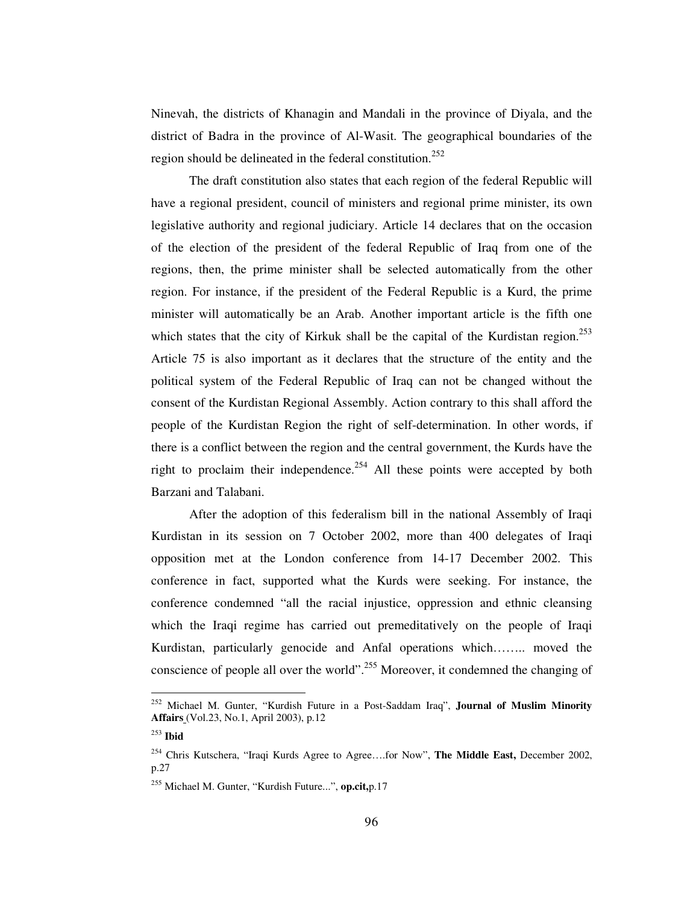Ninevah, the districts of Khanagin and Mandali in the province of Diyala, and the district of Badra in the province of Al-Wasit. The geographical boundaries of the region should be delineated in the federal constitution.<sup>252</sup>

The draft constitution also states that each region of the federal Republic will have a regional president, council of ministers and regional prime minister, its own legislative authority and regional judiciary. Article 14 declares that on the occasion of the election of the president of the federal Republic of Iraq from one of the regions, then, the prime minister shall be selected automatically from the other region. For instance, if the president of the Federal Republic is a Kurd, the prime minister will automatically be an Arab. Another important article is the fifth one which states that the city of Kirkuk shall be the capital of the Kurdistan region.<sup>253</sup> Article 75 is also important as it declares that the structure of the entity and the political system of the Federal Republic of Iraq can not be changed without the consent of the Kurdistan Regional Assembly. Action contrary to this shall afford the people of the Kurdistan Region the right of self-determination. In other words, if there is a conflict between the region and the central government, the Kurds have the right to proclaim their independence.<sup>254</sup> All these points were accepted by both Barzani and Talabani.

After the adoption of this federalism bill in the national Assembly of Iraqi Kurdistan in its session on 7 October 2002, more than 400 delegates of Iraqi opposition met at the London conference from 14-17 December 2002. This conference in fact, supported what the Kurds were seeking. For instance, the conference condemned "all the racial injustice, oppression and ethnic cleansing which the Iraqi regime has carried out premeditatively on the people of Iraqi Kurdistan, particularly genocide and Anfal operations which…….. moved the conscience of people all over the world".<sup>255</sup> Moreover, it condemned the changing of

<sup>252</sup> Michael M. Gunter, "Kurdish Future in a Post-Saddam Iraq", **Journal of Muslim Minority Affairs** (Vol.23, No.1, April 2003), p.12

<sup>253</sup> **Ibid**

<sup>254</sup> Chris Kutschera, "Iraqi Kurds Agree to Agree….for Now", **The Middle East,** December 2002, p.27

<sup>255</sup> Michael M. Gunter, "Kurdish Future...", **op.cit,**p.17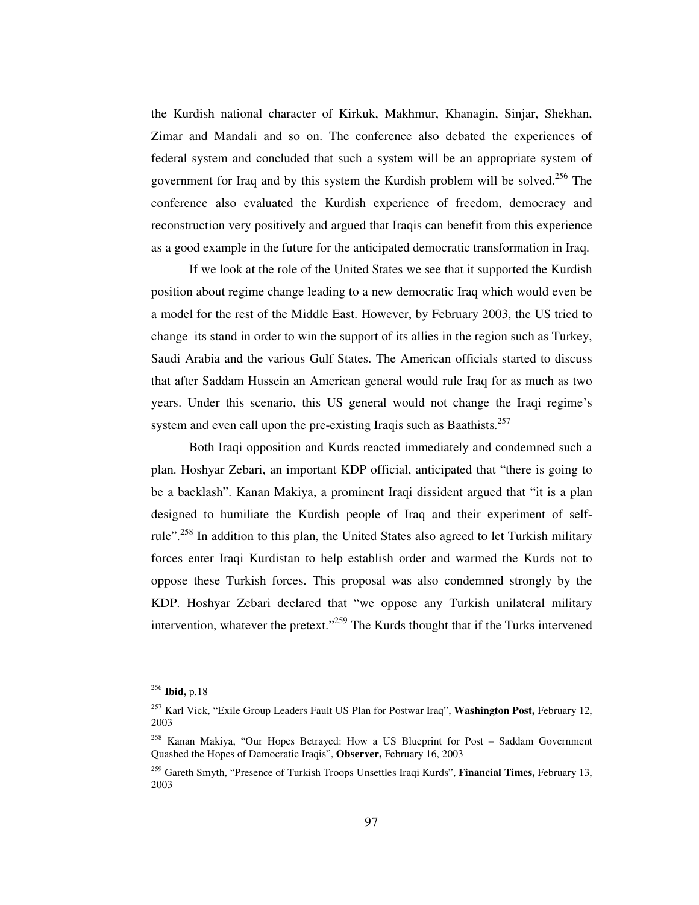the Kurdish national character of Kirkuk, Makhmur, Khanagin, Sinjar, Shekhan, Zimar and Mandali and so on. The conference also debated the experiences of federal system and concluded that such a system will be an appropriate system of government for Iraq and by this system the Kurdish problem will be solved.<sup>256</sup> The conference also evaluated the Kurdish experience of freedom, democracy and reconstruction very positively and argued that Iraqis can benefit from this experience as a good example in the future for the anticipated democratic transformation in Iraq.

If we look at the role of the United States we see that it supported the Kurdish position about regime change leading to a new democratic Iraq which would even be a model for the rest of the Middle East. However, by February 2003, the US tried to change its stand in order to win the support of its allies in the region such as Turkey, Saudi Arabia and the various Gulf States. The American officials started to discuss that after Saddam Hussein an American general would rule Iraq for as much as two years. Under this scenario, this US general would not change the Iraqi regime's system and even call upon the pre-existing Iraqis such as Baathists.<sup>257</sup>

Both Iraqi opposition and Kurds reacted immediately and condemned such a plan. Hoshyar Zebari, an important KDP official, anticipated that "there is going to be a backlash". Kanan Makiya, a prominent Iraqi dissident argued that "it is a plan designed to humiliate the Kurdish people of Iraq and their experiment of selfrule".<sup>258</sup> In addition to this plan, the United States also agreed to let Turkish military forces enter Iraqi Kurdistan to help establish order and warmed the Kurds not to oppose these Turkish forces. This proposal was also condemned strongly by the KDP. Hoshyar Zebari declared that "we oppose any Turkish unilateral military intervention, whatever the pretext."<sup>259</sup> The Kurds thought that if the Turks intervened

<sup>256</sup> **Ibid,** p.18

<sup>257</sup> Karl Vick, "Exile Group Leaders Fault US Plan for Postwar Iraq", **Washington Post,** February 12, 2003

<sup>258</sup> Kanan Makiya, "Our Hopes Betrayed: How a US Blueprint for Post – Saddam Government Quashed the Hopes of Democratic Iraqis", **Observer,** February 16, 2003

<sup>259</sup> Gareth Smyth, "Presence of Turkish Troops Unsettles Iraqi Kurds", **Financial Times,** February 13, 2003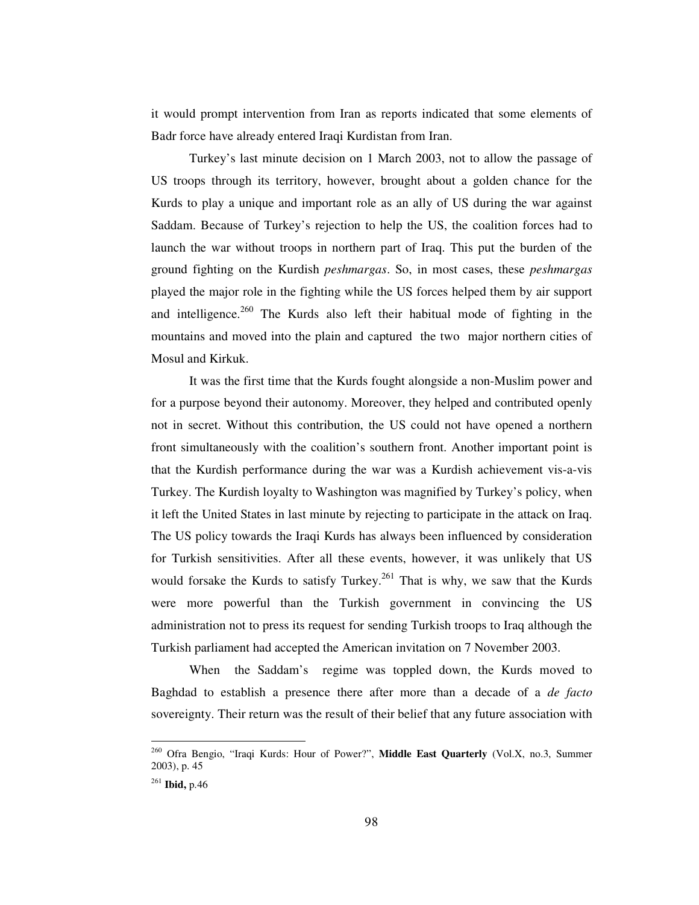it would prompt intervention from Iran as reports indicated that some elements of Badr force have already entered Iraqi Kurdistan from Iran.

Turkey's last minute decision on 1 March 2003, not to allow the passage of US troops through its territory, however, brought about a golden chance for the Kurds to play a unique and important role as an ally of US during the war against Saddam. Because of Turkey's rejection to help the US, the coalition forces had to launch the war without troops in northern part of Iraq. This put the burden of the ground fighting on the Kurdish *peshmargas*. So, in most cases, these *peshmargas* played the major role in the fighting while the US forces helped them by air support and intelligence.<sup>260</sup> The Kurds also left their habitual mode of fighting in the mountains and moved into the plain and captured the two major northern cities of Mosul and Kirkuk.

It was the first time that the Kurds fought alongside a non-Muslim power and for a purpose beyond their autonomy. Moreover, they helped and contributed openly not in secret. Without this contribution, the US could not have opened a northern front simultaneously with the coalition's southern front. Another important point is that the Kurdish performance during the war was a Kurdish achievement vis-a-vis Turkey. The Kurdish loyalty to Washington was magnified by Turkey's policy, when it left the United States in last minute by rejecting to participate in the attack on Iraq. The US policy towards the Iraqi Kurds has always been influenced by consideration for Turkish sensitivities. After all these events, however, it was unlikely that US would forsake the Kurds to satisfy Turkey.<sup>261</sup> That is why, we saw that the Kurds were more powerful than the Turkish government in convincing the US administration not to press its request for sending Turkish troops to Iraq although the Turkish parliament had accepted the American invitation on 7 November 2003.

When the Saddam's regime was toppled down, the Kurds moved to Baghdad to establish a presence there after more than a decade of a *de facto* sovereignty. Their return was the result of their belief that any future association with

<sup>260</sup> Ofra Bengio, "Iraqi Kurds: Hour of Power?", **Middle East Quarterly** (Vol.X, no.3, Summer 2003), p. 45

<sup>261</sup> **Ibid,** p.46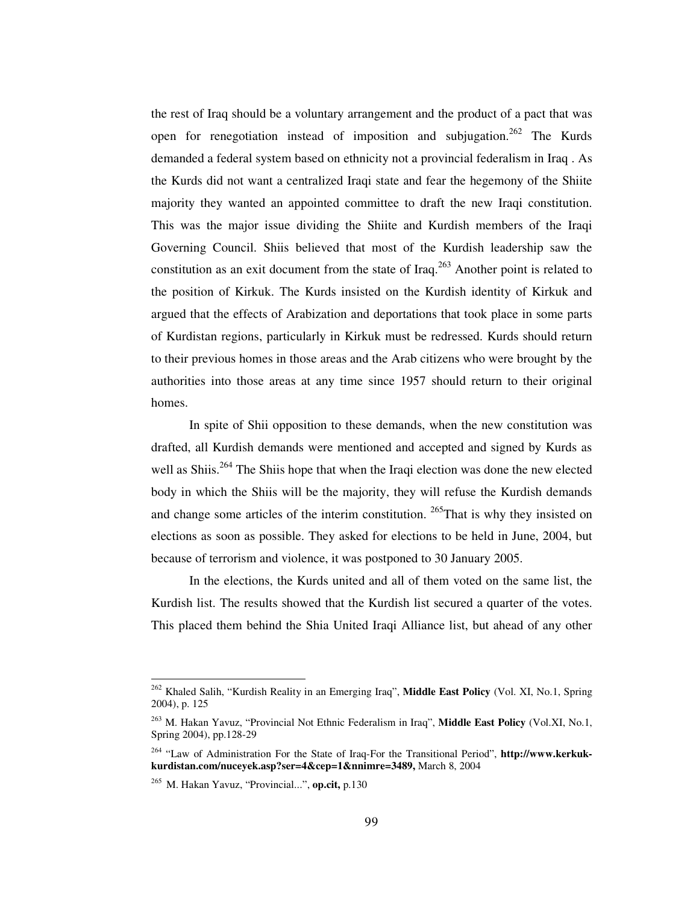the rest of Iraq should be a voluntary arrangement and the product of a pact that was open for renegotiation instead of imposition and subjugation.<sup>262</sup> The Kurds demanded a federal system based on ethnicity not a provincial federalism in Iraq . As the Kurds did not want a centralized Iraqi state and fear the hegemony of the Shiite majority they wanted an appointed committee to draft the new Iraqi constitution. This was the major issue dividing the Shiite and Kurdish members of the Iraqi Governing Council. Shiis believed that most of the Kurdish leadership saw the constitution as an exit document from the state of Iraq.<sup>263</sup> Another point is related to the position of Kirkuk. The Kurds insisted on the Kurdish identity of Kirkuk and argued that the effects of Arabization and deportations that took place in some parts of Kurdistan regions, particularly in Kirkuk must be redressed. Kurds should return to their previous homes in those areas and the Arab citizens who were brought by the authorities into those areas at any time since 1957 should return to their original homes.

In spite of Shii opposition to these demands, when the new constitution was drafted, all Kurdish demands were mentioned and accepted and signed by Kurds as well as Shiis.<sup>264</sup> The Shiis hope that when the Iraqi election was done the new elected body in which the Shiis will be the majority, they will refuse the Kurdish demands and change some articles of the interim constitution. <sup>265</sup>That is why they insisted on elections as soon as possible. They asked for elections to be held in June, 2004, but because of terrorism and violence, it was postponed to 30 January 2005.

In the elections, the Kurds united and all of them voted on the same list, the Kurdish list. The results showed that the Kurdish list secured a quarter of the votes. This placed them behind the Shia United Iraqi Alliance list, but ahead of any other

<sup>262</sup> Khaled Salih, "Kurdish Reality in an Emerging Iraq", **Middle East Policy** (Vol. XI, No.1, Spring 2004), p. 125

<sup>263</sup> M. Hakan Yavuz, "Provincial Not Ethnic Federalism in Iraq", **Middle East Policy** (Vol.XI, No.1, Spring 2004), pp.128-29

<sup>264</sup> "Law of Administration For the State of Iraq-For the Transitional Period", **http://www.kerkukkurdistan.com/nuceyek.asp?ser=4&cep=1&nnimre=3489,** March 8, 2004

<sup>265</sup> M. Hakan Yavuz, "Provincial...", **op.cit,** p.130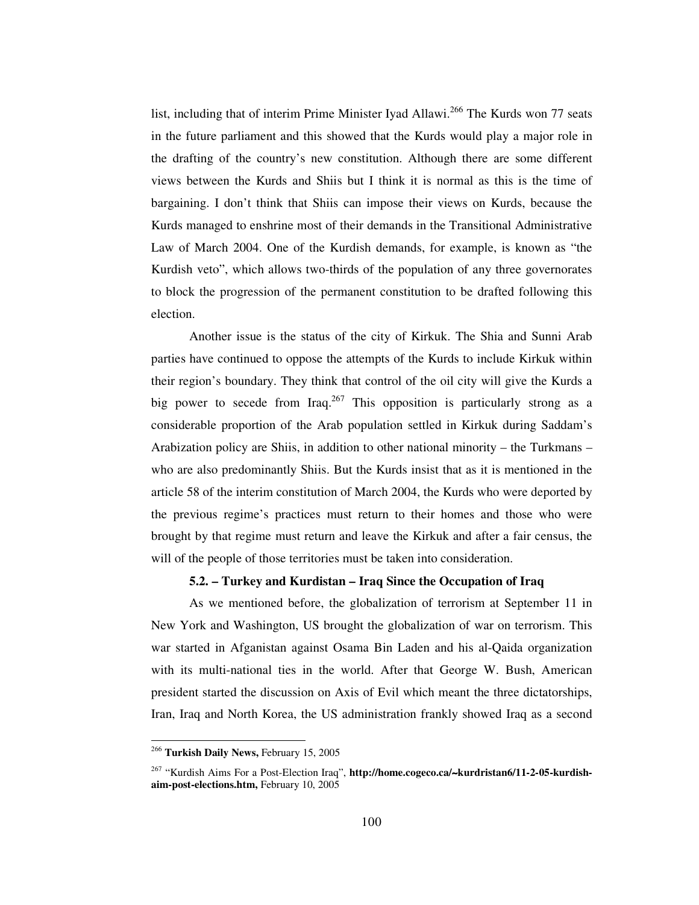list, including that of interim Prime Minister Iyad Allawi.<sup>266</sup> The Kurds won 77 seats in the future parliament and this showed that the Kurds would play a major role in the drafting of the country's new constitution. Although there are some different views between the Kurds and Shiis but I think it is normal as this is the time of bargaining. I don't think that Shiis can impose their views on Kurds, because the Kurds managed to enshrine most of their demands in the Transitional Administrative Law of March 2004. One of the Kurdish demands, for example, is known as "the Kurdish veto", which allows two-thirds of the population of any three governorates to block the progression of the permanent constitution to be drafted following this election.

Another issue is the status of the city of Kirkuk. The Shia and Sunni Arab parties have continued to oppose the attempts of the Kurds to include Kirkuk within their region's boundary. They think that control of the oil city will give the Kurds a big power to secede from Iraq.<sup>267</sup> This opposition is particularly strong as a considerable proportion of the Arab population settled in Kirkuk during Saddam's Arabization policy are Shiis, in addition to other national minority – the Turkmans – who are also predominantly Shiis. But the Kurds insist that as it is mentioned in the article 58 of the interim constitution of March 2004, the Kurds who were deported by the previous regime's practices must return to their homes and those who were brought by that regime must return and leave the Kirkuk and after a fair census, the will of the people of those territories must be taken into consideration.

## **5.2. – Turkey and Kurdistan – Iraq Since the Occupation of Iraq**

As we mentioned before, the globalization of terrorism at September 11 in New York and Washington, US brought the globalization of war on terrorism. This war started in Afganistan against Osama Bin Laden and his al-Qaida organization with its multi-national ties in the world. After that George W. Bush, American president started the discussion on Axis of Evil which meant the three dictatorships, Iran, Iraq and North Korea, the US administration frankly showed Iraq as a second

<sup>266</sup> **Turkish Daily News,** February 15, 2005

<sup>267</sup> "Kurdish Aims For a Post-Election Iraq", **http://home.cogeco.ca/**∼**kurdristan6/11-2-05-kurdishaim-post-elections.htm,** February 10, 2005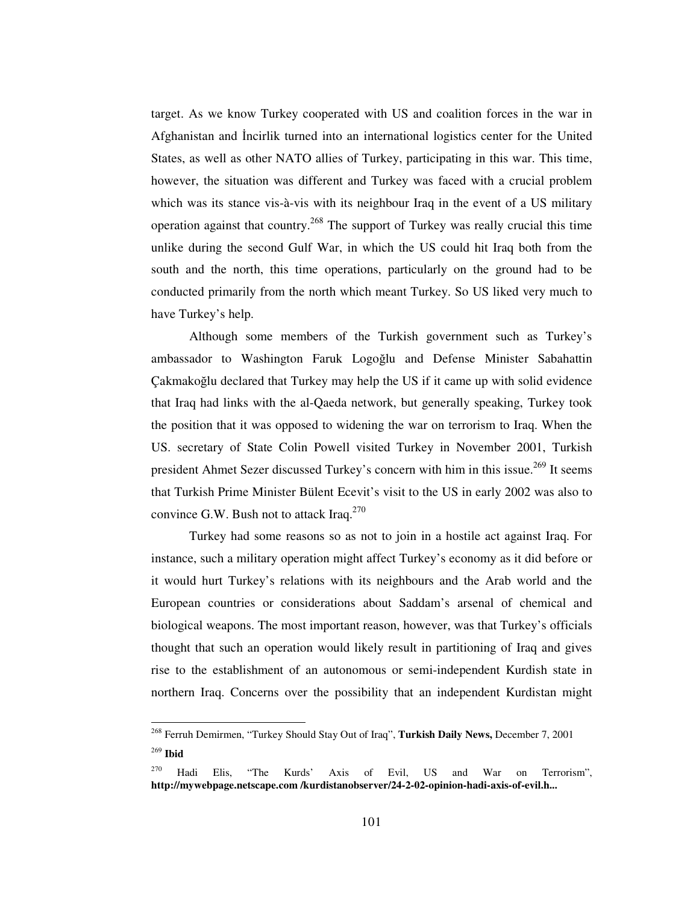target. As we know Turkey cooperated with US and coalition forces in the war in Afghanistan and Incirlik turned into an international logistics center for the United States, as well as other NATO allies of Turkey, participating in this war. This time, however, the situation was different and Turkey was faced with a crucial problem which was its stance vis-à-vis with its neighbour Iraq in the event of a US military operation against that country.<sup>268</sup> The support of Turkey was really crucial this time unlike during the second Gulf War, in which the US could hit Iraq both from the south and the north, this time operations, particularly on the ground had to be conducted primarily from the north which meant Turkey. So US liked very much to have Turkey's help.

Although some members of the Turkish government such as Turkey's ambassador to Washington Faruk Logoğlu and Defense Minister Sabahattin Çakmakoğlu declared that Turkey may help the US if it came up with solid evidence that Iraq had links with the al-Qaeda network, but generally speaking, Turkey took the position that it was opposed to widening the war on terrorism to Iraq. When the US. secretary of State Colin Powell visited Turkey in November 2001, Turkish president Ahmet Sezer discussed Turkey's concern with him in this issue.<sup>269</sup> It seems that Turkish Prime Minister Bülent Ecevit's visit to the US in early 2002 was also to convince G.W. Bush not to attack Iraq. $^{270}$ 

Turkey had some reasons so as not to join in a hostile act against Iraq. For instance, such a military operation might affect Turkey's economy as it did before or it would hurt Turkey's relations with its neighbours and the Arab world and the European countries or considerations about Saddam's arsenal of chemical and biological weapons. The most important reason, however, was that Turkey's officials thought that such an operation would likely result in partitioning of Iraq and gives rise to the establishment of an autonomous or semi-independent Kurdish state in northern Iraq. Concerns over the possibility that an independent Kurdistan might

<sup>268</sup> Ferruh Demirmen, "Turkey Should Stay Out of Iraq", **Turkish Daily News,** December 7, 2001 269 **Ibid**

<sup>270</sup> Hadi Elis, "The Kurds' Axis of Evil, US and War on Terrorism", **http://mywebpage.netscape.com /kurdistanobserver/24-2-02-opinion-hadi-axis-of-evil.h...**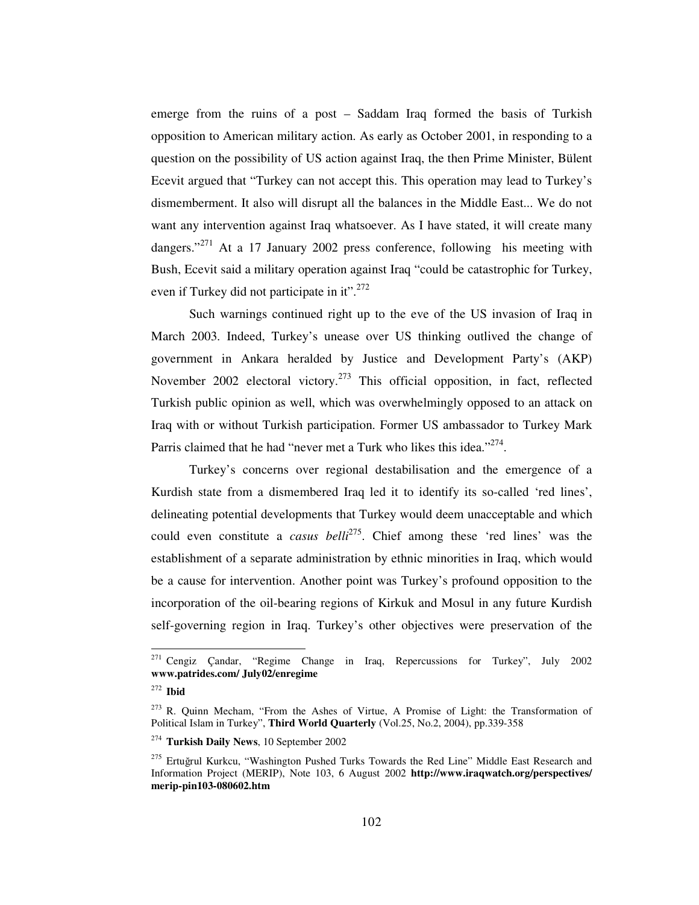emerge from the ruins of a post – Saddam Iraq formed the basis of Turkish opposition to American military action. As early as October 2001, in responding to a question on the possibility of US action against Iraq, the then Prime Minister, Bülent Ecevit argued that "Turkey can not accept this. This operation may lead to Turkey's dismemberment. It also will disrupt all the balances in the Middle East... We do not want any intervention against Iraq whatsoever. As I have stated, it will create many dangers."<sup>271</sup> At a 17 January 2002 press conference, following his meeting with Bush, Ecevit said a military operation against Iraq "could be catastrophic for Turkey, even if Turkey did not participate in it".<sup>272</sup>

Such warnings continued right up to the eve of the US invasion of Iraq in March 2003. Indeed, Turkey's unease over US thinking outlived the change of government in Ankara heralded by Justice and Development Party's (AKP) November 2002 electoral victory.<sup>273</sup> This official opposition, in fact, reflected Turkish public opinion as well, which was overwhelmingly opposed to an attack on Iraq with or without Turkish participation. Former US ambassador to Turkey Mark Parris claimed that he had "never met a Turk who likes this idea."<sup>274</sup>.

Turkey's concerns over regional destabilisation and the emergence of a Kurdish state from a dismembered Iraq led it to identify its so-called 'red lines', delineating potential developments that Turkey would deem unacceptable and which could even constitute a *casus belli* 275 . Chief among these 'red lines' was the establishment of a separate administration by ethnic minorities in Iraq, which would be a cause for intervention. Another point was Turkey's profound opposition to the incorporation of the oil-bearing regions of Kirkuk and Mosul in any future Kurdish self-governing region in Iraq. Turkey's other objectives were preservation of the

<sup>271</sup> Cengiz Çandar, "Regime Change in Iraq, Repercussions for Turkey", July 2002 **www.patrides.com/ July02/enregime**

<sup>272</sup> **Ibid**

<sup>273</sup> R. Quinn Mecham, "From the Ashes of Virtue, A Promise of Light: the Transformation of Political Islam in Turkey", **Third World Quarterly** (Vol.25, No.2, 2004), pp.339-358

<sup>274</sup> **Turkish Daily News**, 10 September 2002

<sup>&</sup>lt;sup>275</sup> Ertuğrul Kurkcu, "Washington Pushed Turks Towards the Red Line" Middle East Research and Information Project (MERIP), Note 103, 6 August 2002 **http://www.iraqwatch.org/perspectives/ merip-pin103-080602.htm**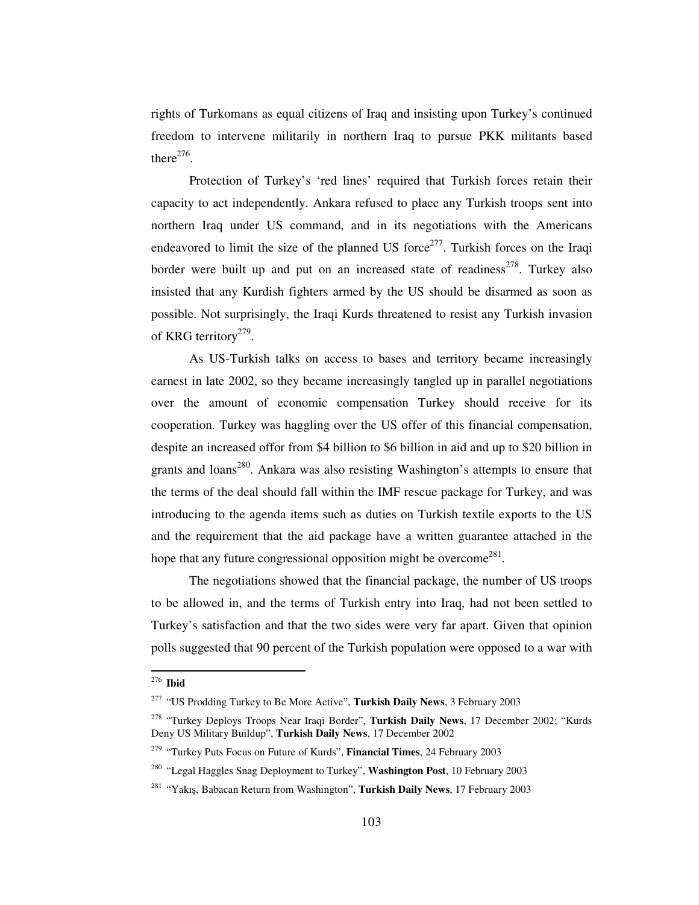rights of Turkomans as equal citizens of Iraq and insisting upon Turkey's continued freedom to intervene militarily in northern Iraq to pursue PKK militants based there $^{276}$ .

Protection of Turkey's 'red lines' required that Turkish forces retain their capacity to act independently. Ankara refused to place any Turkish troops sent into northern Iraq under US command, and in its negotiations with the Americans endeavored to limit the size of the planned US force $2^{77}$ . Turkish forces on the Iraqi border were built up and put on an increased state of readiness<sup>278</sup>. Turkey also insisted that any Kurdish fighters armed by the US should be disarmed as soon as possible. Not surprisingly, the Iraqi Kurds threatened to resist any Turkish invasion of KRG territory<sup>279</sup>.

As US-Turkish talks on access to bases and territory became increasingly earnest in late 2002, so they became increasingly tangled up in parallel negotiations over the amount of economic compensation Turkey should receive for its cooperation. Turkey was haggling over the US offer of this financial compensation, despite an increased offor from \$4 billion to \$6 billion in aid and up to \$20 billion in grants and loans<sup>280</sup>. Ankara was also resisting Washington's attempts to ensure that the terms of the deal should fall within the IMF rescue package for Turkey, and was introducing to the agenda items such as duties on Turkish textile exports to the US and the requirement that the aid package have a written guarantee attached in the hope that any future congressional opposition might be overcome<sup>281</sup>.

The negotiations showed that the financial package, the number of US troops to be allowed in, and the terms of Turkish entry into Iraq, had not been settled to Turkey's satisfaction and that the two sides were very far apart. Given that opinion polls suggested that 90 percent of the Turkish population were opposed to a war with

<sup>276</sup> **Ibid**

<sup>277</sup> "US Prodding Turkey to Be More Active", **Turkish Daily News**, 3 February 2003

<sup>278</sup> "Turkey Deploys Troops Near Iraqi Border", **Turkish Daily News**, 17 December 2002; "Kurds Deny US Military Buildup", **Turkish Daily News**, 17 December 2002

<sup>279</sup> "Turkey Puts Focus on Future of Kurds", **Financial Times**, 24 February 2003

<sup>280</sup> "Legal Haggles Snag Deployment to Turkey", **Washington Post**, 10 February 2003

<sup>&</sup>lt;sup>281</sup> "Yakış, Babacan Return from Washington", **Turkish Daily News**, 17 February 2003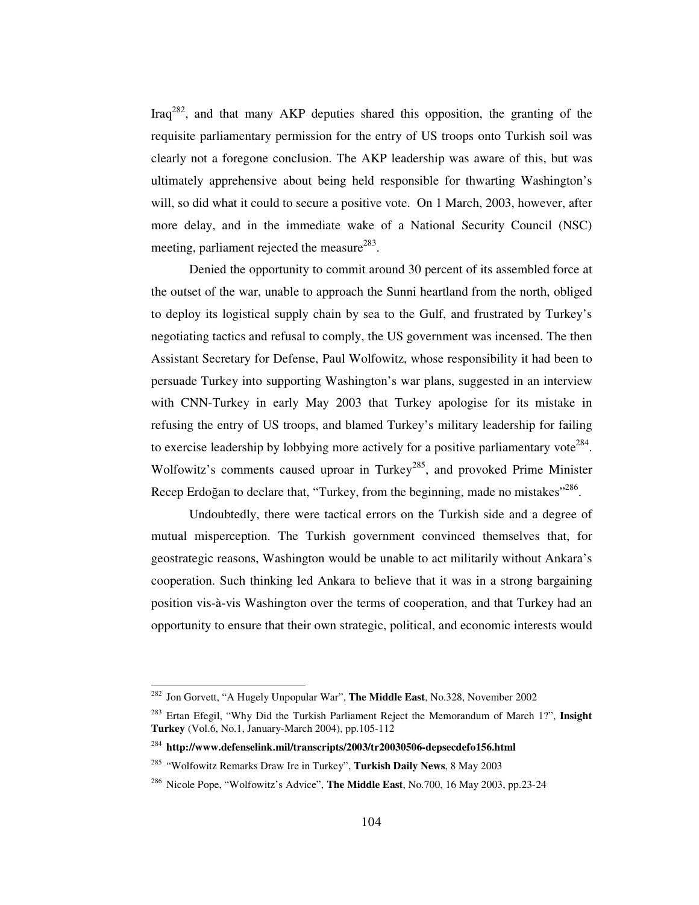Iraq<sup>282</sup>, and that many AKP deputies shared this opposition, the granting of the requisite parliamentary permission for the entry of US troops onto Turkish soil was clearly not a foregone conclusion. The AKP leadership was aware of this, but was ultimately apprehensive about being held responsible for thwarting Washington's will, so did what it could to secure a positive vote. On 1 March, 2003, however, after more delay, and in the immediate wake of a National Security Council (NSC) meeting, parliament rejected the measure<sup>283</sup>.

Denied the opportunity to commit around 30 percent of its assembled force at the outset of the war, unable to approach the Sunni heartland from the north, obliged to deploy its logistical supply chain by sea to the Gulf, and frustrated by Turkey's negotiating tactics and refusal to comply, the US government was incensed. The then Assistant Secretary for Defense, Paul Wolfowitz, whose responsibility it had been to persuade Turkey into supporting Washington's war plans, suggested in an interview with CNN-Turkey in early May 2003 that Turkey apologise for its mistake in refusing the entry of US troops, and blamed Turkey's military leadership for failing to exercise leadership by lobbying more actively for a positive parliamentary vote<sup>284</sup>. Wolfowitz's comments caused uproar in Turkey<sup>285</sup>, and provoked Prime Minister Recep Erdoğan to declare that, "Turkey, from the beginning, made no mistakes"<sup>286</sup>.

Undoubtedly, there were tactical errors on the Turkish side and a degree of mutual misperception. The Turkish government convinced themselves that, for geostrategic reasons, Washington would be unable to act militarily without Ankara's cooperation. Such thinking led Ankara to believe that it was in a strong bargaining position vis-à-vis Washington over the terms of cooperation, and that Turkey had an opportunity to ensure that their own strategic, political, and economic interests would

<sup>282</sup> Jon Gorvett, "A Hugely Unpopular War", **The Middle East**, No.328, November 2002

<sup>283</sup> Ertan Efegil, "Why Did the Turkish Parliament Reject the Memorandum of March 1?", **Insight Turkey** (Vol.6, No.1, January-March 2004), pp.105-112

<sup>284</sup> **http://www.defenselink.mil/transcripts/2003/tr20030506-depsecdefo156.html**

<sup>285</sup> "Wolfowitz Remarks Draw Ire in Turkey", **Turkish Daily News**, 8 May 2003

<sup>286</sup> Nicole Pope, "Wolfowitz's Advice", **The Middle East**, No.700, 16 May 2003, pp.23-24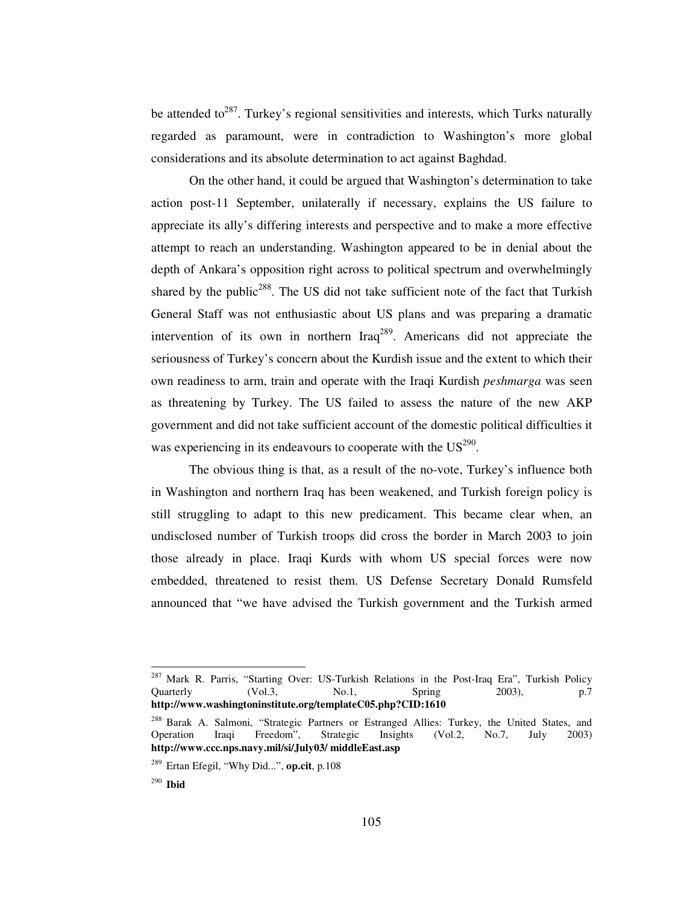be attended to<sup>287</sup>. Turkey's regional sensitivities and interests, which Turks naturally regarded as paramount, were in contradiction to Washington's more global considerations and its absolute determination to act against Baghdad.

On the other hand, it could be argued that Washington's determination to take action post-11 September, unilaterally if necessary, explains the US failure to appreciate its ally's differing interests and perspective and to make a more effective attempt to reach an understanding. Washington appeared to be in denial about the depth of Ankara's opposition right across to political spectrum and overwhelmingly shared by the public<sup>288</sup>. The US did not take sufficient note of the fact that Turkish General Staff was not enthusiastic about US plans and was preparing a dramatic intervention of its own in northern  $\text{Iraq}^{289}$ . Americans did not appreciate the seriousness of Turkey's concern about the Kurdish issue and the extent to which their own readiness to arm, train and operate with the Iraqi Kurdish *peshmarga* was seen as threatening by Turkey. The US failed to assess the nature of the new AKP government and did not take sufficient account of the domestic political difficulties it was experiencing in its endeavours to cooperate with the  $US^{290}$ .

The obvious thing is that, as a result of the no-vote, Turkey's influence both in Washington and northern Iraq has been weakened, and Turkish foreign policy is still struggling to adapt to this new predicament. This became clear when, an undisclosed number of Turkish troops did cross the border in March 2003 to join those already in place. Iraqi Kurds with whom US special forces were now embedded, threatened to resist them. US Defense Secretary Donald Rumsfeld announced that "we have advised the Turkish government and the Turkish armed

<sup>&</sup>lt;sup>287</sup> Mark R. Parris, "Starting Over: US-Turkish Relations in the Post-Iraq Era", Turkish Policy<br>Quarterly (Vol.3. No.1. Spring 2003), p.7 Quarterly (Vol.3, No.1, Spring 2003), p.7 **http://www.washingtoninstitute.org/templateC05.php?CID:1610**

<sup>&</sup>lt;sup>288</sup> Barak A. Salmoni, "Strategic Partners or Estranged Allies: Turkey, the United States, and Operation Iraqi Freedom", Strategic Insights (Vol.2, No.7, July 2003) Operation Iraqi Freedom", Strategic Insights (Vol.2, No.7, July 2003) **http://www.ccc.nps.navy.mil/si/July03/ middleEast.asp**

<sup>289</sup> Ertan Efegil, "Why Did...", **op.cit**, p.108

<sup>290</sup> **Ibid**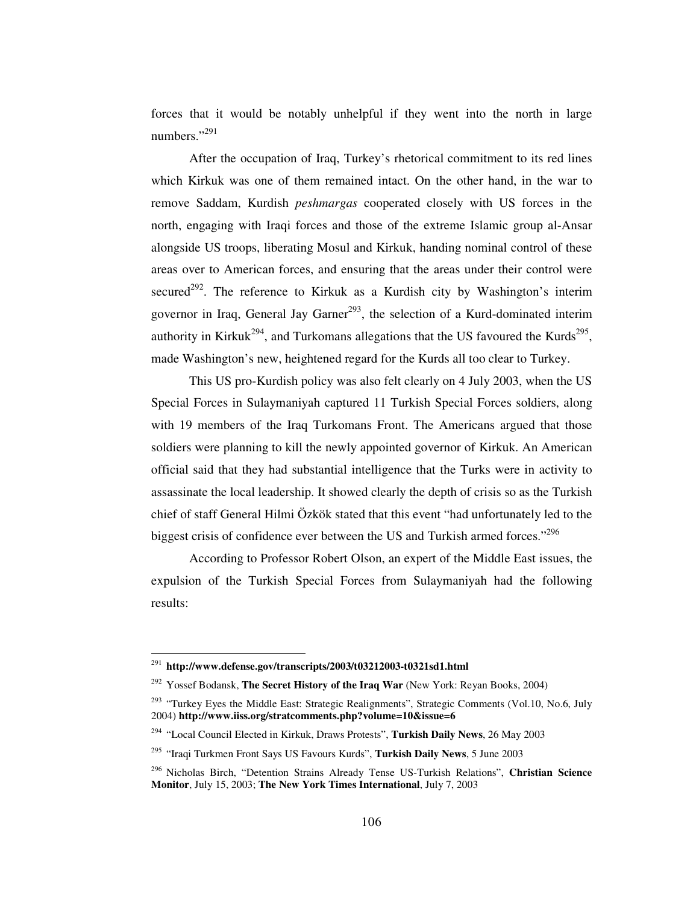forces that it would be notably unhelpful if they went into the north in large numbers."<sup>291</sup>

After the occupation of Iraq, Turkey's rhetorical commitment to its red lines which Kirkuk was one of them remained intact. On the other hand, in the war to remove Saddam, Kurdish *peshmargas* cooperated closely with US forces in the north, engaging with Iraqi forces and those of the extreme Islamic group al-Ansar alongside US troops, liberating Mosul and Kirkuk, handing nominal control of these areas over to American forces, and ensuring that the areas under their control were secured<sup>292</sup>. The reference to Kirkuk as a Kurdish city by Washington's interim governor in Iraq, General Jay Garner<sup>293</sup>, the selection of a Kurd-dominated interim authority in Kirkuk<sup>294</sup>, and Turkomans allegations that the US favoured the Kurds<sup>295</sup>, made Washington's new, heightened regard for the Kurds all too clear to Turkey.

This US pro-Kurdish policy was also felt clearly on 4 July 2003, when the US Special Forces in Sulaymaniyah captured 11 Turkish Special Forces soldiers, along with 19 members of the Iraq Turkomans Front. The Americans argued that those soldiers were planning to kill the newly appointed governor of Kirkuk. An American official said that they had substantial intelligence that the Turks were in activity to assassinate the local leadership. It showed clearly the depth of crisis so as the Turkish chief of staff General Hilmi Özkök stated that this event "had unfortunately led to the biggest crisis of confidence ever between the US and Turkish armed forces."296

According to Professor Robert Olson, an expert of the Middle East issues, the expulsion of the Turkish Special Forces from Sulaymaniyah had the following results:

<sup>291</sup> **http://www.defense.gov/transcripts/2003/t03212003-t0321sd1.html**

<sup>292</sup> Yossef Bodansk, **The Secret History of the Iraq War** (New York: Reyan Books, 2004)

<sup>&</sup>lt;sup>293</sup> "Turkey Eyes the Middle East: Strategic Realignments", Strategic Comments (Vol.10, No.6, July 2004) **http://www.iiss.org/stratcomments.php?volume=10&issue=6**

<sup>294</sup> "Local Council Elected in Kirkuk, Draws Protests", **Turkish Daily News**, 26 May 2003

<sup>295</sup> "Iraqi Turkmen Front Says US Favours Kurds", **Turkish Daily News**, 5 June 2003

<sup>296</sup> Nicholas Birch, "Detention Strains Already Tense US-Turkish Relations", **Christian Science Monitor**, July 15, 2003; **The New York Times International**, July 7, 2003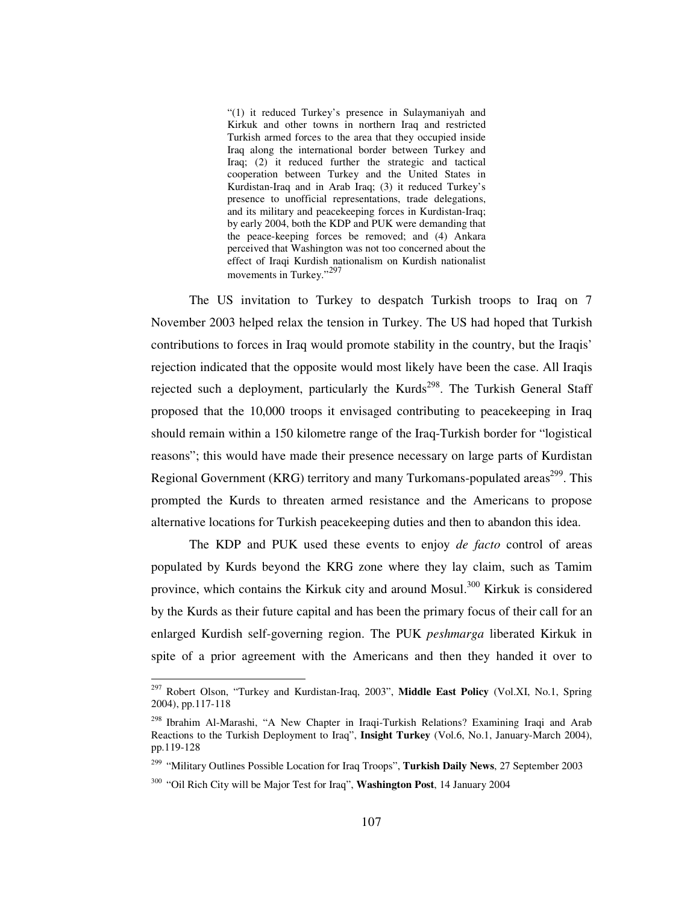"(1) it reduced Turkey's presence in Sulaymaniyah and Kirkuk and other towns in northern Iraq and restricted Turkish armed forces to the area that they occupied inside Iraq along the international border between Turkey and Iraq; (2) it reduced further the strategic and tactical cooperation between Turkey and the United States in Kurdistan-Iraq and in Arab Iraq; (3) it reduced Turkey's presence to unofficial representations, trade delegations, and its military and peacekeeping forces in Kurdistan-Iraq; by early 2004, both the KDP and PUK were demanding that the peace-keeping forces be removed; and (4) Ankara perceived that Washington was not too concerned about the effect of Iraqi Kurdish nationalism on Kurdish nationalist movements in Turkey."<sup>297</sup>

The US invitation to Turkey to despatch Turkish troops to Iraq on 7 November 2003 helped relax the tension in Turkey. The US had hoped that Turkish contributions to forces in Iraq would promote stability in the country, but the Iraqis' rejection indicated that the opposite would most likely have been the case. All Iraqis rejected such a deployment, particularly the Kurds<sup>298</sup>. The Turkish General Staff proposed that the 10,000 troops it envisaged contributing to peacekeeping in Iraq should remain within a 150 kilometre range of the Iraq-Turkish border for "logistical reasons"; this would have made their presence necessary on large parts of Kurdistan Regional Government (KRG) territory and many Turkomans-populated areas<sup>299</sup>. This prompted the Kurds to threaten armed resistance and the Americans to propose alternative locations for Turkish peacekeeping duties and then to abandon this idea.

The KDP and PUK used these events to enjoy *de facto* control of areas populated by Kurds beyond the KRG zone where they lay claim, such as Tamim province, which contains the Kirkuk city and around Mosul.<sup>300</sup> Kirkuk is considered by the Kurds as their future capital and has been the primary focus of their call for an enlarged Kurdish self-governing region. The PUK *peshmarga* liberated Kirkuk in spite of a prior agreement with the Americans and then they handed it over to

<sup>297</sup> Robert Olson, "Turkey and Kurdistan-Iraq, 2003", **Middle East Policy** (Vol.XI, No.1, Spring 2004), pp.117-118

<sup>&</sup>lt;sup>298</sup> Ibrahim Al-Marashi, "A New Chapter in Iraqi-Turkish Relations? Examining Iraqi and Arab Reactions to the Turkish Deployment to Iraq", **Insight Turkey** (Vol.6, No.1, January-March 2004), pp.119-128

<sup>299</sup> "Military Outlines Possible Location for Iraq Troops", **Turkish Daily News**, 27 September 2003

<sup>300</sup> "Oil Rich City will be Major Test for Iraq", **Washington Post**, 14 January 2004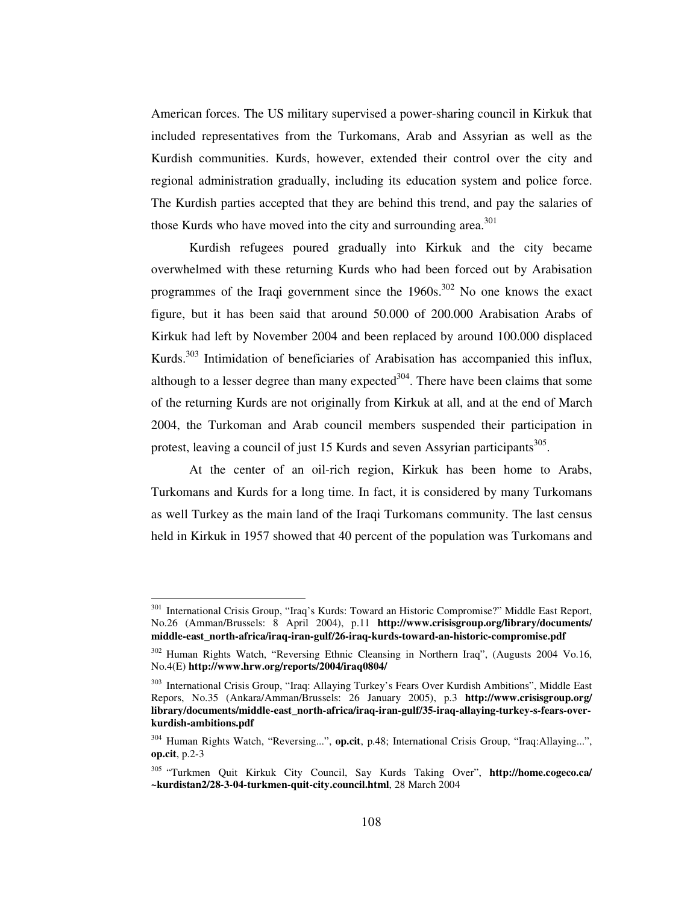American forces. The US military supervised a power-sharing council in Kirkuk that included representatives from the Turkomans, Arab and Assyrian as well as the Kurdish communities. Kurds, however, extended their control over the city and regional administration gradually, including its education system and police force. The Kurdish parties accepted that they are behind this trend, and pay the salaries of those Kurds who have moved into the city and surrounding area.<sup>301</sup>

Kurdish refugees poured gradually into Kirkuk and the city became overwhelmed with these returning Kurds who had been forced out by Arabisation programmes of the Iraqi government since the  $1960s$ .<sup>302</sup> No one knows the exact figure, but it has been said that around 50.000 of 200.000 Arabisation Arabs of Kirkuk had left by November 2004 and been replaced by around 100.000 displaced Kurds.<sup>303</sup> Intimidation of beneficiaries of Arabisation has accompanied this influx, although to a lesser degree than many expected<sup>304</sup>. There have been claims that some of the returning Kurds are not originally from Kirkuk at all, and at the end of March 2004, the Turkoman and Arab council members suspended their participation in protest, leaving a council of just 15 Kurds and seven Assyrian participants<sup>305</sup>.

At the center of an oil-rich region, Kirkuk has been home to Arabs, Turkomans and Kurds for a long time. In fact, it is considered by many Turkomans as well Turkey as the main land of the Iraqi Turkomans community. The last census held in Kirkuk in 1957 showed that 40 percent of the population was Turkomans and

<sup>&</sup>lt;sup>301</sup> International Crisis Group, "Iraq's Kurds: Toward an Historic Compromise?" Middle East Report, No.26 (Amman/Brussels: 8 April 2004), p.11 **http://www.crisisgroup.org/library/documents/ middle-east\_north-africa/iraq-iran-gulf/26-iraq-kurds-toward-an-historic-compromise.pdf**

<sup>&</sup>lt;sup>302</sup> Human Rights Watch, "Reversing Ethnic Cleansing in Northern Iraq", (Augusts 2004 Vo.16, No.4(E) **http://www.hrw.org/reports/2004/iraq0804/**

<sup>&</sup>lt;sup>303</sup> International Crisis Group, "Iraq: Allaying Turkey's Fears Over Kurdish Ambitions", Middle East Repors, No.35 (Ankara/Amman/Brussels: 26 January 2005), p.3 **http://www.crisisgroup.org/ library/documents/middle-east\_north-africa/iraq-iran-gulf/35-iraq-allaying-turkey-s-fears-overkurdish-ambitions.pdf**

<sup>304</sup> Human Rights Watch, "Reversing...", **op.cit**, p.48; International Crisis Group, "Iraq:Allaying...", **op.cit**, p.2-3

<sup>305</sup> "Turkmen Quit Kirkuk City Council, Say Kurds Taking Over", **http://home.cogeco.ca/ ~kurdistan2/28-3-04-turkmen-quit-city.council.html**, 28 March 2004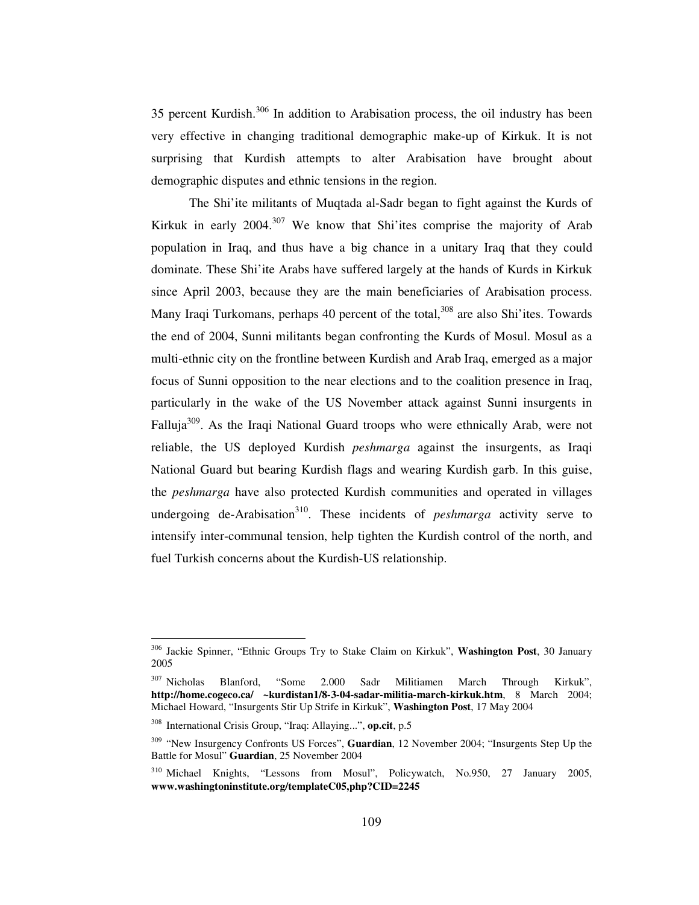35 percent Kurdish.<sup>306</sup> In addition to Arabisation process, the oil industry has been very effective in changing traditional demographic make-up of Kirkuk. It is not surprising that Kurdish attempts to alter Arabisation have brought about demographic disputes and ethnic tensions in the region.

The Shi'ite militants of Muqtada al-Sadr began to fight against the Kurds of Kirkuk in early 2004.<sup>307</sup> We know that Shi'ites comprise the majority of Arab population in Iraq, and thus have a big chance in a unitary Iraq that they could dominate. These Shi'ite Arabs have suffered largely at the hands of Kurds in Kirkuk since April 2003, because they are the main beneficiaries of Arabisation process. Many Iraqi Turkomans, perhaps 40 percent of the total,<sup>308</sup> are also Shi'ites. Towards the end of 2004, Sunni militants began confronting the Kurds of Mosul. Mosul as a multi-ethnic city on the frontline between Kurdish and Arab Iraq, emerged as a major focus of Sunni opposition to the near elections and to the coalition presence in Iraq, particularly in the wake of the US November attack against Sunni insurgents in Falluja<sup>309</sup>. As the Iraqi National Guard troops who were ethnically Arab, were not reliable, the US deployed Kurdish *peshmarga* against the insurgents, as Iraqi National Guard but bearing Kurdish flags and wearing Kurdish garb. In this guise, the *peshmarga* have also protected Kurdish communities and operated in villages undergoing de-Arabisation 310 . These incidents of *peshmarga* activity serve to intensify inter-communal tension, help tighten the Kurdish control of the north, and fuel Turkish concerns about the Kurdish-US relationship.

<sup>306</sup> Jackie Spinner, "Ethnic Groups Try to Stake Claim on Kirkuk", **Washington Post**, 30 January 2005

<sup>307</sup> Nicholas Blanford, "Some 2.000 Sadr Militiamen March Through Kirkuk", **http://home.cogeco.ca/ ~kurdistan1/8-3-04-sadar-militia-march-kirkuk.htm**, 8 March 2004; Michael Howard, "Insurgents Stir Up Strife in Kirkuk", **Washington Post**, 17 May 2004

<sup>308</sup> International Crisis Group, "Iraq: Allaying...", **op.cit**, p.5

<sup>309</sup> "New Insurgency Confronts US Forces", **Guardian**, 12 November 2004; "Insurgents Step Up the Battle for Mosul" **Guardian**, 25 November 2004

<sup>310</sup> Michael Knights, "Lessons from Mosul", Policywatch, No.950, 27 January 2005, **www.washingtoninstitute.org/templateC05,php?CID=2245**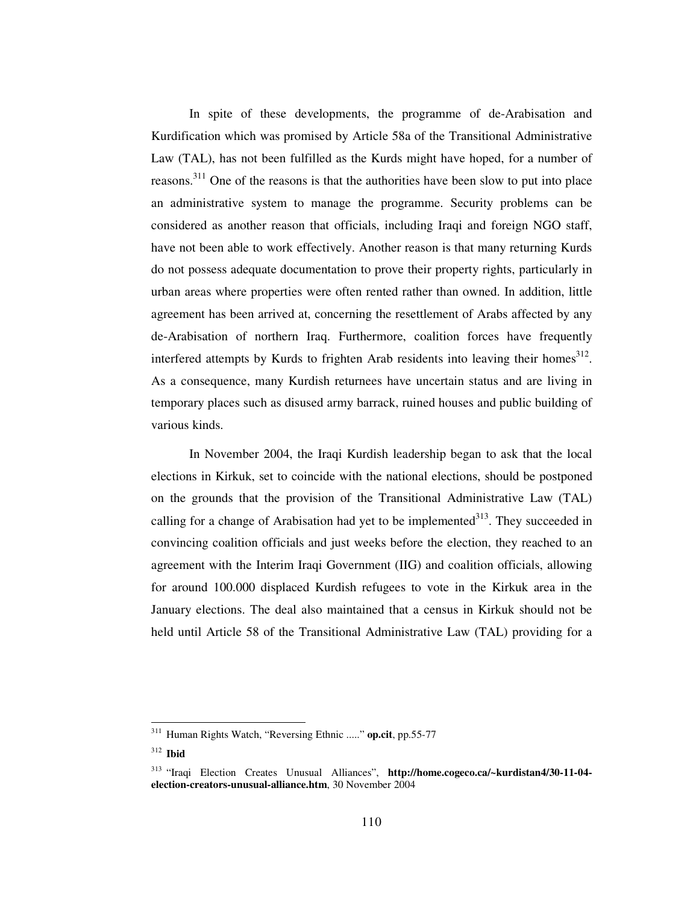In spite of these developments, the programme of de-Arabisation and Kurdification which was promised by Article 58a of the Transitional Administrative Law (TAL), has not been fulfilled as the Kurds might have hoped, for a number of reasons.<sup>311</sup> One of the reasons is that the authorities have been slow to put into place an administrative system to manage the programme. Security problems can be considered as another reason that officials, including Iraqi and foreign NGO staff, have not been able to work effectively. Another reason is that many returning Kurds do not possess adequate documentation to prove their property rights, particularly in urban areas where properties were often rented rather than owned. In addition, little agreement has been arrived at, concerning the resettlement of Arabs affected by any de-Arabisation of northern Iraq. Furthermore, coalition forces have frequently interfered attempts by Kurds to frighten Arab residents into leaving their homes<sup>312</sup>. As a consequence, many Kurdish returnees have uncertain status and are living in temporary places such as disused army barrack, ruined houses and public building of various kinds.

In November 2004, the Iraqi Kurdish leadership began to ask that the local elections in Kirkuk, set to coincide with the national elections, should be postponed on the grounds that the provision of the Transitional Administrative Law (TAL) calling for a change of Arabisation had yet to be implemented $313$ . They succeeded in convincing coalition officials and just weeks before the election, they reached to an agreement with the Interim Iraqi Government (IIG) and coalition officials, allowing for around 100.000 displaced Kurdish refugees to vote in the Kirkuk area in the January elections. The deal also maintained that a census in Kirkuk should not be held until Article 58 of the Transitional Administrative Law (TAL) providing for a

<sup>311</sup> Human Rights Watch, "Reversing Ethnic ....." **op.cit**, pp.55-77

<sup>312</sup> **Ibid**

<sup>313</sup> "Iraqi Election Creates Unusual Alliances", **http://home.cogeco.ca/~kurdistan4/30-11-04 election-creators-unusual-alliance.htm**, 30 November 2004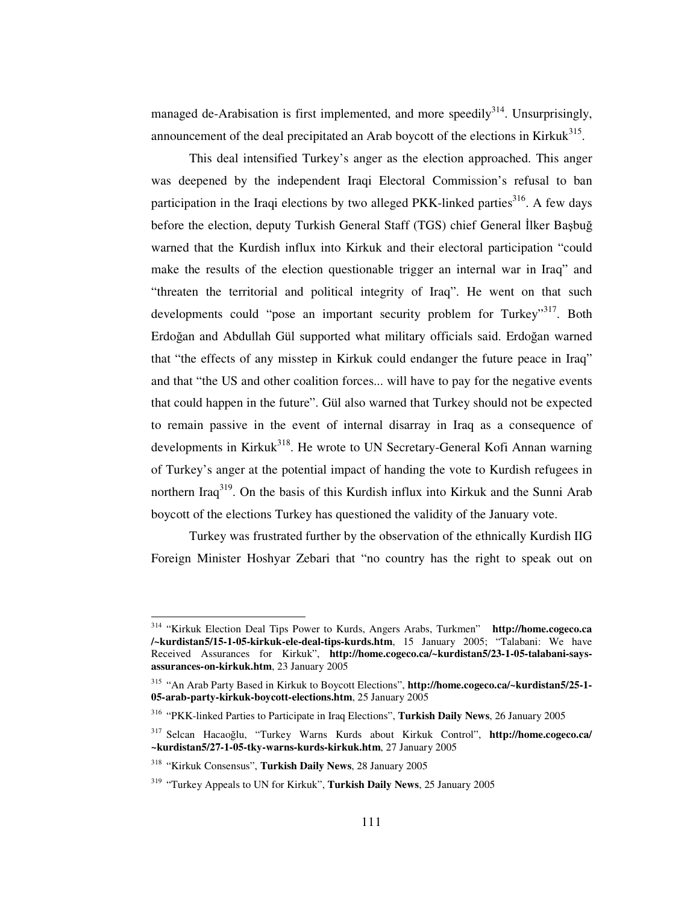managed de-Arabisation is first implemented, and more speedily<sup>314</sup>. Unsurprisingly, announcement of the deal precipitated an Arab boycott of the elections in Kirkuk<sup>315</sup>.

This deal intensified Turkey's anger as the election approached. This anger was deepened by the independent Iraqi Electoral Commission's refusal to ban participation in the Iraqi elections by two alleged PKK-linked parties<sup>316</sup>. A few days before the election, deputy Turkish General Staff (TGS) chief General İlker Başbuğ warned that the Kurdish influx into Kirkuk and their electoral participation "could make the results of the election questionable trigger an internal war in Iraq" and "threaten the territorial and political integrity of Iraq". He went on that such developments could "pose an important security problem for Turkey"<sup>317</sup>. Both Erdoğan and Abdullah Gül supported what military officials said. Erdoğan warned that "the effects of any misstep in Kirkuk could endanger the future peace in Iraq" and that "the US and other coalition forces... will have to pay for the negative events that could happen in the future". Gül also warned that Turkey should not be expected to remain passive in the event of internal disarray in Iraq as a consequence of developments in Kirkuk<sup>318</sup>. He wrote to UN Secretary-General Kofi Annan warning of Turkey's anger at the potential impact of handing the vote to Kurdish refugees in northern Iraq<sup>319</sup>. On the basis of this Kurdish influx into Kirkuk and the Sunni Arab boycott of the elections Turkey has questioned the validity of the January vote.

Turkey was frustrated further by the observation of the ethnically Kurdish IIG Foreign Minister Hoshyar Zebari that "no country has the right to speak out on

<sup>314</sup> "Kirkuk Election Deal Tips Power to Kurds, Angers Arabs, Turkmen" **http://home.cogeco.ca /~kurdistan5/15-1-05-kirkuk-ele-deal-tips-kurds.htm**, 15 January 2005; "Talabani: We have Received Assurances for Kirkuk", **http://home.cogeco.ca/~kurdistan5/23-1-05-talabani-saysassurances-on-kirkuk.htm**, 23 January 2005

<sup>315</sup> "An Arab Party Based in Kirkuk to Boycott Elections", **http://home.cogeco.ca/~kurdistan5/25-1- 05-arab-party-kirkuk-boycott-elections.htm**, 25 January 2005

<sup>316</sup> "PKK-linked Parties to Participate in Iraq Elections", **Turkish Daily News**, 26 January 2005

<sup>&</sup>lt;sup>317</sup> Selcan Hacaoğlu, "Turkey Warns Kurds about Kirkuk Control", http://home.cogeco.ca/ **~kurdistan5/27-1-05-tky-warns-kurds-kirkuk.htm**, 27 January 2005

<sup>318</sup> "Kirkuk Consensus", **Turkish Daily News**, 28 January 2005

<sup>319</sup> "Turkey Appeals to UN for Kirkuk", **Turkish Daily News**, 25 January 2005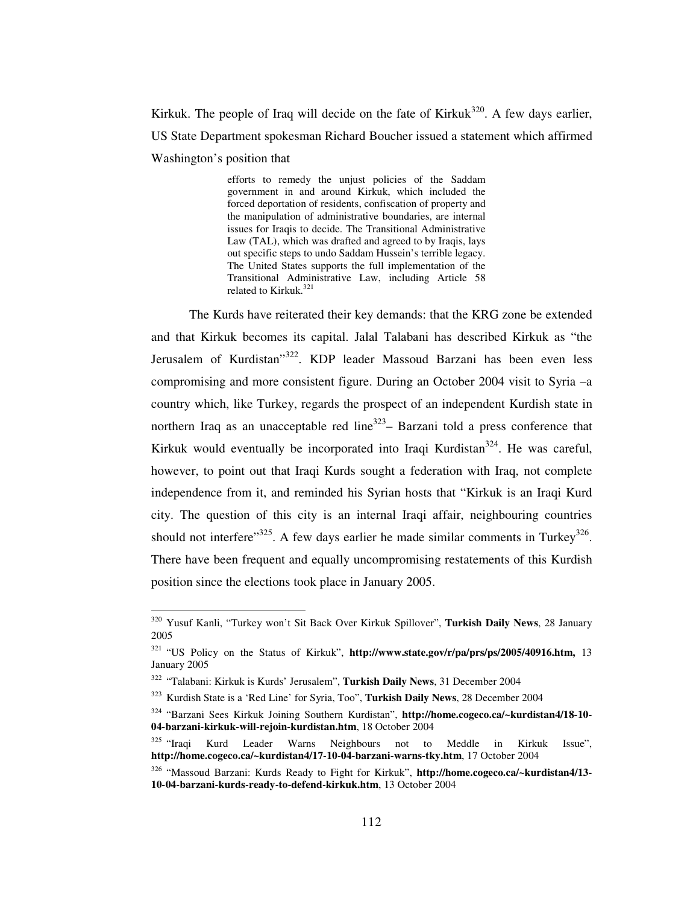Kirkuk. The people of Iraq will decide on the fate of Kirkuk $320$ . A few days earlier, US State Department spokesman Richard Boucher issued a statement which affirmed Washington's position that

> efforts to remedy the unjust policies of the Saddam government in and around Kirkuk, which included the forced deportation of residents, confiscation of property and the manipulation of administrative boundaries, are internal issues for Iraqis to decide. The Transitional Administrative Law (TAL), which was drafted and agreed to by Iraqis, lays out specific steps to undo Saddam Hussein's terrible legacy. The United States supports the full implementation of the Transitional Administrative Law, including Article 58 related to Kirkuk. 321

The Kurds have reiterated their key demands: that the KRG zone be extended and that Kirkuk becomes its capital. Jalal Talabani has described Kirkuk as "the Jerusalem of Kurdistan<sup>,322</sup>. KDP leader Massoud Barzani has been even less compromising and more consistent figure. During an October 2004 visit to Syria –a country which, like Turkey, regards the prospect of an independent Kurdish state in northern Iraq as an unacceptable red line<sup>323</sup> – Barzani told a press conference that Kirkuk would eventually be incorporated into Iraqi Kurdistan<sup>324</sup>. He was careful, however, to point out that Iraqi Kurds sought a federation with Iraq, not complete independence from it, and reminded his Syrian hosts that "Kirkuk is an Iraqi Kurd city. The question of this city is an internal Iraqi affair, neighbouring countries should not interfere"  $325$ . A few days earlier he made similar comments in Turkey  $326$ . There have been frequent and equally uncompromising restatements of this Kurdish position since the elections took place in January 2005.

<sup>320</sup> Yusuf Kanli, "Turkey won't Sit Back Over Kirkuk Spillover", **Turkish Daily News**, 28 January 2005

<sup>321</sup> "US Policy on the Status of Kirkuk", **http://www.state.gov/r/pa/prs/ps/2005/40916.htm,** 13 January 2005

<sup>322</sup> "Talabani: Kirkuk is Kurds' Jerusalem", **Turkish Daily News**, 31 December 2004

<sup>323</sup> Kurdish State is a 'Red Line' for Syria, Too", **Turkish Daily News**, 28 December 2004

<sup>324</sup> "Barzani Sees Kirkuk Joining Southern Kurdistan", **http://home.cogeco.ca/~kurdistan4/18-10- 04-barzani-kirkuk-will-rejoin-kurdistan.htm**, 18 October 2004

 $325$  "Iraqi Kurd Leader Warns Neighbours not to Meddle in Kirkuk Issue", **http://home.cogeco.ca/~kurdistan4/17-10-04-barzani-warns-tky.htm**, 17 October 2004

<sup>326</sup> "Massoud Barzani: Kurds Ready to Fight for Kirkuk", **http://home.cogeco.ca/~kurdistan4/13- 10-04-barzani-kurds-ready-to-defend-kirkuk.htm**, 13 October 2004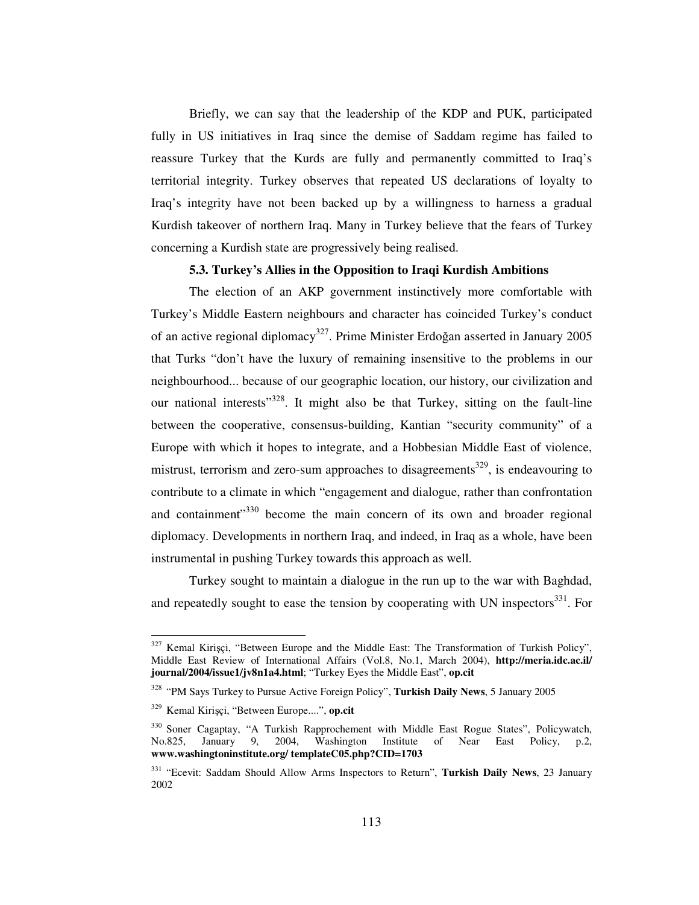Briefly, we can say that the leadership of the KDP and PUK, participated fully in US initiatives in Iraq since the demise of Saddam regime has failed to reassure Turkey that the Kurds are fully and permanently committed to Iraq's territorial integrity. Turkey observes that repeated US declarations of loyalty to Iraq's integrity have not been backed up by a willingness to harness a gradual Kurdish takeover of northern Iraq. Many in Turkey believe that the fears of Turkey concerning a Kurdish state are progressively being realised.

# **5.3. Turkey's Allies in the Opposition to Iraqi Kurdish Ambitions**

The election of an AKP government instinctively more comfortable with Turkey's Middle Eastern neighbours and character has coincided Turkey's conduct of an active regional diplomacy<sup>327</sup>. Prime Minister Erdoğan asserted in January 2005 that Turks "don't have the luxury of remaining insensitive to the problems in our neighbourhood... because of our geographic location, our history, our civilization and our national interests"<sup>328</sup>. It might also be that Turkey, sitting on the fault-line between the cooperative, consensus-building, Kantian "security community" of a Europe with which it hopes to integrate, and a Hobbesian Middle East of violence, mistrust, terrorism and zero-sum approaches to disagreements<sup>329</sup>, is endeavouring to contribute to a climate in which "engagement and dialogue, rather than confrontation and containment"<sup>330</sup> become the main concern of its own and broader regional diplomacy. Developments in northern Iraq, and indeed, in Iraq as a whole, have been instrumental in pushing Turkey towards this approach as well.

Turkey sought to maintain a dialogue in the run up to the war with Baghdad, and repeatedly sought to ease the tension by cooperating with UN inspectors<sup>331</sup>. For

<sup>327</sup> Kemal Kiriçi, "Between Europe and the Middle East: The Transformation of Turkish Policy", Middle East Review of International Affairs (Vol.8, No.1, March 2004), **http://meria.idc.ac.il/ journal/2004/issue1/jv8n1a4.html**; "Turkey Eyes the Middle East", **op.cit**

<sup>328</sup> "PM Says Turkey to Pursue Active Foreign Policy", **Turkish Daily News**, 5 January 2005

<sup>329</sup> Kemal Kiriçi, "Between Europe....", **op.cit**

<sup>&</sup>lt;sup>330</sup> Soner Cagaptay, "A Turkish Rapprochement with Middle East Rogue States", Policywatch, No.825, January 9, 2004, Washington Institute of Near East Policy, p.2, **www.washingtoninstitute.org/ templateC05.php?CID=1703**

<sup>331</sup> "Ecevit: Saddam Should Allow Arms Inspectors to Return", **Turkish Daily News**, 23 January 2002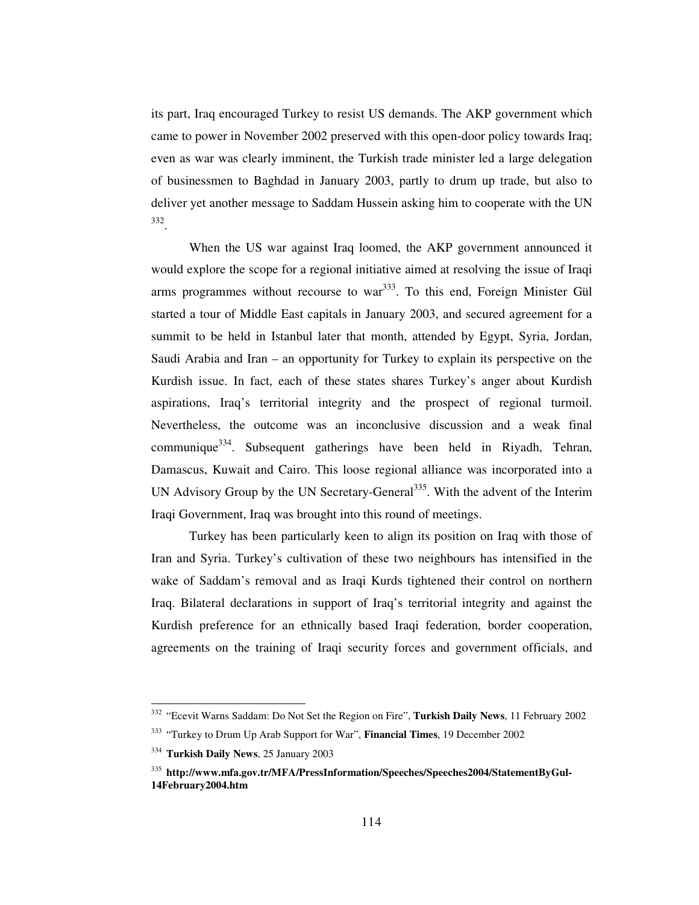its part, Iraq encouraged Turkey to resist US demands. The AKP government which came to power in November 2002 preserved with this open-door policy towards Iraq; even as war was clearly imminent, the Turkish trade minister led a large delegation of businessmen to Baghdad in January 2003, partly to drum up trade, but also to deliver yet another message to Saddam Hussein asking him to cooperate with the UN 332 .

When the US war against Iraq loomed, the AKP government announced it would explore the scope for a regional initiative aimed at resolving the issue of Iraqi arms programmes without recourse to war<sup>333</sup>. To this end, Foreign Minister Gül started a tour of Middle East capitals in January 2003, and secured agreement for a summit to be held in Istanbul later that month, attended by Egypt, Syria, Jordan, Saudi Arabia and Iran – an opportunity for Turkey to explain its perspective on the Kurdish issue. In fact, each of these states shares Turkey's anger about Kurdish aspirations, Iraq's territorial integrity and the prospect of regional turmoil. Nevertheless, the outcome was an inconclusive discussion and a weak final communique<sup>334</sup>. Subsequent gatherings have been held in Riyadh, Tehran, Damascus, Kuwait and Cairo. This loose regional alliance was incorporated into a UN Advisory Group by the UN Secretary-General<sup>335</sup>. With the advent of the Interim Iraqi Government, Iraq was brought into this round of meetings.

Turkey has been particularly keen to align its position on Iraq with those of Iran and Syria. Turkey's cultivation of these two neighbours has intensified in the wake of Saddam's removal and as Iraqi Kurds tightened their control on northern Iraq. Bilateral declarations in support of Iraq's territorial integrity and against the Kurdish preference for an ethnically based Iraqi federation, border cooperation, agreements on the training of Iraqi security forces and government officials, and

<sup>332</sup> "Ecevit Warns Saddam: Do Not Set the Region on Fire", **Turkish Daily News**, 11 February 2002

<sup>333</sup> "Turkey to Drum Up Arab Support for War", **Financial Times**, 19 December 2002

<sup>334</sup> **Turkish Daily News**, 25 January 2003

<sup>&</sup>lt;sup>335</sup> http://www.mfa.gov.tr/MFA/PressInformation/Speeches/Speeches2004/StatementByGul-**14February2004.htm**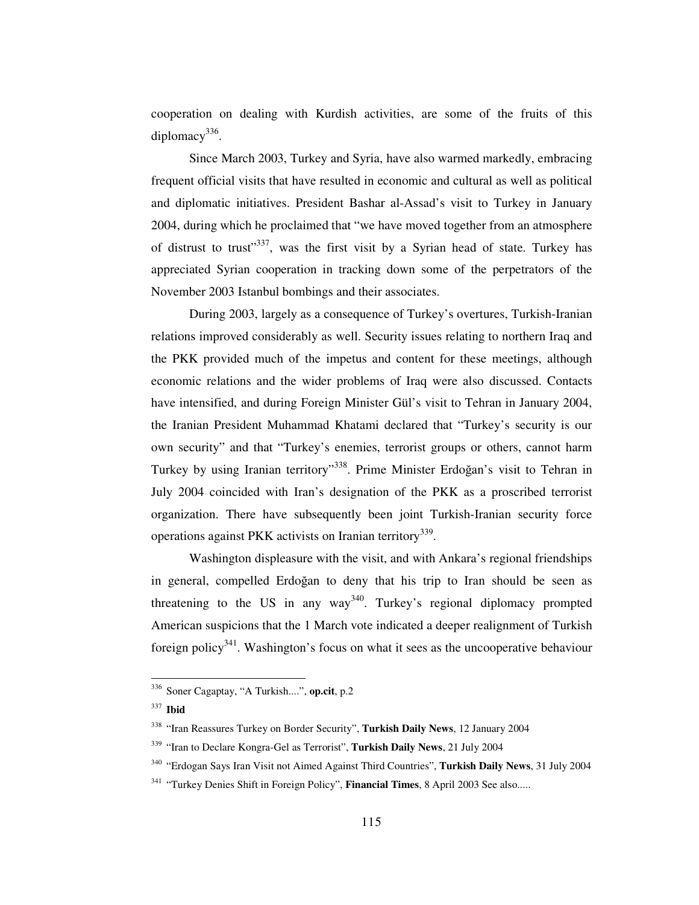cooperation on dealing with Kurdish activities, are some of the fruits of this diplomacy<sup>336</sup>.

Since March 2003, Turkey and Syria, have also warmed markedly, embracing frequent official visits that have resulted in economic and cultural as well as political and diplomatic initiatives. President Bashar al-Assad's visit to Turkey in January 2004, during which he proclaimed that "we have moved together from an atmosphere of distrust to trust"<sup>337</sup>, was the first visit by a Syrian head of state. Turkey has appreciated Syrian cooperation in tracking down some of the perpetrators of the November 2003 Istanbul bombings and their associates.

During 2003, largely as a consequence of Turkey's overtures, Turkish-Iranian relations improved considerably as well. Security issues relating to northern Iraq and the PKK provided much of the impetus and content for these meetings, although economic relations and the wider problems of Iraq were also discussed. Contacts have intensified, and during Foreign Minister Gül's visit to Tehran in January 2004, the Iranian President Muhammad Khatami declared that "Turkey's security is our own security" and that "Turkey's enemies, terrorist groups or others, cannot harm Turkey by using Iranian territory"<sup>338</sup>. Prime Minister Erdoğan's visit to Tehran in July 2004 coincided with Iran's designation of the PKK as a proscribed terrorist organization. There have subsequently been joint Turkish-Iranian security force operations against PKK activists on Iranian territory<sup>339</sup>.

Washington displeasure with the visit, and with Ankara's regional friendships in general, compelled Erdoğan to deny that his trip to Iran should be seen as threatening to the US in any way<sup>340</sup>. Turkey's regional diplomacy prompted American suspicions that the 1 March vote indicated a deeper realignment of Turkish foreign policy<sup>341</sup>. Washington's focus on what it sees as the uncooperative behaviour

<sup>336</sup> Soner Cagaptay, "A Turkish....", **op.cit**, p.2

<sup>337</sup> **Ibid**

<sup>338</sup> "Iran Reassures Turkey on Border Security", **Turkish Daily News**, 12 January 2004

<sup>339</sup> "Iran to Declare Kongra-Gel as Terrorist", **Turkish Daily News**, 21 July 2004

<sup>340</sup> "Erdogan Says Iran Visit not Aimed Against Third Countries", **Turkish Daily News**, 31 July 2004

<sup>341</sup> "Turkey Denies Shift in Foreign Policy", **Financial Times**, 8 April 2003 See also.....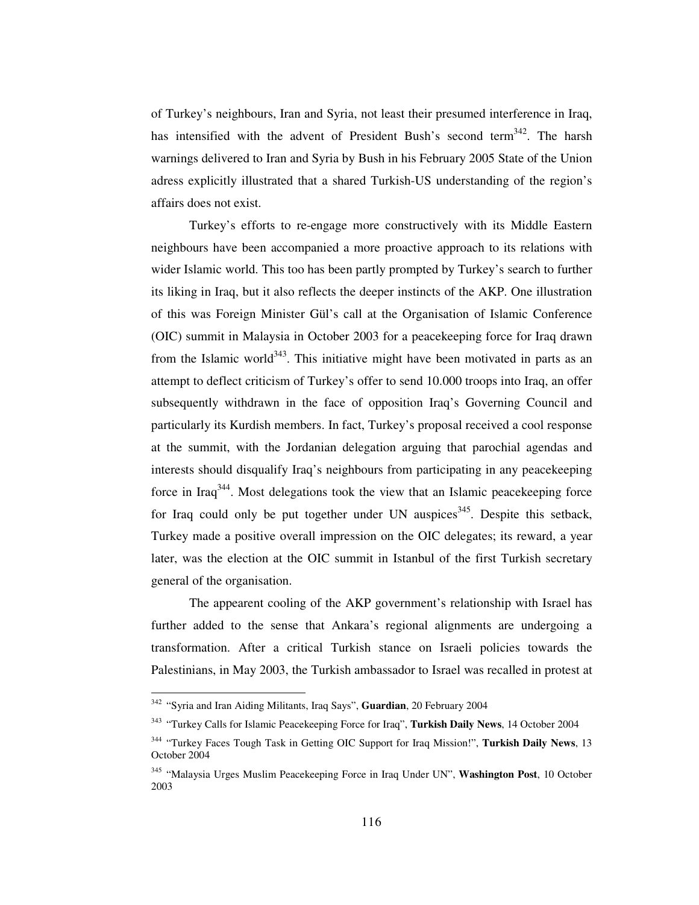of Turkey's neighbours, Iran and Syria, not least their presumed interference in Iraq, has intensified with the advent of President Bush's second term<sup>342</sup>. The harsh warnings delivered to Iran and Syria by Bush in his February 2005 State of the Union adress explicitly illustrated that a shared Turkish-US understanding of the region's affairs does not exist.

Turkey's efforts to re-engage more constructively with its Middle Eastern neighbours have been accompanied a more proactive approach to its relations with wider Islamic world. This too has been partly prompted by Turkey's search to further its liking in Iraq, but it also reflects the deeper instincts of the AKP. One illustration of this was Foreign Minister Gül's call at the Organisation of Islamic Conference (OIC) summit in Malaysia in October 2003 for a peacekeeping force for Iraq drawn from the Islamic world<sup>343</sup>. This initiative might have been motivated in parts as an attempt to deflect criticism of Turkey's offer to send 10.000 troops into Iraq, an offer subsequently withdrawn in the face of opposition Iraq's Governing Council and particularly its Kurdish members. In fact, Turkey's proposal received a cool response at the summit, with the Jordanian delegation arguing that parochial agendas and interests should disqualify Iraq's neighbours from participating in any peacekeeping force in Iraq<sup>344</sup>. Most delegations took the view that an Islamic peacekeeping force for Iraq could only be put together under UN auspices<sup>345</sup>. Despite this setback, Turkey made a positive overall impression on the OIC delegates; its reward, a year later, was the election at the OIC summit in Istanbul of the first Turkish secretary general of the organisation.

The appearent cooling of the AKP government's relationship with Israel has further added to the sense that Ankara's regional alignments are undergoing a transformation. After a critical Turkish stance on Israeli policies towards the Palestinians, in May 2003, the Turkish ambassador to Israel was recalled in protest at

<sup>342</sup> "Syria and Iran Aiding Militants, Iraq Says", **Guardian**, 20 February 2004

<sup>343</sup> "Turkey Calls for Islamic Peacekeeping Force for Iraq", **Turkish Daily News**, 14 October 2004

<sup>344</sup> "Turkey Faces Tough Task in Getting OIC Support for Iraq Mission!", **Turkish Daily News**, 13 October 2004

<sup>345</sup> "Malaysia Urges Muslim Peacekeeping Force in Iraq Under UN", **Washington Post**, 10 October 2003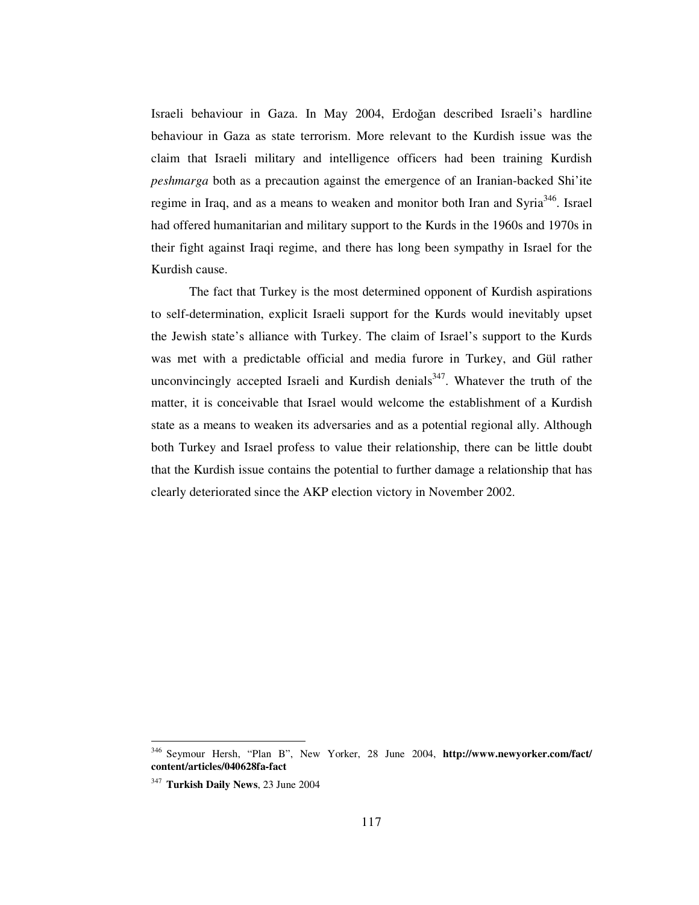Israeli behaviour in Gaza. In May 2004, Erdoğan described Israeli's hardline behaviour in Gaza as state terrorism. More relevant to the Kurdish issue was the claim that Israeli military and intelligence officers had been training Kurdish *peshmarga* both as a precaution against the emergence of an Iranian-backed Shi'ite regime in Iraq, and as a means to weaken and monitor both Iran and Syria<sup>346</sup>. Israel had offered humanitarian and military support to the Kurds in the 1960s and 1970s in their fight against Iraqi regime, and there has long been sympathy in Israel for the Kurdish cause.

The fact that Turkey is the most determined opponent of Kurdish aspirations to self-determination, explicit Israeli support for the Kurds would inevitably upset the Jewish state's alliance with Turkey. The claim of Israel's support to the Kurds was met with a predictable official and media furore in Turkey, and Gül rather unconvincingly accepted Israeli and Kurdish denials<sup>347</sup>. Whatever the truth of the matter, it is conceivable that Israel would welcome the establishment of a Kurdish state as a means to weaken its adversaries and as a potential regional ally. Although both Turkey and Israel profess to value their relationship, there can be little doubt that the Kurdish issue contains the potential to further damage a relationship that has clearly deteriorated since the AKP election victory in November 2002.

<sup>346</sup> Seymour Hersh, "Plan B", New Yorker, 28 June 2004, **http://www.newyorker.com/fact/ content/articles/040628fa-fact**

<sup>347</sup> **Turkish Daily News**, 23 June 2004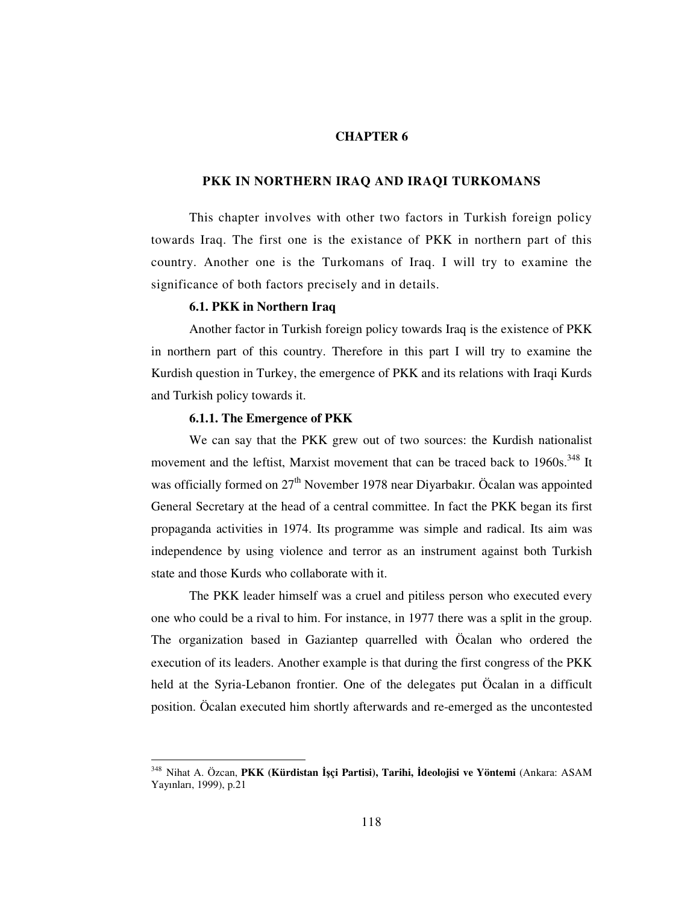### **CHAPTER 6**

### **PKK IN NORTHERN IRAQ AND IRAQI TURKOMANS**

This chapter involves with other two factors in Turkish foreign policy towards Iraq. The first one is the existance of PKK in northern part of this country. Another one is the Turkomans of Iraq. I will try to examine the significance of both factors precisely and in details.

## **6.1. PKK in Northern Iraq**

Another factor in Turkish foreign policy towards Iraq is the existence of PKK in northern part of this country. Therefore in this part I will try to examine the Kurdish question in Turkey, the emergence of PKK and its relations with Iraqi Kurds and Turkish policy towards it.

### **6.1.1. The Emergence of PKK**

We can say that the PKK grew out of two sources: the Kurdish nationalist movement and the leftist, Marxist movement that can be traced back to 1960s.<sup>348</sup> It was officially formed on 27<sup>th</sup> November 1978 near Diyarbakır. Öcalan was appointed General Secretary at the head of a central committee. In fact the PKK began its first propaganda activities in 1974. Its programme was simple and radical. Its aim was independence by using violence and terror as an instrument against both Turkish state and those Kurds who collaborate with it.

The PKK leader himself was a cruel and pitiless person who executed every one who could be a rival to him. For instance, in 1977 there was a split in the group. The organization based in Gaziantep quarrelled with Öcalan who ordered the execution of its leaders. Another example is that during the first congress of the PKK held at the Syria-Lebanon frontier. One of the delegates put Öcalan in a difficult position. Öcalan executed him shortly afterwards and re-emerged as the uncontested

<sup>348</sup> Nihat A. Özcan, **PKK (Kürdistan çi Partisi), Tarihi, deolojisi ve Yöntemi** (Ankara: ASAM Yayınları, 1999), p.21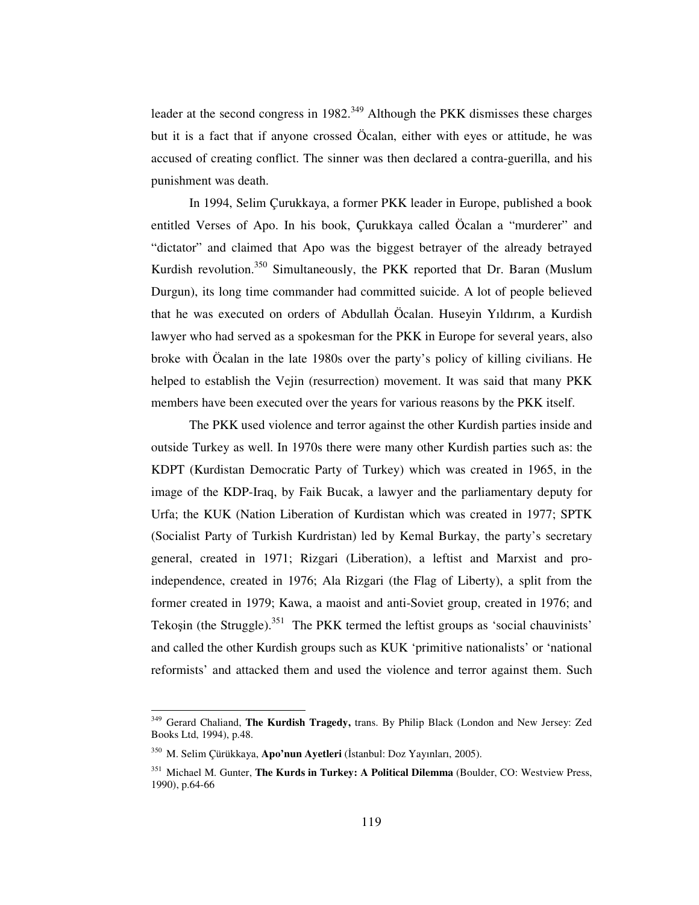leader at the second congress in 1982.<sup>349</sup> Although the PKK dismisses these charges but it is a fact that if anyone crossed Öcalan, either with eyes or attitude, he was accused of creating conflict. The sinner was then declared a contra-guerilla, and his punishment was death.

In 1994, Selim Çurukkaya, a former PKK leader in Europe, published a book entitled Verses of Apo. In his book, Çurukkaya called Öcalan a "murderer" and "dictator" and claimed that Apo was the biggest betrayer of the already betrayed Kurdish revolution.<sup>350</sup> Simultaneously, the PKK reported that Dr. Baran (Muslum Durgun), its long time commander had committed suicide. A lot of people believed that he was executed on orders of Abdullah Öcalan. Huseyin Yıldırım, a Kurdish lawyer who had served as a spokesman for the PKK in Europe for several years, also broke with Öcalan in the late 1980s over the party's policy of killing civilians. He helped to establish the Vejin (resurrection) movement. It was said that many PKK members have been executed over the years for various reasons by the PKK itself.

The PKK used violence and terror against the other Kurdish parties inside and outside Turkey as well. In 1970s there were many other Kurdish parties such as: the KDPT (Kurdistan Democratic Party of Turkey) which was created in 1965, in the image of the KDP-Iraq, by Faik Bucak, a lawyer and the parliamentary deputy for Urfa; the KUK (Nation Liberation of Kurdistan which was created in 1977; SPTK (Socialist Party of Turkish Kurdristan) led by Kemal Burkay, the party's secretary general, created in 1971; Rizgari (Liberation), a leftist and Marxist and proindependence, created in 1976; Ala Rizgari (the Flag of Liberty), a split from the former created in 1979; Kawa, a maoist and anti-Soviet group, created in 1976; and Tekoșin (the Struggle).<sup>351</sup> The PKK termed the leftist groups as 'social chauvinists' and called the other Kurdish groups such as KUK 'primitive nationalists' or 'national reformists' and attacked them and used the violence and terror against them. Such

<sup>349</sup> Gerard Chaliand, **The Kurdish Tragedy,** trans. By Philip Black (London and New Jersey: Zed Books Ltd, 1994), p.48.

<sup>&</sup>lt;sup>350</sup> M. Selim Çürükkaya, **Apo'nun Ayetleri** (İstanbul: Doz Yayınları, 2005).

<sup>351</sup> Michael M. Gunter, **The Kurds in Turkey: A Political Dilemma** (Boulder, CO: Westview Press, 1990), p.64-66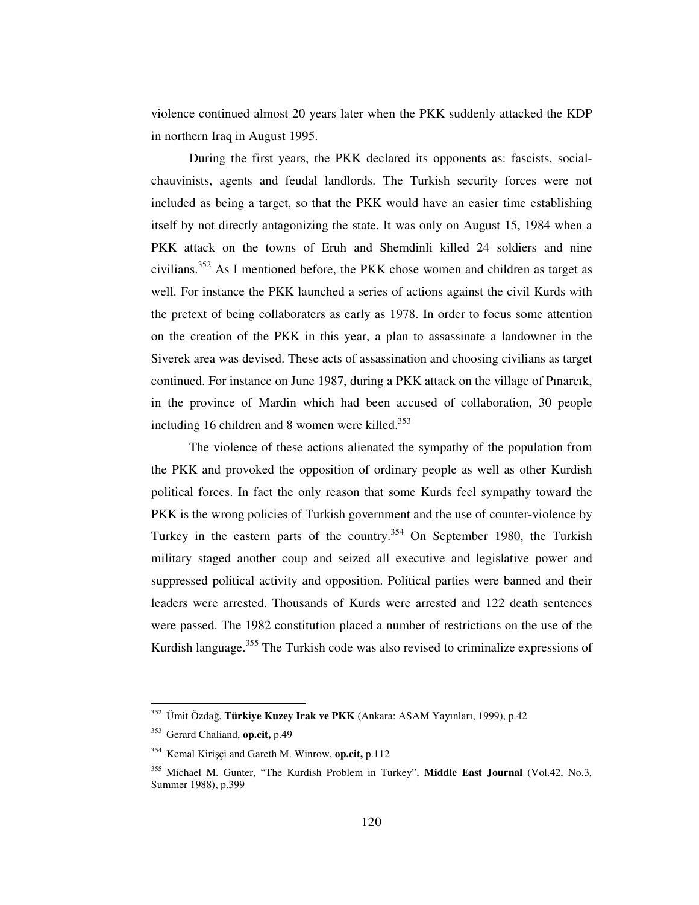violence continued almost 20 years later when the PKK suddenly attacked the KDP in northern Iraq in August 1995.

During the first years, the PKK declared its opponents as: fascists, socialchauvinists, agents and feudal landlords. The Turkish security forces were not included as being a target, so that the PKK would have an easier time establishing itself by not directly antagonizing the state. It was only on August 15, 1984 when a PKK attack on the towns of Eruh and Shemdinli killed 24 soldiers and nine civilians.<sup>352</sup> As I mentioned before, the PKK chose women and children as target as well. For instance the PKK launched a series of actions against the civil Kurds with the pretext of being collaboraters as early as 1978. In order to focus some attention on the creation of the PKK in this year, a plan to assassinate a landowner in the Siverek area was devised. These acts of assassination and choosing civilians as target continued. For instance on June 1987, during a PKK attack on the village of Pınarcık, in the province of Mardin which had been accused of collaboration, 30 people including 16 children and 8 women were killed. 353

The violence of these actions alienated the sympathy of the population from the PKK and provoked the opposition of ordinary people as well as other Kurdish political forces. In fact the only reason that some Kurds feel sympathy toward the PKK is the wrong policies of Turkish government and the use of counter-violence by Turkey in the eastern parts of the country.<sup>354</sup> On September 1980, the Turkish military staged another coup and seized all executive and legislative power and suppressed political activity and opposition. Political parties were banned and their leaders were arrested. Thousands of Kurds were arrested and 122 death sentences were passed. The 1982 constitution placed a number of restrictions on the use of the Kurdish language.<sup>355</sup> The Turkish code was also revised to criminalize expressions of

<sup>352</sup> Ümit Özda, **Türkiye Kuzey Irak ve PKK** (Ankara: ASAM Yayınları, 1999), p.42

<sup>353</sup> Gerard Chaliand, **op.cit,** p.49

<sup>354</sup> Kemal Kiriçi and Gareth M. Winrow, **op.cit,** p.112

<sup>355</sup> Michael M. Gunter, "The Kurdish Problem in Turkey", **Middle East Journal** (Vol.42, No.3, Summer 1988), p.399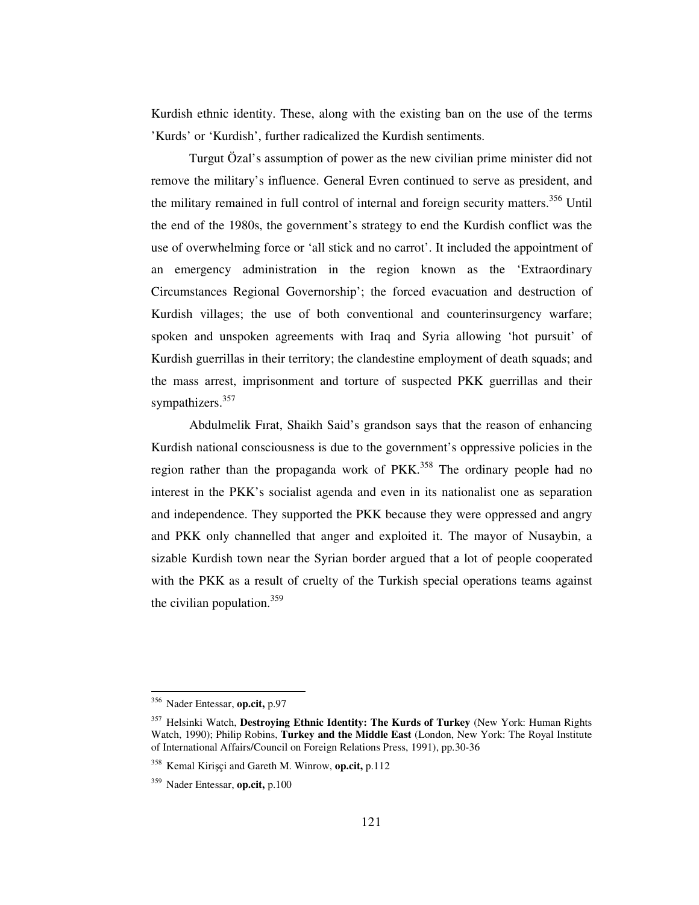Kurdish ethnic identity. These, along with the existing ban on the use of the terms 'Kurds' or 'Kurdish', further radicalized the Kurdish sentiments.

Turgut Özal's assumption of power as the new civilian prime minister did not remove the military's influence. General Evren continued to serve as president, and the military remained in full control of internal and foreign security matters.<sup>356</sup> Until the end of the 1980s, the government's strategy to end the Kurdish conflict was the use of overwhelming force or 'all stick and no carrot'. It included the appointment of an emergency administration in the region known as the 'Extraordinary Circumstances Regional Governorship'; the forced evacuation and destruction of Kurdish villages; the use of both conventional and counterinsurgency warfare; spoken and unspoken agreements with Iraq and Syria allowing 'hot pursuit' of Kurdish guerrillas in their territory; the clandestine employment of death squads; and the mass arrest, imprisonment and torture of suspected PKK guerrillas and their sympathizers.<sup>357</sup>

Abdulmelik Fırat, Shaikh Said's grandson says that the reason of enhancing Kurdish national consciousness is due to the government's oppressive policies in the region rather than the propaganda work of PKK.<sup>358</sup> The ordinary people had no interest in the PKK's socialist agenda and even in its nationalist one as separation and independence. They supported the PKK because they were oppressed and angry and PKK only channelled that anger and exploited it. The mayor of Nusaybin, a sizable Kurdish town near the Syrian border argued that a lot of people cooperated with the PKK as a result of cruelty of the Turkish special operations teams against the civilian population. 359

<sup>356</sup> Nader Entessar, **op.cit,** p.97

<sup>357</sup> Helsinki Watch, **Destroying Ethnic Identity: The Kurds of Turkey** (New York: Human Rights Watch, 1990); Philip Robins, **Turkey and the Middle East** (London, New York: The Royal Institute of International Affairs/Council on Foreign Relations Press, 1991), pp.30-36

<sup>358</sup> Kemal Kiriçi and Gareth M. Winrow, **op.cit,** p.112

<sup>359</sup> Nader Entessar, **op.cit,** p.100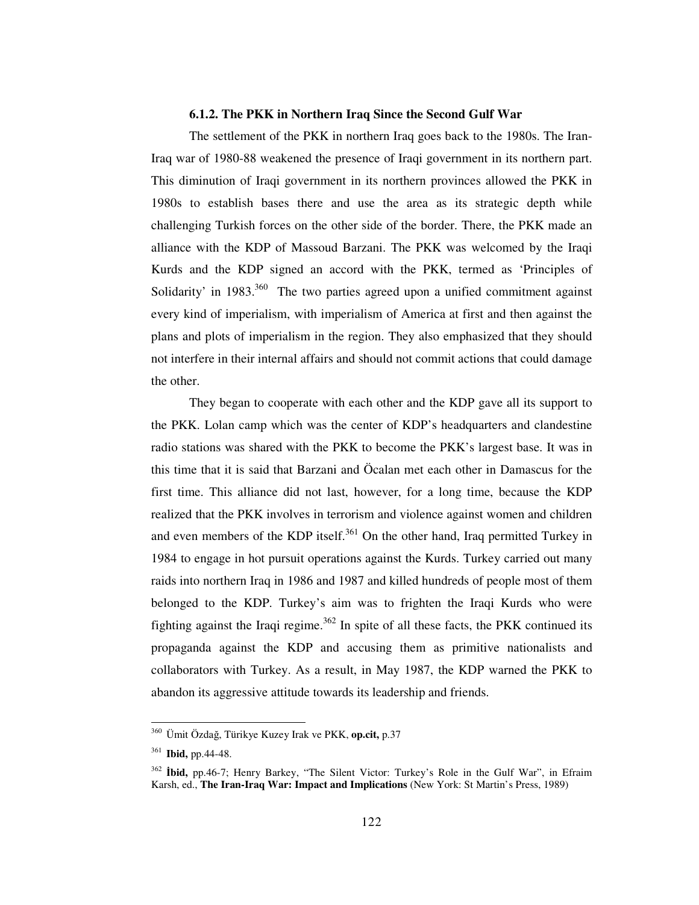### **6.1.2. The PKK in Northern Iraq Since the Second Gulf War**

The settlement of the PKK in northern Iraq goes back to the 1980s. The Iran-Iraq war of 1980-88 weakened the presence of Iraqi government in its northern part. This diminution of Iraqi government in its northern provinces allowed the PKK in 1980s to establish bases there and use the area as its strategic depth while challenging Turkish forces on the other side of the border. There, the PKK made an alliance with the KDP of Massoud Barzani. The PKK was welcomed by the Iraqi Kurds and the KDP signed an accord with the PKK, termed as 'Principles of Solidarity' in 1983.<sup>360</sup> The two parties agreed upon a unified commitment against every kind of imperialism, with imperialism of America at first and then against the plans and plots of imperialism in the region. They also emphasized that they should not interfere in their internal affairs and should not commit actions that could damage the other.

They began to cooperate with each other and the KDP gave all its support to the PKK. Lolan camp which was the center of KDP's headquarters and clandestine radio stations was shared with the PKK to become the PKK's largest base. It was in this time that it is said that Barzani and Öcalan met each other in Damascus for the first time. This alliance did not last, however, for a long time, because the KDP realized that the PKK involves in terrorism and violence against women and children and even members of the KDP itself.<sup>361</sup> On the other hand, Iraq permitted Turkey in 1984 to engage in hot pursuit operations against the Kurds. Turkey carried out many raids into northern Iraq in 1986 and 1987 and killed hundreds of people most of them belonged to the KDP. Turkey's aim was to frighten the Iraqi Kurds who were fighting against the Iraqi regime.<sup>362</sup> In spite of all these facts, the PKK continued its propaganda against the KDP and accusing them as primitive nationalists and collaborators with Turkey. As a result, in May 1987, the KDP warned the PKK to abandon its aggressive attitude towards its leadership and friends.

<sup>&</sup>lt;sup>360</sup> Ümit Özdağ, Türikye Kuzey Irak ve PKK, op.cit, p.37

<sup>361</sup> **Ibid,** pp.44-48.

<sup>362</sup> **bid,** pp.46-7; Henry Barkey, "The Silent Victor: Turkey's Role in the Gulf War", in Efraim Karsh, ed., **The Iran-Iraq War: Impact and Implications** (New York: St Martin's Press, 1989)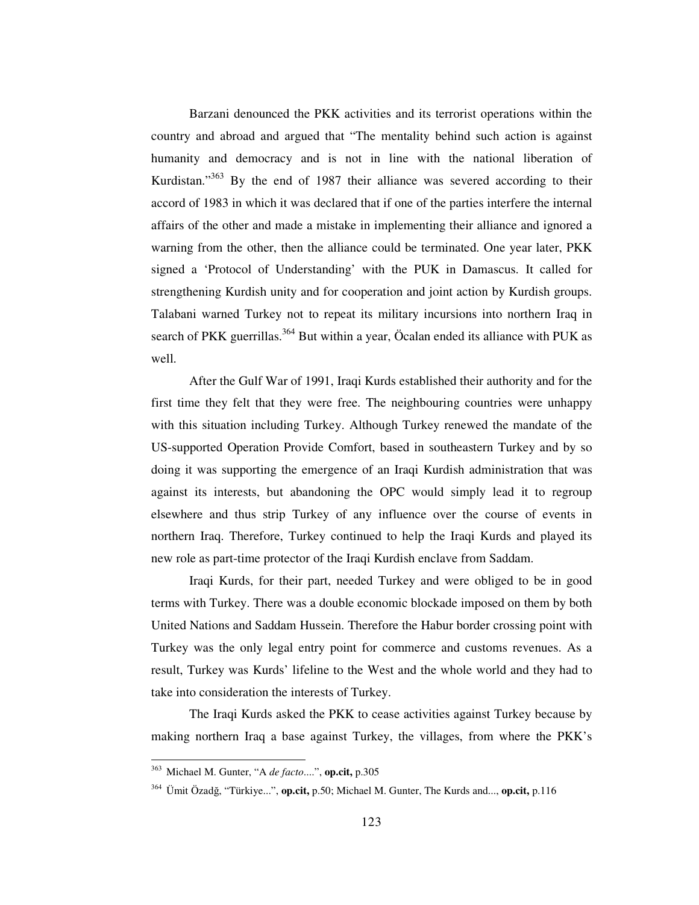Barzani denounced the PKK activities and its terrorist operations within the country and abroad and argued that "The mentality behind such action is against humanity and democracy and is not in line with the national liberation of Kurdistan."<sup>363</sup> By the end of 1987 their alliance was severed according to their accord of 1983 in which it was declared that if one of the parties interfere the internal affairs of the other and made a mistake in implementing their alliance and ignored a warning from the other, then the alliance could be terminated. One year later, PKK signed a 'Protocol of Understanding' with the PUK in Damascus. It called for strengthening Kurdish unity and for cooperation and joint action by Kurdish groups. Talabani warned Turkey not to repeat its military incursions into northern Iraq in search of PKK guerrillas.<sup>364</sup> But within a year, Öcalan ended its alliance with PUK as well.

After the Gulf War of 1991, Iraqi Kurds established their authority and for the first time they felt that they were free. The neighbouring countries were unhappy with this situation including Turkey. Although Turkey renewed the mandate of the US-supported Operation Provide Comfort, based in southeastern Turkey and by so doing it was supporting the emergence of an Iraqi Kurdish administration that was against its interests, but abandoning the OPC would simply lead it to regroup elsewhere and thus strip Turkey of any influence over the course of events in northern Iraq. Therefore, Turkey continued to help the Iraqi Kurds and played its new role as part-time protector of the Iraqi Kurdish enclave from Saddam.

Iraqi Kurds, for their part, needed Turkey and were obliged to be in good terms with Turkey. There was a double economic blockade imposed on them by both United Nations and Saddam Hussein. Therefore the Habur border crossing point with Turkey was the only legal entry point for commerce and customs revenues. As a result, Turkey was Kurds' lifeline to the West and the whole world and they had to take into consideration the interests of Turkey.

The Iraqi Kurds asked the PKK to cease activities against Turkey because by making northern Iraq a base against Turkey, the villages, from where the PKK's

<sup>363</sup> Michael M. Gunter, "A *de facto*....", **op.cit,** p.305

<sup>&</sup>lt;sup>364</sup> Ümit Özadğ, "Türkiye...", **op.cit,** p.50; Michael M. Gunter, The Kurds and..., **op.cit,** p.116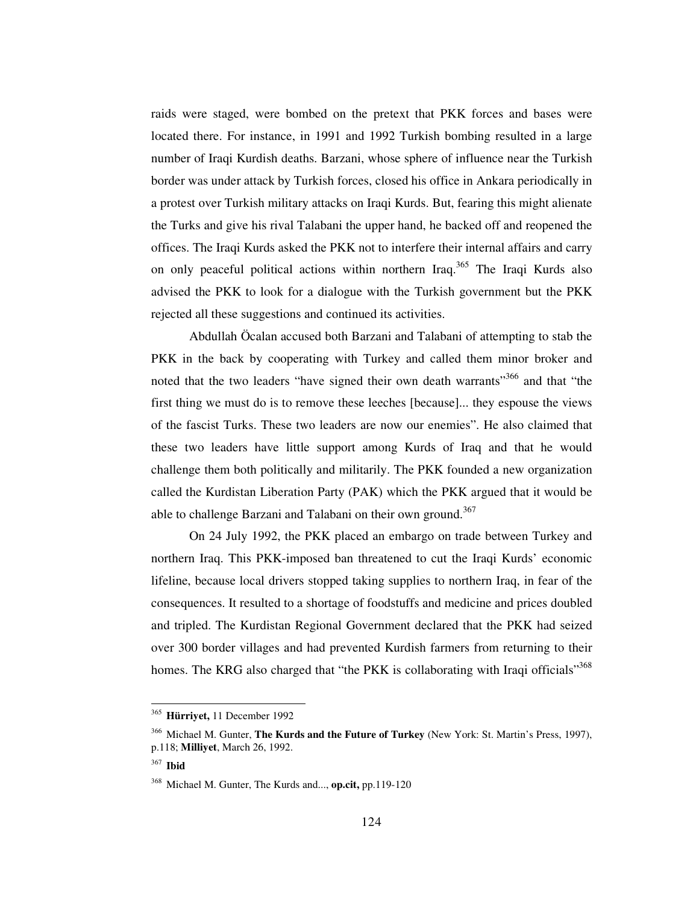raids were staged, were bombed on the pretext that PKK forces and bases were located there. For instance, in 1991 and 1992 Turkish bombing resulted in a large number of Iraqi Kurdish deaths. Barzani, whose sphere of influence near the Turkish border was under attack by Turkish forces, closed his office in Ankara periodically in a protest over Turkish military attacks on Iraqi Kurds. But, fearing this might alienate the Turks and give his rival Talabani the upper hand, he backed off and reopened the offices. The Iraqi Kurds asked the PKK not to interfere their internal affairs and carry on only peaceful political actions within northern Iraq.<sup>365</sup> The Iraqi Kurds also advised the PKK to look for a dialogue with the Turkish government but the PKK rejected all these suggestions and continued its activities.

Abdullah Öcalan accused both Barzani and Talabani of attempting to stab the PKK in the back by cooperating with Turkey and called them minor broker and noted that the two leaders "have signed their own death warrants"<sup>366</sup> and that "the first thing we must do is to remove these leeches [because]... they espouse the views of the fascist Turks. These two leaders are now our enemies". He also claimed that these two leaders have little support among Kurds of Iraq and that he would challenge them both politically and militarily. The PKK founded a new organization called the Kurdistan Liberation Party (PAK) which the PKK argued that it would be able to challenge Barzani and Talabani on their own ground.<sup>367</sup>

On 24 July 1992, the PKK placed an embargo on trade between Turkey and northern Iraq. This PKK-imposed ban threatened to cut the Iraqi Kurds' economic lifeline, because local drivers stopped taking supplies to northern Iraq, in fear of the consequences. It resulted to a shortage of foodstuffs and medicine and prices doubled and tripled. The Kurdistan Regional Government declared that the PKK had seized over 300 border villages and had prevented Kurdish farmers from returning to their homes. The KRG also charged that "the PKK is collaborating with Iraqi officials"<sup>368</sup>

<sup>365</sup> **Hürriyet,** 11 December 1992

<sup>366</sup> Michael M. Gunter, **The Kurds and the Future of Turkey** (New York: St. Martin's Press, 1997), p.118; **Milliyet**, March 26, 1992.

<sup>367</sup> **Ibid**

<sup>368</sup> Michael M. Gunter, The Kurds and..., **op.cit,** pp.119-120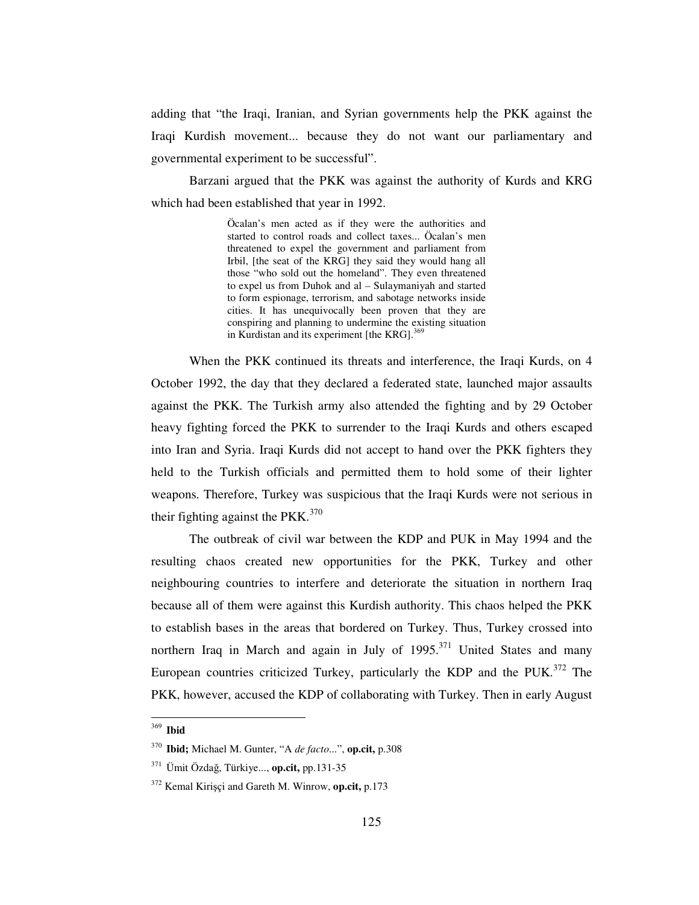adding that "the Iraqi, Iranian, and Syrian governments help the PKK against the Iraqi Kurdish movement... because they do not want our parliamentary and governmental experiment to be successful".

Barzani argued that the PKK was against the authority of Kurds and KRG which had been established that year in 1992.

> Öcalan's men acted as if they were the authorities and started to control roads and collect taxes... Öcalan's men threatened to expel the government and parliament from Irbil, [the seat of the KRG] they said they would hang all those "who sold out the homeland". They even threatened to expel us from Duhok and al – Sulaymaniyah and started to form espionage, terrorism, and sabotage networks inside cities. It has unequivocally been proven that they are conspiring and planning to undermine the existing situation in Kurdistan and its experiment [the KRG].<sup>369</sup>

When the PKK continued its threats and interference, the Iraqi Kurds, on 4 October 1992, the day that they declared a federated state, launched major assaults against the PKK. The Turkish army also attended the fighting and by 29 October heavy fighting forced the PKK to surrender to the Iraqi Kurds and others escaped into Iran and Syria. Iraqi Kurds did not accept to hand over the PKK fighters they held to the Turkish officials and permitted them to hold some of their lighter weapons. Therefore, Turkey was suspicious that the Iraqi Kurds were not serious in their fighting against the PKK. $370$ 

The outbreak of civil war between the KDP and PUK in May 1994 and the resulting chaos created new opportunities for the PKK, Turkey and other neighbouring countries to interfere and deteriorate the situation in northern Iraq because all of them were against this Kurdish authority. This chaos helped the PKK to establish bases in the areas that bordered on Turkey. Thus, Turkey crossed into northern Iraq in March and again in July of 1995.<sup>371</sup> United States and many European countries criticized Turkey, particularly the KDP and the PUK.<sup>372</sup> The PKK, however, accused the KDP of collaborating with Turkey. Then in early August

<sup>369</sup> **Ibid**

<sup>370</sup> **Ibid;** Michael M. Gunter, "A *de facto*...", **op.cit,** p.308

<sup>&</sup>lt;sup>371</sup> Ümit Özdağ, Türkiye..., **op.cit**, pp.131-35

<sup>372</sup> Kemal Kiriçi and Gareth M. Winrow, **op.cit,** p.173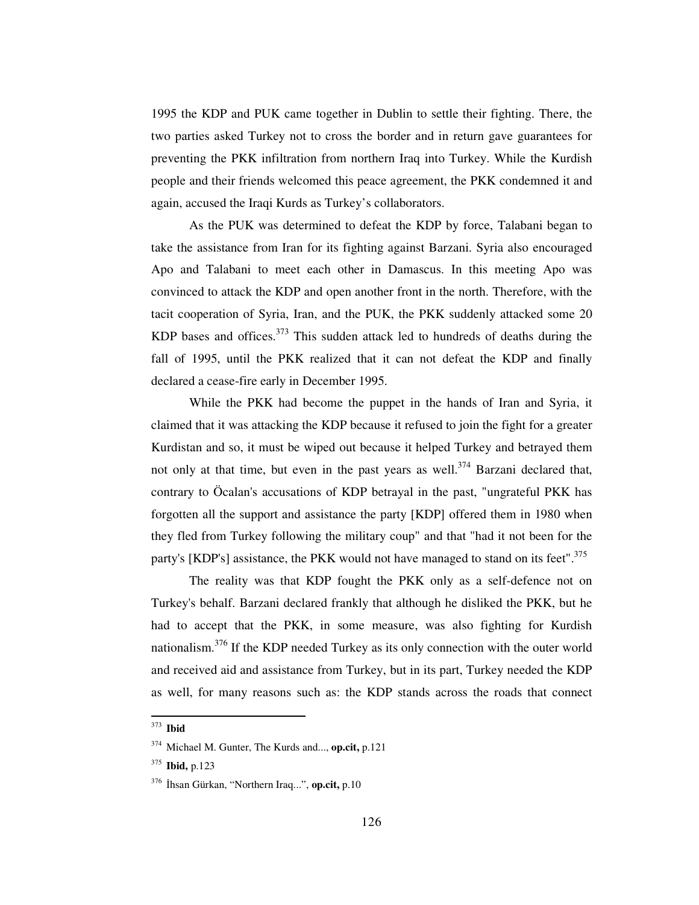1995 the KDP and PUK came together in Dublin to settle their fighting. There, the two parties asked Turkey not to cross the border and in return gave guarantees for preventing the PKK infiltration from northern Iraq into Turkey. While the Kurdish people and their friends welcomed this peace agreement, the PKK condemned it and again, accused the Iraqi Kurds as Turkey's collaborators.

As the PUK was determined to defeat the KDP by force, Talabani began to take the assistance from Iran for its fighting against Barzani. Syria also encouraged Apo and Talabani to meet each other in Damascus. In this meeting Apo was convinced to attack the KDP and open another front in the north. Therefore, with the tacit cooperation of Syria, Iran, and the PUK, the PKK suddenly attacked some 20 KDP bases and offices.<sup>373</sup> This sudden attack led to hundreds of deaths during the fall of 1995, until the PKK realized that it can not defeat the KDP and finally declared a cease-fire early in December 1995.

While the PKK had become the puppet in the hands of Iran and Syria, it claimed that it was attacking the KDP because it refused to join the fight for a greater Kurdistan and so, it must be wiped out because it helped Turkey and betrayed them not only at that time, but even in the past years as well.<sup>374</sup> Barzani declared that, contrary to Öcalan's accusations of KDP betrayal in the past, "ungrateful PKK has forgotten all the support and assistance the party [KDP] offered them in 1980 when they fled from Turkey following the military coup" and that "had it not been for the party's [KDP's] assistance, the PKK would not have managed to stand on its feet".<sup>375</sup>

The reality was that KDP fought the PKK only as a self-defence not on Turkey's behalf. Barzani declared frankly that although he disliked the PKK, but he had to accept that the PKK, in some measure, was also fighting for Kurdish nationalism.<sup>376</sup> If the KDP needed Turkey as its only connection with the outer world and received aid and assistance from Turkey, but in its part, Turkey needed the KDP as well, for many reasons such as: the KDP stands across the roads that connect

<sup>373</sup> **Ibid**

<sup>374</sup> Michael M. Gunter, The Kurds and..., **op.cit,** p.121

<sup>375</sup> **Ibid,** p.123

<sup>&</sup>lt;sup>376</sup> İhsan Gürkan, "Northern Iraq...", **op.cit,** p.10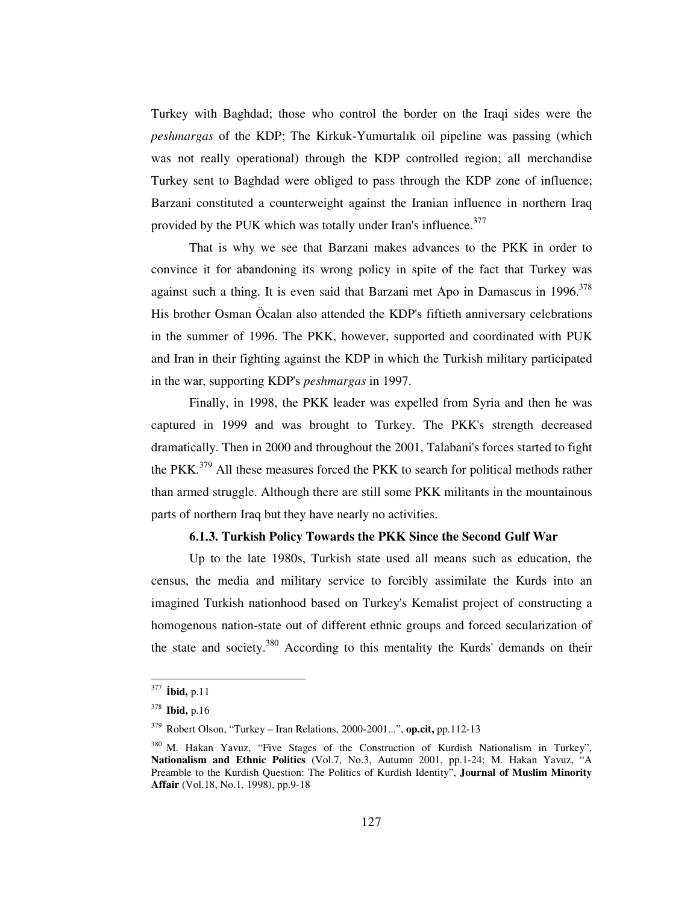Turkey with Baghdad; those who control the border on the Iraqi sides were the *peshmargas* of the KDP; The Kirkuk-Yumurtalık oil pipeline was passing (which was not really operational) through the KDP controlled region; all merchandise Turkey sent to Baghdad were obliged to pass through the KDP zone of influence; Barzani constituted a counterweight against the Iranian influence in northern Iraq provided by the PUK which was totally under Iran's influence.<sup>377</sup>

That is why we see that Barzani makes advances to the PKK in order to convince it for abandoning its wrong policy in spite of the fact that Turkey was against such a thing. It is even said that Barzani met Apo in Damascus in 1996. 378 His brother Osman Öcalan also attended the KDP's fiftieth anniversary celebrations in the summer of 1996. The PKK, however, supported and coordinated with PUK and Iran in their fighting against the KDP in which the Turkish military participated in the war, supporting KDP's *peshmargas* in 1997.

Finally, in 1998, the PKK leader was expelled from Syria and then he was captured in 1999 and was brought to Turkey. The PKK's strength decreased dramatically. Then in 2000 and throughout the 2001, Talabani's forces started to fight the PKK.<sup>379</sup> All these measures forced the PKK to search for political methods rather than armed struggle. Although there are still some PKK militants in the mountainous parts of northern Iraq but they have nearly no activities.

## **6.1.3. Turkish Policy Towards the PKK Since the Second Gulf War**

Up to the late 1980s, Turkish state used all means such as education, the census, the media and military service to forcibly assimilate the Kurds into an imagined Turkish nationhood based on Turkey's Kemalist project of constructing a homogenous nation-state out of different ethnic groups and forced secularization of the state and society.<sup>380</sup> According to this mentality the Kurds' demands on their

<sup>377</sup> **bid,** p.11

<sup>378</sup> **Ibid,** p.16

<sup>379</sup> Robert Olson, "Turkey – Iran Relations, 2000-2001...", **op.cit,** pp.112-13

<sup>380</sup> M. Hakan Yavuz, "Five Stages of the Construction of Kurdish Nationalism in Turkey", **Nationalism and Ethnic Politics** (Vol.7, No.3, Autumn 2001, pp.1-24; M. Hakan Yavuz, Preamble to the Kurdish Question: The Politics of Kurdish Identity", **Journal of Muslim Minority Affair** (Vol.18, No.1, 1998), pp.9-18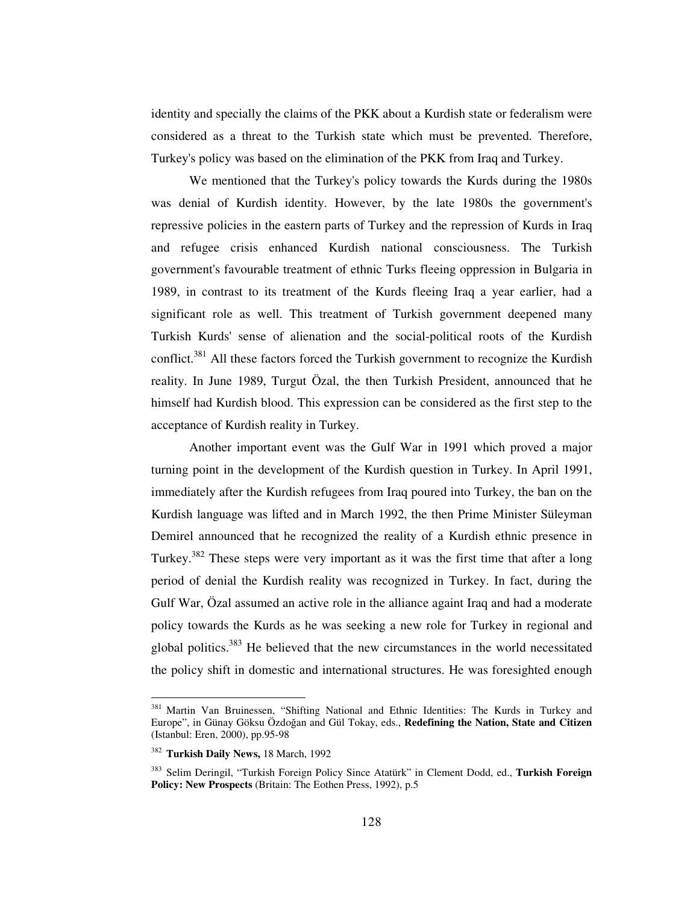identity and specially the claims of the PKK about a Kurdish state or federalism were considered as a threat to the Turkish state which must be prevented. Therefore, Turkey's policy was based on the elimination of the PKK from Iraq and Turkey.

We mentioned that the Turkey's policy towards the Kurds during the 1980s was denial of Kurdish identity. However, by the late 1980s the government's repressive policies in the eastern parts of Turkey and the repression of Kurds in Iraq and refugee crisis enhanced Kurdish national consciousness. The Turkish government's favourable treatment of ethnic Turks fleeing oppression in Bulgaria in 1989, in contrast to its treatment of the Kurds fleeing Iraq a year earlier, had a significant role as well. This treatment of Turkish government deepened many Turkish Kurds'sense of alienation and the social-political roots of the Kurdish conflict.<sup>381</sup> All these factors forced the Turkish government to recognize the Kurdish reality. In June 1989, Turgut Özal, the then Turkish President, announced that he himself had Kurdish blood. This expression can be considered as the first step to the acceptance of Kurdish reality in Turkey.

Another important event was the Gulf War in 1991 which proved a major turning point in the development of the Kurdish question in Turkey. In April 1991, immediately after the Kurdish refugees from Iraq poured into Turkey, the ban on the Kurdish language was lifted and in March 1992, the then Prime Minister Süleyman Demirel announced that he recognized the reality of a Kurdish ethnic presence in Turkey.<sup>382</sup> These steps were very important as it was the first time that after a long period of denial the Kurdish reality was recognized in Turkey. In fact, during the Gulf War, Özal assumed an active role in the alliance againt Iraq and had a moderate policy towards the Kurds as he was seeking a new role for Turkey in regional and global politics.<sup>383</sup> He believed that the new circumstances in the world necessitated the policy shift in domestic and international structures. He was foresighted enough

<sup>&</sup>lt;sup>381</sup> Martin Van Bruinessen, "Shifting National and Ethnic Identities: The Kurds in Turkey and Europe", in Günay Göksu Özdoan and Gül Tokay, eds., **Redefining the Nation, State and Citizen** (Istanbul: Eren, 2000), pp.95-98

<sup>382</sup> **Turkish Daily News,** 18 March, 1992

<sup>383</sup> Selim Deringil, "Turkish Foreign Policy Since Atatürk" in Clement Dodd, ed., **Turkish Foreign Policy: New Prospects** (Britain: The Eothen Press, 1992), p.5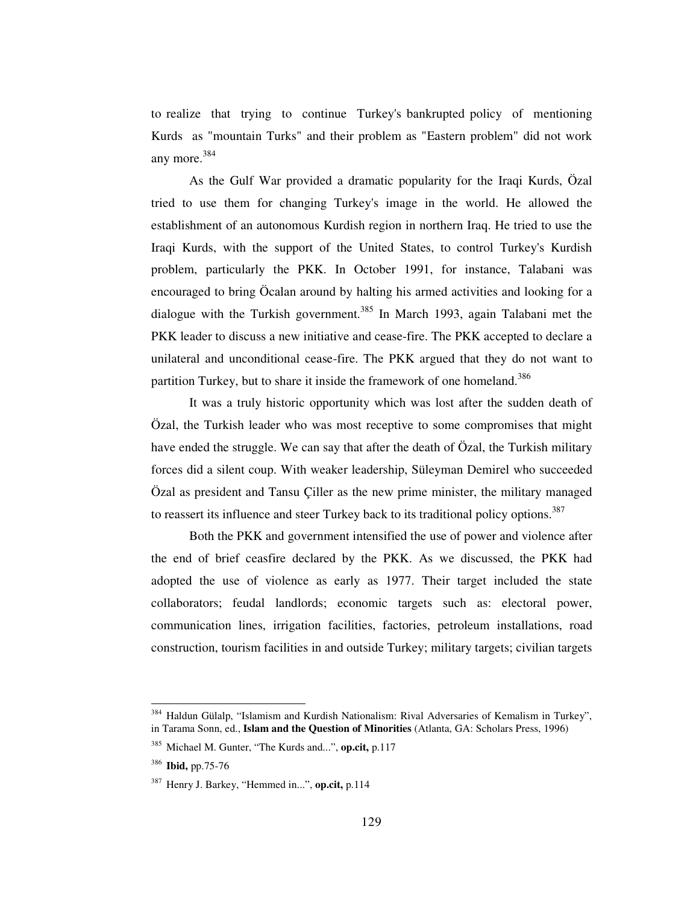to realize that trying to continue Turkey's bankrupted policy of mentioning Kurds as "mountain Turks" and their problem as "Eastern problem" did not work any more. 384

As the Gulf War provided a dramatic popularity for the Iraqi Kurds, Özal tried to use them for changing Turkey's image in the world. He allowed the establishment of an autonomous Kurdish region in northern Iraq. He tried to use the Iraqi Kurds, with the support of the United States, to control Turkey's Kurdish problem, particularly the PKK. In October 1991, for instance, Talabani was encouraged to bring Öcalan around by halting his armed activities and looking for a dialogue with the Turkish government.<sup>385</sup> In March 1993, again Talabani met the PKK leader to discuss a new initiative and cease-fire. The PKK accepted to declare a unilateral and unconditional cease-fire. The PKK argued that they do not want to partition Turkey, but to share it inside the framework of one homeland.<sup>386</sup>

It was a truly historic opportunity which was lost after the sudden death of Özal, the Turkish leader who was most receptive to some compromises that might have ended the struggle. We can say that after the death of Özal, the Turkish military forces did a silent coup. With weaker leadership, Süleyman Demirel who succeeded Özal as president and Tansu Çiller as the new prime minister, the military managed to reassert its influence and steer Turkey back to its traditional policy options.<sup>387</sup>

Both the PKK and government intensified the use of power and violence after the end of brief ceasfire declared by the PKK. As we discussed, the PKK had adopted the use of violence as early as 1977. Their target included the state collaborators; feudal landlords; economic targets such as: electoral power, communication lines, irrigation facilities, factories, petroleum installations, road construction, tourism facilities in and outside Turkey; military targets; civilian targets

<sup>&</sup>lt;sup>384</sup> Haldun Gülalp, "Islamism and Kurdish Nationalism: Rival Adversaries of Kemalism in Turkey", in Tarama Sonn, ed., **Islam and the Question of Minorities** (Atlanta, GA: Scholars Press, 1996)

<sup>385</sup> Michael M. Gunter, "The Kurds and...", **op.cit,** p.117

<sup>386</sup> **Ibid,** pp.75-76

<sup>387</sup> Henry J. Barkey, "Hemmed in...", **op.cit,** p.114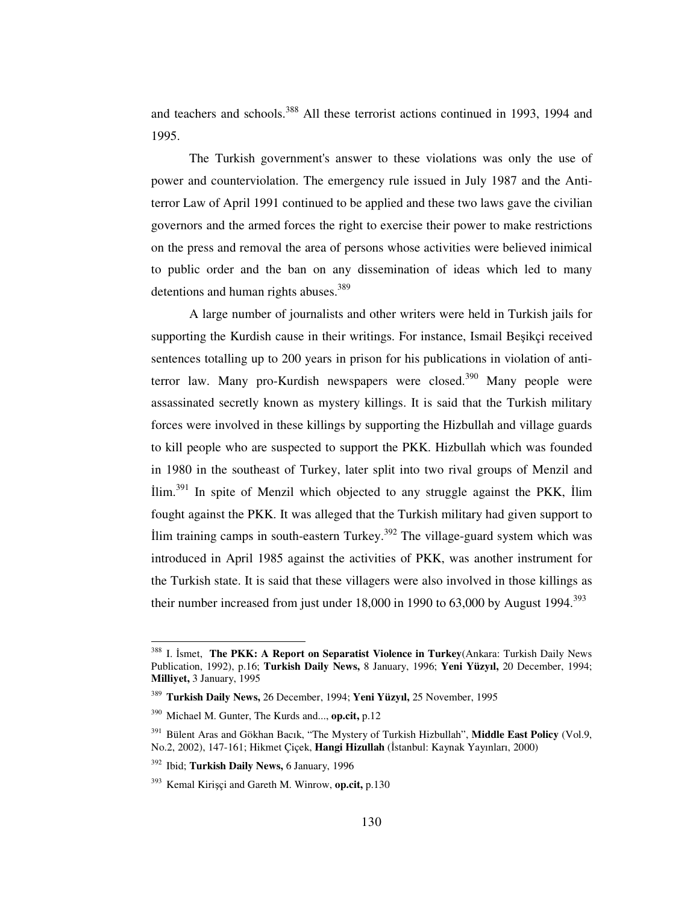and teachers and schools.<sup>388</sup> All these terrorist actions continued in 1993, 1994 and 1995.

The Turkish government's answer to these violations was only the use of power and counterviolation. The emergency rule issued in July 1987 and the Antiterror Law of April 1991 continued to be applied and these two laws gave the civilian governors and the armed forces the right to exercise their power to make restrictions on the press and removal the area of persons whose activities were believed inimical to public order and the ban on any dissemination of ideas which led to many detentions and human rights abuses.<sup>389</sup>

A large number of journalists and other writers were held in Turkish jails for supporting the Kurdish cause in their writings. For instance, Ismail Besikçi received sentences totalling up to 200 years in prison for his publications in violation of antiterror law. Many pro-Kurdish newspapers were closed.<sup>390</sup> Many people were assassinated secretly known as mystery killings. It is said that the Turkish military forces were involved in these killings by supporting the Hizbullah and village guards to kill people who are suspected to support the PKK. Hizbullah which was founded in 1980 in the southeast of Turkey, later split into two rival groups of Menzil and Ilim.<sup>391</sup> In spite of Menzil which objected to any struggle against the PKK, Ilim fought against the PKK. It was alleged that the Turkish military had given support to Ilim training camps in south-eastern Turkey.<sup>392</sup> The village-guard system which was introduced in April 1985 against the activities of PKK, was another instrument for the Turkish state. It is said that these villagers were also involved in those killings as their number increased from just under  $18,000$  in 1990 to  $63,000$  by August 1994.<sup>393</sup>

<sup>388</sup> I. Ismet, The PKK: A Report on Separatist Violence in Turkey(Ankara: Turkish Daily News Publication, 1992), p.16; **Turkish Daily News,** 8 January, 1996; **Yeni Yüzyıl,** 20 December, 1994; **Milliyet,** 3 January, 1995

<sup>389</sup> **Turkish Daily News,** 26 December, 1994; **Yeni Yüzyıl,** 25 November, 1995

<sup>390</sup> Michael M. Gunter, The Kurds and..., **op.cit,** p.12

<sup>391</sup> Bülent Aras and Gökhan Bacık, "The Mystery of Turkish Hizbullah", **Middle East Policy** (Vol.9, No.2, 2002), 147-161; Hikmet Çiçek, **Hangi Hizullah** (İstanbul: Kaynak Yayınları, 2000)

<sup>392</sup> Ibid; **Turkish Daily News,** 6 January, 1996

<sup>393</sup> Kemal Kiriçi and Gareth M. Winrow, **op.cit,** p.130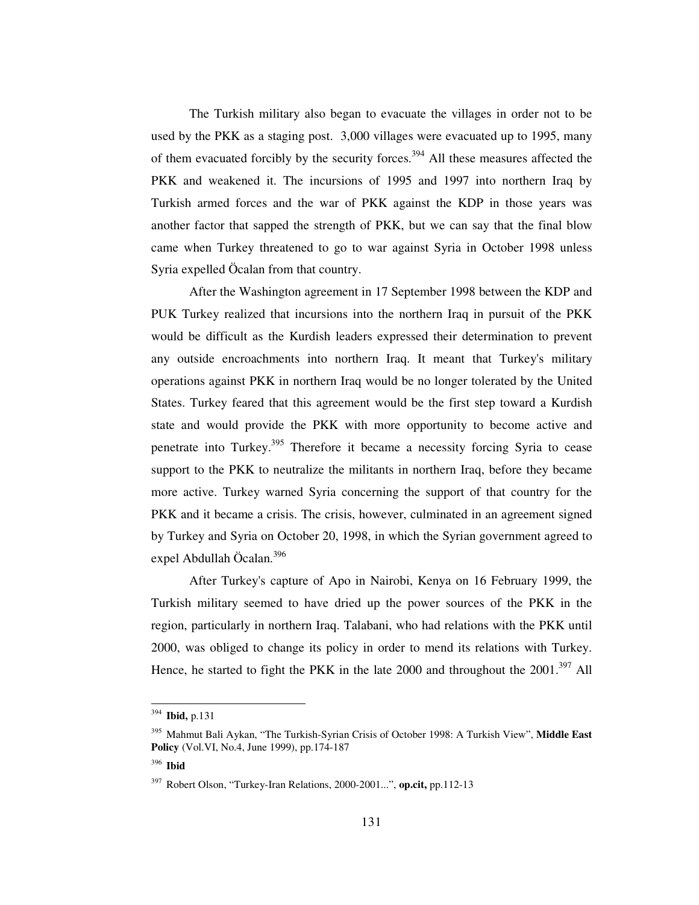The Turkish military also began to evacuate the villages in order not to be used by the PKK as a staging post. 3,000 villages were evacuated up to 1995, many of them evacuated forcibly by the security forces.<sup>394</sup> All these measures affected the PKK and weakened it. The incursions of 1995 and 1997 into northern Iraq by Turkish armed forces and the war of PKK against the KDP in those years was another factor that sapped the strength of PKK, but we can say that the final blow came when Turkey threatened to go to war against Syria in October 1998 unless Syria expelled Öcalan from that country.

After the Washington agreement in 17 September 1998 between the KDP and PUK Turkey realized that incursions into the northern Iraq in pursuit of the PKK would be difficult as the Kurdish leaders expressed their determination to prevent any outside encroachments into northern Iraq. It meant that Turkey's military operations against PKK in northern Iraq would be no longer tolerated by the United States. Turkey feared that this agreement would be the first step toward a Kurdish state and would provide the PKK with more opportunity to become active and penetrate into Turkey.<sup>395</sup> Therefore it became a necessity forcing Syria to cease support to the PKK to neutralize the militants in northern Iraq, before they became more active. Turkey warned Syria concerning the support of that country for the PKK and it became a crisis. The crisis, however, culminated in an agreement signed by Turkey and Syria on October 20, 1998, in which the Syrian government agreed to expel Abdullah Öcalan. 396

After Turkey's capture of Apo in Nairobi, Kenya on 16 February 1999, the Turkish military seemed to have dried up the power sources of the PKK in the region, particularly in northern Iraq. Talabani, who had relations with the PKK until 2000, was obliged to change its policy in order to mend its relations with Turkey. Hence, he started to fight the PKK in the late 2000 and throughout the  $2001$ .<sup>397</sup> All

<sup>394</sup> **Ibid,** p.131

<sup>395</sup> Mahmut Bali Aykan, "The Turkish-Syrian Crisis of October 1998: A Turkish View", **Middle East Policy** (Vol.VI, No.4, June 1999), pp.174-187

<sup>396</sup> **Ibid**

<sup>397</sup> Robert Olson, "Turkey-Iran Relations, 2000-2001...", **op.cit,** pp.112-13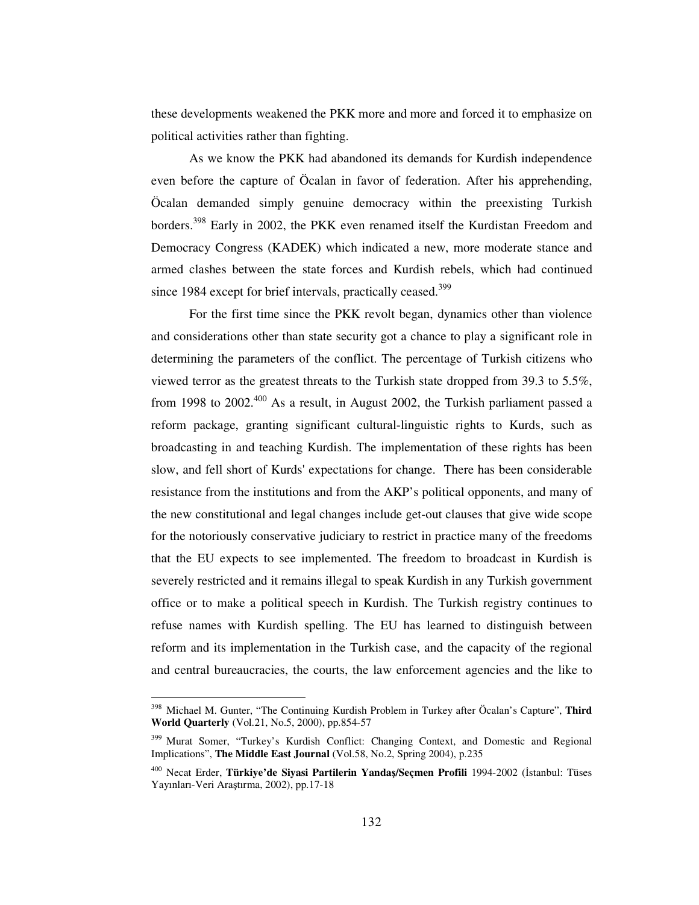these developments weakened the PKK more and more and forced it to emphasize on political activities rather than fighting.

As we know the PKK had abandoned its demands for Kurdish independence even before the capture of Öcalan in favor of federation. After his apprehending, Öcalan demanded simply genuine democracy within the preexisting Turkish borders.<sup>398</sup> Early in 2002, the PKK even renamed itself the Kurdistan Freedom and Democracy Congress (KADEK) which indicated a new, more moderate stance and armed clashes between the state forces and Kurdish rebels, which had continued since 1984 except for brief intervals, practically ceased.<sup>399</sup>

For the first time since the PKK revolt began, dynamics other than violence and considerations other than state security got a chance to play a significant role in determining the parameters of the conflict. The percentage of Turkish citizens who viewed terror as the greatest threats to the Turkish state dropped from 39.3 to  $5.5\%$ , from 1998 to 2002.<sup>400</sup> As a result, in August 2002, the Turkish parliament passed a reform package, granting significant cultural-linguistic rights to Kurds, such as broadcasting in and teaching Kurdish. The implementation of these rights has been slow, and fell short of Kurds'expectations for change. There has been considerable resistance from the institutions and from the AKP's political opponents, and many of the new constitutional and legal changes include get-out clauses that give wide scope for the notoriously conservative judiciary to restrict in practice many of the freedoms that the EU expects to see implemented. The freedom to broadcast in Kurdish is severely restricted and it remains illegal to speak Kurdish in any Turkish government office or to make a political speech in Kurdish. The Turkish registry continues to refuse names with Kurdish spelling. The EU has learned to distinguish between reform and its implementation in the Turkish case, and the capacity of the regional and central bureaucracies, the courts, the law enforcement agencies and the like to

<sup>398</sup> Michael M. Gunter, "The Continuing Kurdish Problem in Turkey after Öcalan's Capture", **Third World Quarterly** (Vol.21, No.5, 2000), pp.854-57

<sup>&</sup>lt;sup>399</sup> Murat Somer, "Turkey's Kurdish Conflict: Changing Context, and Domestic and Regional Implications", **The Middle East Journal** (Vol.58, No.2, Spring 2004), p.235

<sup>&</sup>lt;sup>400</sup> Necat Erder, **Türkiye'de Siyasi Partilerin Yandaş/Seçmen Profili** 1994-2002 (İstanbul: Tüses Yayınları-Veri Aratırma, 2002), pp.17-18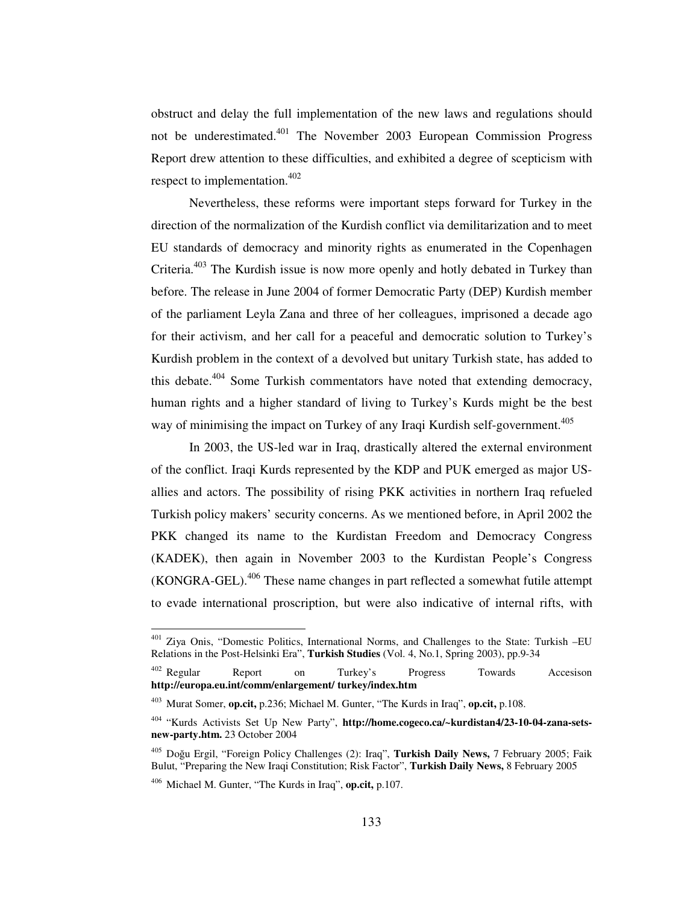obstruct and delay the full implementation of the new laws and regulations should not be underestimated.<sup>401</sup> The November 2003 European Commission Progress Report drew attention to these difficulties, and exhibited a degree of scepticism with respect to implementation.<sup>402</sup>

Nevertheless, these reforms were important steps forward for Turkey in the direction of the normalization of the Kurdish conflict via demilitarization and to meet EU standards of democracy and minority rights as enumerated in the Copenhagen Criteria.<sup>403</sup> The Kurdish issue is now more openly and hotly debated in Turkey than before. The release in June 2004 of former Democratic Party (DEP) Kurdish member of the parliament Leyla Zana and three of her colleagues, imprisoned a decade ago for their activism, and her call for a peaceful and democratic solution to Turkey's Kurdish problem in the context of a devolved but unitary Turkish state, has added to this debate.<sup>404</sup> Some Turkish commentators have noted that extending democracy, human rights and a higher standard of living to Turkey's Kurds might be the best way of minimising the impact on Turkey of any Iraqi Kurdish self-government. 405

In 2003, the US-led war in Iraq, drastically altered the external environment of the conflict. Iraqi Kurds represented by the KDP and PUK emerged as major USallies and actors. The possibility of rising PKK activities in northern Iraq refueled Turkish policy makers' security concerns. As we mentioned before, in April 2002 the PKK changed its name to the Kurdistan Freedom and Democracy Congress (KADEK), then again in November 2003 to the Kurdistan People's Congress (KONGRA-GEL).<sup>406</sup> These name changes in part reflected a somewhat futile attempt to evade international proscription, but were also indicative of internal rifts, with

<sup>&</sup>lt;sup>401</sup> Ziya Onis, "Domestic Politics, International Norms, and Challenges to the State: Turkish -EU Relations in the Post-Helsinki Era", **Turkish Studies** (Vol. 4, No.1, Spring 2003), pp.9-34

<sup>402</sup> Regular Report on Turkey's Progress Towards Accesison **http://europa.eu.int/comm/enlargement/ turkey/index.htm**

<sup>403</sup> Murat Somer, **op.cit,** p.236; Michael M. Gunter, "The Kurds in Iraq", **op.cit,** p.108.

<sup>404</sup> "Kurds Activists Set Up New Party", **http://home.cogeco.ca/~kurdistan4/23-10-04-zana-setsnew-party.htm.** 23 October 2004

<sup>&</sup>lt;sup>405</sup> Doğu Ergil, "Foreign Policy Challenges (2): Iraq", Turkish Daily News, 7 February 2005; Faik Bulut, "Preparing the New Iraqi Constitution; Risk Factor", **Turkish Daily News,** 8 February 2005

<sup>406</sup> Michael M. Gunter, "The Kurds in Iraq", **op.cit,** p.107.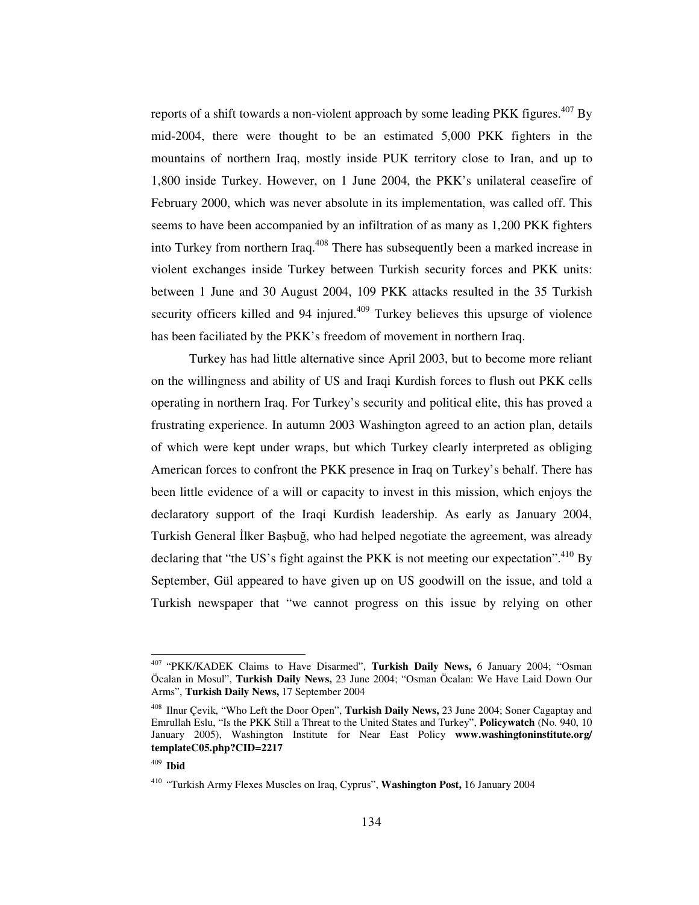reports of a shift towards a non-violent approach by some leading PKK figures.<sup>407</sup> By mid-2004, there were thought to be an estimated 5,000 PKK fighters in the mountains of northern Iraq, mostly inside PUK territory close to Iran, and up to 1,800 inside Turkey. However, on 1 June 2004, the PKK's unilateral ceasefire of February 2000, which was never absolute in its implementation, was called off. This seems to have been accompanied by an infiltration of as many as 1,200 PKK fighters into Turkey from northern Iraq.<sup>408</sup> There has subsequently been a marked increase in violent exchanges inside Turkey between Turkish security forces and PKK units: between 1 June and 30 August 2004, 109 PKK attacks resulted in the 35 Turkish security officers killed and 94 injured.<sup>409</sup> Turkey believes this upsurge of violence has been faciliated by the PKK's freedom of movement in northern Iraq.

Turkey has had little alternative since April 2003, but to become more reliant on the willingness and ability of US and Iraqi Kurdish forces to flush out PKK cells operating in northern Iraq. For Turkey's security and political elite, this has proved a frustrating experience. In autumn 2003 Washington agreed to an action plan, details of which were kept under wraps, but which Turkey clearly interpreted as obliging American forces to confront the PKK presence in Iraq on Turkey's behalf. There has been little evidence of a will or capacity to invest in this mission, which enjoys the declaratory support of the Iraqi Kurdish leadership. As early as January 2004, Turkish General İlker Başbuğ, who had helped negotiate the agreement, was already declaring that "the US's fight against the PKK is not meeting our expectation".<sup>410</sup> By September, Gül appeared to have given up on US goodwill on the issue, and told a Turkish newspaper that "we cannot progress on this issue by relying on other

<sup>407</sup> "PKK/KADEK Claims to Have Disarmed", **Turkish Daily News,** 6 January 2004; "Osman Öcalan in Mosul", **Turkish Daily News,** 23 June 2004; "Osman Öcalan: We Have Laid Down Our Arms", **Turkish Daily News,** 17 September 2004

<sup>408</sup> Ilnur Çevik, "Who Left the Door Open", **Turkish Daily News,** 23 June 2004; Soner Cagaptay and Emrullah Eslu, "Is the PKK Still a Threat to the United States and Turkey", **Policywatch** (No. 940, 10 January 2005), Washington Institute for Near East Policy **www.washingtoninstitute.org/ templateC05.php?CID=2217**

<sup>409</sup> **Ibid**

<sup>410</sup> "Turkish Army Flexes Muscles on Iraq, Cyprus", **Washington Post,** 16 January 2004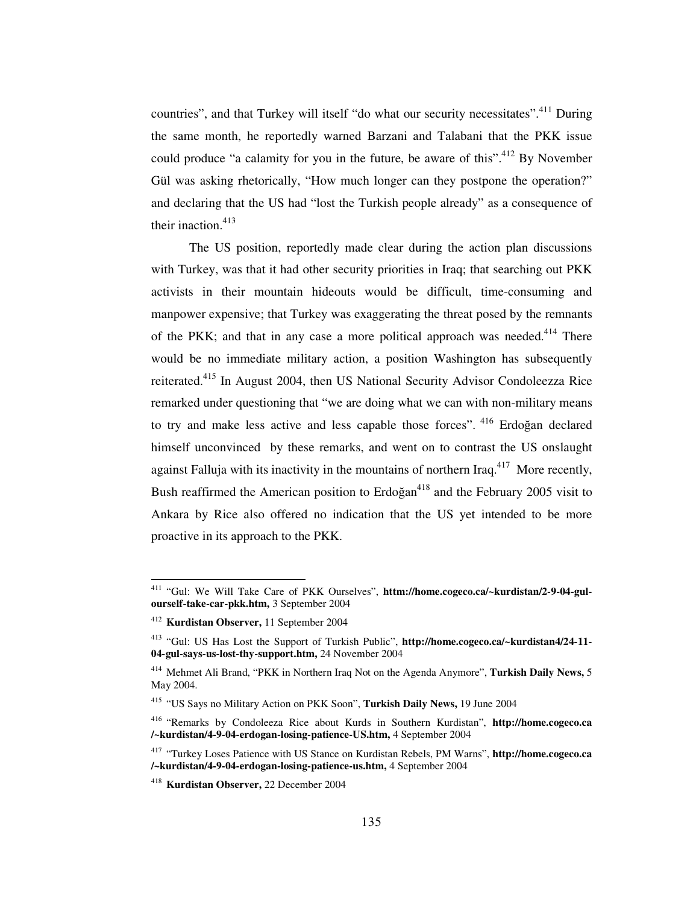countries", and that Turkey will itself "do what our security necessitates".<sup>411</sup> During the same month, he reportedly warned Barzani and Talabani that the PKK issue could produce "a calamity for you in the future, be aware of this".<sup>412</sup> By November Gül was asking rhetorically, "How much longer can they postpone the operation?" and declaring that the US had "lost the Turkish people already" as a consequence of their inaction. 413

The US position, reportedly made clear during the action plan discussions with Turkey, was that it had other security priorities in Iraq; that searching out PKK activists in their mountain hideouts would be difficult, time-consuming and manpower expensive; that Turkey was exaggerating the threat posed by the remnants of the PKK; and that in any case a more political approach was needed.<sup>414</sup> There would be no immediate military action, a position Washington has subsequently reiterated.<sup>415</sup> In August 2004, then US National Security Advisor Condoleezza Rice remarked under questioning that "we are doing what we can with non-military means to try and make less active and less capable those forces". <sup>416</sup> Erdoğan declared himself unconvinced by these remarks, and went on to contrast the US onslaught against Falluja with its inactivity in the mountains of northern Iraq.<sup>417</sup> More recently, Bush reaffirmed the American position to Erdoğan<sup>418</sup> and the February 2005 visit to Ankara by Rice also offered no indication that the US yet intended to be more proactive in its approach to the PKK.

<sup>&</sup>lt;sup>411</sup> "Gul: We Will Take Care of PKK Ourselves", httm://home.cogeco.ca/~kurdistan/2-9-04-gul**ourself-take-car-pkk.htm,** 3 September 2004

<sup>412</sup> **Kurdistan Observer,** 11 September 2004

<sup>413</sup> "Gul: US Has Lost the Support of Turkish Public", **http://home.cogeco.ca/~kurdistan4/24-11- 04-gul-says-us-lost-thy-support.htm,** 24 November 2004

<sup>414</sup> Mehmet Ali Brand, "PKK in Northern Iraq Not on the Agenda Anymore", **Turkish Daily News,** 5 May 2004.

<sup>415</sup> "US Says no Military Action on PKK Soon", **Turkish Daily News,** 19 June 2004

<sup>416</sup> "Remarks by Condoleeza Rice about Kurds in Southern Kurdistan", **http://home.cogeco.ca /~kurdistan/4-9-04-erdogan-losing-patience-US.htm,** 4 September 2004

<sup>417</sup> "Turkey Loses Patience with US Stance on Kurdistan Rebels, PM Warns", **http://home.cogeco.ca /~kurdistan/4-9-04-erdogan-losing-patience-us.htm,** 4 September 2004

<sup>418</sup> **Kurdistan Observer,** 22 December 2004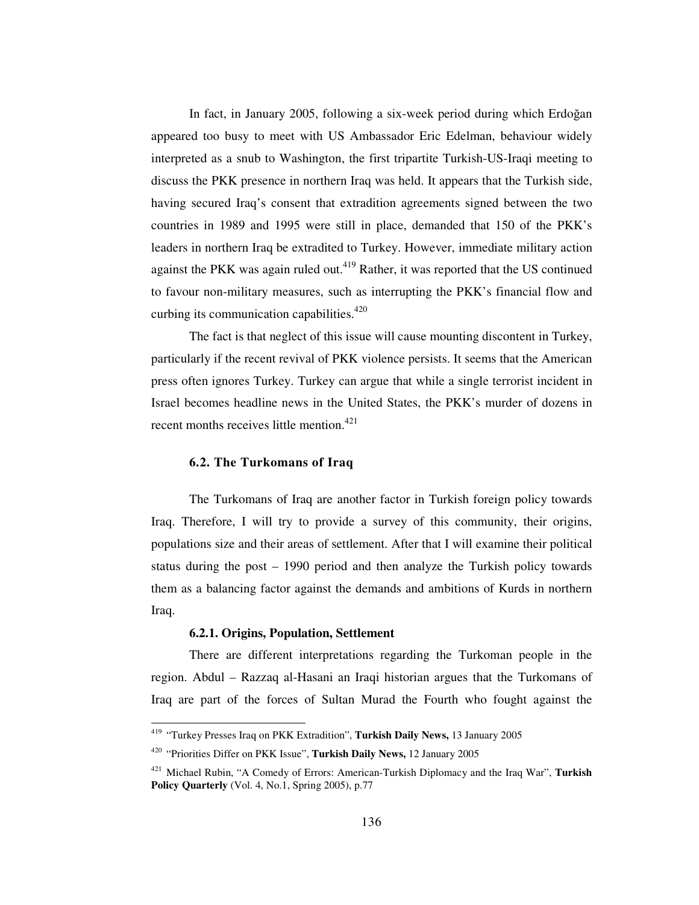In fact, in January 2005, following a six-week period during which Erdoğan appeared too busy to meet with US Ambassador Eric Edelman, behaviour widely interpreted as a snub to Washington, the first tripartite Turkish-US-Iraqi meeting to discuss the PKK presence in northern Iraq was held. It appears that the Turkish side, having secured Iraq's consent that extradition agreements signed between the two countries in 1989 and 1995 were still in place, demanded that 150 of the PKK's leaders in northern Iraq be extradited to Turkey. However, immediate military action against the PKK was again ruled out.<sup>419</sup> Rather, it was reported that the US continued to favour non-military measures, such as interrupting the PKK's financial flow and curbing its communication capabilities.<sup>420</sup>

The fact is that neglect of this issue will cause mounting discontent in Turkey, particularly if the recent revival of PKK violence persists. It seems that the American press often ignores Turkey. Turkey can argue that while a single terrorist incident in Israel becomes headline news in the United States, the PKK's murder of dozens in recent months receives little mention.<sup>421</sup>

## **6.2. The Turkomans of Iraq**

The Turkomans of Iraq are another factor in Turkish foreign policy towards Iraq. Therefore, I will try to provide a survey of this community, their origins, populations size and their areas of settlement. After that I will examine their political status during the post – 1990 period and then analyze the Turkish policy towards them as a balancing factor against the demands and ambitions of Kurds in northern Iraq.

#### **6.2.1. Origins, Population, Settlement**

There are different interpretations regarding the Turkoman people in the region. Abdul – Razzaq al-Hasani an Iraqi historian argues that the Turkomans of Iraq are part of the forces of Sultan Murad the Fourth who fought against the

<sup>419</sup> "Turkey Presses Iraq on PKK Extradition", **Turkish Daily News,** 13 January 2005

<sup>420</sup> "Priorities Differ on PKK Issue", **Turkish Daily News,** 12 January 2005

<sup>421</sup> Michael Rubin, "A Comedy of Errors: American-Turkish Diplomacy and the Iraq War", **Turkish Policy Quarterly** (Vol. 4, No.1, Spring 2005), p.77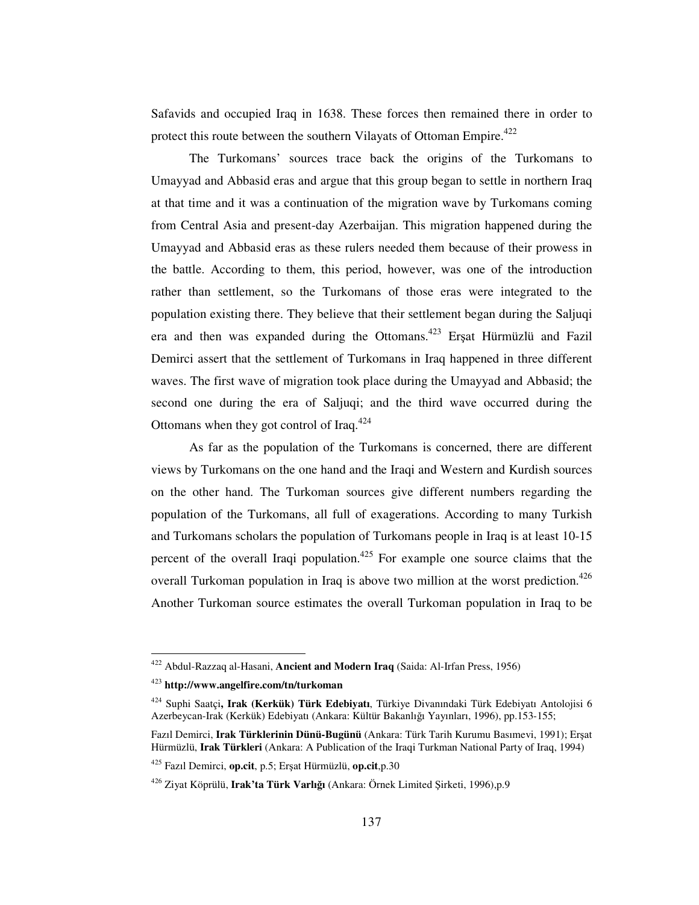Safavids and occupied Iraq in 1638. These forces then remained there in order to protect this route between the southern Vilayats of Ottoman Empire.<sup>422</sup>

The Turkomans' sources trace back the origins of the Turkomans to Umayyad and Abbasid eras and argue that this group began to settle in northern Iraq at that time and it was a continuation of the migration wave by Turkomans coming from Central Asia and present-day Azerbaijan. This migration happened during the Umayyad and Abbasid eras as these rulers needed them because of their prowess in the battle. According to them, this period, however, was one of the introduction rather than settlement, so the Turkomans of those eras were integrated to the population existing there. They believe that their settlement began during the Saljuqi era and then was expanded during the Ottomans.<sup>423</sup> Erşat Hürmüzlü and Fazil Demirci assert that the settlement of Turkomans in Iraq happened in three different waves. The first wave of migration took place during the Umayyad and Abbasid; the second one during the era of Saljuqi; and the third wave occurred during the Ottomans when they got control of Iraq.<sup>424</sup>

As far as the population of the Turkomans is concerned, there are different views by Turkomans on the one hand and the Iraqi and Western and Kurdish sources on the other hand. The Turkoman sources give different numbers regarding the population of the Turkomans, all full of exagerations. According to many Turkish and Turkomans scholars the population of Turkomans people in Iraq is at least 10-15 percent of the overall Iraqi population.<sup>425</sup> For example one source claims that the overall Turkoman population in Iraq is above two million at the worst prediction.<sup>426</sup> Another Turkoman source estimates the overall Turkoman population in Iraq to be

<sup>422</sup> Abdul-Razzaq al-Hasani, **Ancient and Modern Iraq** (Saida: Al-Irfan Press, 1956)

<sup>423</sup> **http://www.angelfire.com/tn/turkoman**

<sup>424</sup> Suphi Saatçi**, Irak (Kerkük) Türk Edebiyatı**, Türkiye Divanındaki Türk Edebiyatı Antolojisi 6 Azerbeycan-Irak (Kerkük) Edebiyatı (Ankara: Kültür Bakanlığı Yayınları, 1996), pp.153-155;

Fazıl Demirci, Irak Türklerinin Dünü-Bugünü (Ankara: Türk Tarih Kurumu Basımevi, 1991); Erşat Hürmüzlü, **Irak Türkleri** (Ankara: A Publication of the Iraqi Turkman National Party of Iraq, 1994)

<sup>425</sup> Fazıl Demirci, **op.cit**, p.5; Erat Hürmüzlü, **op.cit**,p.30

<sup>&</sup>lt;sup>426</sup> Ziyat Köprülü, **Irak'ta Türk Varlığı** (Ankara: Örnek Limited Şirketi, 1996),p.9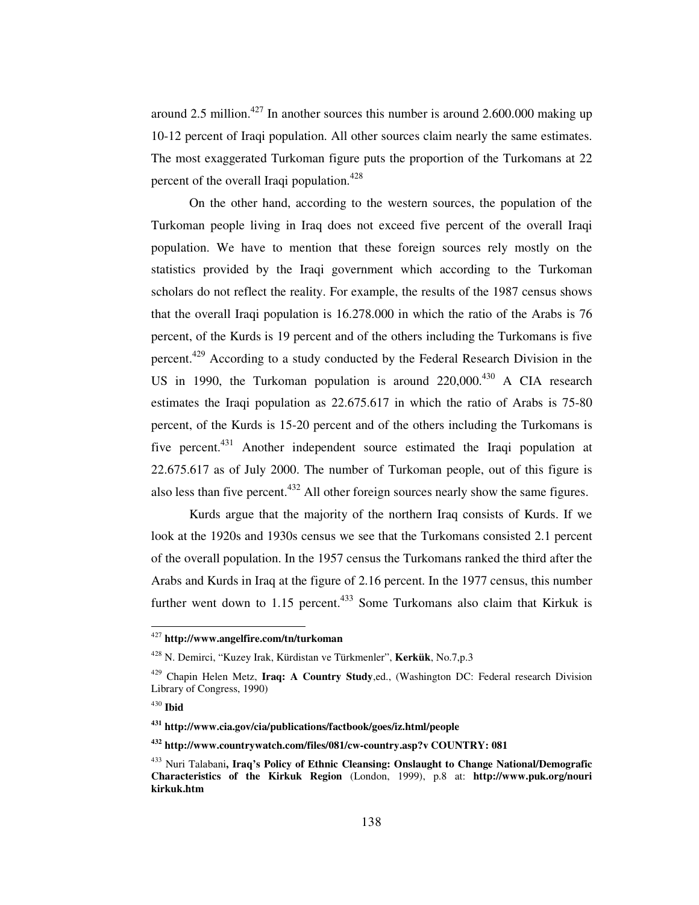around 2.5 million.<sup>427</sup> In another sources this number is around 2.600.000 making up 10-12 percent of Iraqi population. All other sources claim nearly the same estimates. The most exaggerated Turkoman figure puts the proportion of the Turkomans at 22 percent of the overall Iraqi population.<sup>428</sup>

On the other hand, according to the western sources, the population of the Turkoman people living in Iraq does not exceed five percent of the overall Iraqi population. We have to mention that these foreign sources rely mostly on the statistics provided by the Iraqi government which according to the Turkoman scholars do not reflect the reality. For example, the results of the 1987 census shows that the overall Iraqi population is 16.278.000 in which the ratio of the Arabs is 76 percent, of the Kurds is 19 percent and of the others including the Turkomans is five percent.<sup>429</sup> According to a study conducted by the Federal Research Division in the US in 1990, the Turkoman population is around 220,000.<sup>430</sup> A CIA research estimates the Iraqi population as 22.675.617 in which the ratio of Arabs is 75-80 percent, of the Kurds is 15-20 percent and of the others including the Turkomans is five percent. <sup>431</sup> Another independent source estimated the Iraqi population at 22.675.617 as of July 2000. The number of Turkoman people, out of this figure is also less than five percent.<sup>432</sup> All other foreign sources nearly show the same figures.

Kurds argue that the majority of the northern Iraq consists of Kurds. If we look at the 1920s and 1930s census we see that the Turkomans consisted 2.1 percent of the overall population. In the 1957 census the Turkomans ranked the third after the Arabs and Kurds in Iraq at the figure of 2.16 percent. In the 1977 census, this number further went down to 1.15 percent.<sup>433</sup> Some Turkomans also claim that Kirkuk is

<sup>427</sup> **http://www.angelfire.com/tn/turkoman**

<sup>428</sup> N. Demirci, "Kuzey Irak, Kürdistan ve Türkmenler", **Kerkük**, No.7,p.3

<sup>429</sup> Chapin Helen Metz, **Iraq: A Country Study**,ed., (Washington DC: Federal research Division Library of Congress, 1990)

<sup>430</sup> **Ibid**

**<sup>431</sup> http://www.cia.gov/cia/publications/factbook/goes/iz.html/people**

**<sup>432</sup> http://www.countrywatch.com/files/081/cw-country.asp?v COUNTRY: 081**

<sup>433</sup> Nuri Talabani**, Iraq's Policy of Ethnic Cleansing: Onslaught to Change National/Demografic Characteristics of the Kirkuk Region** (London, 1999), p.8 at: **http://www.puk.org/nouri kirkuk.htm**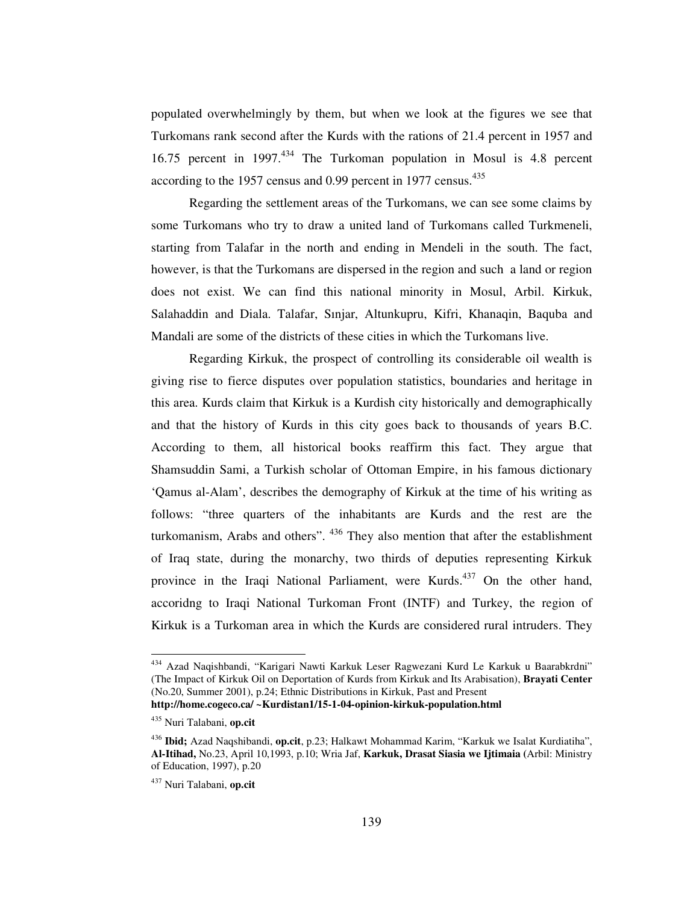populated overwhelmingly by them, but when we look at the figures we see that Turkomans rank second after the Kurds with the rations of 21.4 percent in 1957 and 16.75 percent in 1997. <sup>434</sup> The Turkoman population in Mosul is 4.8 percent according to the 1957 census and 0.99 percent in 1977 census.<sup>435</sup>

Regarding the settlement areas of the Turkomans, we can see some claims by some Turkomans who try to draw a united land of Turkomans called Turkmeneli, starting from Talafar in the north and ending in Mendeli in the south. The fact, however, is that the Turkomans are dispersed in the region and such a land or region does not exist. We can find this national minority in Mosul, Arbil. Kirkuk, Salahaddin and Diala. Talafar, Sınjar, Altunkupru, Kifri, Khanaqin, Baquba and Mandali are some of the districts of these cities in which the Turkomans live.

Regarding Kirkuk, the prospect of controlling its considerable oil wealth is giving rise to fierce disputes over population statistics, boundaries and heritage in this area. Kurds claim that Kirkuk is a Kurdish city historically and demographically and that the history of Kurds in this city goes back to thousands of years B.C. According to them, all historical books reaffirm this fact. They argue that Shamsuddin Sami, a Turkish scholar of Ottoman Empire, in his famous dictionary 'Qamus al-Alam', describes the demography of Kirkuk at the time of his writing as follows: "three quarters of the inhabitants are Kurds and the rest are the turkomanism, Arabs and others". <sup>436</sup> They also mention that after the establishment of Iraq state, during the monarchy, two thirds of deputies representing Kirkuk province in the Iraqi National Parliament, were Kurds.<sup>437</sup> On the other hand, accoridng to Iraqi National Turkoman Front (INTF) and Turkey, the region of Kirkuk is a Turkoman area in which the Kurds are considered rural intruders. They

<sup>434</sup> Azad Naqishbandi, "Karigari Nawti Karkuk Leser Ragwezani Kurd Le Karkuk u Baarabkrdni" (The Impact of Kirkuk Oil on Deportation of Kurds from Kirkuk and Its Arabisation), **Brayati Center** (No.20, Summer 2001), p.24; Ethnic Distributions in Kirkuk, Past and Present **http://home.cogeco.ca/ ~Kurdistan1/15-1-04-opinion-kirkuk-population.html**

<sup>435</sup> Nuri Talabani, **op.cit**

<sup>436</sup> **Ibid;** Azad Naqshibandi, **op.cit**, p.23; Halkawt Mohammad Karim, "Karkuk we Isalat Kurdiatiha", **Al-Itihad,** No.23, April 10,1993, p.10; Wria Jaf, **Karkuk, Drasat Siasia we Ijtimaia (**Arbil: Ministry of Education, 1997), p.20

<sup>437</sup> Nuri Talabani, **op.cit**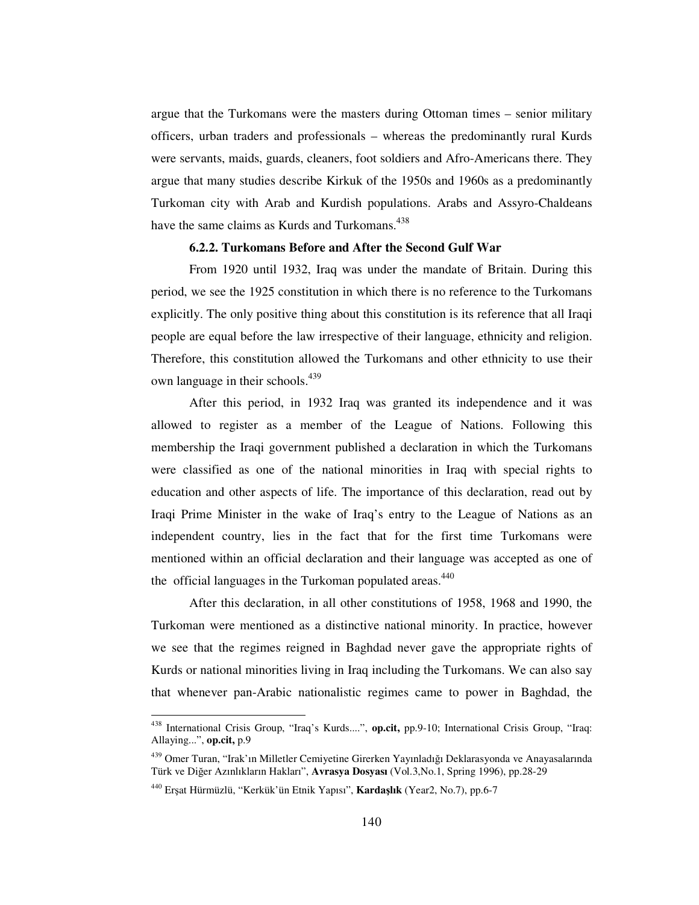argue that the Turkomans were the masters during Ottoman times – senior military officers, urban traders and professionals – whereas the predominantly rural Kurds were servants, maids, guards, cleaners, foot soldiers and Afro-Americans there. They argue that many studies describe Kirkuk of the 1950s and 1960s as a predominantly Turkoman city with Arab and Kurdish populations. Arabs and Assyro-Chaldeans have the same claims as Kurds and Turkomans.<sup>438</sup>

# **6.2.2. Turkomans Before and After the Second Gulf War**

From 1920 until 1932, Iraq was under the mandate of Britain. During this period, we see the 1925 constitution in which there is no reference to the Turkomans explicitly. The only positive thing about this constitution is its reference that all Iraqi people are equal before the law irrespective of their language, ethnicity and religion. Therefore, this constitution allowed the Turkomans and other ethnicity to use their own language in their schools. 439

After this period, in 1932 Iraq was granted its independence and it was allowed to register as a member of the League of Nations. Following this membership the Iraqi government published a declaration in which the Turkomans were classified as one of the national minorities in Iraq with special rights to education and other aspects of life. The importance of this declaration, read out by Iraqi Prime Minister in the wake of Iraq's entry to the League of Nations as an independent country, lies in the fact that for the first time Turkomans were mentioned within an official declaration and their language was accepted as one of the official languages in the Turkoman populated areas.<sup>440</sup>

After this declaration, in all other constitutions of 1958, 1968 and 1990, the Turkoman were mentioned as a distinctive national minority. In practice, however we see that the regimes reigned in Baghdad never gave the appropriate rights of Kurds or national minorities living in Iraq including the Turkomans. We can also say that whenever pan-Arabic nationalistic regimes came to power in Baghdad, the

<sup>438</sup> International Crisis Group, "Iraq's Kurds....", **op.cit,** pp.9-10; International Crisis Group, "Iraq: Allaying...", **op.cit,** p.9

<sup>&</sup>lt;sup>439</sup> Omer Turan, "Irak'ın Milletler Cemiyetine Girerken Yayınladığı Deklarasyonda ve Anayasalarında Türk ve Diğer Azınlıkların Hakları", Avrasya Dosyası (Vol.3, No.1, Spring 1996), pp.28-29

<sup>440</sup> Erat Hürmüzlü, "Kerkük'ün Etnik Yapısı", **Kardalık** (Year2, No.7), pp.6-7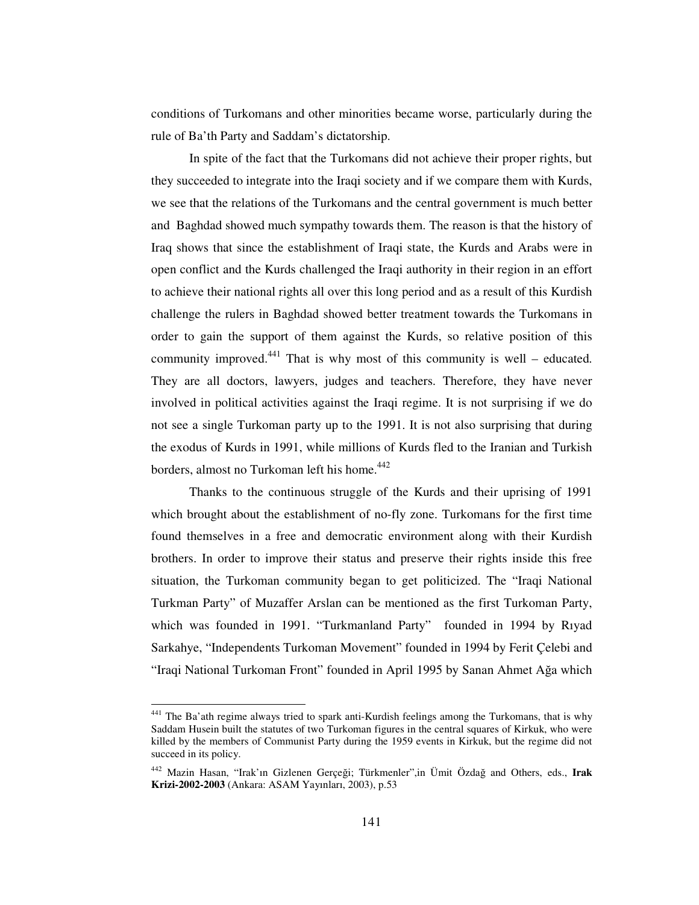conditions of Turkomans and other minorities became worse, particularly during the rule of Ba'th Party and Saddam's dictatorship.

In spite of the fact that the Turkomans did not achieve their proper rights, but they succeeded to integrate into the Iraqi society and if we compare them with Kurds, we see that the relations of the Turkomans and the central government is much better and Baghdad showed much sympathy towards them. The reason is that the history of Iraq shows that since the establishment of Iraqi state, the Kurds and Arabs were in open conflict and the Kurds challenged the Iraqi authority in their region in an effort to achieve their national rights all over this long period and as a result of this Kurdish challenge the rulers in Baghdad showed better treatment towards the Turkomans in order to gain the support of them against the Kurds, so relative position of this community improved.<sup>441</sup> That is why most of this community is well – educated. They are all doctors, lawyers, judges and teachers. Therefore, they have never involved in political activities against the Iraqi regime. It is not surprising if we do not see a single Turkoman party up to the 1991. It is not also surprising that during the exodus of Kurds in 1991, while millions of Kurds fled to the Iranian and Turkish borders, almost no Turkoman left his home. 442

Thanks to the continuous struggle of the Kurds and their uprising of 1991 which brought about the establishment of no-fly zone. Turkomans for the first time found themselves in a free and democratic environment along with their Kurdish brothers. In order to improve their status and preserve their rights inside this free situation, the Turkoman community began to get politicized. The "Iraqi National Turkman Party" of Muzaffer Arslan can be mentioned as the first Turkoman Party, which was founded in 1991. "Turkmanland Party" founded in 1994 by Rıyad Sarkahye, "Independents Turkoman Movement" founded in 1994 by Ferit Çelebi and "Iraqi National Turkoman Front" founded in April 1995 by Sanan Ahmet Ağa which

<sup>&</sup>lt;sup>441</sup> The Ba'ath regime always tried to spark anti-Kurdish feelings among the Turkomans, that is why Saddam Husein built the statutes of two Turkoman figures in the central squares of Kirkuk, who were killed by the members of Communist Party during the 1959 events in Kirkuk, but the regime did not succeed in its policy.

<sup>&</sup>lt;sup>442</sup> Mazin Hasan, "Irak'ın Gizlenen Gerçeği; Türkmenler",in Ümit Özdağ and Others, eds., Irak **Krizi-2002-2003** (Ankara: ASAM Yayınları, 2003), p.53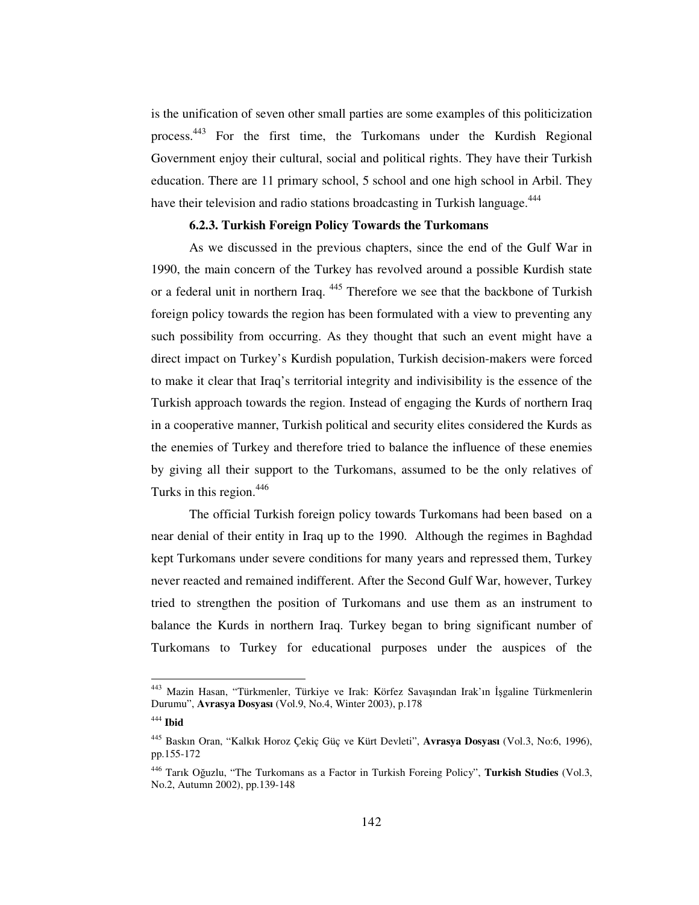is the unification of seven other small parties are some examples of this politicization process.<sup>443</sup> For the first time, the Turkomans under the Kurdish Regional Government enjoy their cultural, social and political rights. They have their Turkish education. There are 11 primary school, 5 school and one high school in Arbil. They have their television and radio stations broadcasting in Turkish language.<sup>444</sup>

# **6.2.3. Turkish Foreign Policy Towards the Turkomans**

As we discussed in the previous chapters, since the end of the Gulf War in 1990, the main concern of the Turkey has revolved around a possible Kurdish state or a federal unit in northern Iraq. <sup>445</sup> Therefore we see that the backbone of Turkish foreign policy towards the region has been formulated with a view to preventing any such possibility from occurring. As they thought that such an event might have a direct impact on Turkey's Kurdish population, Turkish decision-makers were forced to make it clear that Iraq's territorial integrity and indivisibility is the essence of the Turkish approach towards the region. Instead of engaging the Kurds of northern Iraq in a cooperative manner, Turkish political and security elites considered the Kurds as the enemies of Turkey and therefore tried to balance the influence of these enemies by giving all their support to the Turkomans, assumed to be the only relatives of Turks in this region.<sup>446</sup>

The official Turkish foreign policy towards Turkomans had been based on a near denial of their entity in Iraq up to the 1990. Although the regimes in Baghdad kept Turkomans under severe conditions for many years and repressed them, Turkey never reacted and remained indifferent. After the Second Gulf War, however, Turkey tried to strengthen the position of Turkomans and use them as an instrument to balance the Kurds in northern Iraq. Turkey began to bring significant number of Turkomans to Turkey for educational purposes under the auspices of the

<sup>&</sup>lt;sup>443</sup> Mazin Hasan, "Türkmenler, Türkiye ve Irak: Körfez Savaşından Irak'ın İşgaline Türkmenlerin Durumu", **Avrasya Dosyası** (Vol.9, No.4, Winter 2003), p.178

<sup>444</sup> **Ibid**

<sup>445</sup> Baskın Oran, "Kalkık Horoz Çekiç Güç ve Kürt Devleti", **Avrasya Dosyası** (Vol.3, No:6, 1996), pp.155-172

<sup>&</sup>lt;sup>446</sup> Tarık Oğuzlu, "The Turkomans as a Factor in Turkish Foreing Policy", Turkish Studies (Vol.3, No.2, Autumn 2002), pp.139-148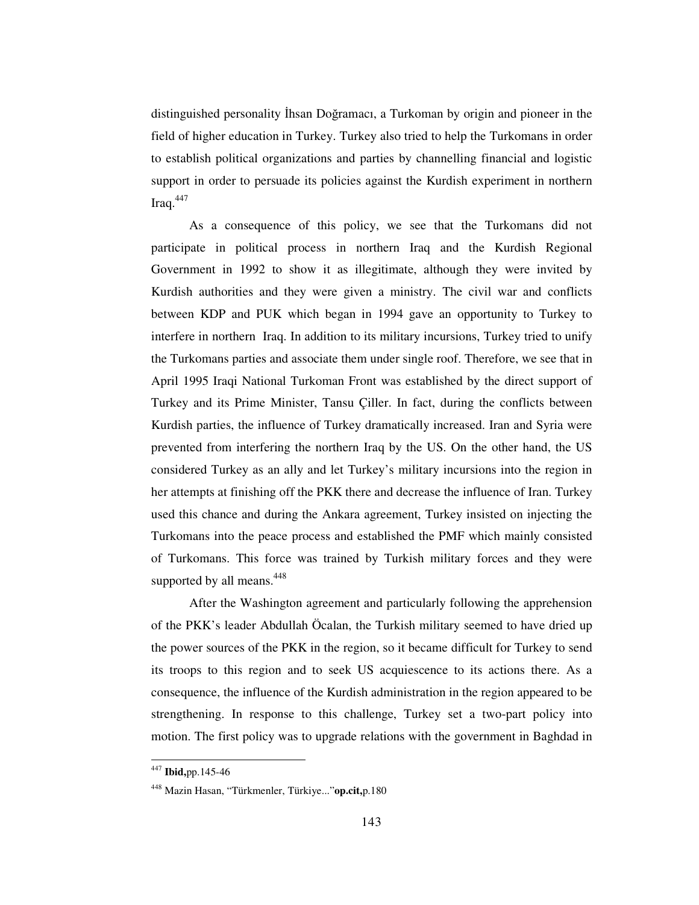distinguished personality İhsan Doğramacı, a Turkoman by origin and pioneer in the field of higher education in Turkey. Turkey also tried to help the Turkomans in order to establish political organizations and parties by channelling financial and logistic support in order to persuade its policies against the Kurdish experiment in northern Iraq. 447

As a consequence of this policy, we see that the Turkomans did not participate in political process in northern Iraq and the Kurdish Regional Government in 1992 to show it as illegitimate, although they were invited by Kurdish authorities and they were given a ministry. The civil war and conflicts between KDP and PUK which began in 1994 gave an opportunity to Turkey to interfere in northern Iraq. In addition to its military incursions, Turkey tried to unify the Turkomans parties and associate them under single roof. Therefore, we see that in April 1995 Iraqi National Turkoman Front was established by the direct support of Turkey and its Prime Minister, Tansu Çiller. In fact, during the conflicts between Kurdish parties, the influence of Turkey dramatically increased. Iran and Syria were prevented from interfering the northern Iraq by the US. On the other hand, the US considered Turkey as an ally and let Turkey's military incursions into the region in her attempts at finishing off the PKK there and decrease the influence of Iran. Turkey used this chance and during the Ankara agreement, Turkey insisted on injecting the Turkomans into the peace process and established the PMF which mainly consisted of Turkomans. This force was trained by Turkish military forces and they were supported by all means.<sup>448</sup>

After the Washington agreement and particularly following the apprehension of the PKK's leader Abdullah Öcalan, the Turkish military seemed to have dried up the power sources of the PKK in the region, so it became difficult for Turkey to send its troops to this region and to seek US acquiescence to its actions there. As a consequence, the influence of the Kurdish administration in the region appeared to be strengthening. In response to this challenge, Turkey set a two-part policy into motion. The first policy was to upgrade relations with the government in Baghdad in

<sup>447</sup> **Ibid,**pp.145-46

<sup>448</sup> Mazin Hasan, "Türkmenler, Türkiye..."**op.cit,**p.180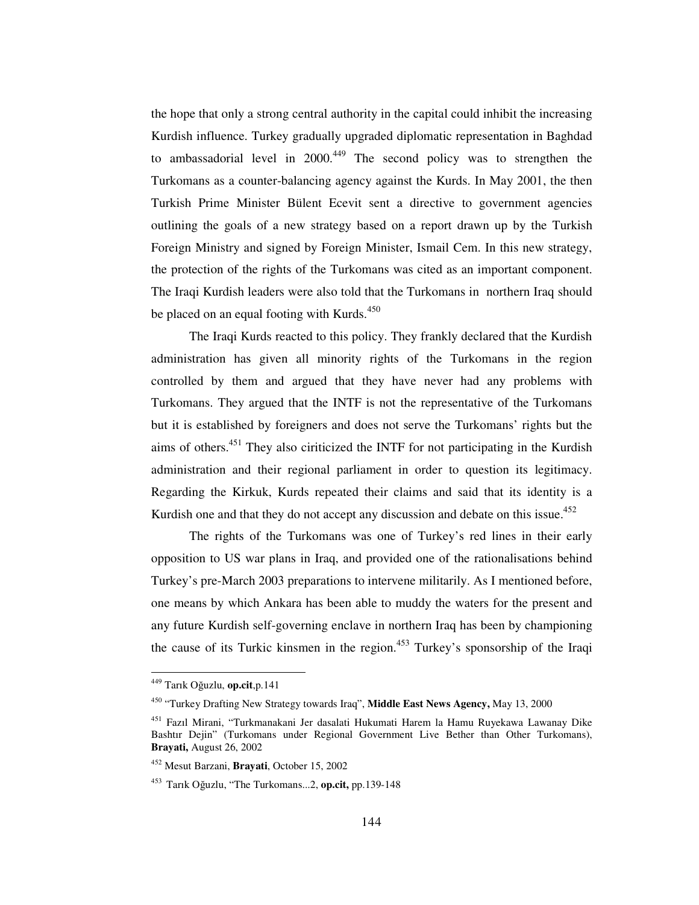the hope that only a strong central authority in the capital could inhibit the increasing Kurdish influence. Turkey gradually upgraded diplomatic representation in Baghdad to ambassadorial level in  $2000<sup>449</sup>$  The second policy was to strengthen the Turkomans as a counter-balancing agency against the Kurds. In May 2001, the then Turkish Prime Minister Bülent Ecevit sent a directive to government agencies outlining the goals of a new strategy based on a report drawn up by the Turkish Foreign Ministry and signed by Foreign Minister, Ismail Cem. In this new strategy, the protection of the rights of the Turkomans was cited as an important component. The Iraqi Kurdish leaders were also told that the Turkomans in northern Iraq should be placed on an equal footing with Kurds.<sup>450</sup>

The Iraqi Kurds reacted to this policy. They frankly declared that the Kurdish administration has given all minority rights of the Turkomans in the region controlled by them and argued that they have never had any problems with Turkomans. They argued that the INTF is not the representative of the Turkomans but it is established by foreigners and does not serve the Turkomans' rights but the aims of others.<sup>451</sup> They also ciriticized the INTF for not participating in the Kurdish administration and their regional parliament in order to question its legitimacy. Regarding the Kirkuk, Kurds repeated their claims and said that its identity is a Kurdish one and that they do not accept any discussion and debate on this issue.<sup>452</sup>

The rights of the Turkomans was one of Turkey's red lines in their early opposition to US war plans in Iraq, and provided one of the rationalisations behind Turkey's pre-March 2003 preparations to intervene militarily. As I mentioned before, one means by which Ankara has been able to muddy the waters for the present and any future Kurdish self-governing enclave in northern Iraq has been by championing the cause of its Turkic kinsmen in the region.<sup>453</sup> Turkey's sponsorship of the Iraqi

<sup>&</sup>lt;sup>449</sup> Tarık Oğuzlu, **op.cit**,p.141

<sup>450</sup> "Turkey Drafting New Strategy towards Iraq", **Middle East News Agency,** May 13, 2000

<sup>&</sup>lt;sup>451</sup> Fazıl Mirani, "Turkmanakani Jer dasalati Hukumati Harem la Hamu Ruyekawa Lawanay Dike Bashtır Dejin" (Turkomans under Regional Government Live Bether than Other Turkomans), **Brayati,** August 26, 2002

<sup>452</sup> Mesut Barzani, **Brayati**, October 15, 2002

<sup>&</sup>lt;sup>453</sup> Tarık Oğuzlu, "The Turkomans...2, **op.cit,** pp.139-148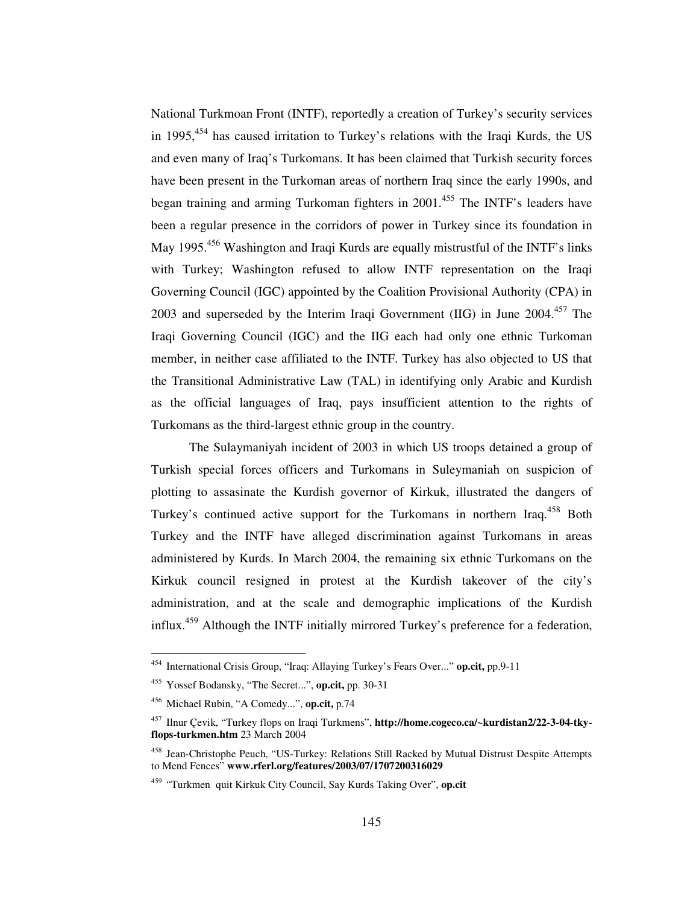National Turkmoan Front (INTF), reportedly a creation of Turkey's security services in 1995, 454 has caused irritation to Turkey's relations with the Iraqi Kurds, the US and even many of Iraq's Turkomans. It has been claimed that Turkish security forces have been present in the Turkoman areas of northern Iraq since the early 1990s, and began training and arming Turkoman fighters in 2001.<sup>455</sup> The INTF's leaders have been a regular presence in the corridors of power in Turkey since its foundation in May 1995.<sup>456</sup> Washington and Iraqi Kurds are equally mistrustful of the INTF's links with Turkey; Washington refused to allow INTF representation on the Iraqi Governing Council (IGC) appointed by the Coalition Provisional Authority (CPA) in 2003 and superseded by the Interim Iraqi Government (IIG) in June 2004.<sup>457</sup> The Iraqi Governing Council (IGC) and the IIG each had only one ethnic Turkoman member, in neither case affiliated to the INTF. Turkey has also objected to US that the Transitional Administrative Law (TAL) in identifying only Arabic and Kurdish as the official languages of Iraq, pays insufficient attention to the rights of Turkomans as the third-largest ethnic group in the country.

The Sulaymaniyah incident of 2003 in which US troops detained a group of Turkish special forces officers and Turkomans in Suleymaniah on suspicion of plotting to assasinate the Kurdish governor of Kirkuk, illustrated the dangers of Turkey's continued active support for the Turkomans in northern Iraq.<sup>458</sup> Both Turkey and the INTF have alleged discrimination against Turkomans in areas administered by Kurds. In March 2004, the remaining six ethnic Turkomans on the Kirkuk council resigned in protest at the Kurdish takeover of the city's administration, and at the scale and demographic implications of the Kurdish influx.<sup>459</sup> Although the INTF initially mirrored Turkey's preference for a federation,

<sup>454</sup> International Crisis Group, "Iraq: Allaying Turkey's Fears Over..." **op.cit,** pp.9-11

<sup>455</sup> Yossef Bodansky, "The Secret...", **op.cit,** pp. 30-31

<sup>456</sup> Michael Rubin, "A Comedy...", **op.cit,** p.74

<sup>457</sup> Ilnur Çevik, "Turkey flops on Iraqi Turkmens", **http://home.cogeco.ca/~kurdistan2/22-3-04-tkyflops-turkmen.htm** 23 March 2004

<sup>&</sup>lt;sup>458</sup> Jean-Christophe Peuch, "US-Turkey: Relations Still Racked by Mutual Distrust Despite Attempts to Mend Fences" **www.rferl.org/features/2003/07/1707200316029**

<sup>459</sup> "Turkmen quit Kirkuk City Council, Say Kurds Taking Over", **op.cit**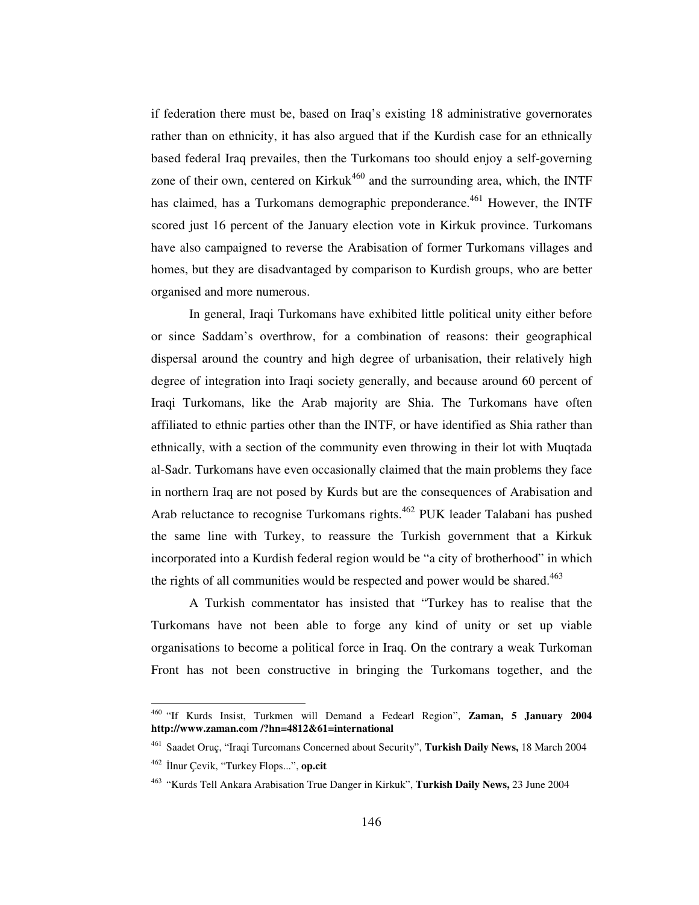if federation there must be, based on Iraq's existing 18 administrative governorates rather than on ethnicity, it has also argued that if the Kurdish case for an ethnically based federal Iraq prevailes, then the Turkomans too should enjoy a self-governing zone of their own, centered on Kirkuk<sup>460</sup> and the surrounding area, which, the INTF has claimed, has a Turkomans demographic preponderance.<sup>461</sup> However, the INTF scored just 16 percent of the January election vote in Kirkuk province. Turkomans have also campaigned to reverse the Arabisation of former Turkomans villages and homes, but they are disadvantaged by comparison to Kurdish groups, who are better organised and more numerous.

In general, Iraqi Turkomans have exhibited little political unity either before or since Saddam's overthrow, for a combination of reasons: their geographical dispersal around the country and high degree of urbanisation, their relatively high degree of integration into Iraqi society generally, and because around 60 percent of Iraqi Turkomans, like the Arab majority are Shia. The Turkomans have often affiliated to ethnic parties other than the INTF, or have identified as Shia rather than ethnically, with a section of the community even throwing in their lot with Muqtada al-Sadr. Turkomans have even occasionally claimed that the main problems they face in northern Iraq are not posed by Kurds but are the consequences of Arabisation and Arab reluctance to recognise Turkomans rights. 462 PUK leader Talabani has pushed the same line with Turkey, to reassure the Turkish government that a Kirkuk incorporated into a Kurdish federal region would be "a city of brotherhood" in which the rights of all communities would be respected and power would be shared.<sup>463</sup>

A Turkish commentator has insisted that "Turkey has to realise that the Turkomans have not been able to forge any kind of unity or set up viable organisations to become a political force in Iraq. On the contrary a weak Turkoman Front has not been constructive in bringing the Turkomans together, and the

<sup>460</sup> "If Kurds Insist, Turkmen will Demand a Fedearl Region", **Zaman, 5 January 2004 http://www.zaman.com /?hn=4812&61=international**

<sup>461</sup> Saadet Oruç, "Iraqi Turcomans Concerned about Security", **Turkish Daily News,** 18 March 2004

<sup>&</sup>lt;sup>462</sup> İlnur Çevik, "Turkey Flops...", **op.cit** 

<sup>463</sup> "Kurds Tell Ankara Arabisation True Danger in Kirkuk", **Turkish Daily News,** 23 June 2004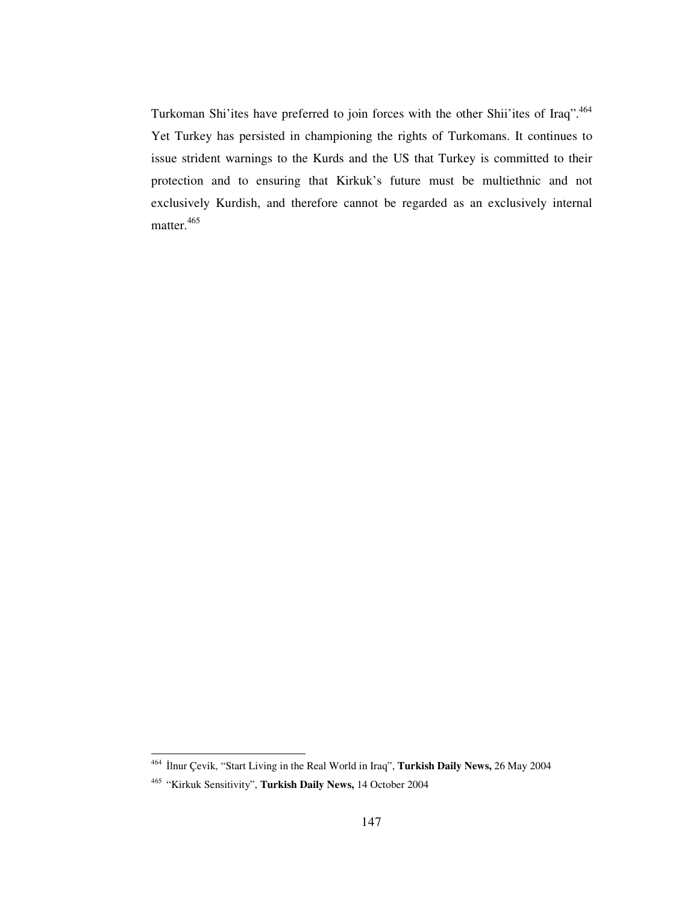Turkoman Shi'ites have preferred to join forces with the other Shii'ites of Iraq".<sup>464</sup> Yet Turkey has persisted in championing the rights of Turkomans. It continues to issue strident warnings to the Kurds and the US that Turkey is committed to their protection and to ensuring that Kirkuk's future must be multiethnic and not exclusively Kurdish, and therefore cannot be regarded as an exclusively internal matter. 465

<sup>464</sup> -lnur Çevik, "Start Living in the Real World in Iraq", **Turkish Daily News,** 26 May 2004

<sup>465</sup> "Kirkuk Sensitivity", **Turkish Daily News,** 14 October 2004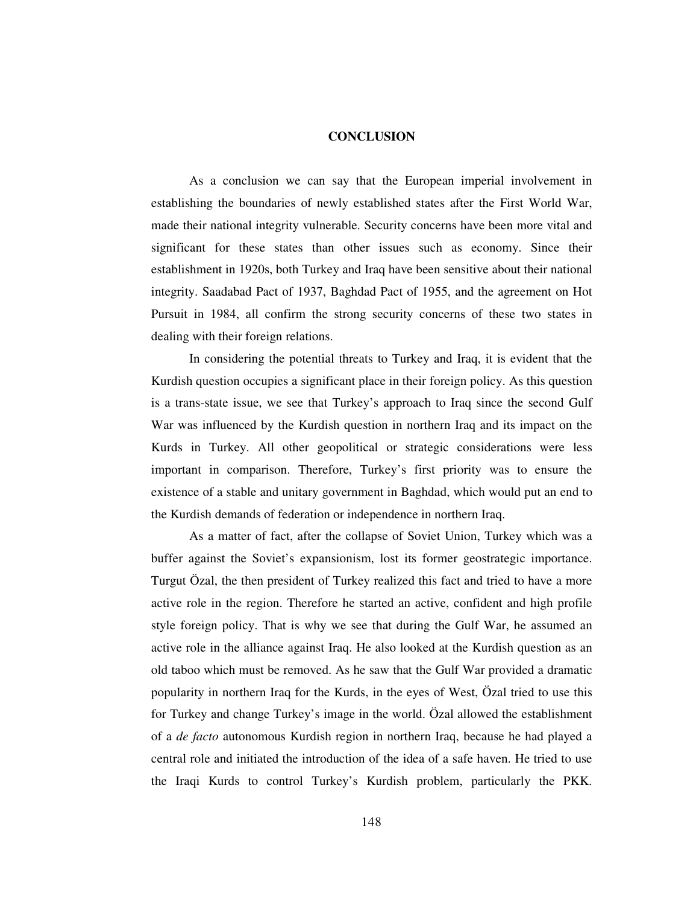#### **CONCLUSION**

As a conclusion we can say that the European imperial involvement in establishing the boundaries of newly established states after the First World War, made their national integrity vulnerable. Security concerns have been more vital and significant for these states than other issues such as economy. Since their establishment in 1920s, both Turkey and Iraq have been sensitive about their national integrity. Saadabad Pact of 1937, Baghdad Pact of 1955, and the agreement on Hot Pursuit in 1984, all confirm the strong security concerns of these two states in dealing with their foreign relations.

In considering the potential threats to Turkey and Iraq, it is evident that the Kurdish question occupies a significant place in their foreign policy. As this question is a trans-state issue, we see that Turkey's approach to Iraq since the second Gulf War was influenced by the Kurdish question in northern Iraq and its impact on the Kurds in Turkey. All other geopolitical or strategic considerations were less important in comparison. Therefore, Turkey's first priority was to ensure the existence of a stable and unitary government in Baghdad, which would put an end to the Kurdish demands of federation or independence in northern Iraq.

As a matter of fact, after the collapse of Soviet Union, Turkey which was a buffer against the Soviet's expansionism, lost its former geostrategic importance. Turgut Özal, the then president of Turkey realized this fact and tried to have a more active role in the region. Therefore he started an active, confident and high profile style foreign policy. That is why we see that during the Gulf War, he assumed an active role in the alliance against Iraq. He also looked at the Kurdish question as an old taboo which must be removed. As he saw that the Gulf War provided a dramatic popularity in northern Iraq for the Kurds, in the eyes of West, Özal tried to use this for Turkey and change Turkey's image in the world. Özal allowed the establishment of a *de facto* autonomous Kurdish region in northern Iraq, because he had played a central role and initiated the introduction of the idea of a safe haven. He tried to use the Iraqi Kurds to control Turkey's Kurdish problem, particularly the PKK.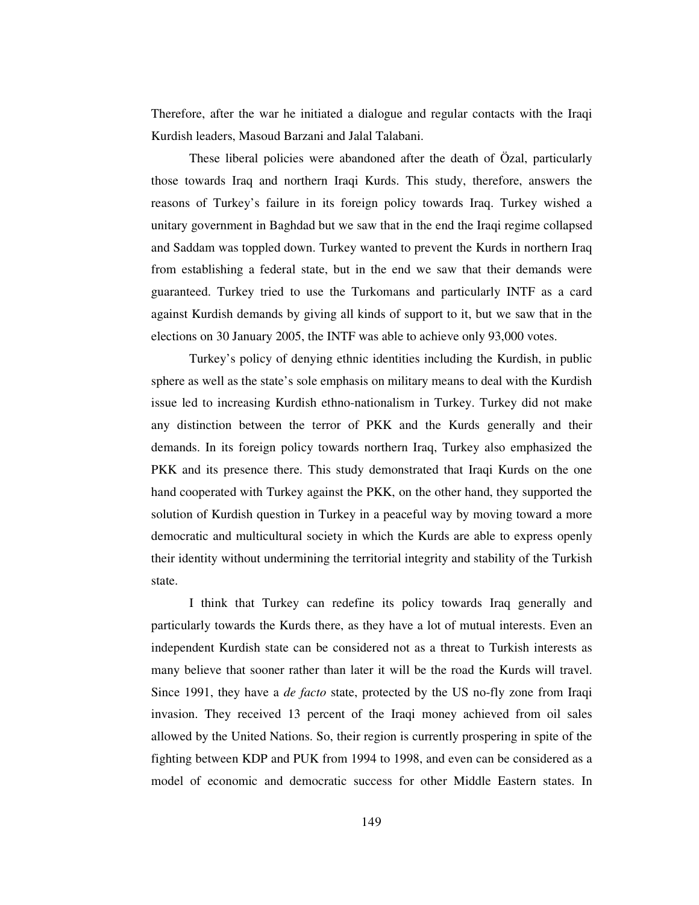Therefore, after the war he initiated a dialogue and regular contacts with the Iraqi Kurdish leaders, Masoud Barzani and Jalal Talabani.

These liberal policies were abandoned after the death of Özal, particularly those towards Iraq and northern Iraqi Kurds. This study, therefore, answers the reasons of Turkey's failure in its foreign policy towards Iraq. Turkey wished a unitary government in Baghdad but we saw that in the end the Iraqi regime collapsed and Saddam was toppled down. Turkey wanted to prevent the Kurds in northern Iraq from establishing a federal state, but in the end we saw that their demands were guaranteed. Turkey tried to use the Turkomans and particularly INTF as a card against Kurdish demands by giving all kinds of support to it, but we saw that in the elections on 30 January 2005, the INTF was able to achieve only 93,000 votes.

Turkey's policy of denying ethnic identities including the Kurdish, in public sphere as well as the state's sole emphasis on military means to deal with the Kurdish issue led to increasing Kurdish ethno-nationalism in Turkey. Turkey did not make any distinction between the terror of PKK and the Kurds generally and their demands. In its foreign policy towards northern Iraq, Turkey also emphasized the PKK and its presence there. This study demonstrated that Iraqi Kurds on the one hand cooperated with Turkey against the PKK, on the other hand, they supported the solution of Kurdish question in Turkey in a peaceful way by moving toward a more democratic and multicultural society in which the Kurds are able to express openly their identity without undermining the territorial integrity and stability of the Turkish state.

I think that Turkey can redefine its policy towards Iraq generally and particularly towards the Kurds there, as they have a lot of mutual interests. Even an independent Kurdish state can be considered not as a threat to Turkish interests as many believe that sooner rather than later it will be the road the Kurds will travel. Since 1991, they have a *de facto* state, protected by the US no-fly zone from Iraqi invasion. They received 13 percent of the Iraqi money achieved from oil sales allowed by the United Nations. So, their region is currently prospering in spite of the fighting between KDP and PUK from 1994 to 1998, and even can be considered as a model of economic and democratic success for other Middle Eastern states. In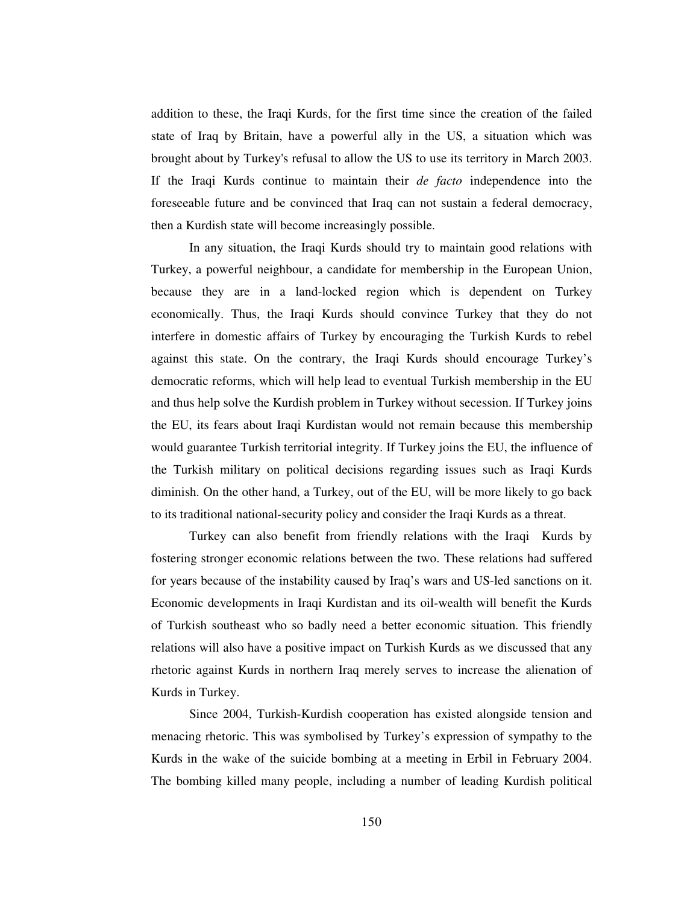addition to these, the Iraqi Kurds, for the first time since the creation of the failed state of Iraq by Britain, have a powerful ally in the US, a situation which was brought about by Turkey's refusal to allow the US to use its territory in March 2003. If the Iraqi Kurds continue to maintain their *de facto* independence into the foreseeable future and be convinced that Iraq can not sustain a federal democracy, then a Kurdish state will become increasingly possible.

In any situation, the Iraqi Kurds should try to maintain good relations with Turkey, a powerful neighbour, a candidate for membership in the European Union, because they are in a land-locked region which is dependent on Turkey economically. Thus, the Iraqi Kurds should convince Turkey that they do not interfere in domestic affairs of Turkey by encouraging the Turkish Kurds to rebel against this state. On the contrary, the Iraqi Kurds should encourage Turkey's democratic reforms, which will help lead to eventual Turkish membership in the EU and thus help solve the Kurdish problem in Turkey without secession. If Turkey joins the EU, its fears about Iraqi Kurdistan would not remain because this membership would guarantee Turkish territorial integrity. If Turkey joins the EU, the influence of the Turkish military on political decisions regarding issues such as Iraqi Kurds diminish. On the other hand, a Turkey, out of the EU, will be more likely to go back to its traditional national-security policy and consider the Iraqi Kurds as a threat.

Turkey can also benefit from friendly relations with the Iraqi Kurds by fostering stronger economic relations between the two. These relations had suffered for years because of the instability caused by Iraq's wars and US-led sanctions on it. Economic developments in Iraqi Kurdistan and its oil-wealth will benefit the Kurds of Turkish southeast who so badly need a better economic situation. This friendly relations will also have a positive impact on Turkish Kurds as we discussed that any rhetoric against Kurds in northern Iraq merely serves to increase the alienation of Kurds in Turkey.

Since 2004, Turkish-Kurdish cooperation has existed alongside tension and menacing rhetoric. This was symbolised by Turkey's expression of sympathy to the Kurds in the wake of the suicide bombing at a meeting in Erbil in February 2004. The bombing killed many people, including a number of leading Kurdish political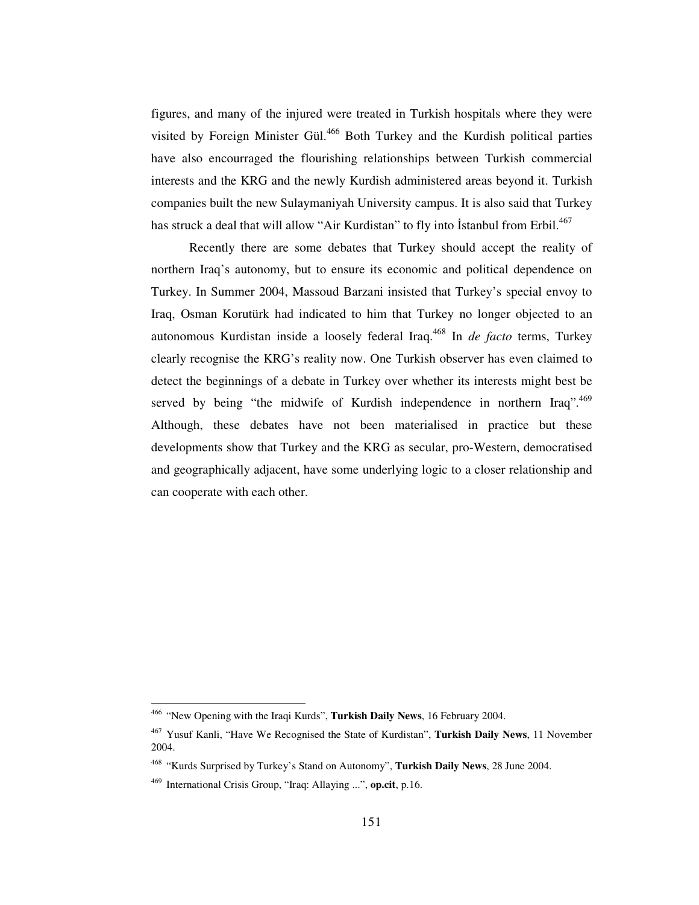figures, and many of the injured were treated in Turkish hospitals where they were visited by Foreign Minister Gül. <sup>466</sup> Both Turkey and the Kurdish political parties have also encourraged the flourishing relationships between Turkish commercial interests and the KRG and the newly Kurdish administered areas beyond it. Turkish companies built the new Sulaymaniyah University campus. It is also said that Turkey has struck a deal that will allow "Air Kurdistan" to fly into İstanbul from Erbil.<sup>467</sup>

Recently there are some debates that Turkey should accept the reality of northern Iraq's autonomy, but to ensure its economic and political dependence on Turkey. In Summer 2004, Massoud Barzani insisted that Turkey's special envoy to Iraq, Osman Korutürk had indicated to him that Turkey no longer objected to an autonomous Kurdistan inside a loosely federal Iraq. 468 In *de facto* terms, Turkey clearly recognise the KRG's reality now. One Turkish observer has even claimed to detect the beginnings of a debate in Turkey over whether its interests might best be served by being "the midwife of Kurdish independence in northern Iraq".<sup>469</sup> Although, these debates have not been materialised in practice but these developments show that Turkey and the KRG as secular, pro-Western, democratised and geographically adjacent, have some underlying logic to a closer relationship and can cooperate with each other.

<sup>466</sup> "New Opening with the Iraqi Kurds", **Turkish Daily News**, 16 February 2004.

<sup>467</sup> Yusuf Kanli, "Have We Recognised the State of Kurdistan", **Turkish Daily News**, 11 November 2004.

<sup>468</sup> "Kurds Surprised by Turkey's Stand on Autonomy", **Turkish Daily News**, 28 June 2004.

<sup>469</sup> International Crisis Group, "Iraq: Allaying ...", **op.cit**, p.16.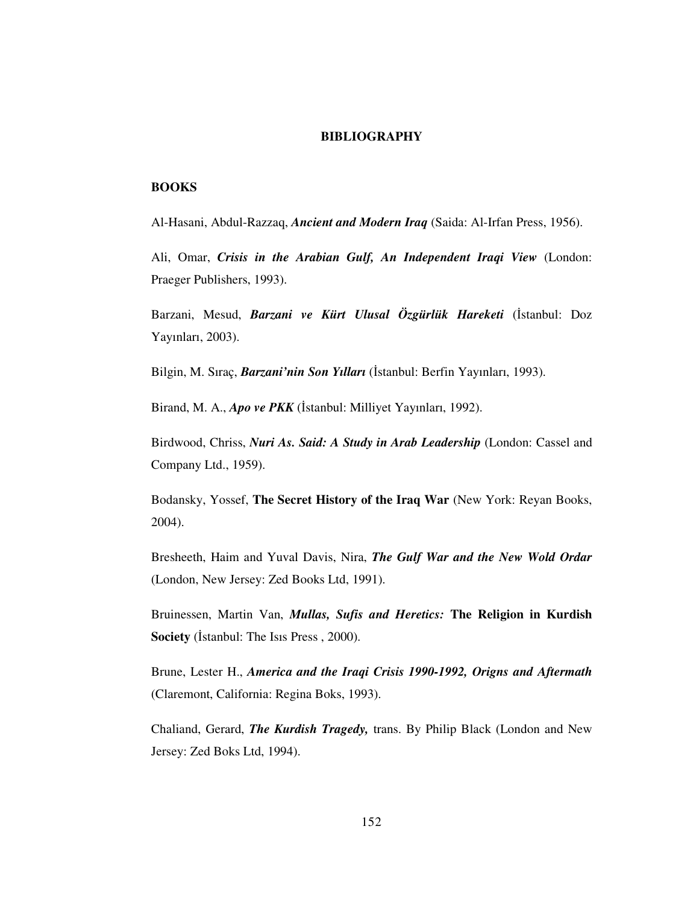#### **BIBLIOGRAPHY**

## **BOOKS**

Al-Hasani, Abdul-Razzaq, *Ancient and Modern Iraq* (Saida: Al-Irfan Press, 1956).

Ali, Omar, *Crisis in the Arabian Gulf, An Independent Iraqi View* (London: Praeger Publishers, 1993).

Barzani, Mesud, *Barzani ve Kürt Ulusal Özgürlük Hareketi (İstanbul: Doz* Yayınları, 2003).

Bilgin, M. Sıraç, *Barzani'nin Son Yılları (İstanbul: Berfin Yayınları, 1993).* 

Birand, M. A., *Apo ve PKK* (İstanbul: Milliyet Yayınları, 1992).

Birdwood, Chriss, *Nuri As. Said: A Study in Arab Leadership* (London: Cassel and Company Ltd., 1959).

Bodansky, Yossef, **The Secret History of the Iraq War** (New York: Reyan Books, 2004).

Bresheeth, Haim and Yuval Davis, Nira, *The Gulf War and the New Wold Ordar* (London, New Jersey: Zed Books Ltd, 1991).

Bruinessen, Martin Van, *Mullas, Sufis and Heretics:* **The Religion in Kurdish Society** (Istanbul: The Isis Press, 2000).

Brune, Lester H., *America and the Iraqi Crisis 1990-1992, Origns and Aftermath* (Claremont, California: Regina Boks, 1993).

Chaliand, Gerard, *The Kurdish Tragedy,* trans. By Philip Black (London and New Jersey: Zed Boks Ltd, 1994).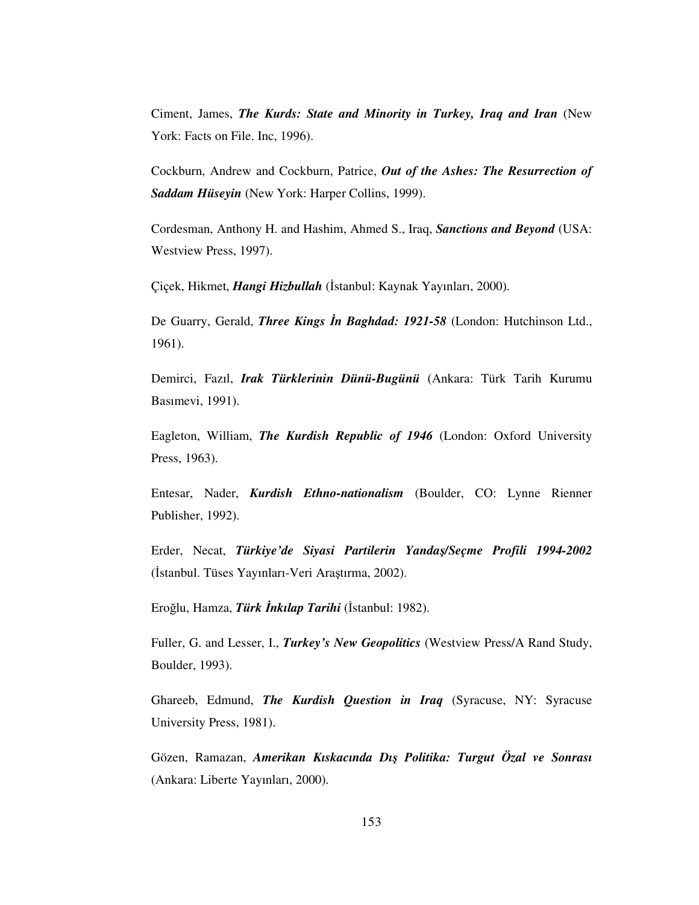Ciment, James, *The Kurds: State and Minority in Turkey, Iraq and Iran* (New York: Facts on File. Inc, 1996).

Cockburn, Andrew and Cockburn, Patrice, *Out of the Ashes: The Resurrection of Saddam Hüseyin* (New York: Harper Collins, 1999).

Cordesman, Anthony H. and Hashim, Ahmed S., Iraq, *Sanctions and Beyond* (USA: Westview Press, 1997).

Çiçek, Hikmet, *Hangi Hizbullah (İstanbul: Kaynak Yayınları, 2000).* 

De Guarry, Gerald, *Three Kings n Baghdad: 1921-58* (London: Hutchinson Ltd., 1961).

Demirci, Fazıl, *Irak Türklerinin Dünü-Bugünü* (Ankara: Türk Tarih Kurumu Basımevi, 1991).

Eagleton, William, *The Kurdish Republic of 1946* (London: Oxford University Press, 1963).

Entesar, Nader, *Kurdish Ethno-nationalism* (Boulder, CO: Lynne Rienner Publisher, 1992).

Erder, Necat, *Türkiye'de Siyasi Partilerin Yanda*-*/Seçme Profili 1994-2002* (İstanbul. Tüses Yayınları-Veri Araştırma, 2002).

Eroğlu, Hamza, *Türk İnkılap Tarihi* (İstanbul: 1982).

Fuller, G. and Lesser, I., *Turkey's New Geopolitics* (Westview Press/A Rand Study, Boulder, 1993).

Ghareeb, Edmund, *The Kurdish Question in Iraq* (Syracuse, NY: Syracuse University Press, 1981).

Gözen, Ramazan, *Amerikan Kıskacında Dı*- *Politika: Turgut Özal ve Sonrası* (Ankara: Liberte Yayınları, 2000).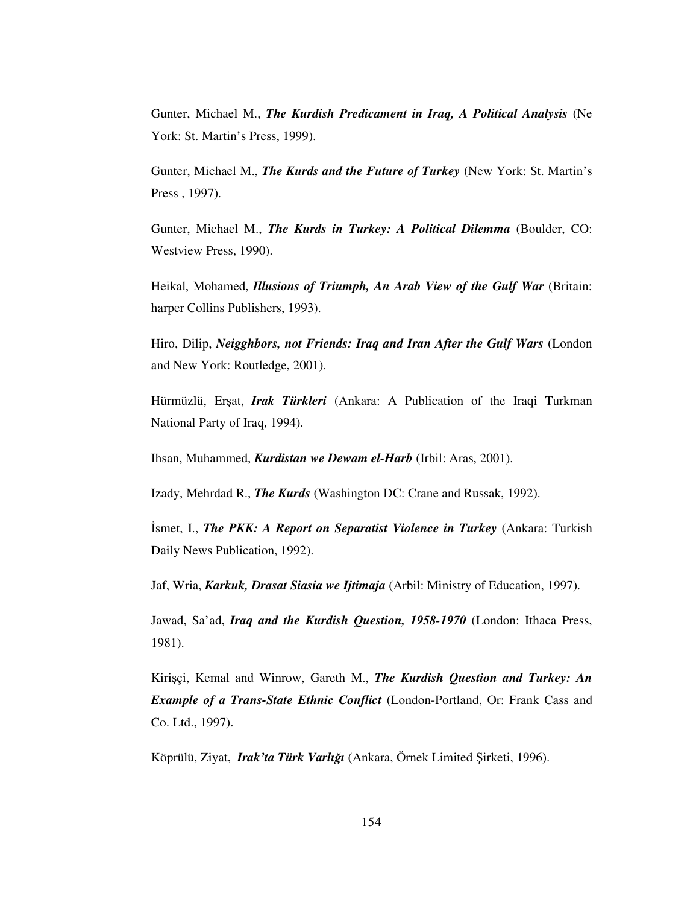Gunter, Michael M., *The Kurdish Predicament in Iraq, A Political Analysis* (Ne York: St. Martin's Press, 1999).

Gunter, Michael M., *The Kurds and the Future of Turkey* (New York: St. Martin's Press , 1997).

Gunter, Michael M., *The Kurds in Turkey: A Political Dilemma* (Boulder, CO: Westview Press, 1990).

Heikal, Mohamed, *Illusions of Triumph, An Arab View of the Gulf War* (Britain: harper Collins Publishers, 1993).

Hiro, Dilip, *Neigghbors, not Friends: Iraq and Iran After the Gulf Wars* (London and New York: Routledge, 2001).

Hürmüzlü, Erşat, *Irak Türkleri* (Ankara: A Publication of the Iraqi Turkman National Party of Iraq, 1994).

Ihsan, Muhammed, *Kurdistan we Dewam el-Harb* (Irbil: Aras, 2001).

Izady, Mehrdad R., *The Kurds* (Washington DC: Crane and Russak, 1992).

-smet, I., *The PKK: A Report on Separatist Violence in Turkey* (Ankara: Turkish Daily News Publication, 1992).

Jaf, Wria, *Karkuk, Drasat Siasia we Ijtimaja* (Arbil: Ministry of Education, 1997).

Jawad, Sa'ad, *Iraq and the Kurdish Question, 1958-1970* (London: Ithaca Press, 1981).

Kiriçi, Kemal and Winrow, Gareth M., *The Kurdish Question and Turkey: An Example of a Trans-State Ethnic Conflict* (London-Portland, Or: Frank Cass and Co. Ltd., 1997).

Köprülü, Ziyat, *Irak'ta Türk Varlığı* (Ankara, Örnek Limited Şirketi, 1996).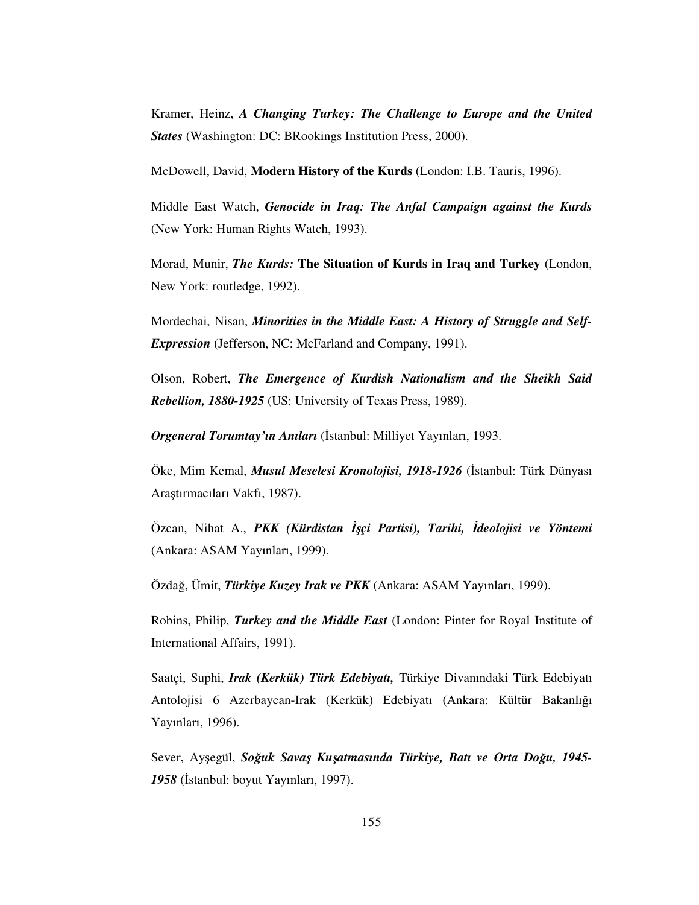Kramer, Heinz, *A Changing Turkey: The Challenge to Europe and the United States* (Washington: DC: BRookings Institution Press, 2000).

McDowell, David, **Modern History of the Kurds** (London: I.B. Tauris, 1996).

Middle East Watch, *Genocide in Iraq: The Anfal Campaign against the Kurds* (New York: Human Rights Watch, 1993).

Morad, Munir, *The Kurds:* **The Situation of Kurds in Iraq and Turkey** (London, New York: routledge, 1992).

Mordechai, Nisan, *Minorities in the Middle East: A History of Struggle and Self-Expression* (Jefferson, NC: McFarland and Company, 1991).

Olson, Robert, *The Emergence of Kurdish Nationalism and the Sheikh Said Rebellion, 1880-1925* (US: University of Texas Press, 1989).

**Orgeneral Torumtay'ın Anıları** (İstanbul: Milliyet Yayınları, 1993.

Öke, Mim Kemal, *Musul Meselesi Kronolojisi, 1918-1926* (İstanbul: Türk Dünyası Aratırmacıları Vakfı, 1987).

Özcan, Nihat A., *PKK (Kürdistan İşçi Partisi), Tarihi, İdeolojisi ve Yöntemi* (Ankara: ASAM Yayınları, 1999).

Özda, Ümit, *Türkiye Kuzey Irak ve PKK* (Ankara: ASAM Yayınları, 1999).

Robins, Philip, *Turkey and the Middle East* (London: Pinter for Royal Institute of International Affairs, 1991).

Saatçi, Suphi, *Irak (Kerkük) Türk Edebiyatı,* Türkiye Divanındaki Türk Edebiyatı Antolojisi 6 Azerbaycan-Irak (Kerkük) Edebiyatı (Ankara: Kültür Bakanlığı Yayınları, 1996).

Sever, Ayegül, *Souk Sava*- *Ku*-*atmasında Türkiye, Batı ve Orta Dou, 1945-* 1958 (İstanbul: boyut Yayınları, 1997).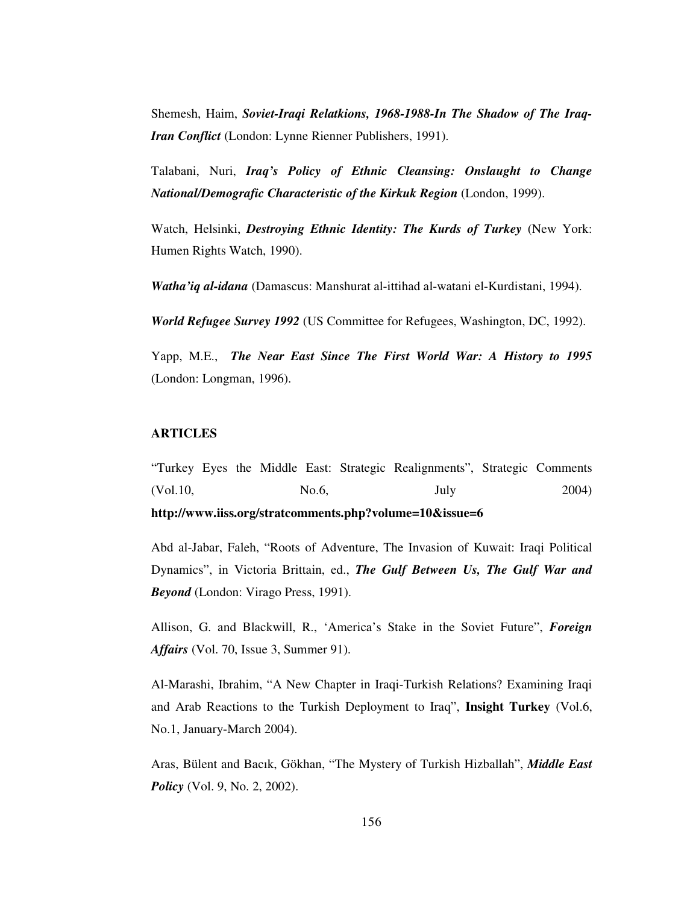Shemesh, Haim, *Soviet-Iraqi Relatkions, 1968-1988-In The Shadow of The Iraq-Iran Conflict* (London: Lynne Rienner Publishers, 1991).

Talabani, Nuri, *Iraq's Policy of Ethnic Cleansing: Onslaught to Change National/Demografic Characteristic of the Kirkuk Region* (London, 1999).

Watch, Helsinki, *Destroying Ethnic Identity: The Kurds of Turkey* (New York: Humen Rights Watch, 1990).

*Watha'iq al-idana* (Damascus: Manshurat al-ittihad al-watani el-Kurdistani, 1994).

*World Refugee Survey 1992* (US Committee for Refugees, Washington, DC, 1992).

Yapp, M.E., *The Near East Since The First World War: A History to 1995* (London: Longman, 1996).

# **ARTICLES**

"Turkey Eyes the Middle East: Strategic Realignments", Strategic Comments (Vol.10, No.6, July 2004) **http://www.iiss.org/stratcomments.php?volume=10&issue=6**

Abd al-Jabar, Faleh, "Roots of Adventure, The Invasion of Kuwait: Iraqi Political Dynamics", in Victoria Brittain, ed., *The Gulf Between Us, The Gulf War and Beyond* (London: Virago Press, 1991).

Allison, G. and Blackwill, R., 'America's Stake in the Soviet Future", *Foreign Affairs* (Vol. 70, Issue 3, Summer 91).

Al-Marashi, Ibrahim, "A New Chapter in Iraqi-Turkish Relations? Examining Iraqi and Arab Reactions to the Turkish Deployment to Iraq", **Insight Turkey** (Vol.6, No.1, January-March 2004).

Aras, Bülent and Bacık, Gökhan, "The Mystery of Turkish Hizballah", *Middle East Policy* (Vol. 9, No. 2, 2002).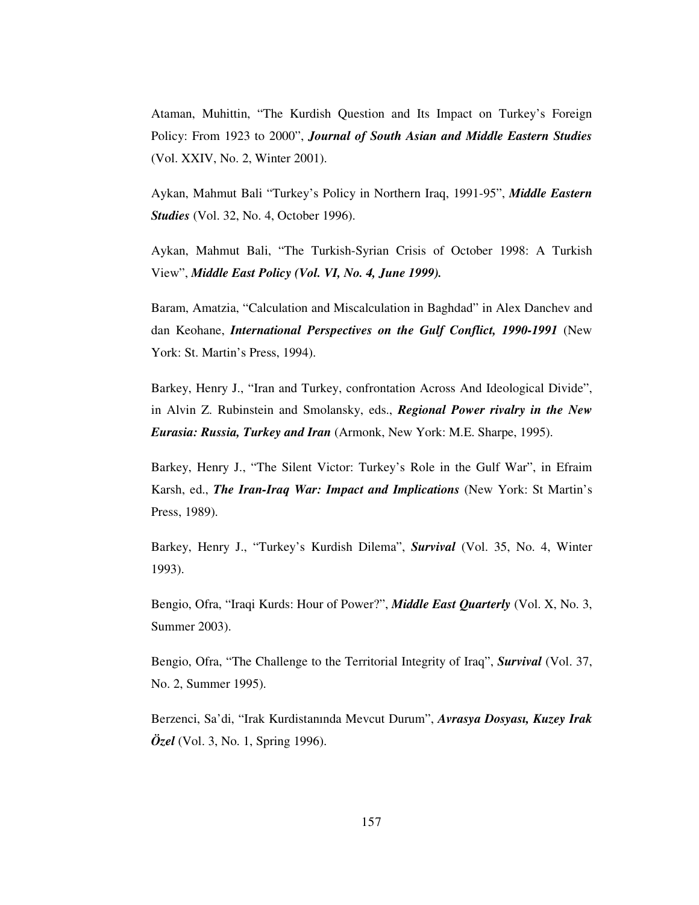Ataman, Muhittin, "The Kurdish Question and Its Impact on Turkey's Foreign Policy: From 1923 to 2000", *Journal of South Asian and Middle Eastern Studies* (Vol. XXIV, No. 2, Winter 2001).

Aykan, Mahmut Bali "Turkey's Policy in Northern Iraq, 1991-95", *Middle Eastern Studies* (Vol. 32, No. 4, October 1996).

Aykan, Mahmut Bali, "The Turkish-Syrian Crisis of October 1998: A Turkish View", *Middle East Policy (Vol. VI, No. 4, June 1999).*

Baram, Amatzia, "Calculation and Miscalculation in Baghdad" in Alex Danchev and dan Keohane, *International Perspectives on the Gulf Conflict, 1990-1991* (New York: St. Martin's Press, 1994).

Barkey, Henry J., "Iran and Turkey, confrontation Across And Ideological Divide", in Alvin Z. Rubinstein and Smolansky, eds., *Regional Power rivalry in the New Eurasia: Russia, Turkey and Iran* (Armonk, New York: M.E. Sharpe, 1995).

Barkey, Henry J., "The Silent Victor: Turkey's Role in the Gulf War", in Efraim Karsh, ed., *The Iran-Iraq War: Impact and Implications* (New York: St Martin's Press, 1989).

Barkey, Henry J., "Turkey's Kurdish Dilema", *Survival* (Vol. 35, No. 4, Winter 1993).

Bengio, Ofra, "Iraqi Kurds: Hour of Power?", *Middle East Quarterly* (Vol. X, No. 3, Summer 2003).

Bengio, Ofra, "The Challenge to the Territorial Integrity of Iraq", *Survival* (Vol. 37, No. 2, Summer 1995).

Berzenci, Sa'di, "Irak Kurdistanında Mevcut Durum", *Avrasya Dosyası, Kuzey Irak Özel* (Vol. 3, No. 1, Spring 1996).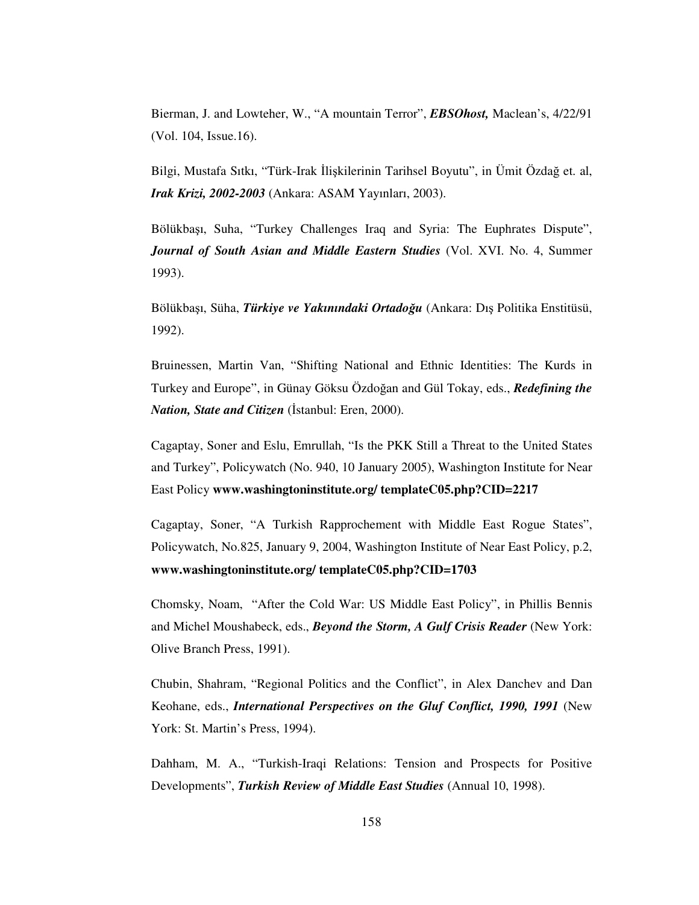Bierman, J. and Lowteher, W., "A mountain Terror", *EBSOhost,* Maclean's, 4/22/91 (Vol. 104, Issue.16).

Bilgi, Mustafa Sıtkı, "Türk-Irak İlişkilerinin Tarihsel Boyutu", in Ümit Özdağ et. al, *Irak Krizi, 2002-2003* (Ankara: ASAM Yayınları, 2003).

Bölükbaı, Suha, "Turkey Challenges Iraq and Syria: The Euphrates Dispute", *Journal of South Asian and Middle Eastern Studies* (Vol. XVI. No. 4, Summer 1993).

Bölükbaşı, Süha, *Türkiye ve Yakınındaki Ortadoğu* (Ankara: Dış Politika Enstitüsü, 1992).

Bruinessen, Martin Van, "Shifting National and Ethnic Identities: The Kurds in Turkey and Europe", in Günay Göksu Özdoğan and Gül Tokay, eds., *Redefining the Nation, State and Citizen* (Istanbul: Eren, 2000).

Cagaptay, Soner and Eslu, Emrullah, "Is the PKK Still a Threat to the United States and Turkey", Policywatch (No. 940, 10 January 2005), Washington Institute for Near East Policy **www.washingtoninstitute.org/ templateC05.php?CID=2217**

Cagaptay, Soner, "A Turkish Rapprochement with Middle East Rogue States", Policywatch, No.825, January 9, 2004, Washington Institute of Near East Policy, p.2, **www.washingtoninstitute.org/ templateC05.php?CID=1703**

Chomsky, Noam, "After the Cold War: US Middle East Policy", in Phillis Bennis and Michel Moushabeck, eds., *Beyond the Storm, A Gulf Crisis Reader* (New York: Olive Branch Press, 1991).

Chubin, Shahram, "Regional Politics and the Conflict", in Alex Danchev and Dan Keohane, eds., *International Perspectives on the Gluf Conflict, 1990, 1991* (New York: St. Martin's Press, 1994).

Dahham, M. A., "Turkish-Iraqi Relations: Tension and Prospects for Positive Developments", *Turkish Review of Middle East Studies* (Annual 10, 1998).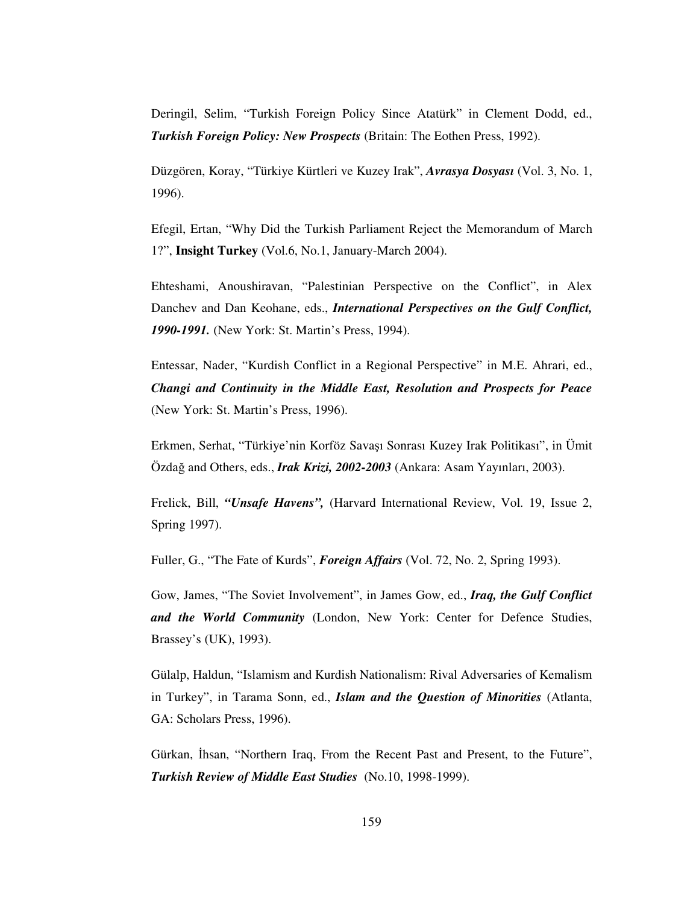Deringil, Selim, "Turkish Foreign Policy Since Atatürk" in Clement Dodd, ed., *Turkish Foreign Policy: New Prospects* (Britain: The Eothen Press, 1992).

Düzgören, Koray, "Türkiye Kürtleri ve Kuzey Irak", *Avrasya Dosyası* (Vol. 3, No. 1, 1996).

Efegil, Ertan, "Why Did the Turkish Parliament Reject the Memorandum of March 1?", **Insight Turkey** (Vol.6, No.1, January-March 2004).

Ehteshami, Anoushiravan, "Palestinian Perspective on the Conflict", in Alex Danchev and Dan Keohane, eds., *International Perspectives on the Gulf Conflict, 1990-1991.* (New York: St. Martin's Press, 1994).

Entessar, Nader, "Kurdish Conflict in a Regional Perspective" in M.E. Ahrari, ed., *Changi and Continuity in the Middle East, Resolution and Prospects for Peace* (New York: St. Martin's Press, 1996).

Erkmen, Serhat, "Türkiye'nin Korföz Savaı Sonrası Kuzey Irak Politikası", in Ümit Özda and Others, eds., *Irak Krizi, 2002-2003* (Ankara: Asam Yayınları, 2003).

Frelick, Bill, *"Unsafe Havens",* (Harvard International Review, Vol. 19, Issue 2, Spring 1997).

Fuller, G., "The Fate of Kurds", *Foreign Affairs* (Vol. 72, No. 2, Spring 1993).

Gow, James, "The Soviet Involvement", in James Gow, ed., *Iraq, the Gulf Conflict and the World Community* (London, New York: Center for Defence Studies, Brassey's (UK), 1993).

Gülalp, Haldun, "Islamism and Kurdish Nationalism: Rival Adversaries of Kemalism in Turkey", in Tarama Sonn, ed., *Islam and the Question of Minorities* (Atlanta, GA: Scholars Press, 1996).

Gürkan, İhsan, "Northern Iraq, From the Recent Past and Present, to the Future", *Turkish Review of Middle East Studies* (No.10, 1998-1999).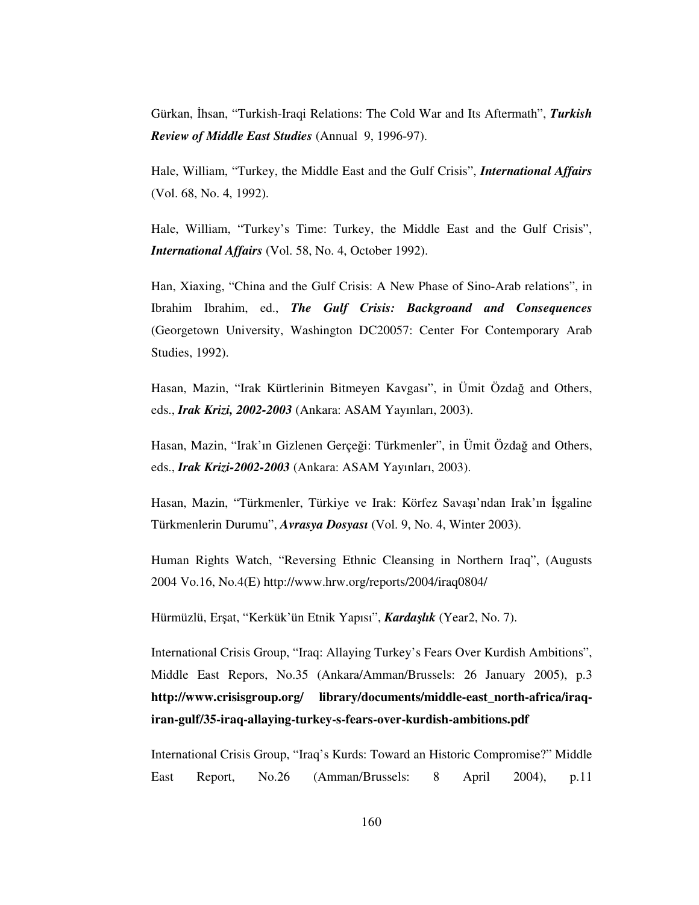Gürkan, İhsan, "Turkish-Iraqi Relations: The Cold War and Its Aftermath", *Turkish Review of Middle East Studies* (Annual 9, 1996-97).

Hale, William, "Turkey, the Middle East and the Gulf Crisis", *International Affairs* (Vol. 68, No. 4, 1992).

Hale, William, "Turkey's Time: Turkey, the Middle East and the Gulf Crisis", *International Affairs* (Vol. 58, No. 4, October 1992).

Han, Xiaxing, "China and the Gulf Crisis: A New Phase of Sino-Arab relations", in Ibrahim Ibrahim, ed., *The Gulf Crisis: Backgroand and Consequences* (Georgetown University, Washington DC20057: Center For Contemporary Arab Studies, 1992).

Hasan, Mazin, "Irak Kürtlerinin Bitmeyen Kavgası", in Ümit Özdağ and Others, eds., *Irak Krizi, 2002-2003* (Ankara: ASAM Yayınları, 2003).

Hasan, Mazin, "Irak'ın Gizlenen Gerçeği: Türkmenler", in Ümit Özdağ and Others, eds., *Irak Krizi-2002-2003* (Ankara: ASAM Yayınları, 2003).

Hasan, Mazin, "Türkmenler, Türkiye ve Irak: Körfez Savaşı'ndan Irak'ın İşgaline Türkmenlerin Durumu", *Avrasya Dosyası* (Vol. 9, No. 4, Winter 2003).

Human Rights Watch, "Reversing Ethnic Cleansing in Northern Iraq", (Augusts 2004 Vo.16, No.4(E) http://www.hrw.org/reports/2004/iraq0804/

Hürmüzlü, Erşat, "Kerkük'ün Etnik Yapısı", *Kardaşlık* (Year2, No. 7).

International Crisis Group, "Iraq: Allaying Turkey's Fears Over Kurdish Ambitions", Middle East Repors, No.35 (Ankara/Amman/Brussels: 26 January 2005), p.3 **http://www.crisisgroup.org/ library/documents/middle-east\_north-africa/iraqiran-gulf/35-iraq-allaying-turkey-s-fears-over-kurdish-ambitions.pdf**

International Crisis Group, "Iraq's Kurds: Toward an Historic Compromise?" Middle East Report, No.26 (Amman/Brussels: 8 April 2004), p.11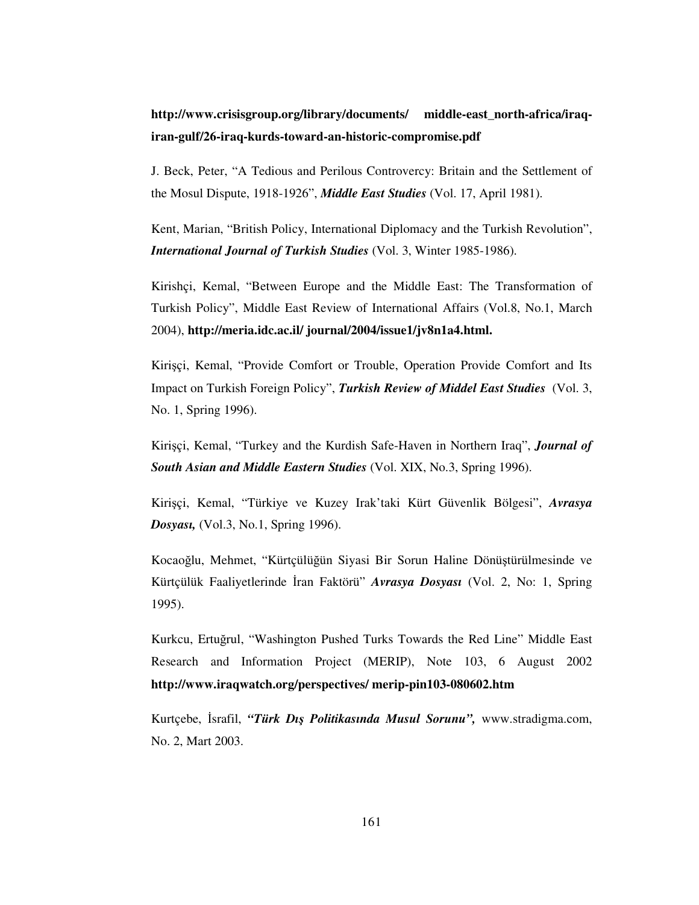# **http://www.crisisgroup.org/library/documents/ middle-east\_north-africa/iraqiran-gulf/26-iraq-kurds-toward-an-historic-compromise.pdf**

J. Beck, Peter, "A Tedious and Perilous Controvercy: Britain and the Settlement of the Mosul Dispute, 1918-1926", *Middle East Studies* (Vol. 17, April 1981).

Kent, Marian, "British Policy, International Diplomacy and the Turkish Revolution", *International Journal of Turkish Studies* (Vol. 3, Winter 1985-1986).

Kirishçi, Kemal, "Between Europe and the Middle East: The Transformation of Turkish Policy", Middle East Review of International Affairs (Vol.8, No.1, March 2004), **http://meria.idc.ac.il/ journal/2004/issue1/jv8n1a4.html.**

Kiriçi, Kemal, "Provide Comfort or Trouble, Operation Provide Comfort and Its Impact on Turkish Foreign Policy", *Turkish Review of Middel East Studies* (Vol. 3, No. 1, Spring 1996).

Kiriçi, Kemal, "Turkey and the Kurdish Safe-Haven in Northern Iraq", *Journal of South Asian and Middle Eastern Studies* (Vol. XIX, No.3, Spring 1996).

Kiriçi, Kemal, "Türkiye ve Kuzey Irak'taki Kürt Güvenlik Bölgesi", *Avrasya Dosyası,* (Vol.3, No.1, Spring 1996).

Kocaoğlu, Mehmet, "Kürtçülüğün Siyasi Bir Sorun Haline Dönüştürülmesinde ve Kürtçülük Faaliyetlerinde İran Faktörü" *Avrasya Dosyası* (Vol. 2, No: 1, Spring 1995).

Kurkcu, Ertuğrul, "Washington Pushed Turks Towards the Red Line" Middle East Research and Information Project (MERIP), Note 103, 6 August 2002 **http://www.iraqwatch.org/perspectives/ merip-pin103-080602.htm**

Kurtçebe, İsrafil, "**Türk Dış Politikasında Musul Sorunu",** www.stradigma.com, No. 2, Mart 2003.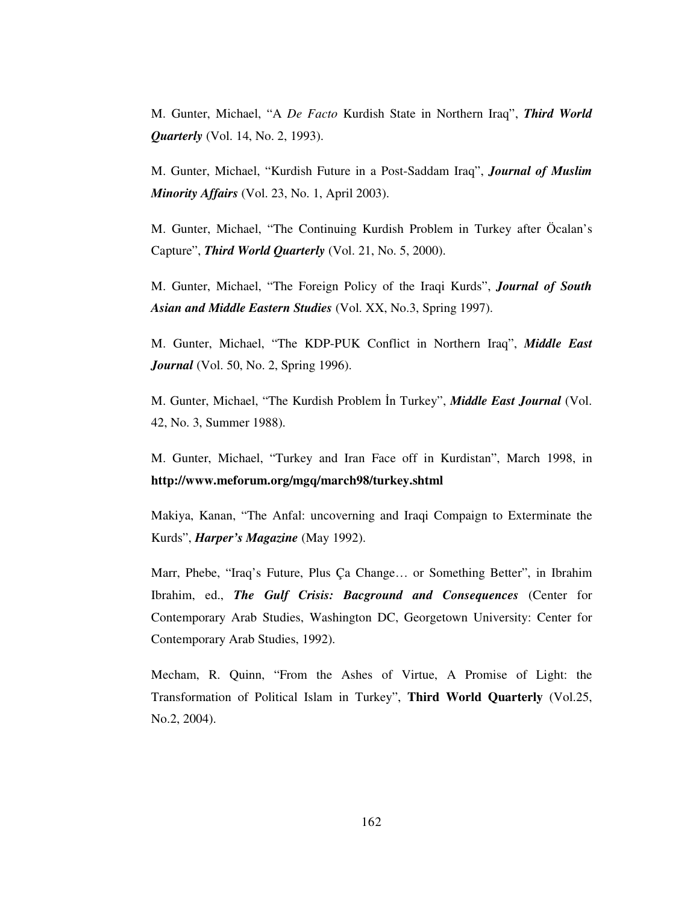M. Gunter, Michael, "A *De Facto* Kurdish State in Northern Iraq", *Third World Quarterly* (Vol. 14, No. 2, 1993).

M. Gunter, Michael, "Kurdish Future in a Post-Saddam Iraq", *Journal of Muslim Minority Affairs* (Vol. 23, No. 1, April 2003).

M. Gunter, Michael, "The Continuing Kurdish Problem in Turkey after Öcalan's Capture", *Third World Quarterly* (Vol. 21, No. 5, 2000).

M. Gunter, Michael, "The Foreign Policy of the Iraqi Kurds", *Journal of South Asian and Middle Eastern Studies* (Vol. XX, No.3, Spring 1997).

M. Gunter, Michael, "The KDP-PUK Conflict in Northern Iraq", *Middle East Journal* (Vol. 50, No. 2, Spring 1996).

M. Gunter, Michael, "The Kurdish Problem In Turkey", *Middle East Journal* (Vol. 42, No. 3, Summer 1988).

M. Gunter, Michael, "Turkey and Iran Face off in Kurdistan", March 1998, in **http://www.meforum.org/mgq/march98/turkey.shtml**

Makiya, Kanan, "The Anfal: uncoverning and Iraqi Compaign to Exterminate the Kurds", *Harper's Magazine* (May 1992).

Marr, Phebe, "Iraq's Future, Plus Ça Change… or Something Better", in Ibrahim Ibrahim, ed., *The Gulf Crisis: Bacground and Consequences* (Center for Contemporary Arab Studies, Washington DC, Georgetown University: Center for Contemporary Arab Studies, 1992).

Mecham, R. Quinn, "From the Ashes of Virtue, A Promise of Light: the Transformation of Political Islam in Turkey", **Third World Quarterly** (Vol.25, No.2, 2004).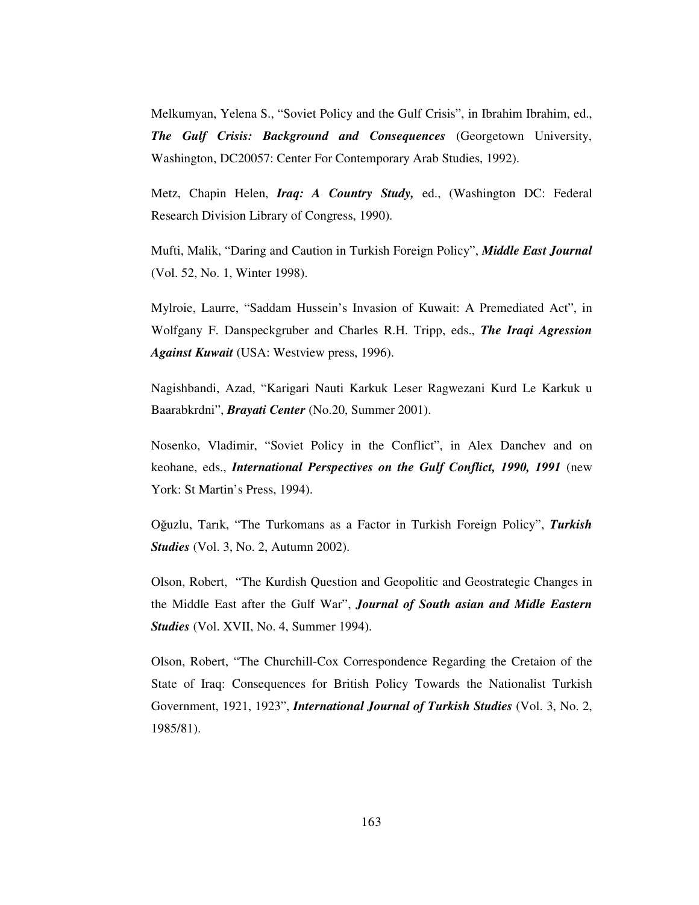Melkumyan, Yelena S., "Soviet Policy and the Gulf Crisis", in Ibrahim Ibrahim, ed., *The Gulf Crisis: Background and Consequences* (Georgetown University, Washington, DC20057: Center For Contemporary Arab Studies, 1992).

Metz, Chapin Helen, *Iraq: A Country Study,* ed., (Washington DC: Federal Research Division Library of Congress, 1990).

Mufti, Malik, "Daring and Caution in Turkish Foreign Policy", *Middle East Journal* (Vol. 52, No. 1, Winter 1998).

Mylroie, Laurre, "Saddam Hussein's Invasion of Kuwait: A Premediated Act", in Wolfgany F. Danspeckgruber and Charles R.H. Tripp, eds., *The Iraqi Agression Against Kuwait* (USA: Westview press, 1996).

Nagishbandi, Azad, "Karigari Nauti Karkuk Leser Ragwezani Kurd Le Karkuk u Baarabkrdni", *Brayati Center* (No.20, Summer 2001).

Nosenko, Vladimir, "Soviet Policy in the Conflict", in Alex Danchev and on keohane, eds., *International Perspectives on the Gulf Conflict, 1990, 1991* (new York: St Martin's Press, 1994).

Oğuzlu, Tarık, "The Turkomans as a Factor in Turkish Foreign Policy", *Turkish Studies* (Vol. 3, No. 2, Autumn 2002).

Olson, Robert, "The Kurdish Question and Geopolitic and Geostrategic Changes in the Middle East after the Gulf War", *Journal of South asian and Midle Eastern Studies* (Vol. XVII, No. 4, Summer 1994).

Olson, Robert, "The Churchill-Cox Correspondence Regarding the Cretaion of the State of Iraq: Consequences for British Policy Towards the Nationalist Turkish Government, 1921, 1923", *International Journal of Turkish Studies* (Vol. 3, No. 2, 1985/81).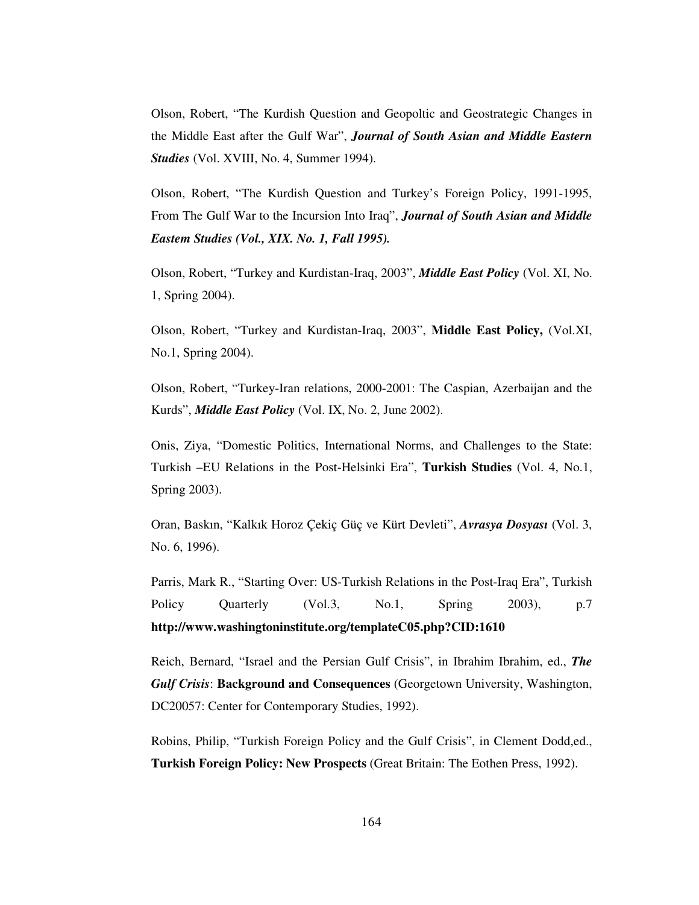Olson, Robert, "The Kurdish Question and Geopoltic and Geostrategic Changes in the Middle East after the Gulf War", *Journal of South Asian and Middle Eastern Studies* (Vol. XVIII, No. 4, Summer 1994).

Olson, Robert, "The Kurdish Question and Turkey's Foreign Policy, 1991-1995, From The Gulf War to the Incursion Into Iraq", *Journal of South Asian and Middle Eastem Studies (Vol., XIX. No. 1, Fall 1995).*

Olson, Robert, "Turkey and Kurdistan-Iraq, 2003", *Middle East Policy* (Vol. XI, No. 1, Spring 2004).

Olson, Robert, "Turkey and Kurdistan-Iraq, 2003", **Middle East Policy,** (Vol.XI, No.1, Spring 2004).

Olson, Robert, "Turkey-Iran relations, 2000-2001: The Caspian, Azerbaijan and the Kurds", *Middle East Policy* (Vol. IX, No. 2, June 2002).

Onis, Ziya, "Domestic Politics, International Norms, and Challenges to the State: Turkish –EU Relations in the Post-Helsinki Era", **Turkish Studies** (Vol. 4, No.1, Spring 2003).

Oran, Baskın, "Kalkık Horoz Çekiç Güç ve Kürt Devleti", *Avrasya Dosyası* (Vol. 3, No. 6, 1996).

Parris, Mark R., "Starting Over: US-Turkish Relations in the Post-Iraq Era", Turkish Policy Quarterly (Vol.3, No.1, Spring 2003), p.7 **http://www.washingtoninstitute.org/templateC05.php?CID:1610**

Reich, Bernard, "Israel and the Persian Gulf Crisis", in Ibrahim Ibrahim, ed., *The Gulf Crisis*: **Background and Consequences** (Georgetown University, Washington, DC20057: Center for Contemporary Studies, 1992).

Robins, Philip, "Turkish Foreign Policy and the Gulf Crisis", in Clement Dodd,ed., **Turkish Foreign Policy: New Prospects** (Great Britain: The Eothen Press, 1992).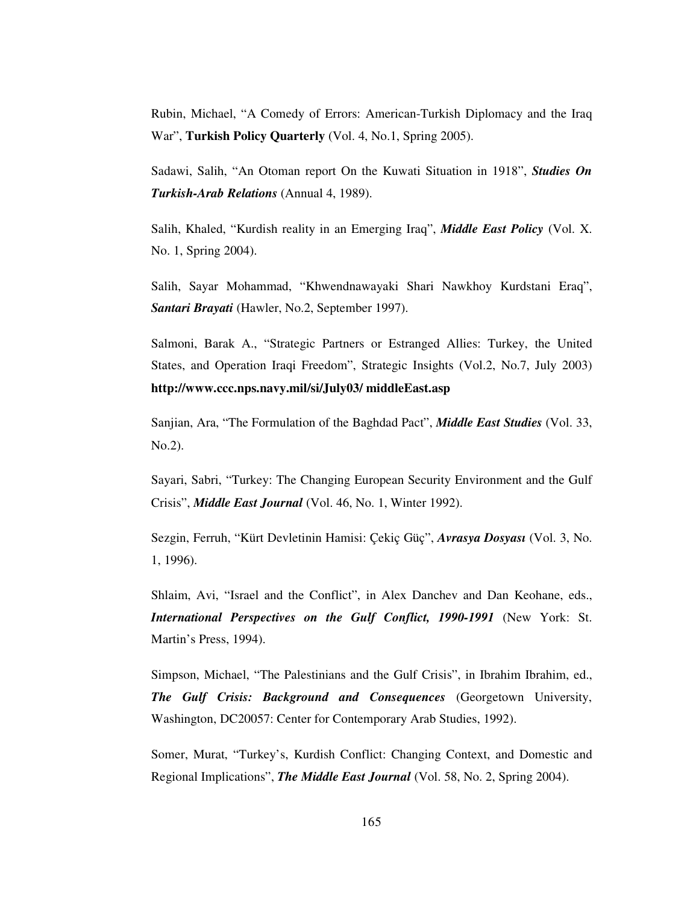Rubin, Michael, "A Comedy of Errors: American-Turkish Diplomacy and the Iraq War", **Turkish Policy Quarterly** (Vol. 4, No.1, Spring 2005).

Sadawi, Salih, "An Otoman report On the Kuwati Situation in 1918", *Studies On Turkish-Arab Relations* (Annual 4, 1989).

Salih, Khaled, "Kurdish reality in an Emerging Iraq", *Middle East Policy* (Vol. X. No. 1, Spring 2004).

Salih, Sayar Mohammad, "Khwendnawayaki Shari Nawkhoy Kurdstani Eraq", *Santari Brayati* (Hawler, No.2, September 1997).

Salmoni, Barak A., "Strategic Partners or Estranged Allies: Turkey, the United States, and Operation Iraqi Freedom", Strategic Insights (Vol.2, No.7, July 2003) **http://www.ccc.nps.navy.mil/si/July03/ middleEast.asp**

Sanjian, Ara, "The Formulation of the Baghdad Pact", *Middle East Studies* (Vol. 33, No.2).

Sayari, Sabri, "Turkey: The Changing European Security Environment and the Gulf Crisis", *Middle East Journal* (Vol. 46, No. 1, Winter 1992).

Sezgin, Ferruh, "Kürt Devletinin Hamisi: Çekiç Güç", *Avrasya Dosyası* (Vol. 3, No. 1, 1996).

Shlaim, Avi, "Israel and the Conflict", in Alex Danchev and Dan Keohane, eds., *International Perspectives on the Gulf Conflict, 1990-1991* (New York: St. Martin's Press, 1994).

Simpson, Michael, "The Palestinians and the Gulf Crisis", in Ibrahim Ibrahim, ed., *The Gulf Crisis: Background and Consequences* (Georgetown University, Washington, DC20057: Center for Contemporary Arab Studies, 1992).

Somer, Murat, "Turkey's, Kurdish Conflict: Changing Context, and Domestic and Regional Implications", *The Middle East Journal* (Vol. 58, No. 2, Spring 2004).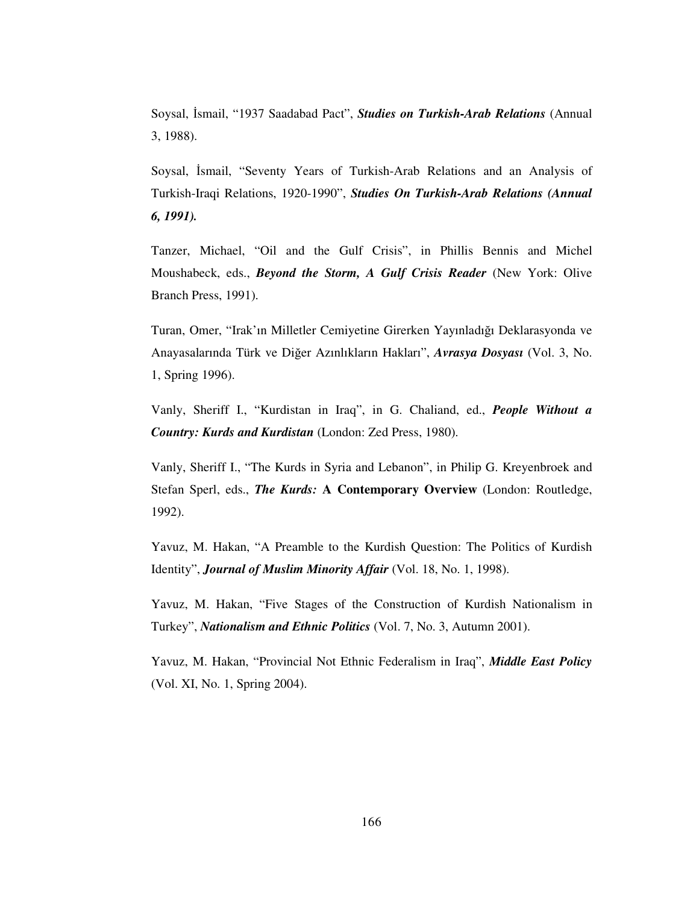Soysal, İsmail, "1937 Saadabad Pact", *Studies on Turkish-Arab Relations* (Annual 3, 1988).

Soysal, İsmail, "Seventy Years of Turkish-Arab Relations and an Analysis of Turkish-Iraqi Relations, 1920-1990", *Studies On Turkish-Arab Relations (Annual 6, 1991).*

Tanzer, Michael, "Oil and the Gulf Crisis", in Phillis Bennis and Michel Moushabeck, eds., *Beyond the Storm, A Gulf Crisis Reader* (New York: Olive Branch Press, 1991).

Turan, Omer, "Irak'ın Milletler Cemiyetine Girerken Yayınladığı Deklarasyonda ve Anayasalarında Türk ve Dier Azınlıkların Hakları", *Avrasya Dosyası* (Vol. 3, No. 1, Spring 1996).

Vanly, Sheriff I., "Kurdistan in Iraq", in G. Chaliand, ed., *People Without a Country: Kurds and Kurdistan* (London: Zed Press, 1980).

Vanly, Sheriff I., "The Kurds in Syria and Lebanon", in Philip G. Kreyenbroek and Stefan Sperl, eds., *The Kurds:* **A Contemporary Overview** (London: Routledge, 1992).

Yavuz, M. Hakan, "A Preamble to the Kurdish Question: The Politics of Kurdish Identity", *Journal of Muslim Minority Affair* (Vol. 18, No. 1, 1998).

Yavuz, M. Hakan, "Five Stages of the Construction of Kurdish Nationalism in Turkey", *Nationalism and Ethnic Politics* (Vol. 7, No. 3, Autumn 2001).

Yavuz, M. Hakan, "Provincial Not Ethnic Federalism in Iraq", *Middle East Policy* (Vol. XI, No. 1, Spring 2004).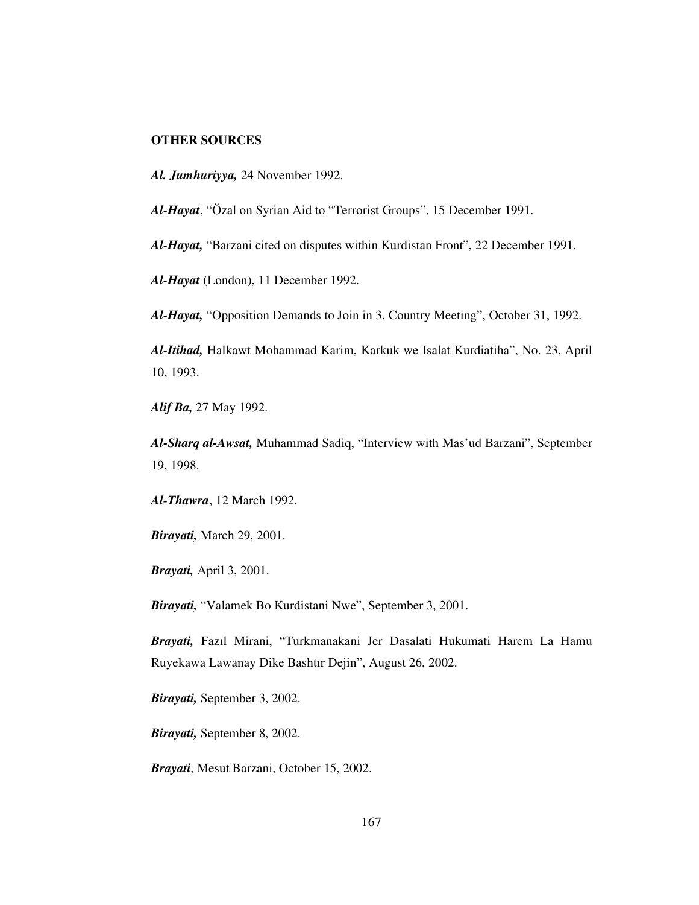## **OTHER SOURCES**

*Al. Jumhuriyya,* 24 November 1992.

*Al-Hayat*, "Özal on Syrian Aid to "Terrorist Groups", 15 December 1991.

*Al-Hayat,* "Barzani cited on disputes within Kurdistan Front", 22 December 1991.

*Al-Hayat* (London), 11 December 1992.

*Al-Hayat,* "Opposition Demands to Join in 3. Country Meeting", October 31, 1992.

*Al-Itihad,* Halkawt Mohammad Karim, Karkuk we Isalat Kurdiatiha", No. 23, April 10, 1993.

*Alif Ba,* 27 May 1992.

*Al-Sharq al-Awsat,* Muhammad Sadiq, "Interview with Mas'ud Barzani", September 19, 1998.

*Al-Thawra*, 12 March 1992.

*Birayati,* March 29, 2001.

*Brayati,* April 3, 2001.

*Birayati,* "Valamek Bo Kurdistani Nwe", September 3, 2001.

*Brayati,* Fazıl Mirani, "Turkmanakani Jer Dasalati Hukumati Harem La Hamu Ruyekawa Lawanay Dike Bashtır Dejin", August 26, 2002.

*Birayati,* September 3, 2002.

*Birayati,* September 8, 2002.

*Brayati*, Mesut Barzani, October 15, 2002.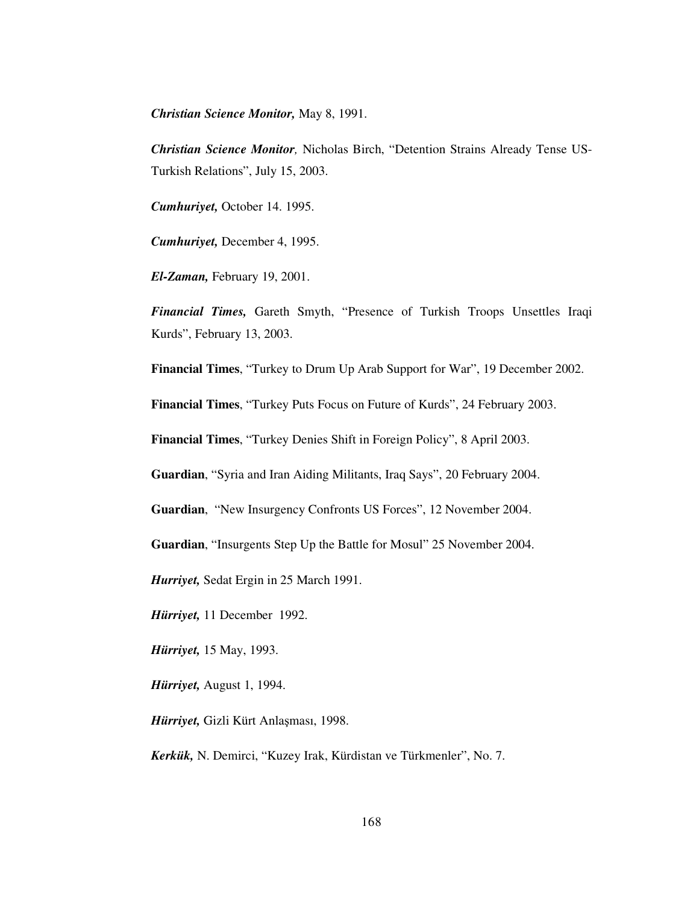*Christian Science Monitor,* May 8, 1991.

*Christian Science Monitor,* Nicholas Birch, "Detention Strains Already Tense US-Turkish Relations", July 15, 2003.

*Cumhuriyet,* October 14. 1995.

*Cumhuriyet,* December 4, 1995.

*El-Zaman,* February 19, 2001.

*Financial Times,* Gareth Smyth, "Presence of Turkish Troops Unsettles Iraqi Kurds", February 13, 2003.

**Financial Times**, "Turkey to Drum Up Arab Support for War", 19 December 2002.

**Financial Times**, "Turkey Puts Focus on Future of Kurds", 24 February 2003.

**Financial Times**, "Turkey Denies Shift in Foreign Policy", 8 April 2003.

**Guardian**, "Syria and Iran Aiding Militants, Iraq Says", 20 February 2004.

**Guardian**, "New Insurgency Confronts US Forces", 12 November 2004.

**Guardian**, "Insurgents Step Up the Battle for Mosul" 25 November 2004.

*Hurriyet,* Sedat Ergin in 25 March 1991.

*Hürriyet,* 11 December 1992.

*Hürriyet,* 15 May, 1993.

*Hürriyet,* August 1, 1994.

*Hürriyet,* Gizli Kürt Anlaması, 1998.

*Kerkük,* N. Demirci, "Kuzey Irak, Kürdistan ve Türkmenler", No. 7.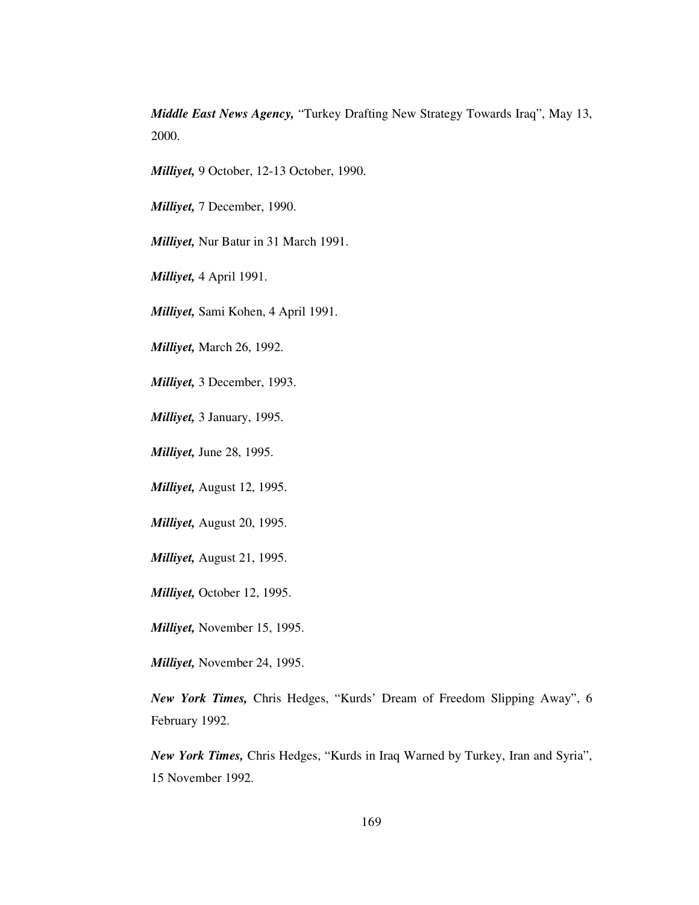*Middle East News Agency,* "Turkey Drafting New Strategy Towards Iraq", May 13, 2000.

*Milliyet,* 9 October, 12-13 October, 1990.

*Milliyet,* 7 December, 1990.

*Milliyet,* Nur Batur in 31 March 1991.

*Milliyet,* 4 April 1991.

*Milliyet,* Sami Kohen, 4 April 1991.

*Milliyet,* March 26, 1992.

*Milliyet,* 3 December, 1993.

*Milliyet,* 3 January, 1995.

*Milliyet,* June 28, 1995.

*Milliyet,* August 12, 1995.

*Milliyet,* August 20, 1995.

*Milliyet,* August 21, 1995.

*Milliyet,* October 12, 1995.

*Milliyet,* November 15, 1995.

*Milliyet,* November 24, 1995.

*New York Times,* Chris Hedges, "Kurds' Dream of Freedom Slipping Away", 6 February 1992.

*New York Times,* Chris Hedges, "Kurds in Iraq Warned by Turkey, Iran and Syria", 15 November 1992.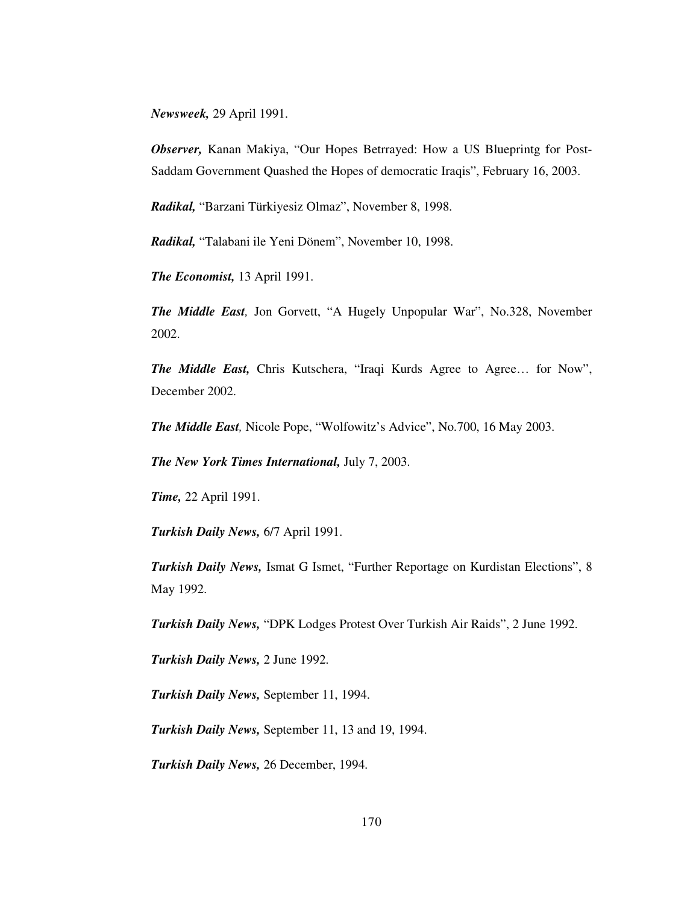*Newsweek,* 29 April 1991.

*Observer,* Kanan Makiya, "Our Hopes Betrrayed: How a US Blueprintg for Post-Saddam Government Quashed the Hopes of democratic Iraqis", February 16, 2003.

*Radikal,* "Barzani Türkiyesiz Olmaz", November 8, 1998.

*Radikal,* "Talabani ile Yeni Dönem", November 10, 1998.

*The Economist,* 13 April 1991.

*The Middle East,* Jon Gorvett, "A Hugely Unpopular War", No.328, November 2002.

*The Middle East,* Chris Kutschera, "Iraqi Kurds Agree to Agree… for Now", December 2002.

*The Middle East,* Nicole Pope, "Wolfowitz's Advice", No.700, 16 May 2003.

*The New York Times International,* July 7, 2003.

*Time,* 22 April 1991.

*Turkish Daily News,* 6/7 April 1991.

*Turkish Daily News,* Ismat G Ismet, "Further Reportage on Kurdistan Elections", 8 May 1992.

*Turkish Daily News,* "DPK Lodges Protest Over Turkish Air Raids", 2 June 1992.

*Turkish Daily News,* 2 June 1992.

*Turkish Daily News,* September 11, 1994.

*Turkish Daily News,* September 11, 13 and 19, 1994.

*Turkish Daily News,* 26 December, 1994.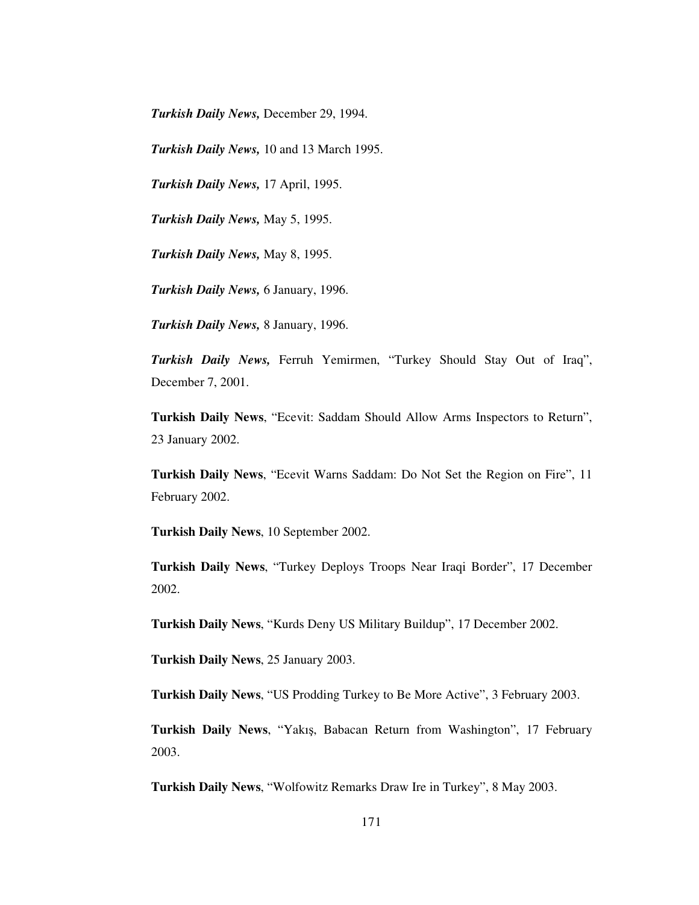*Turkish Daily News,* December 29, 1994.

*Turkish Daily News,* 10 and 13 March 1995.

*Turkish Daily News,* 17 April, 1995.

*Turkish Daily News,* May 5, 1995.

*Turkish Daily News,* May 8, 1995.

*Turkish Daily News,* 6 January, 1996.

*Turkish Daily News,* 8 January, 1996.

*Turkish Daily News,* Ferruh Yemirmen, "Turkey Should Stay Out of Iraq", December 7, 2001.

**Turkish Daily News**, "Ecevit: Saddam Should Allow Arms Inspectors to Return", 23 January 2002.

**Turkish Daily News**, "Ecevit Warns Saddam: Do Not Set the Region on Fire", 11 February 2002.

**Turkish Daily News**, 10 September 2002.

**Turkish Daily News**, "Turkey Deploys Troops Near Iraqi Border", 17 December 2002.

**Turkish Daily News**, "Kurds Deny US Military Buildup", 17 December 2002.

**Turkish Daily News**, 25 January 2003.

**Turkish Daily News**, "US Prodding Turkey to Be More Active", 3 February 2003.

**Turkish Daily News**, "Yakı, Babacan Return from Washington", 17 February 2003.

**Turkish Daily News**, "Wolfowitz Remarks Draw Ire in Turkey", 8 May 2003.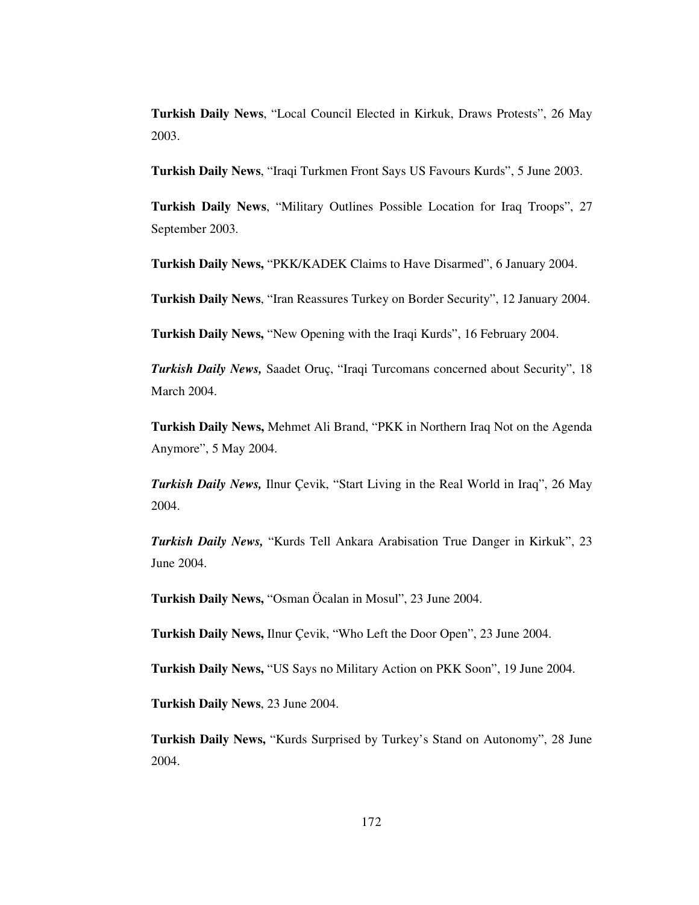**Turkish Daily News**, "Local Council Elected in Kirkuk, Draws Protests", 26 May 2003.

**Turkish Daily News**, "Iraqi Turkmen Front Says US Favours Kurds", 5 June 2003.

**Turkish Daily News**, "Military Outlines Possible Location for Iraq Troops", 27 September 2003.

**Turkish Daily News,** "PKK/KADEK Claims to Have Disarmed", 6 January 2004.

**Turkish Daily News**, "Iran Reassures Turkey on Border Security", 12 January 2004.

**Turkish Daily News,** "New Opening with the Iraqi Kurds", 16 February 2004.

*Turkish Daily News,* Saadet Oruç, "Iraqi Turcomans concerned about Security", 18 March 2004.

**Turkish Daily News,** Mehmet Ali Brand, "PKK in Northern Iraq Not on the Agenda Anymore", 5 May 2004.

*Turkish Daily News,* Ilnur Çevik, "Start Living in the Real World in Iraq", 26 May 2004.

*Turkish Daily News,* "Kurds Tell Ankara Arabisation True Danger in Kirkuk", 23 June 2004.

**Turkish Daily News,** "Osman Öcalan in Mosul", 23 June 2004.

**Turkish Daily News,** Ilnur Çevik, "Who Left the Door Open", 23 June 2004.

**Turkish Daily News,** "US Says no Military Action on PKK Soon", 19 June 2004.

**Turkish Daily News**, 23 June 2004.

**Turkish Daily News,** "Kurds Surprised by Turkey's Stand on Autonomy", 28 June 2004.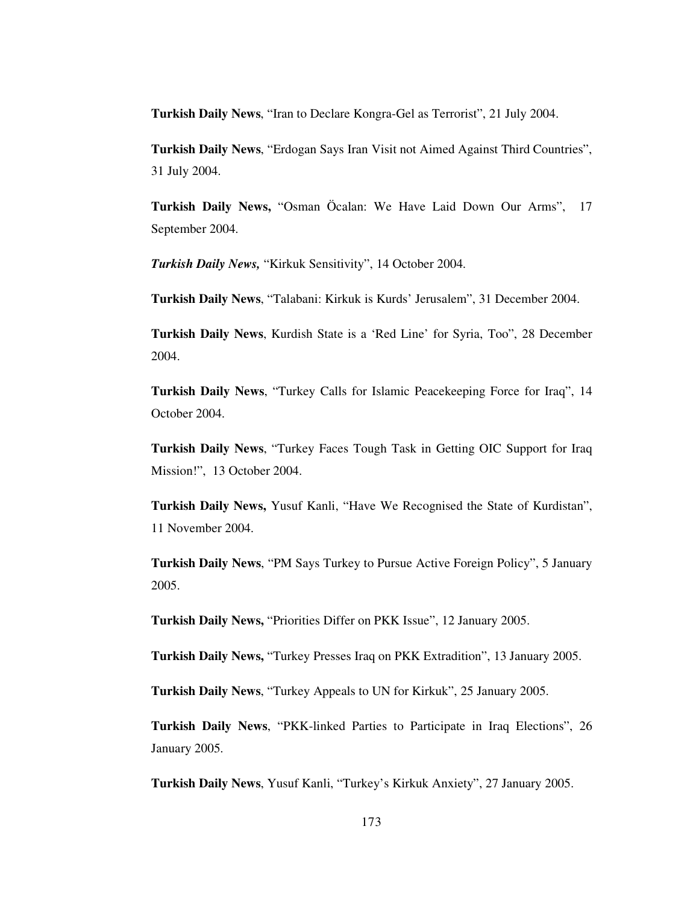**Turkish Daily News**, "Iran to Declare Kongra-Gel as Terrorist", 21 July 2004.

**Turkish Daily News**, "Erdogan Says Iran Visit not Aimed Against Third Countries", 31 July 2004.

**Turkish Daily News,** "Osman Öcalan: We Have Laid Down Our Arms", 17 September 2004.

*Turkish Daily News,* "Kirkuk Sensitivity", 14 October 2004.

**Turkish Daily News**, "Talabani: Kirkuk is Kurds' Jerusalem", 31 December 2004.

**Turkish Daily News**, Kurdish State is a 'Red Line' for Syria, Too", 28 December 2004.

**Turkish Daily News**, "Turkey Calls for Islamic Peacekeeping Force for Iraq", 14 October 2004.

**Turkish Daily News**, "Turkey Faces Tough Task in Getting OIC Support for Iraq Mission!", 13 October 2004.

**Turkish Daily News,** Yusuf Kanli, "Have We Recognised the State of Kurdistan", 11 November 2004.

**Turkish Daily News**, "PM Says Turkey to Pursue Active Foreign Policy", 5 January 2005.

**Turkish Daily News,** "Priorities Differ on PKK Issue", 12 January 2005.

**Turkish Daily News,** "Turkey Presses Iraq on PKK Extradition", 13 January 2005.

**Turkish Daily News**, "Turkey Appeals to UN for Kirkuk", 25 January 2005.

**Turkish Daily News**, "PKK-linked Parties to Participate in Iraq Elections", 26 January 2005.

**Turkish Daily News**, Yusuf Kanli, "Turkey's Kirkuk Anxiety", 27 January 2005.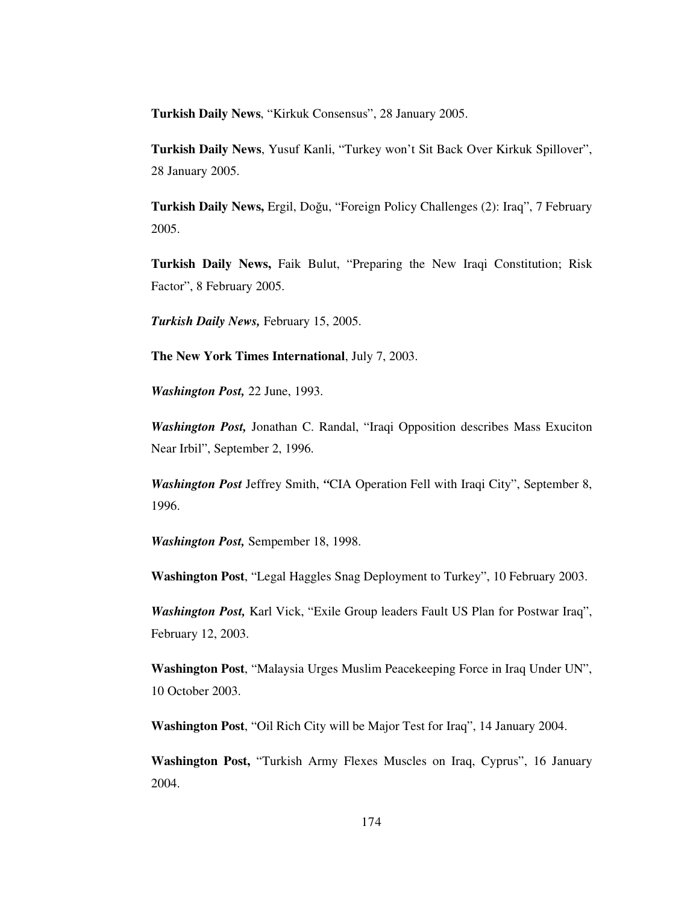**Turkish Daily News**, "Kirkuk Consensus", 28 January 2005.

**Turkish Daily News**, Yusuf Kanli, "Turkey won't Sit Back Over Kirkuk Spillover", 28 January 2005.

**Turkish Daily News, Ergil, Doğu, "Foreign Policy Challenges (2): Iraq", 7 February** 2005.

**Turkish Daily News,** Faik Bulut, "Preparing the New Iraqi Constitution; Risk Factor", 8 February 2005.

*Turkish Daily News,* February 15, 2005.

**The New York Times International**, July 7, 2003.

*Washington Post,* 22 June, 1993.

*Washington Post,* Jonathan C. Randal, "Iraqi Opposition describes Mass Exuciton Near Irbil", September 2, 1996.

*Washington Post* Jeffrey Smith, *"*CIA Operation Fell with Iraqi City", September 8, 1996.

*Washington Post,* Sempember 18, 1998.

**Washington Post**, "Legal Haggles Snag Deployment to Turkey", 10 February 2003.

*Washington Post,* Karl Vick, "Exile Group leaders Fault US Plan for Postwar Iraq", February 12, 2003.

**Washington Post**, "Malaysia Urges Muslim Peacekeeping Force in Iraq Under UN", 10 October 2003.

**Washington Post**, "Oil Rich City will be Major Test for Iraq", 14 January 2004.

**Washington Post,** "Turkish Army Flexes Muscles on Iraq, Cyprus", 16 January 2004.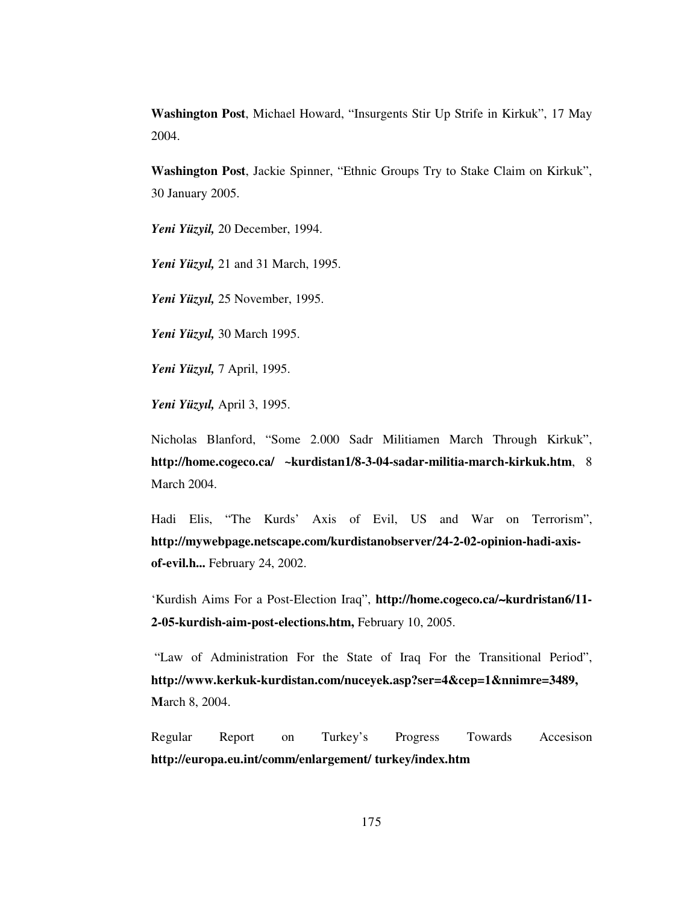**Washington Post**, Michael Howard, "Insurgents Stir Up Strife in Kirkuk", 17 May 2004.

**Washington Post**, Jackie Spinner, "Ethnic Groups Try to Stake Claim on Kirkuk", 30 January 2005.

*Yeni Yüzyil,* 20 December, 1994.

*Yeni Yüzyıl,* 21 and 31 March, 1995.

*Yeni Yüzyıl,* 25 November, 1995.

*Yeni Yüzyıl,* 30 March 1995.

*Yeni Yüzyıl,* 7 April, 1995.

*Yeni Yüzyıl,* April 3, 1995.

Nicholas Blanford, "Some 2.000 Sadr Militiamen March Through Kirkuk", **http://home.cogeco.ca/ ~kurdistan1/8-3-04-sadar-militia-march-kirkuk.htm**, 8 March 2004.

Hadi Elis, "The Kurds' Axis of Evil, US and War on Terrorism", **http://mywebpage.netscape.com/kurdistanobserver/24-2-02-opinion-hadi-axisof-evil.h...** February 24, 2002.

'Kurdish Aims For a Post-Election Iraq", **http://home.cogeco.ca/**∼**kurdristan6/11- 2-05-kurdish-aim-post-elections.htm,** February 10, 2005.

"Law of Administration For the State of Iraq For the Transitional Period", **http://www.kerkuk-kurdistan.com/nuceyek.asp?ser=4&cep=1&nnimre=3489, M**arch 8, 2004.

Regular Report on Turkey's Progress Towards Accesison **http://europa.eu.int/comm/enlargement/ turkey/index.htm**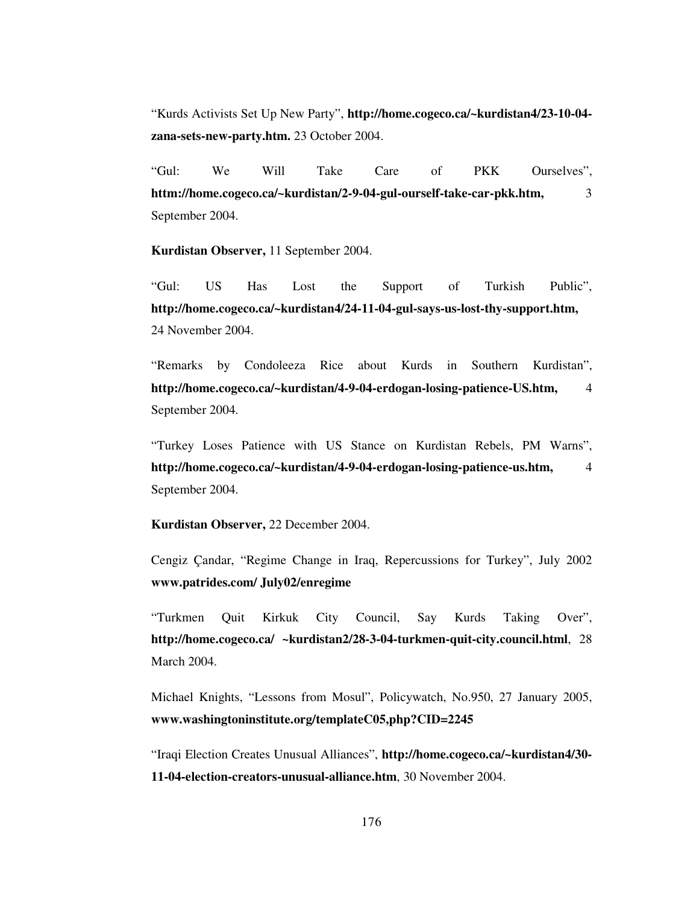"Kurds Activists Set Up New Party", **http://home.cogeco.ca/~kurdistan4/23-10-04 zana-sets-new-party.htm.** 23 October 2004.

"Gul: We Will Take Care of PKK Ourselves", **httm://home.cogeco.ca/~kurdistan/2-9-04-gul-ourself-take-car-pkk.htm,** 3 September 2004.

**Kurdistan Observer,** 11 September 2004.

"Gul: US Has Lost the Support of Turkish Public", **http://home.cogeco.ca/~kurdistan4/24-11-04-gul-says-us-lost-thy-support.htm,** 24 November 2004.

"Remarks by Condoleeza Rice about Kurds in Southern Kurdistan", **http://home.cogeco.ca/~kurdistan/4-9-04-erdogan-losing-patience-US.htm,** 4 September 2004.

"Turkey Loses Patience with US Stance on Kurdistan Rebels, PM Warns", **http://home.cogeco.ca/~kurdistan/4-9-04-erdogan-losing-patience-us.htm,** 4 September 2004.

**Kurdistan Observer,** 22 December 2004.

Cengiz Çandar, "Regime Change in Iraq, Repercussions for Turkey", July 2002 **www.patrides.com/ July02/enregime**

"Turkmen Quit Kirkuk City Council, Say Kurds Taking Over", **http://home.cogeco.ca/ ~kurdistan2/28-3-04-turkmen-quit-city.council.html**, 28 March 2004.

Michael Knights, "Lessons from Mosul", Policywatch, No.950, 27 January 2005, **www.washingtoninstitute.org/templateC05,php?CID=2245**

"Iraqi Election Creates Unusual Alliances", **http://home.cogeco.ca/~kurdistan4/30- 11-04-election-creators-unusual-alliance.htm**, 30 November 2004.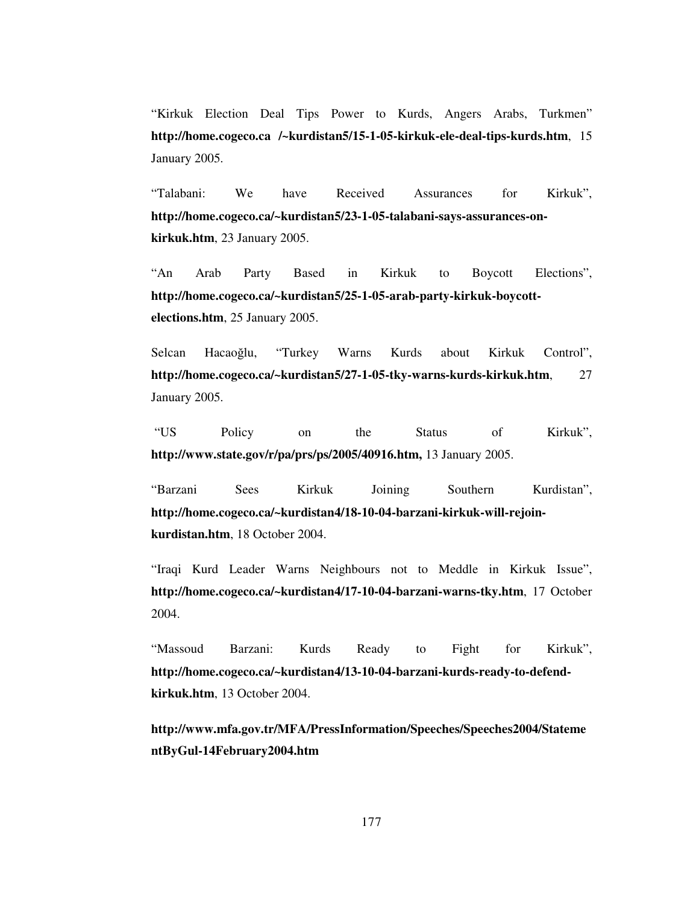"Kirkuk Election Deal Tips Power to Kurds, Angers Arabs, Turkmen" **http://home.cogeco.ca /~kurdistan5/15-1-05-kirkuk-ele-deal-tips-kurds.htm**, 15 January 2005.

"Talabani: We have Received Assurances for Kirkuk", **http://home.cogeco.ca/~kurdistan5/23-1-05-talabani-says-assurances-onkirkuk.htm**, 23 January 2005.

"An Arab Party Based in Kirkuk to Boycott Elections", **http://home.cogeco.ca/~kurdistan5/25-1-05-arab-party-kirkuk-boycottelections.htm**, 25 January 2005.

Selcan Hacaoğlu, "Turkey Warns Kurds about Kirkuk Control", **http://home.cogeco.ca/~kurdistan5/27-1-05-tky-warns-kurds-kirkuk.htm**, 27 January 2005.

"US Policy on the Status of Kirkuk", **http://www.state.gov/r/pa/prs/ps/2005/40916.htm,** 13 January 2005.

"Barzani Sees Kirkuk Joining Southern Kurdistan", **http://home.cogeco.ca/~kurdistan4/18-10-04-barzani-kirkuk-will-rejoinkurdistan.htm**, 18 October 2004.

"Iraqi Kurd Leader Warns Neighbours not to Meddle in Kirkuk Issue", **http://home.cogeco.ca/~kurdistan4/17-10-04-barzani-warns-tky.htm**, 17 October 2004.

"Massoud Barzani: Kurds Ready to Fight for Kirkuk", **http://home.cogeco.ca/~kurdistan4/13-10-04-barzani-kurds-ready-to-defendkirkuk.htm**, 13 October 2004.

**http://www.mfa.gov.tr/MFA/PressInformation/Speeches/Speeches2004/Stateme ntByGul-14February2004.htm**